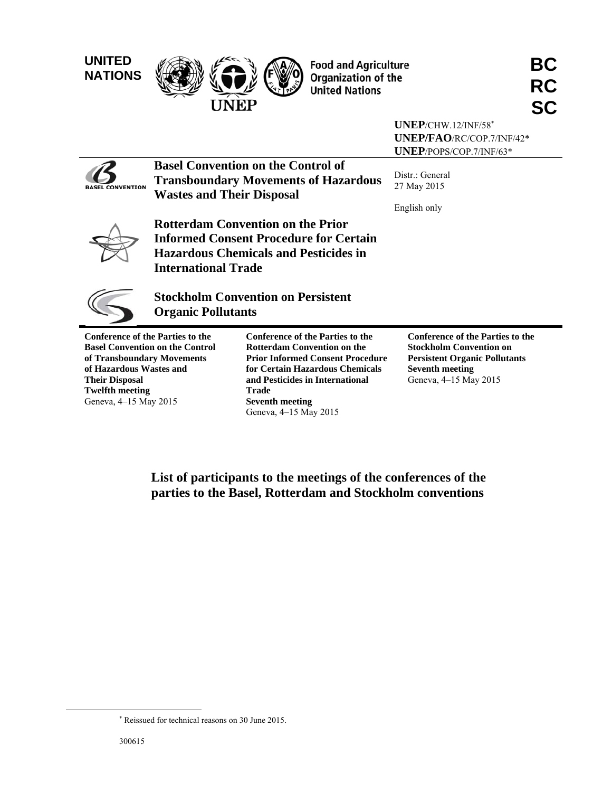

 $\overline{\phantom{a}}$ 



Food and Agriculture<br>Organization of the<br>United Nations **RC** 

|                                                                                                  |                                                                        |                                                                                                                                                             | $UNEP/CHW.12/INF/58*$<br>UNEP/FAO/RC/COP.7/INF/42*<br>UNEP/POPS/COP.7/INF/63*                                                               |  |  |
|--------------------------------------------------------------------------------------------------|------------------------------------------------------------------------|-------------------------------------------------------------------------------------------------------------------------------------------------------------|---------------------------------------------------------------------------------------------------------------------------------------------|--|--|
| <b>CONVENTION</b>                                                                                | <b>Wastes and Their Disposal</b>                                       | <b>Basel Convention on the Control of</b><br><b>Transboundary Movements of Hazardous</b>                                                                    | Distr.: General<br>27 May 2015<br>English only                                                                                              |  |  |
|                                                                                                  | <b>International Trade</b>                                             | <b>Rotterdam Convention on the Prior</b><br><b>Informed Consent Procedure for Certain</b><br><b>Hazardous Chemicals and Pesticides in</b>                   |                                                                                                                                             |  |  |
|                                                                                                  | <b>Stockholm Convention on Persistent</b><br><b>Organic Pollutants</b> |                                                                                                                                                             |                                                                                                                                             |  |  |
| <b>Conference of the Parties to the</b><br>of Transboundary Movements<br>of Hazardous Wastes and | <b>Basel Convention on the Control</b>                                 | <b>Conference of the Parties to the</b><br><b>Rotterdam Convention on the</b><br><b>Prior Informed Consent Procedure</b><br>for Certain Hazardous Chemicals | <b>Conference of the Parties to the</b><br><b>Stockholm Convention on</b><br><b>Persistent Organic Pollutants</b><br><b>Seventh meeting</b> |  |  |

**of Hazardous Wastes and Their Disposal Twelfth meeting**  Geneva, 4–15 May 2015

**and Pesticides in International Trade Seventh meeting**  Geneva, 4–15 May 2015

Geneva, 4–15 May 2015

**List of participants to the meetings of the conferences of the parties to the Basel, Rotterdam and Stockholm conventions** 

 Reissued for technical reasons on 30 June 2015.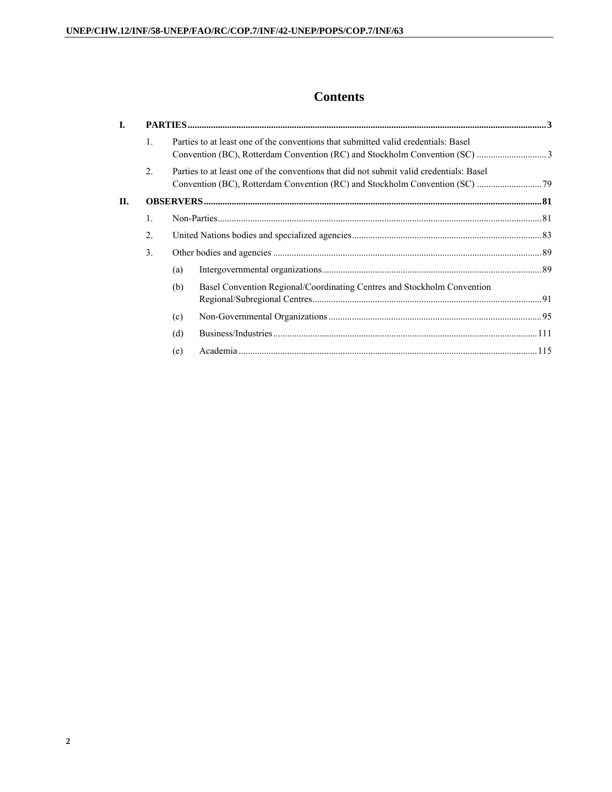# **Contents**

| I. |                  |     |                                                                                         |  |
|----|------------------|-----|-----------------------------------------------------------------------------------------|--|
|    | $\mathbf{1}$     |     | Parties to at least one of the conventions that submitted valid credentials: Basel      |  |
|    | $\overline{2}$ . |     | Parties to at least one of the conventions that did not submit valid credentials: Basel |  |
| П. |                  |     |                                                                                         |  |
|    | $\mathbf{1}$ .   |     |                                                                                         |  |
|    | $\overline{2}$ . |     |                                                                                         |  |
|    | 3 <sub>1</sub>   |     |                                                                                         |  |
|    |                  | (a) |                                                                                         |  |
|    |                  | (b) | Basel Convention Regional/Coordinating Centres and Stockholm Convention                 |  |
|    |                  | (c) |                                                                                         |  |
|    |                  | (d) |                                                                                         |  |
|    |                  | (e) |                                                                                         |  |
|    |                  |     |                                                                                         |  |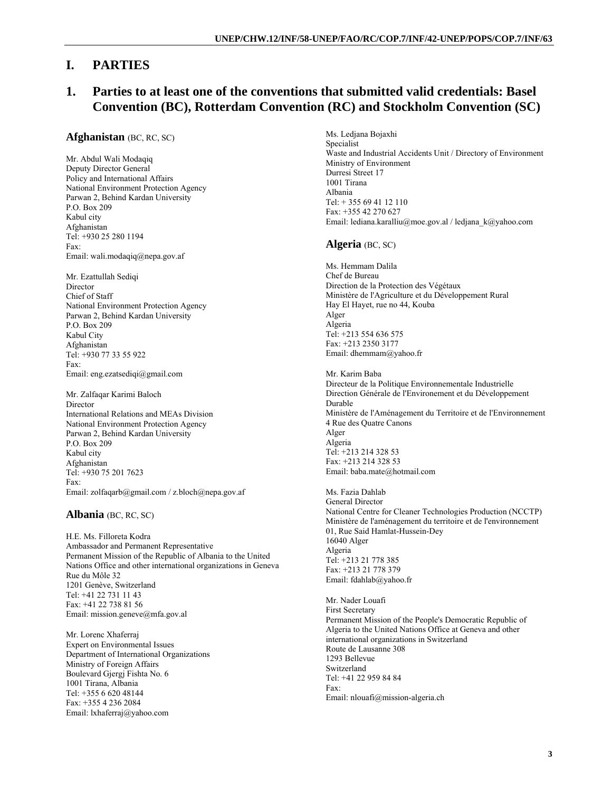# **I. PARTIES**

# **1. Parties to at least one of the conventions that submitted valid credentials: Basel Convention (BC), Rotterdam Convention (RC) and Stockholm Convention (SC)**

## **Afghanistan** (BC, RC, SC)

Mr. Abdul Wali Modaqiq Deputy Director General Policy and International Affairs National Environment Protection Agency Parwan 2, Behind Kardan University P.O. Box 209 Kabul city Afghanistan Tel: +930 25 280 1194 Fax: Email: wali.modaqiq@nepa.gov.af

Mr. Ezattullah Sediqi Director Chief of Staff National Environment Protection Agency Parwan 2, Behind Kardan University P.O. Box 209 Kabul City Afghanistan Tel: +930 77 33 55 922 Fax: Email: eng.ezatsediqi@gmail.com

Mr. Zalfaqar Karimi Baloch Director International Relations and MEAs Division National Environment Protection Agency Parwan 2, Behind Kardan University P.O. Box 209 Kabul city Afghanistan Tel: +930 75 201 7623 Fax: Email: zolfaqarb@gmail.com / z.bloch@nepa.gov.af

## **Albania** (BC, RC, SC)

H.E. Ms. Filloreta Kodra Ambassador and Permanent Representative Permanent Mission of the Republic of Albania to the United Nations Office and other international organizations in Geneva Rue du Môle 32 1201 Genève, Switzerland Tel: +41 22 731 11 43 Fax: +41 22 738 81 56 Email: mission.geneve@mfa.gov.al

Mr. Lorenc Xhaferraj Expert on Environmental Issues Department of International Organizations Ministry of Foreign Affairs Boulevard Gjergj Fishta No. 6 1001 Tirana, Albania Tel: +355 6 620 48144 Fax: +355 4 236 2084 Email: lxhaferraj@yahoo.com

Ms. Ledjana Bojaxhi Specialist Waste and Industrial Accidents Unit / Directory of Environment Ministry of Environment Durresi Street 17 1001 Tirana Albania  $Tel + 355694112110$ Fax: +355 42 270 627 Email: lediana.karalliu@moe.gov.al / ledjana\_k@yahoo.com

## **Algeria** (BC, SC)

Ms. Hemmam Dalila Chef de Bureau Direction de la Protection des Végétaux Ministère de l'Agriculture et du Développement Rural Hay El Hayet, rue no 44, Kouba Alger Algeria Tel: +213 554 636 575 Fax: +213 2350 3177 Email: dhemmam@yahoo.fr

Mr. Karim Baba Directeur de la Politique Environnementale Industrielle Direction Générale de l'Environement et du Développement Durable Ministère de l'Aménagement du Territoire et de l'Environnement 4 Rue des Quatre Canons Alger Algeria Tel: +213 214 328 53 Fax: +213 214 328 53 Email: baba.mate@hotmail.com

Ms. Fazia Dahlab General Director National Centre for Cleaner Technologies Production (NCCTP) Ministère de l'aménagement du territoire et de l'environnement 01, Rue Said Hamlat-Hussein-Dey 16040 Alger Algeria Tel: +213 21 778 385 Fax: +213 21 778 379 Email: fdahlab@yahoo.fr

Mr. Nader Louafi First Secretary Permanent Mission of the People's Democratic Republic of Algeria to the United Nations Office at Geneva and other international organizations in Switzerland Route de Lausanne 308 1293 Bellevue Switzerland Tel: +41 22 959 84 84 Fax: Email: nlouafi@mission-algeria.ch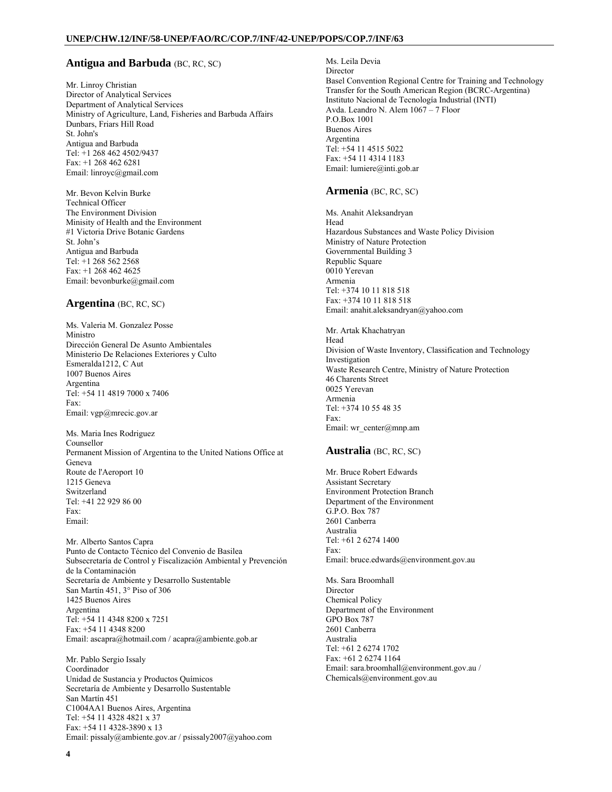### **Antigua and Barbuda** (BC, RC, SC)

Mr. Linroy Christian Director of Analytical Services Department of Analytical Services Ministry of Agriculture, Land, Fisheries and Barbuda Affairs Dunbars, Friars Hill Road St. John's Antigua and Barbuda Tel: +1 268 462 4502/9437 Fax: +1 268 462 6281 Email: linroyc@gmail.com

Mr. Bevon Kelvin Burke Technical Officer The Environment Division Minisity of Health and the Environment #1 Victoria Drive Botanic Gardens St. John's Antigua and Barbuda Tel: +1 268 562 2568 Fax: +1 268 462 4625 Email: bevonburke@gmail.com

### **Argentina** (BC, RC, SC)

Ms. Valeria M. Gonzalez Posse Ministro Dirección General De Asunto Ambientales Ministerio De Relaciones Exteriores y Culto Esmeralda1212, C Aut 1007 Buenos Aires Argentina Tel: +54 11 4819 7000 x 7406 Fax: Email: vgp@mrecic.gov.ar

Ms. Maria Ines Rodriguez Counsellor Permanent Mission of Argentina to the United Nations Office at Geneva Route de l'Aeroport 10 1215 Geneva Switzerland Tel: +41 22 929 86 00 Fax: Email:

Mr. Alberto Santos Capra Punto de Contacto Técnico del Convenio de Basilea Subsecretaría de Control y Fiscalización Ambiental y Prevención de la Contaminación Secretaría de Ambiente y Desarrollo Sustentable San Martín 451, 3° Piso of 306 1425 Buenos Aires Argentina Tel: +54 11 4348 8200 x 7251 Fax: +54 11 4348 8200 Email: ascapra@hotmail.com / acapra@ambiente.gob.ar

Mr. Pablo Sergio Issaly Coordinador Unidad de Sustancia y Productos Químicos Secretaría de Ambiente y Desarrollo Sustentable San Martín 451 C1004AA1 Buenos Aires, Argentina Tel: +54 11 4328 4821 x 37 Fax: +54 11 4328-3890 x 13 Email: pissaly@ambiente.gov.ar / psissaly2007@yahoo.com Ms. Leila Devia Director Basel Convention Regional Centre for Training and Technology Transfer for the South American Region (BCRC-Argentina) Instituto Nacional de Tecnología Industrial (INTI) Avda. Leandro N. Alem 1067 – 7 Floor P.O.Box 1001 Buenos Aires Argentina Tel: +54 11 4515 5022 Fax: +54 11 4314 1183 Email: lumiere@inti.gob.ar

#### **Armenia** (BC, RC, SC)

Ms. Anahit Aleksandryan Head Hazardous Substances and Waste Policy Division Ministry of Nature Protection Governmental Building 3 Republic Square 0010 Yerevan Armenia Tel: +374 10 11 818 518 Fax: +374 10 11 818 518 Email: anahit.aleksandryan@yahoo.com

Mr. Artak Khachatryan Head Division of Waste Inventory, Classification and Technology Investigation Waste Research Centre, Ministry of Nature Protection 46 Charents Street 0025 Yerevan Armenia Tel: +374 10 55 48 35 Fax: Email: wr\_center@mnp.am

## **Australia** (BC, RC, SC)

Mr. Bruce Robert Edwards Assistant Secretary Environment Protection Branch Department of the Environment G.P.O. Box 787 2601 Canberra Australia Tel: +61 2 6274 1400 Fax: Email: bruce.edwards@environment.gov.au

Ms. Sara Broomhall **Director** Chemical Policy Department of the Environment GPO Box 787 2601 Canberra Australia Tel: +61 2 6274 1702 Fax: +61 2 6274 1164 Email: sara.broomhall@environment.gov.au / Chemicals@environment.gov.au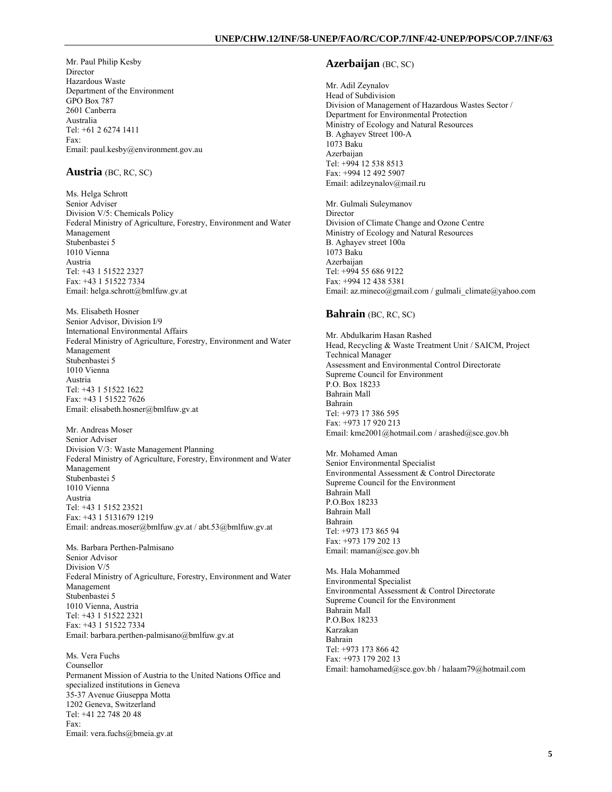Mr. Paul Philip Kesby Director Hazardous Waste Department of the Environment GPO Box 787 2601 Canberra Australia Tel: +61 2 6274 1411 Fax: Email: paul.kesby@environment.gov.au

### **Austria** (BC, RC, SC)

Ms. Helga Schrott Senior Adviser Division V/5: Chemicals Policy Federal Ministry of Agriculture, Forestry, Environment and Water Management Stubenbastei 5 1010 Vienna Austria Tel: +43 1 51522 2327 Fax: +43 1 51522 7334 Email: helga.schrott@bmlfuw.gv.at

Ms. Elisabeth Hosner Senior Advisor, Division I/9 International Environmental Affairs Federal Ministry of Agriculture, Forestry, Environment and Water Management Stubenbastei 5 1010 Vienna Austria Tel: +43 1 51522 1622 Fax: +43 1 51522 7626 Email: elisabeth.hosner@bmlfuw.gv.at

Mr. Andreas Moser Senior Adviser Division V/3: Waste Management Planning Federal Ministry of Agriculture, Forestry, Environment and Water Management Stubenbastei 5 1010 Vienna Austria Tel: +43 1 5152 23521 Fax: +43 1 5131679 1219 Email: andreas.moser@bmlfuw.gv.at / abt.53@bmlfuw.gv.at

Ms. Barbara Perthen-Palmisano Senior Advisor Division V/5 Federal Ministry of Agriculture, Forestry, Environment and Water Management Stubenbastei 5 1010 Vienna, Austria Tel: +43 1 51522 2321 Fax: +43 1 51522 7334 Email: barbara.perthen-palmisano@bmlfuw.gv.at

Ms. Vera Fuchs Counsellor Permanent Mission of Austria to the United Nations Office and specialized institutions in Geneva 35-37 Avenue Giuseppa Motta 1202 Geneva, Switzerland Tel: +41 22 748 20 48 Fax: Email: vera.fuchs@bmeia.gv.at

## **Azerbaijan** (BC, SC)

Mr. Adil Zeynalov Head of Subdivision Division of Management of Hazardous Wastes Sector / Department for Environmental Protection Ministry of Ecology and Natural Resources B. Aghayev Street 100-A 1073 Baku **Azerbaijan** Tel: +994 12 538 8513 Fax: +994 12 492 5907 Email: adilzeynalov@mail.ru

Mr. Gulmali Suleymanov **Director** Division of Climate Change and Ozone Centre Ministry of Ecology and Natural Resources B. Aghayev street 100a 1073 Baku Azerbaijan Tel: +994 55 686 9122 Fax: +994 12 438 5381 Email: az.mineco@gmail.com / gulmali\_climate@yahoo.com

#### **Bahrain** (BC, RC, SC)

Mr. Abdulkarim Hasan Rashed Head, Recycling & Waste Treatment Unit / SAICM, Project Technical Manager Assessment and Environmental Control Directorate Supreme Council for Environment  $\overline{P}$ . Box 18233 Bahrain Mall Bahrain Tel: +973 17 386 595 Fax: +973 17 920 213 Email: kme2001@hotmail.com / arashed@sce.gov.bh

Mr. Mohamed Aman Senior Environmental Specialist Environmental Assessment & Control Directorate Supreme Council for the Environment Bahrain Mall P.O.Box 18233 Bahrain Mall Bahrain Tel: +973 173 865 94 Fax: +973 179 202 13 Email: maman@sce.gov.bh

Ms. Hala Mohammed Environmental Specialist Environmental Assessment & Control Directorate Supreme Council for the Environment Bahrain Mall P.O.Box 18233 Karzakan Bahrain Tel: +973 173 866 42 Fax: +973 179 202 13 Email: hamohamed@sce.gov.bh / halaam79@hotmail.com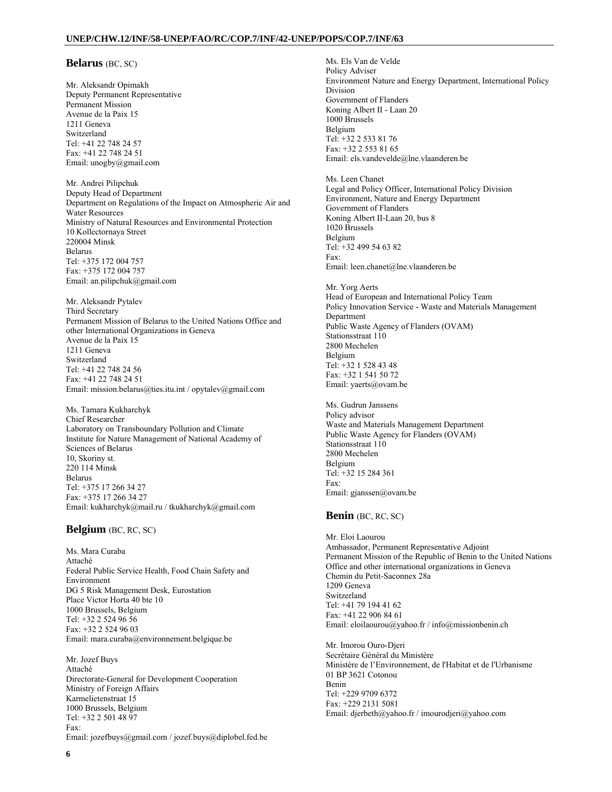### **Belarus** (BC, SC)

Mr. Aleksandr Opimakh Deputy Permanent Representative Permanent Mission Avenue de la Paix 15 1211 Geneva Switzerland Tel: +41 22 748 24 57 Fax: +41 22 748 24 51 Email: unogby@gmail.com

Mr. Andrei Pilipchuk Deputy Head of Department Department on Regulations of the Impact on Atmospheric Air and Water Resources Ministry of Natural Resources and Environmental Protection 10 Kollectornaya Street 220004 Minsk Belarus Tel: +375 172 004 757 Fax: +375 172 004 757 Email: an.pilipchuk@gmail.com

Mr. Aleksandr Pytalev Third Secretary Permanent Mission of Belarus to the United Nations Office and other International Organizations in Geneva Avenue de la Paix 15 1211 Geneva Switzerland Tel: +41 22 748 24 56 Fax: +41 22 748 24 51 Email: mission.belarus@ties.itu.int / opytalev@gmail.com

Ms. Tamara Kukharchyk Chief Researcher Laboratory on Transboundary Pollution and Climate Institute for Nature Management of National Academy of Sciences of Belarus 10, Skoriny st. 220 114 Minsk Belarus Tel: +375 17 266 34 27 Fax: +375 17 266 34 27 Email: kukharchyk@mail.ru / tkukharchyk@gmail.com

### **Belgium** (BC, RC, SC)

Ms. Mara Curaba Attaché Federal Public Service Health, Food Chain Safety and Environment DG 5 Risk Management Desk, Eurostation Place Victor Horta 40 bte 10 1000 Brussels, Belgium Tel: +32 2 524 96 56 Fax: +32 2 524 96 03 Email: mara.curaba@environnement.belgique.be

Mr. Jozef Buys Attaché Directorate-General for Development Cooperation Ministry of Foreign Affairs Karmelietenstraat 15 1000 Brussels, Belgium Tel: +32 2 501 48 97 Fax: Email: jozefbuys@gmail.com / jozef.buys@diplobel.fed.be Ms. Els Van de Velde Policy Adviser Environment Nature and Energy Department, International Policy Division Government of Flanders Koning Albert II - Laan 20 1000 Brussels Belgium Tel: +32 2 533 81 76 Fax: +32 2 553 81 65 Email: els.vandevelde@lne.vlaanderen.be

Ms. Leen Chanet Legal and Policy Officer, International Policy Division Environment, Nature and Energy Department Government of Flanders Koning Albert II-Laan 20, bus 8 1020 Brussels Belgium Tel: +32 499 54 63 82 Fax: Email: leen.chanet@lne.vlaanderen.be

Mr. Yorg Aerts Head of European and International Policy Team Policy Innovation Service - Waste and Materials Management Department Public Waste Agency of Flanders (OVAM) Stationsstraat 110 2800 Mechelen Belgium Tel: +32 1 528 43 48 Fax: +32 1 541 50 72 Email: yaerts@ovam.be

Ms. Gudrun Janssens Policy advisor Waste and Materials Management Department Public Waste Agency for Flanders (OVAM) Stationsstraat 110 2800 Mechelen Belgium Tel: +32 15 284 361 Fax: Email: gjanssen@ovam.be

#### **Benin** (BC, RC, SC)

Mr. Eloi Laourou Ambassador, Permanent Representative Adjoint Permanent Mission of the Republic of Benin to the United Nations Office and other international organizations in Geneva Chemin du Petit-Saconnex 28a 1209 Geneva Switzerland Tel: +41 79 194 41 62 Fax: +41 22 906 84 61 Email: eloilaourou@yahoo.fr / info@missionbenin.ch

Mr. Imorou Ouro-Djeri Secrétaire Général du Ministère Ministère de l'Environnement, de l'Habitat et de l'Urbanisme 01 BP 3621 Cotonou Benin Tel: +229 9709 6372 Fax: +229 2131 5081 Email: djerbeth@yahoo.fr / imourodjeri@yahoo.com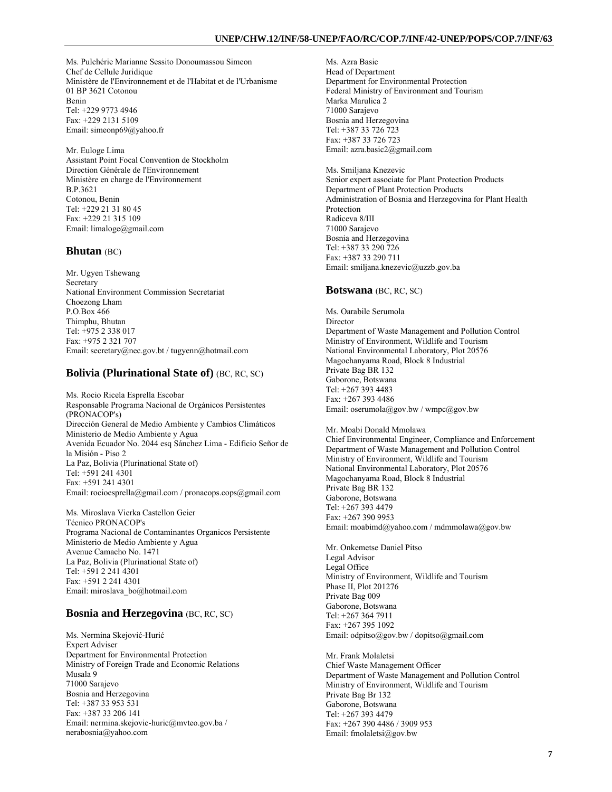Ms. Pulchérie Marianne Sessito Donoumassou Simeon Chef de Cellule Juridique Ministère de l'Environnement et de l'Habitat et de l'Urbanisme 01 BP 3621 Cotonou Benin Tel: +229 9773 4946 Fax: +229 2131 5109 Email: simeonp69@yahoo.fr

Mr. Euloge Lima Assistant Point Focal Convention de Stockholm Direction Générale de l'Environnement Ministère en charge de l'Environnement B.P.3621 Cotonou, Benin Tel: +229 21 31 80 45 Fax: +229 21 315 109 Email: limaloge@gmail.com

## **Bhutan** (BC)

Mr. Ugyen Tshewang Secretary National Environment Commission Secretariat Choezong Lham P.O.Box 466 Thimphu, Bhutan Tel: +975 2 338 017 Fax: +975 2 321 707 Email: secretary@nec.gov.bt / tugyenn@hotmail.com

## **Bolivia (Plurinational State of)** (BC, RC, SC)

Ms. Rocio Ricela Esprella Escobar Responsable Programa Nacional de Orgánicos Persistentes (PRONACOP's) Dirección General de Medio Ambiente y Cambios Climáticos Ministerio de Medio Ambiente y Agua Avenida Ecuador No. 2044 esq Sánchez Lima - Edificio Señor de la Misión - Piso 2 La Paz, Bolivia (Plurinational State of) Tel: +591 241 4301 Fax: +591 241 4301 Email: rocioesprella@gmail.com / pronacops.cops@gmail.com

Ms. Miroslava Vierka Castellon Geier Técnico PRONACOP's Programa Nacional de Contaminantes Organicos Persistente Ministerio de Medio Ambiente y Agua Avenue Camacho No. 1471 La Paz, Bolivia (Plurinational State of) Tel: +591 2 241 4301 Fax: +591 2 241 4301 Email: miroslava\_bo@hotmail.com

## **Bosnia and Herzegovina** (BC, RC, SC)

Ms. Nermina Skejović-Hurić Expert Adviser Department for Environmental Protection Ministry of Foreign Trade and Economic Relations Musala 9 71000 Sarajevo Bosnia and Herzegovina Tel: +387 33 953 531 Fax: +387 33 206 141 Email: nermina.skejovic-huric@mvteo.gov.ba / nerabosnia@yahoo.com

Ms. Azra Basic Head of Department Department for Environmental Protection Federal Ministry of Environment and Tourism Marka Marulica 2 71000 Sarajevo Bosnia and Herzegovina Tel: +387 33 726 723 Fax: +387 33 726 723 Email: azra.basic2@gmail.com

Ms. Smiljana Knezevic Senior expert associate for Plant Protection Products Department of Plant Protection Products Administration of Bosnia and Herzegovina for Plant Health Protection Radiceva 8/III 71000 Sarajevo Bosnia and Herzegovina Tel: +387 33 290 726 Fax: +387 33 290 711 Email: smiljana.knezevic@uzzb.gov.ba

## **Botswana** (BC, RC, SC)

Ms. Oarabile Serumola Director Department of Waste Management and Pollution Control Ministry of Environment, Wildlife and Tourism National Environmental Laboratory, Plot 20576 Magochanyama Road, Block 8 Industrial Private Bag BR 132 Gaborone, Botswana Tel: +267 393 4483 Fax: +267 393 4486 Email: oserumola@gov.bw / wmpc@gov.bw

Mr. Moabi Donald Mmolawa Chief Environmental Engineer, Compliance and Enforcement Department of Waste Management and Pollution Control Ministry of Environment, Wildlife and Tourism National Environmental Laboratory, Plot 20576 Magochanyama Road, Block 8 Industrial Private Bag BR 132 Gaborone, Botswana Tel: +267 393 4479 Fax: +267 390 9953 Email: moabimd@yahoo.com / mdmmolawa@gov.bw

Mr. Onkemetse Daniel Pitso Legal Advisor Legal Office Ministry of Environment, Wildlife and Tourism Phase II, Plot 201276 Private Bag 009 Gaborone, Botswana Tel: +267 364 7911 Fax: +267 395 1092 Email: odpitso@gov.bw / dopitso@gmail.com

Mr. Frank Molaletsi Chief Waste Management Officer Department of Waste Management and Pollution Control Ministry of Environment, Wildlife and Tourism Private Bag Br 132 Gaborone, Botswana Tel: +267 393 4479 Fax: +267 390 4486 / 3909 953 Email: fmolaletsi@gov.bw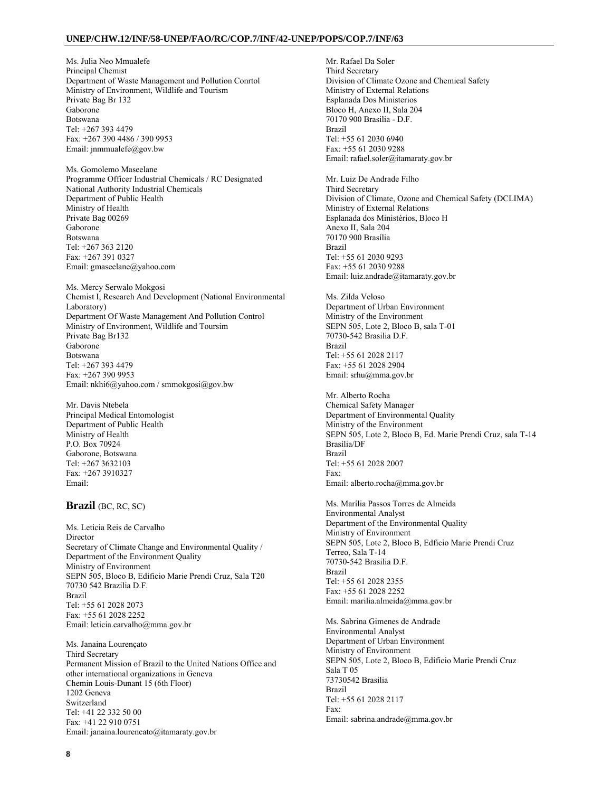Ms. Julia Neo Mmualefe Principal Chemist Department of Waste Management and Pollution Conrtol Ministry of Environment, Wildlife and Tourism Private Bag Br 132 Gaborone Botswana Tel: +267 393 4479 Fax: +267 390 4486 / 390 9953 Email: jnmmualefe@gov.bw

Ms. Gomolemo Maseelane Programme Officer Industrial Chemicals / RC Designated National Authority Industrial Chemicals Department of Public Health Ministry of Health Private Bag 00269 Gaborone Botswana Tel: +267 363 2120 Fax: +267 391 0327 Email: gmaseelane@yahoo.com

Ms. Mercy Serwalo Mokgosi Chemist I, Research And Development (National Environmental Laboratory) Department Of Waste Management And Pollution Control Ministry of Environment, Wildlife and Toursim Private Bag Br132 Gaborone Botswana Tel: +267 393 4479 Fax: +267 390 9953 Email: nkhi6@yahoo.com / smmokgosi@gov.bw

Mr. Davis Ntebela Principal Medical Entomologist Department of Public Health Ministry of Health P.O. Box 70924 Gaborone, Botswana Tel: +267 3632103 Fax: +267 3910327 Email:

### **Brazil** (BC, RC, SC)

Ms. Leticia Reis de Carvalho **Director** Secretary of Climate Change and Environmental Quality / Department of the Environment Quality Ministry of Environment SEPN 505, Bloco B, Edificio Marie Prendi Cruz, Sala T20 70730 542 Brazilia D.F. Brazil Tel: +55 61 2028 2073 Fax: +55 61 2028 2252 Email: leticia.carvalho@mma.gov.br

Ms. Janaina Lourençato Third Secretary Permanent Mission of Brazil to the United Nations Office and other international organizations in Geneva Chemin Louis-Dunant 15 (6th Floor) 1202 Geneva Switzerland Tel: +41 22 332 50 00 Fax: +41 22 910 0751 Email: janaina.lourencato@itamaraty.gov.br

Mr. Rafael Da Soler Third Secretary Division of Climate Ozone and Chemical Safety Ministry of External Relations Esplanada Dos Ministerios Bloco H, Anexo II, Sala 204 70170 900 Brasilia - D.F. Brazil Tel: +55 61 2030 6940 Fax: +55 61 2030 9288 Email: rafael.soler@itamaraty.gov.br

Mr. Luiz De Andrade Filho Third Secretary Division of Climate, Ozone and Chemical Safety (DCLIMA) Ministry of External Relations Esplanada dos Ministérios, Bloco H Anexo II, Sala 204 70170 900 Brasília Brazil Tel: +55 61 2030 9293 Fax: +55 61 2030 9288 Email: luiz.andrade@itamaraty.gov.br

Ms. Zilda Veloso Department of Urban Environment Ministry of the Environment SEPN 505, Lote 2, Bloco B, sala T-01 70730-542 Brasilia D.F. Brazil Tel: +55 61 2028 2117 Fax: +55 61 2028 2904 Email: srhu@mma.gov.br

Mr. Alberto Rocha Chemical Safety Manager Department of Environmental Quality Ministry of the Environment SEPN 505, Lote 2, Bloco B, Ed. Marie Prendi Cruz, sala T-14 Brasília/DF Brazil Tel: +55 61 2028 2007 Fax: Email: alberto.rocha@mma.gov.br

Ms. Marília Passos Torres de Almeida Environmental Analyst Department of the Environmental Quality Ministry of Environment SEPN 505, Lote 2, Bloco B, Edficio Marie Prendi Cruz Terreo, Sala T-14 70730-542 Brasilia D.F. Brazil Tel: +55 61 2028 2355 Fax: +55 61 2028 2252 Email: marilia.almeida@mma.gov.br

Ms. Sabrina Gimenes de Andrade Environmental Analyst Department of Urban Environment Ministry of Environment SEPN 505, Lote 2, Bloco B, Edificio Marie Prendi Cruz Sala T 05 73730542 Brasilia Brazil Tel: +55 61 2028 2117 Fax: Email: sabrina.andrade@mma.gov.br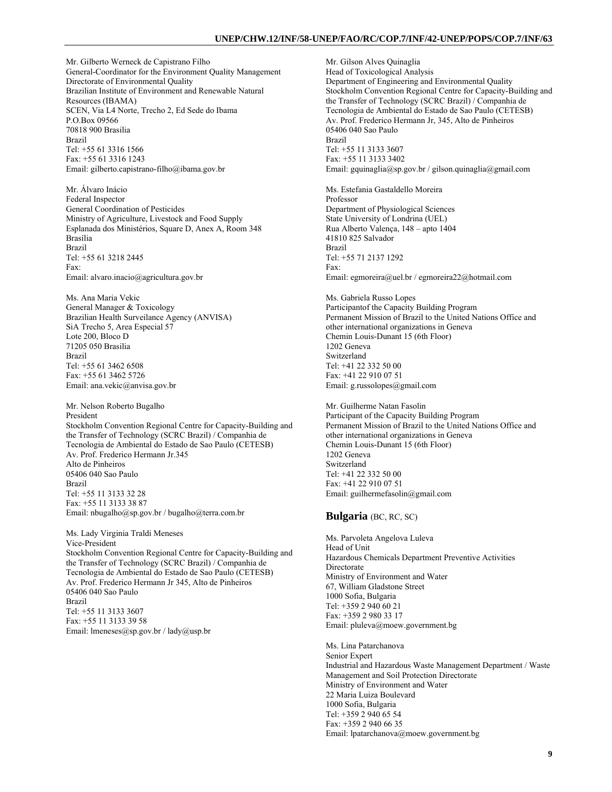Mr. Gilberto Werneck de Capistrano Filho General-Coordinator for the Environment Quality Management Directorate of Environmental Quality Brazilian Institute of Environment and Renewable Natural Resources (IBAMA) SCEN, Via L4 Norte, Trecho 2, Ed Sede do Ibama P.O.Box 09566 70818 900 Brasilia Brazil Tel: +55 61 3316 1566 Fax: +55 61 3316 1243 Email: gilberto.capistrano-filho@ibama.gov.br

Mr. Álvaro Inácio Federal Inspector General Coordination of Pesticides Ministry of Agriculture, Livestock and Food Supply Esplanada dos Ministérios, Square D, Anex A, Room 348 Brasília Brazil Tel: +55 61 3218 2445 Fax: Email: alvaro.inacio@agricultura.gov.br

Ms. Ana Maria Vekic General Manager & Toxicology Brazilian Health Surveilance Agency (ANVISA) SiA Trecho 5, Area Especial 57 Lote 200, Bloco D 71205 050 Brasilia Brazil Tel: +55 61 3462 6508 Fax: +55 61 3462 5726 Email: ana.vekic@anvisa.gov.br

Mr. Nelson Roberto Bugalho President Stockholm Convention Regional Centre for Capacity-Building and the Transfer of Technology (SCRC Brazil) / Companhia de Tecnologia de Ambiental do Estado de Sao Paulo (CETESB) Av. Prof. Frederico Hermann Jr.345 Alto de Pinheiros 05406 040 Sao Paulo Brazil Tel: +55 11 3133 32 28 Fax: +55 11 3133 38 87 Email: nbugalho@sp.gov.br / bugalho@terra.com.br

Ms. Lady Virginia Traldi Meneses Vice-President Stockholm Convention Regional Centre for Capacity-Building and the Transfer of Technology (SCRC Brazil) / Companhia de Tecnologia de Ambiental do Estado de Sao Paulo (CETESB) Av. Prof. Frederico Hermann Jr 345, Alto de Pinheiros 05406 040 Sao Paulo Brazil Tel: +55 11 3133 3607 Fax: +55 11 3133 39 58 Email: lmeneses@sp.gov.br / lady@usp.br

Mr. Gilson Alves Quinaglia Head of Toxicological Analysis Department of Engineering and Environmental Quality Stockholm Convention Regional Centre for Capacity-Building and the Transfer of Technology (SCRC Brazil) / Companhia de Tecnologia de Ambiental do Estado de Sao Paulo (CETESB) Av. Prof. Frederico Hermann Jr, 345, Alto de Pinheiros 05406 040 Sao Paulo Brazil Tel: +55 11 3133 3607 Fax: +55 11 3133 3402 Email: gquinaglia@sp.gov.br / gilson.quinaglia@gmail.com

Ms. Estefania Gastaldello Moreira Professor Department of Physiological Sciences State University of Londrina (UEL) Rua Alberto Valença, 148 – apto 1404 41810 825 Salvador Brazil Tel: +55 71 2137 1292 Fax: Email: egmoreira@uel.br / egmoreira22@hotmail.com

Ms. Gabriela Russo Lopes Participantof the Capacity Building Program Permanent Mission of Brazil to the United Nations Office and other international organizations in Geneva Chemin Louis-Dunant 15 (6th Floor) 1202 Geneva Switzerland Tel: +41 22 332 50 00 Fax: +41 22 910 07 51 Email: g.russolopes@gmail.com

Mr. Guilherme Natan Fasolin Participant of the Capacity Building Program Permanent Mission of Brazil to the United Nations Office and other international organizations in Geneva Chemin Louis-Dunant 15 (6th Floor) 1202 Geneva Switzerland Tel: +41 22 332 50 00 Fax: +41 22 910 07 51 Email: guilhermefasolin@gmail.com

## **Bulgaria** (BC, RC, SC)

Ms. Parvoleta Angelova Luleva Head of Unit Hazardous Chemicals Department Preventive Activities Directorate Ministry of Environment and Water 67, William Gladstone Street 1000 Sofia, Bulgaria Tel: +359 2 940 60 21 Fax: +359 2 980 33 17 Email: pluleva@moew.government.bg

Ms. Lina Patarchanova Senior Expert Industrial and Hazardous Waste Management Department / Waste Management and Soil Protection Directorate Ministry of Environment and Water 22 Maria Luiza Boulevard 1000 Sofia, Bulgaria Tel: +359 2 940 65 54 Fax: +359 2 940 66 35 Email: lpatarchanova@moew.government.bg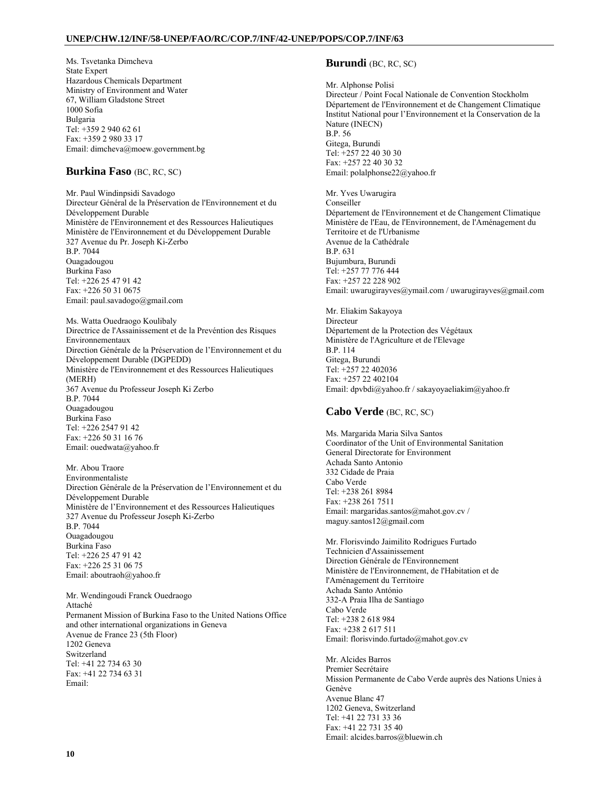Ms. Tsvetanka Dimcheva State Expert Hazardous Chemicals Department Ministry of Environment and Water 67, William Gladstone Street 1000 Sofia Bulgaria Tel: +359 2 940 62 61 Fax: +359 2 980 33 17 Email: dimcheva@moew.government.bg

## **Burkina Faso** (BC, RC, SC)

Mr. Paul Windinpsidi Savadogo Directeur Général de la Préservation de l'Environnement et du Développement Durable Ministère de l'Environnement et des Ressources Halieutiques Ministère de l'Environnement et du Développement Durable 327 Avenue du Pr. Joseph Ki-Zerbo B.P. 7044 Ouagadougou Burkina Faso Tel: +226 25 47 91 42 Fax: +226 50 31 0675 Email: paul.savadogo@gmail.com

Ms. Watta Ouedraogo Koulibaly Directrice de l'Assainissement et de la Prevéntion des Risques Environnementaux Direction Générale de la Préservation de l'Environnement et du Développement Durable (DGPEDD) Ministère de l'Environnement et des Ressources Halieutiques (MERH) 367 Avenue du Professeur Joseph Ki Zerbo B.P. 7044 Ouagadougou Burkina Faso Tel: +226 2547 91 42 Fax: +226 50 31 16 76 Email: ouedwata@yahoo.fr

Mr. Abou Traore Environmentaliste Direction Générale de la Préservation de l'Environnement et du Développement Durable Ministère de l'Environnement et des Ressources Halieutiques 327 Avenue du Professeur Joseph Ki-Zerbo B.P. 7044 Ouagadougou Burkina Faso Tel: +226 25 47 91 42 Fax: +226 25 31 06 75 Email: aboutraoh@yahoo.fr

Mr. Wendingoudi Franck Ouedraogo Attaché Permanent Mission of Burkina Faso to the United Nations Office and other international organizations in Geneva Avenue de France 23 (5th Floor) 1202 Geneva Switzerland Tel: +41 22 734 63 30 Fax: +41 22 734 63 31 Email:

## **Burundi** (BC, RC, SC)

Mr. Alphonse Polisi

Directeur / Point Focal Nationale de Convention Stockholm Département de l'Environnement et de Changement Climatique Institut National pour l'Environnement et la Conservation de la Nature (INECN) B.P. 56 Gitega, Burundi Tel: +257 22 40 30 30 Fax: +257 22 40 30 32 Email: polalphonse22@yahoo.fr Mr. Yves Uwarugira Conseiller Département de l'Environnement et de Changement Climatique

Ministère de l'Eau, de l'Environnement, de l'Aménagement du Territoire et de l'Urbanisme Avenue de la Cathédrale B.P. 631 Bujumbura, Burundi Tel: +257 77 776 444 Fax: +257 22 228 902 Email: uwarugirayves@ymail.com / uwarugirayves@gmail.com

Mr. Eliakim Sakayoya Directeur Département de la Protection des Végétaux Ministère de l'Agriculture et de l'Elevage B.P. 114 Gitega, Burundi Tel: +257 22 402036 Fax: +257 22 402104 Email: dpvbdi@yahoo.fr / sakayoyaeliakim@yahoo.fr

## **Cabo Verde** (BC, RC, SC)

Ms. Margarida Maria Silva Santos Coordinator of the Unit of Environmental Sanitation General Directorate for Environment Achada Santo Antonio 332 Cidade de Praia Cabo Verde Tel: +238 261 8984 Fax: +238 261 7511 Email: margaridas.santos@mahot.gov.cv / maguy.santos12@gmail.com

Mr. Florisvindo Jaimilito Rodrigues Furtado Technicien d'Assainissement Direction Générale de l'Environnement Ministère de l'Environnement, de l'Habitation et de l'Aménagement du Territoire Achada Santo António 332-A Praia Ilha de Santiago Cabo Verde Tel: +238 2 618 984 Fax: +238 2 617 511 Email: florisvindo.furtado@mahot.gov.cv

Mr. Alcides Barros Premier Secrétaire Mission Permanente de Cabo Verde auprès des Nations Unies à Genève Avenue Blanc 47 1202 Geneva, Switzerland Tel: +41 22 731 33 36 Fax: +41 22 731 35 40 Email: alcides.barros@bluewin.ch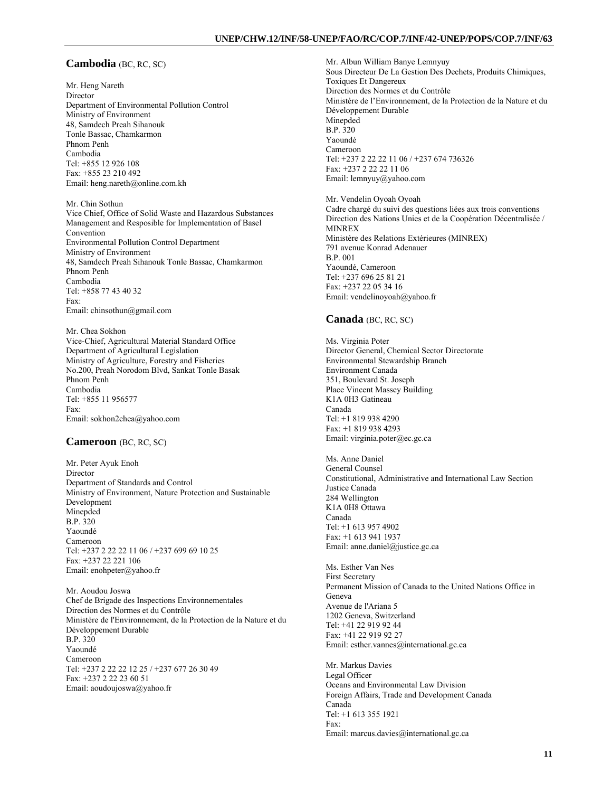### **Cambodia** (BC, RC, SC)

Mr. Heng Nareth Director Department of Environmental Pollution Control Ministry of Environment 48, Samdech Preah Sihanouk Tonle Bassac, Chamkarmon Phnom Penh Cambodia Tel: +855 12 926 108 Fax: +855 23 210 492 Email: heng.nareth@online.com.kh

Mr. Chin Sothun Vice Chief, Office of Solid Waste and Hazardous Substances Management and Resposible for Implementation of Basel Convention Environmental Pollution Control Department Ministry of Environment 48, Samdech Preah Sihanouk Tonle Bassac, Chamkarmon Phnom Penh Cambodia Tel: +858 77 43 40 32 Fax: Email: chinsothun@gmail.com

Mr. Chea Sokhon Vice-Chief, Agricultural Material Standard Office Department of Agricultural Legislation Ministry of Agriculture, Forestry and Fisheries No.200, Preah Norodom Blvd, Sankat Tonle Basak Phnom Penh Cambodia Tel: +855 11 956577 Fax: Email: sokhon2chea@yahoo.com

#### **Cameroon** (BC, RC, SC)

Mr. Peter Ayuk Enoh Director Department of Standards and Control Ministry of Environment, Nature Protection and Sustainable Development Minepded B.P. 320 Yaoundé Cameroon Tel: +237 2 22 22 11 06 / +237 699 69 10 25 Fax: +237 22 221 106 Email: enohpeter@yahoo.fr

Mr. Aoudou Joswa Chef de Brigade des Inspections Environnementales Direction des Normes et du Contrôle Ministère de l'Environnement, de la Protection de la Nature et du Développement Durable B.P. 320 Yaoundé Cameroon Tel: +237 2 22 22 12 25 / +237 677 26 30 49 Fax: +237 2 22 23 60 51 Email: aoudoujoswa@yahoo.fr

Mr. Albun William Banye Lemnyuy Sous Directeur De La Gestion Des Dechets, Produits Chimiques, Toxiques Et Dangereux Direction des Normes et du Contrôle Ministère de l'Environnement, de la Protection de la Nature et du Développement Durable Minepded B.P. 320 Yaoundé Cameroon Tel: +237 2 22 22 11 06 / +237 674 736326 Fax: +237 2 22 22 11 06 Email: lemnyuy@yahoo.com

Mr. Vendelin Oyoah Oyoah Cadre chargé du suivi des questions liées aux trois conventions Direction des Nations Unies et de la Coopération Décentralisée / MINREX Ministère des Relations Extérieures (MINREX) 791 avenue Konrad Adenauer B.P. 001 Yaoundé, Cameroon Tel: +237 696 25 81 21 Fax: +237 22 05 34 16 Email: vendelinoyoah@yahoo.fr

## **Canada** (BC, RC, SC)

Ms. Virginia Poter Director General, Chemical Sector Directorate Environmental Stewardship Branch Environment Canada 351, Boulevard St. Joseph Place Vincent Massey Building K1A 0H3 Gatineau Canada Tel: +1 819 938 4290 Fax: +1 819 938 4293 Email: virginia.poter@ec.gc.ca

Ms. Anne Daniel General Counsel Constitutional, Administrative and International Law Section Justice Canada 284 Wellington K1A 0H8 Ottawa Canada Tel: +1 613 957 4902 Fax: +1 613 941 1937 Email: anne.daniel@justice.gc.ca

Ms. Esther Van Nes First Secretary Permanent Mission of Canada to the United Nations Office in Geneva Avenue de l'Ariana 5 1202 Geneva, Switzerland Tel: +41 22 919 92 44 Fax: +41 22 919 92 27 Email: esther.vannes@international.gc.ca

Mr. Markus Davies Legal Officer Oceans and Environmental Law Division Foreign Affairs, Trade and Development Canada Canada Tel: +1 613 355 1921 Fax: Email: marcus.davies@international.gc.ca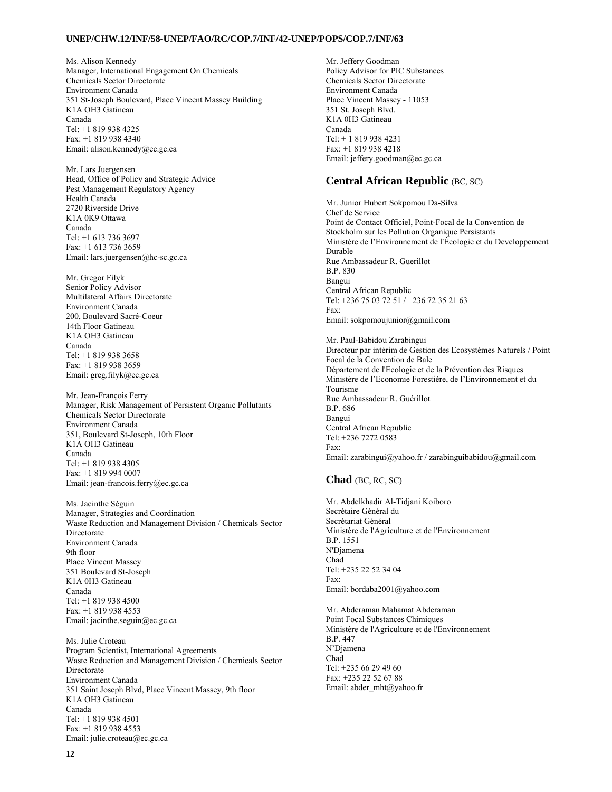Ms. Alison Kennedy Manager, International Engagement On Chemicals Chemicals Sector Directorate Environment Canada 351 St-Joseph Boulevard, Place Vincent Massey Building K1A OH3 Gatineau Canada Tel: +1 819 938 4325 Fax: +1 819 938 4340 Email: alison.kennedy@ec.gc.ca

Mr. Lars Juergensen Head, Office of Policy and Strategic Advice Pest Management Regulatory Agency Health Canada 2720 Riverside Drive K1A 0K9 Ottawa Canada Tel: +1 613 736 3697 Fax: +1 613 736 3659 Email: lars.juergensen@hc-sc.gc.ca

Mr. Gregor Filyk Senior Policy Advisor Multilateral Affairs Directorate Environment Canada 200, Boulevard Sacré-Coeur 14th Floor Gatineau K1A OH3 Gatineau Canada Tel: +1 819 938 3658 Fax: +1 819 938 3659 Email: greg.filyk@ec.gc.ca

Mr. Jean-François Ferry Manager, Risk Management of Persistent Organic Pollutants Chemicals Sector Directorate Environment Canada 351, Boulevard St-Joseph, 10th Floor K1A OH3 Gatineau Canada Tel: +1 819 938 4305 Fax: +1 819 994 0007 Email: jean-francois.ferry@ec.gc.ca

Ms. Jacinthe Séguin Manager, Strategies and Coordination Waste Reduction and Management Division / Chemicals Sector **Directorate** Environment Canada 9th floor Place Vincent Massey 351 Boulevard St-Joseph K1A 0H3 Gatineau Canada Tel: +1 819 938 4500 Fax: +1 819 938 4553 Email: jacinthe.seguin@ec.gc.ca

Ms. Julie Croteau Program Scientist, International Agreements Waste Reduction and Management Division / Chemicals Sector **Directorate** Environment Canada 351 Saint Joseph Blvd, Place Vincent Massey, 9th floor K1A OH3 Gatineau Canada Tel: +1 819 938 4501 Fax: +1 819 938 4553 Email: julie.croteau@ec.gc.ca

Mr. Jeffery Goodman Policy Advisor for PIC Substances Chemicals Sector Directorate Environment Canada Place Vincent Massey - 11053 351 St. Joseph Blvd. K1A 0H3 Gatineau Canada Tel: + 1 819 938 4231 Fax: +1 819 938 4218 Email: jeffery.goodman@ec.gc.ca

## **Central African Republic** (BC, SC)

Mr. Junior Hubert Sokpomou Da-Silva Chef de Service Point de Contact Officiel, Point-Focal de la Convention de Stockholm sur les Pollution Organique Persistants Ministère de l'Environnement de l'Écologie et du Developpement Durable Rue Ambassadeur R. Guerillot B.P. 830 Bangui Central African Republic Tel: +236 75 03 72 51 / +236 72 35 21 63 Fax: Email: sokpomoujunior@gmail.com

Mr. Paul-Babidou Zarabingui Directeur par intérim de Gestion des Ecosystèmes Naturels / Point Focal de la Convention de Bale Département de l'Ecologie et de la Prévention des Risques Ministère de l'Economie Forestière, de l'Environnement et du Tourisme Rue Ambassadeur R. Guérillot B.P. 686 Bangui Central African Republic Tel: +236 7272 0583 Fax: Email: zarabingui@yahoo.fr / zarabinguibabidou@gmail.com

#### **Chad** (BC, RC, SC)

Mr. Abdelkhadir Al-Tidjani Koiboro Secrétaire Général du Secrétariat Général Ministère de l'Agriculture et de l'Environnement B.P. 1551 N'Djamena Chad Tel: +235 22 52 34 04 Fax: Email: bordaba2001@yahoo.com

Mr. Abderaman Mahamat Abderaman Point Focal Substances Chimiques Ministère de l'Agriculture et de l'Environnement B.P. 447 N'Djamena Chad Tel: +235 66 29 49 60 Fax: +235 22 52 67 88 Email: abder\_mht@yahoo.fr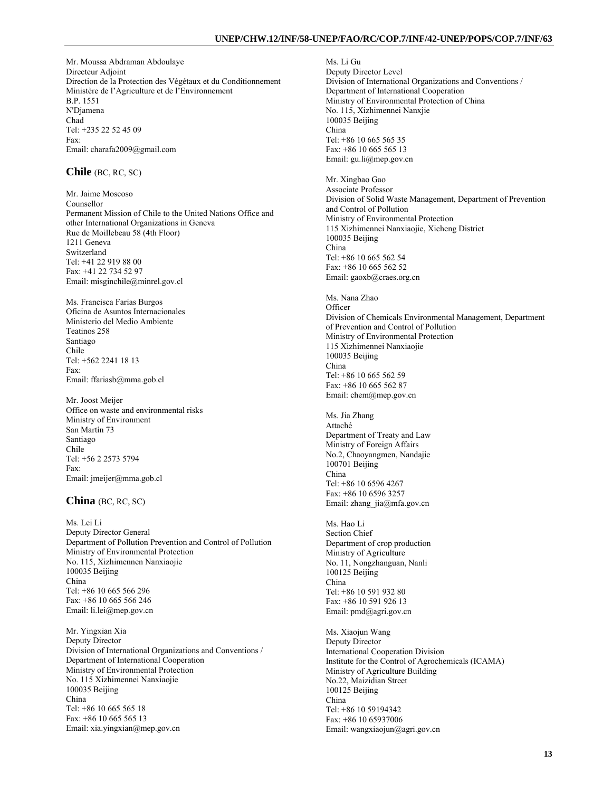Mr. Moussa Abdraman Abdoulaye Directeur Adjoint Direction de la Protection des Végétaux et du Conditionnement Ministère de l'Agriculture et de l'Environnement B.P. 1551 N'Djamena Chad Tel: +235 22 52 45 09 Fax: Email: charafa2009@gmail.com

## **Chile** (BC, RC, SC)

Mr. Jaime Moscoso Counsellor Permanent Mission of Chile to the United Nations Office and other International Organizations in Geneva Rue de Moillebeau 58 (4th Floor) 1211 Geneva Switzerland Tel: +41 22 919 88 00 Fax: +41 22 734 52 97 Email: misginchile@minrel.gov.cl

Ms. Francisca Farías Burgos Oficina de Asuntos Internacionales Ministerio del Medio Ambiente Teatinos 258 Santiago Chile Tel: +562 2241 18 13 Fax: Email: ffariasb@mma.gob.cl

Mr. Joost Meijer Office on waste and environmental risks Ministry of Environment San Martín 73 Santiago Chile Tel: +56 2 2573 5794 Fax: Email: jmeijer@mma.gob.cl

### **China** (BC, RC, SC)

Ms. Lei Li Deputy Director General Department of Pollution Prevention and Control of Pollution Ministry of Environmental Protection No. 115, Xizhimennen Nanxiaojie 100035 Beijing China Tel: +86 10 665 566 296 Fax: +86 10 665 566 246 Email: li.lei@mep.gov.cn

Mr. Yingxian Xia Deputy Director Division of International Organizations and Conventions / Department of International Cooperation Ministry of Environmental Protection No. 115 Xizhimennei Nanxiaojie 100035 Beijing China Tel: +86 10 665 565 18 Fax: +86 10 665 565 13 Email: xia.yingxian@mep.gov.cn

Ms. Li Gu Deputy Director Level Division of International Organizations and Conventions / Department of International Cooperation Ministry of Environmental Protection of China No. 115, Xizhimennei Nanxjie 100035 Beijing China Tel: +86 10 665 565 35 Fax: +86 10 665 565 13 Email: gu.li@mep.gov.cn Mr. Xingbao Gao Associate Professor Division of Solid Waste Management, Department of Prevention and Control of Pollution Ministry of Environmental Protection 115 Xizhimennei Nanxiaojie, Xicheng District 100035 Beijing China Tel: +86 10 665 562 54 Fax: +86 10 665 562 52 Email: gaoxb@craes.org.cn Ms. Nana Zhao **Officer** Division of Chemicals Environmental Management, Department of Prevention and Control of Pollution Ministry of Environmental Protection 115 Xizhimennei Nanxiaojie 100035 Beijing China Tel: +86 10 665 562 59 Fax: +86 10 665 562 87 Email: chem@mep.gov.cn Ms. Jia Zhang Attaché Department of Treaty and Law Ministry of Foreign Affairs No.2, Chaoyangmen, Nandajie 100701 Beijing China Tel: +86 10 6596 4267 Fax: +86 10 6596 3257 Email: zhang\_jia@mfa.gov.cn Ms. Hao Li Section Chief Department of crop production Ministry of Agriculture No. 11, Nongzhanguan, Nanli 100125 Beijing China Tel: +86 10 591 932 80 Fax: +86 10 591 926 13 Email: pmd@agri.gov.cn Ms. Xiaojun Wang Deputy Director International Cooperation Division Institute for the Control of Agrochemicals (ICAMA) Ministry of Agriculture Building No.22, Maizidian Street 100125 Beijing China Tel: +86 10 59194342 Fax: +86 10 65937006 Email: wangxiaojun@agri.gov.cn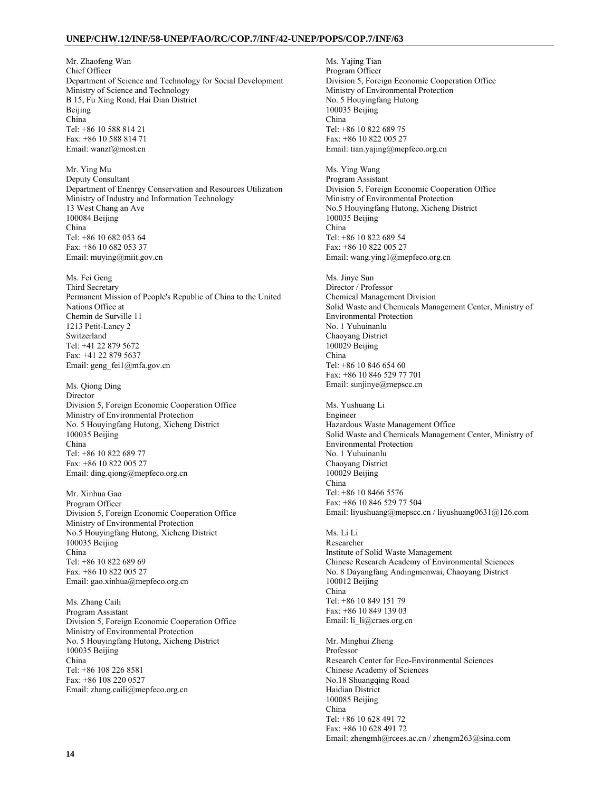Mr. Zhaofeng Wan Chief Officer Department of Science and Technology for Social Development Ministry of Science and Technology B 15, Fu Xing Road, Hai Dian District Beijing China Tel: +86 10 588 814 21 Fax: +86 10 588 814 71 Email: wanzf@most.cn

Mr. Ying Mu Deputy Consultant Department of Enenrgy Conservation and Resources Utilization Ministry of Industry and Information Technology 13 West Chang an Ave 100084 Beijing China Tel: +86 10 682 053 64 Fax: +86 10 682 053 37 Email: muying@miit.gov.cn

Ms. Fei Geng Third Secretary Permanent Mission of People's Republic of China to the United Nations Office at Chemin de Surville 11 1213 Petit-Lancy 2 Switzerland Tel: +41 22 879 5672 Fax: +41 22 879 5637 Email: geng\_fei1@mfa.gov.cn

Ms. Qiong Ding Director Division 5, Foreign Economic Cooperation Office Ministry of Environmental Protection No. 5 Houyingfang Hutong, Xicheng District 100035 Beijing China Tel: +86 10 822 689 77 Fax: +86 10 822 005 27 Email: ding.qiong@mepfeco.org.cn

Mr. Xinhua Gao Program Officer Division 5, Foreign Economic Cooperation Office Ministry of Environmental Protection No.5 Houyingfang Hutong, Xicheng District 100035 Beijing China Tel: +86 10 822 689 69 Fax: +86 10 822 005 27 Email: gao.xinhua@mepfeco.org.cn

Ms. Zhang Caili Program Assistant Division 5, Foreign Economic Cooperation Office Ministry of Environmental Protection No. 5 Houyingfang Hutong, Xicheng District 100035 Beijing China Tel: +86 108 226 8581 Fax: +86 108 220 0527 Email: zhang.caili@mepfeco.org.cn

Ms. Yajing Tian Program Officer Division 5, Foreign Economic Cooperation Office Ministry of Environmental Protection No. 5 Houyingfang Hutong 100035 Beijing China Tel: +86 10 822 689 75 Fax: +86 10 822 005 27 Email: tian.yajing@mepfeco.org.cn

Ms. Ying Wang Program Assistant Division 5, Foreign Economic Cooperation Office Ministry of Environmental Protection No.5 Houyingfang Hutong, Xicheng District 100035 Beijing China Tel: +86 10 822 689 54 Fax: +86 10 822 005 27 Email: wang.ying1@mepfeco.org.cn

Ms. Jinye Sun Director / Professor Chemical Management Division Solid Waste and Chemicals Management Center, Ministry of Environmental Protection No. 1 Yuhuinanlu Chaoyang District 100029 Beijing China Tel: +86 10 846 654 60 Fax: +86 10 846 529 77 701 Email: sunjinye@mepscc.cn

Ms. Yushuang Li Engineer Hazardous Waste Management Office Solid Waste and Chemicals Management Center, Ministry of Environmental Protection No. 1 Yuhuinanlu Chaoyang District 100029 Beijing China Tel: +86 10 8466 5576 Fax: +86 10 846 529 77 504 Email: liyushuang@mepscc.cn / liyushuang0631@126.com

Ms. Li Li Researcher Institute of Solid Waste Management Chinese Research Academy of Environmental Sciences No. 8 Dayangfang Andingmenwai, Chaoyang District 100012 Beijing China Tel: +86 10 849 151 79 Fax: +86 10 849 139 03 Email: li\_li@craes.org.cn

Mr. Minghui Zheng Professor Research Center for Eco-Environmental Sciences Chinese Academy of Sciences No.18 Shuangqing Road Haidian District 100085 Beijing China Tel: +86 10 628 491 72 Fax: +86 10 628 491 72 Email: zhengmh@rcees.ac.cn / zhengm263@sina.com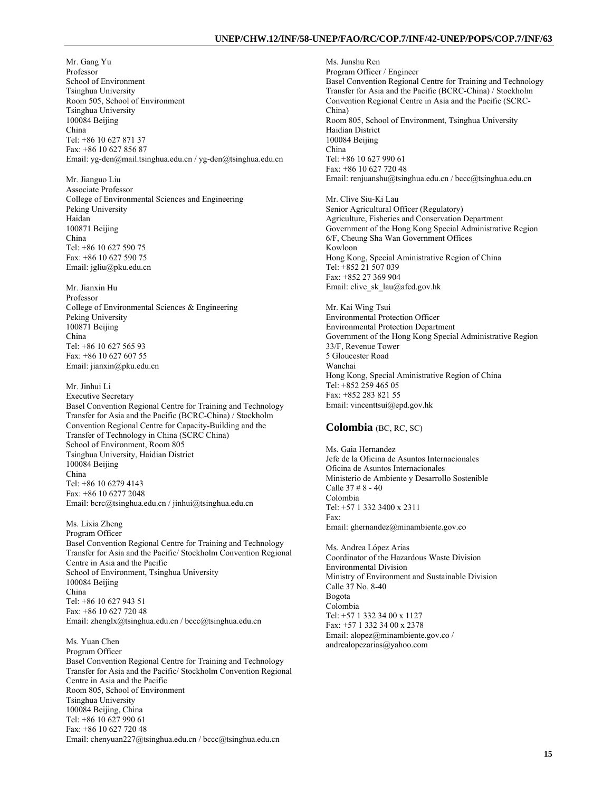Mr. Gang Yu Professor School of Environment Tsinghua University Room 505, School of Environment Tsinghua University 100084 Beijing China Tel: +86 10 627 871 37 Fax: +86 10 627 856 87 Email: yg-den@mail.tsinghua.edu.cn / yg-den@tsinghua.edu.cn

Mr. Jianguo Liu Associate Professor College of Environmental Sciences and Engineering Peking University Haidan 100871 Beijing China Tel: +86 10 627 590 75 Fax: +86 10 627 590 75 Email: jgliu@pku.edu.cn

Mr. Jianxin Hu Professor College of Environmental Sciences & Engineering Peking University 100871 Beijing China Tel: +86 10 627 565 93 Fax: +86 10 627 607 55 Email: jianxin@pku.edu.cn

Mr. Jinhui Li Executive Secretary Basel Convention Regional Centre for Training and Technology Transfer for Asia and the Pacific (BCRC-China) / Stockholm Convention Regional Centre for Capacity-Building and the Transfer of Technology in China (SCRC China) School of Environment, Room 805 Tsinghua University, Haidian District 100084 Beijing China Tel: +86 10 6279 4143 Fax: +86 10 6277 2048 Email: bcrc@tsinghua.edu.cn / jinhui@tsinghua.edu.cn

Ms. Lixia Zheng Program Officer Basel Convention Regional Centre for Training and Technology Transfer for Asia and the Pacific/ Stockholm Convention Regional Centre in Asia and the Pacific School of Environment, Tsinghua University 100084 Beijing China Tel: +86 10 627 943 51 Fax: +86 10 627 720 48 Email: zhenglx@tsinghua.edu.cn / bccc@tsinghua.edu.cn

Ms. Yuan Chen Program Officer Basel Convention Regional Centre for Training and Technology Transfer for Asia and the Pacific/ Stockholm Convention Regional Centre in Asia and the Pacific Room 805, School of Environment Tsinghua University 100084 Beijing, China Tel: +86 10 627 990 61 Fax: +86 10 627 720 48 Email: chenyuan227@tsinghua.edu.cn / bccc@tsinghua.edu.cn

Ms. Junshu Ren Program Officer / Engineer Basel Convention Regional Centre for Training and Technology Transfer for Asia and the Pacific (BCRC-China) / Stockholm Convention Regional Centre in Asia and the Pacific (SCRC-China) Room 805, School of Environment, Tsinghua University Haidian District 100084 Beijing China Tel: +86 10 627 990 61 Fax: +86 10 627 720 48 Email: renjuanshu@tsinghua.edu.cn / bccc@tsinghua.edu.cn

Mr. Clive Siu-Ki Lau Senior Agricultural Officer (Regulatory) Agriculture, Fisheries and Conservation Department Government of the Hong Kong Special Administrative Region 6/F, Cheung Sha Wan Government Offices Kowloon Hong Kong, Special Aministrative Region of China Tel: +852 21 507 039 Fax: +852 27 369 904 Email: clive\_sk\_lau@afcd.gov.hk

Mr. Kai Wing Tsui Environmental Protection Officer Environmental Protection Department Government of the Hong Kong Special Administrative Region 33/F, Revenue Tower 5 Gloucester Road Wanchai Hong Kong, Special Aministrative Region of China Tel: +852 259 465 05 Fax: +852 283 821 55 Email: vincenttsui@epd.gov.hk

## **Colombia** (BC, RC, SC)

Ms. Gaia Hernandez Jefe de la Oficina de Asuntos Internacionales Oficina de Asuntos Internacionales Ministerio de Ambiente y Desarrollo Sostenible Calle 37 # 8 - 40 Colombia Tel: +57 1 332 3400 x 2311 Fax: Email: ghernandez@minambiente.gov.co

Ms. Andrea López Arias Coordinator of the Hazardous Waste Division Environmental Division Ministry of Environment and Sustainable Division Calle 37 No. 8-40 Bogota Colombia Tel: +57 1 332 34 00 x 1127 Fax: +57 1 332 34 00 x 2378 Email: alopez@minambiente.gov.co / andrealopezarias@yahoo.com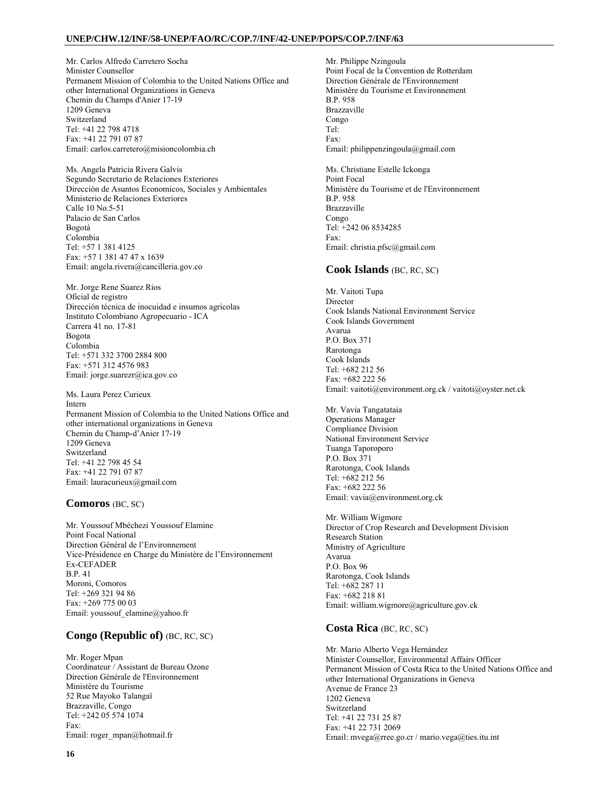Mr. Carlos Alfredo Carretero Socha Minister Counsellor Permanent Mission of Colombia to the United Nations Office and other International Organizations in Geneva Chemin du Champs d'Anier 17-19 1209 Geneva Switzerland Tel: +41 22 798 4718 Fax: +41 22 791 07 87 Email: carlos.carretero@misioncolombia.ch

Ms. Angela Patricia Rivera Galvis Segundo Secretario de Relaciones Exteriores Dirección de Asuntos Economicos, Sociales y Ambientales Ministerio de Relaciones Exteriores Calle 10 No.5-51 Palacio de San Carlos Bogotá Colombia Tel: +57 1 381 4125 Fax: +57 1 381 47 47 x 1639 Email: angela.rivera@cancilleria.gov.co

Mr. Jorge Rene Suarez Rios Oficial de registro Dirección técnica de inocuidad e insumos agricolas Instituto Colombiano Agropecuario - ICA Carrera 41 no. 17-81 Bogota Colombia Tel: +571 332 3700 2884 800 Fax: +571 312 4576 983 Email: jorge.suarezr@ica.gov.co

Ms. Laura Perez Curieux Intern Permanent Mission of Colombia to the United Nations Office and other international organizations in Geneva Chemin du Champ-d'Anier 17-19 1209 Geneva Switzerland Tel: +41 22 798 45 54 Fax: +41 22 791 07 87 Email: lauracurieux@gmail.com

## **Comoros** (BC, SC)

Mr. Youssouf Mbéchezi Youssouf Elamine Point Focal National Direction Général de l'Environnement Vice-Présidence en Charge du Ministère de l'Environnement Ex-CEFADER B.P. 41 Moroni, Comoros Tel: +269 321 94 86 Fax: +269 775 00 03 Email: youssouf\_elamine@yahoo.fr

## **Congo (Republic of)** (BC, RC, SC)

Mr. Roger Mpan Coordinateur / Assistant de Bureau Ozone Direction Générale de l'Environnement Ministère du Tourisme 52 Rue Mayoko Talangaï Brazzaville, Congo Tel: +242 05 574 1074 Fax: Email: roger\_mpan@hotmail.fr

Mr. Philippe Nzingoula Point Focal de la Convention de Rotterdam Direction Générale de l'Environnement Ministère du Tourisme et Environnement B.P. 958 Brazzaville Congo Tel: Fax: Email: philippenzingoula@gmail.com

Ms. Christiane Estelle Ickonga Point Focal Ministère du Tourisme et de l'Environnement B.P. 958 Brazzaville Congo Tel: +242 06 8534285 Fax: Email: christia.pfsc@gmail.com

## **Cook Islands** (BC, RC, SC)

Mr. Vaitoti Tupa Director Cook Islands National Environment Service Cook Islands Government Avarua P.O. Box 371 Rarotonga Cook Islands Tel: +682 212 56 Fax: +682 222 56 Email: vaitoti@environment.org.ck / vaitoti@oyster.net.ck

Mr. Vavia Tangatataia Operations Manager Compliance Division National Environment Service Tuanga Taporoporo P.O. Box 371 Rarotonga, Cook Islands Tel: +682 212 56 Fax: +682 222 56 Email: vavia@environment.org.ck

Mr. William Wigmore Director of Crop Research and Development Division Research Station Ministry of Agriculture Avarua P.O. Box 96 Rarotonga, Cook Islands Tel: +682 287 11 Fax: +682 218 81 Email: william.wigmore@agriculture.gov.ck

## **Costa Rica** (BC, RC, SC)

Mr. Mario Alberto Vega Hernández Minister Counsellor, Environmental Affairs Officer Permanent Mission of Costa Rica to the United Nations Office and other International Organizations in Geneva Avenue de France 23 1202 Geneva Switzerland Tel: +41 22 731 25 87 Fax: +41 22 731 2069 Email: mvega@rree.go.cr / mario.vega@ties.itu.int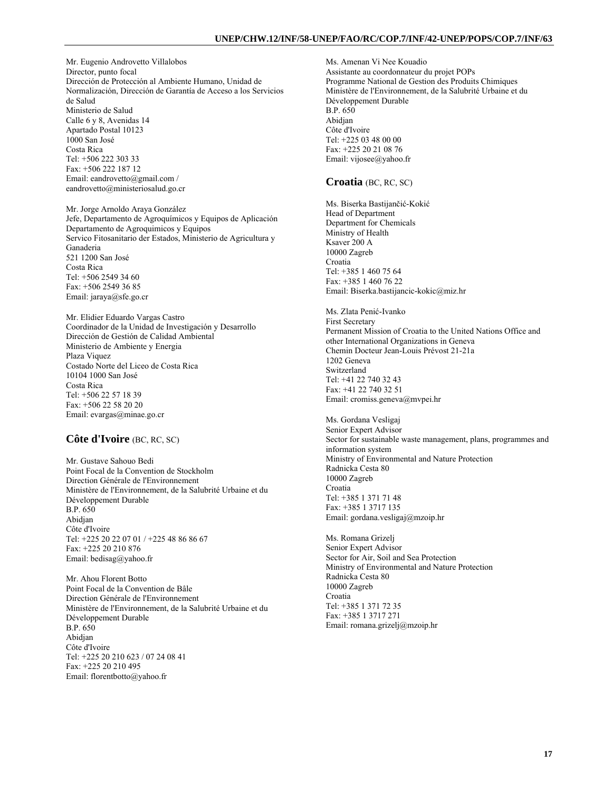Mr. Eugenio Androvetto Villalobos Director, punto focal Dirección de Protección al Ambiente Humano, Unidad de Normalización, Dirección de Garantía de Acceso a los Servicios de Salud Ministerio de Salud Calle 6 y 8, Avenidas 14 Apartado Postal 10123 1000 San José Costa Rica Tel: +506 222 303 33 Fax: +506 222 187 12 Email: eandrovetto@gmail.com / eandrovetto@ministeriosalud.go.cr

Mr. Jorge Arnoldo Araya González Jefe, Departamento de Agroquímicos y Equipos de Aplicación Departamento de Agroquimicos y Equipos Servico Fitosanitario der Estados, Ministerio de Agricultura y Ganaderia 521 1200 San José Costa Rica Tel: +506 2549 34 60 Fax: +506 2549 36 85 Email: jaraya@sfe.go.cr

Mr. Elidier Eduardo Vargas Castro Coordinador de la Unidad de Investigación y Desarrollo Dirección de Gestión de Calidad Ambiental Ministerio de Ambiente y Energia Plaza Viquez Costado Norte del Liceo de Costa Rica 10104 1000 San José Costa Rica Tel: +506 22 57 18 39 Fax: +506 22 58 20 20 Email: evargas@minae.go.cr

## **Côte d'Ivoire** (BC, RC, SC)

Mr. Gustave Sahouo Bedi Point Focal de la Convention de Stockholm Direction Générale de l'Environnement Ministère de l'Environnement, de la Salubrité Urbaine et du Développement Durable B.P. 650 Abidjan Côte d'Ivoire Tel: +225 20 22 07 01 / +225 48 86 86 67 Fax: +225 20 210 876 Email: bedisag@yahoo.fr

Mr. Ahou Florent Botto Point Focal de la Convention de Bâle Direction Générale de l'Environnement Ministère de l'Environnement, de la Salubrité Urbaine et du Développement Durable B.P. 650 Abidjan Côte d'Ivoire Tel: +225 20 210 623 / 07 24 08 41 Fax: +225 20 210 495 Email: florentbotto@yahoo.fr

Ms. Amenan Vi Nee Kouadio Assistante au coordonnateur du projet POPs Programme National de Gestion des Produits Chimiques Ministère de l'Environnement, de la Salubrité Urbaine et du Développement Durable B.P. 650 Abidjan Côte d'Ivoire Tel: +225 03 48 00 00 Fax: +225 20 21 08 76 Email: vijosee@yahoo.fr

#### **Croatia** (BC, RC, SC)

Ms. Biserka Bastijančić-Kokić Head of Department Department for Chemicals Ministry of Health Ksaver 200 A 10000 Zagreb Croatia Tel: +385 1 460 75 64 Fax: +385 1 460 76 22 Email: Biserka.bastijancic-kokic@miz.hr

Ms. Zlata Penić-Ivanko First Secretary Permanent Mission of Croatia to the United Nations Office and other International Organizations in Geneva Chemin Docteur Jean-Louis Prévost 21-21a 1202 Geneva Switzerland Tel: +41 22 740 32 43 Fax: +41 22 740 32 51 Email: cromiss.geneva@mvpei.hr

Ms. Gordana Vesligaj Senior Expert Advisor Sector for sustainable waste management, plans, programmes and information system Ministry of Environmental and Nature Protection Radnicka Cesta 80 10000 Zagreb Croatia Tel: +385 1 371 71 48 Fax: +385 1 3717 135 Email: gordana.vesligaj@mzoip.hr

Ms. Romana Grizelj Senior Expert Advisor Sector for Air, Soil and Sea Protection Ministry of Environmental and Nature Protection Radnicka Cesta 80 10000 Zagreb Croatia Tel: +385 1 371 72 35 Fax: +385 1 3717 271 Email: romana.grizelj@mzoip.hr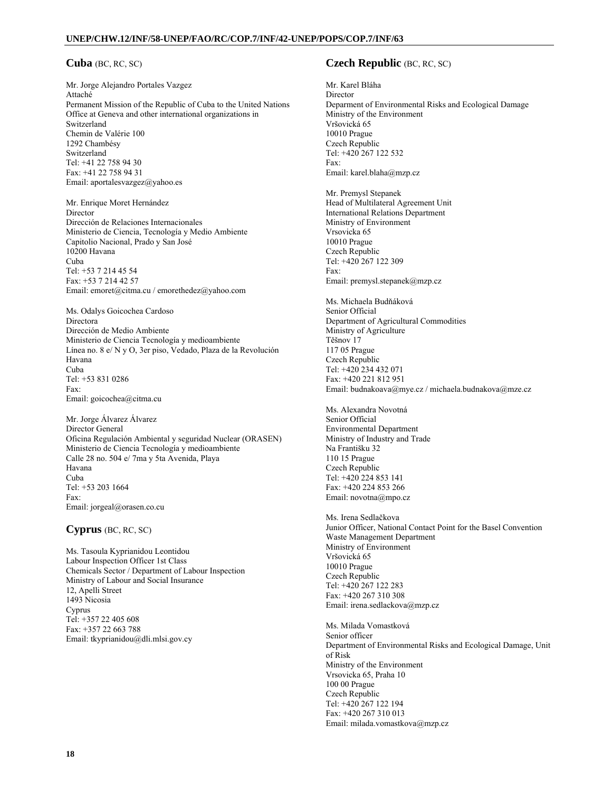## **Cuba** (BC, RC, SC)

Mr. Jorge Alejandro Portales Vazgez Attaché Permanent Mission of the Republic of Cuba to the United Nations Office at Geneva and other international organizations in Switzerland Chemin de Valérie 100 1292 Chambésy Switzerland Tel: +41 22 758 94 30 Fax: +41 22 758 94 31 Email: aportalesvazgez@yahoo.es

Mr. Enrique Moret Hernández Director Dirección de Relaciones Internacionales Ministerio de Ciencia, Tecnología y Medio Ambiente Capitolio Nacional, Prado y San José 10200 Havana Cuba Tel: +53 7 214 45 54 Fax: +53 7 214 42 57 Email: emoret@citma.cu / emorethedez@yahoo.com

Ms. Odalys Goicochea Cardoso Directora Dirección de Medio Ambiente Ministerio de Ciencia Tecnología y medioambiente Línea no. 8 e/ N y O, 3er piso, Vedado, Plaza de la Revolución Havana Cuba Tel: +53 831 0286 Fax: Email: goicochea@citma.cu

Mr. Jorge Álvarez Álvarez Director General Oficina Regulación Ambiental y seguridad Nuclear (ORASEN) Ministerio de Ciencia Tecnología y medioambiente Calle 28 no. 504 e/ 7ma y 5ta Avenida, Playa Havana Cuba Tel: +53 203 1664 Fax: Email: jorgeal@orasen.co.cu

## **Cyprus** (BC, RC, SC)

Ms. Tasoula Kyprianidou Leontidou Labour Inspection Officer 1st Class Chemicals Sector / Department of Labour Inspection Ministry of Labour and Social Insurance 12, Apelli Street 1493 Nicosia Cyprus Tel: +357 22 405 608 Fax: +357 22 663 788 Email: tkyprianidou@dli.mlsi.gov.cy

## **Czech Republic** (BC, RC, SC)

Mr. Karel Bláha Director Deparment of Environmental Risks and Ecological Damage Ministry of the Environment Vršovická 65 10010 Prague Czech Republic Tel: +420 267 122 532 Fax: Email: karel.blaha@mzp.cz

Mr. Premysl Stepanek Head of Multilateral Agreement Unit International Relations Department Ministry of Environment Vrsovicka 65 10010 Prague Czech Republic Tel: +420 267 122 309 Fax: Email: premysl.stepanek@mzp.cz

Ms. Michaela Budňáková Senior Official Department of Agricultural Commodities Ministry of Agriculture Těšnov 17 117 05 Prague Czech Republic Tel: +420 234 432 071 Fax: +420 221 812 951 Email: budnakoava@mye.cz / michaela.budnakova@mze.cz

Ms. Alexandra Novotná Senior Official Environmental Department Ministry of Industry and Trade Na Františku 32 110 15 Prague Czech Republic Tel: +420 224 853 141 Fax: +420 224 853 266 Email: novotna@mpo.cz

Ms. Irena Sedlačkova Junior Officer, National Contact Point for the Basel Convention Waste Management Department Ministry of Environment Vršovická 65 10010 Prague Czech Republic Tel: +420 267 122 283 Fax: +420 267 310 308 Email: irena.sedlackova@mzp.cz

Ms. Milada Vomastková Senior officer Department of Environmental Risks and Ecological Damage, Unit of Risk Ministry of the Environment Vrsovicka 65, Praha 10 100 00 Prague Czech Republic Tel: +420 267 122 194 Fax: +420 267 310 013 Email: milada.vomastkova@mzp.cz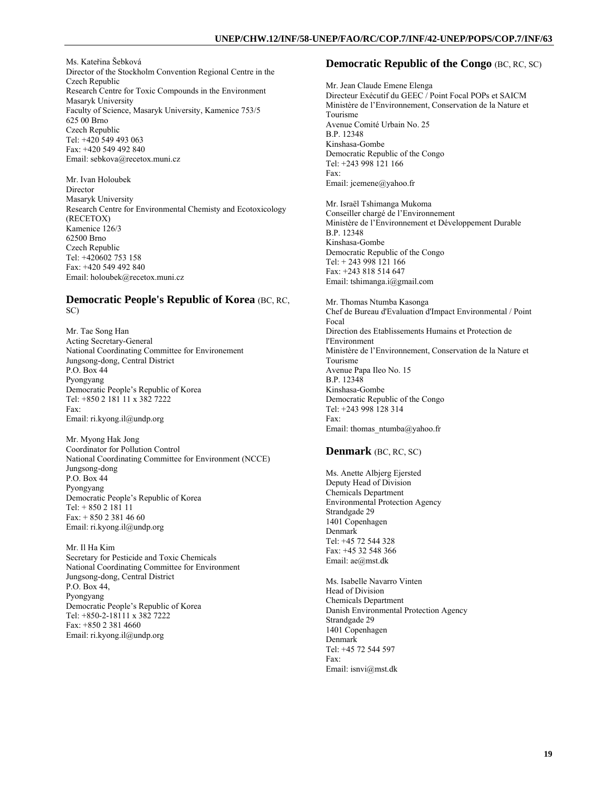Ms. Kateřina Šebková Director of the Stockholm Convention Regional Centre in the Czech Republic Research Centre for Toxic Compounds in the Environment Masaryk University Faculty of Science, Masaryk University, Kamenice 753/5 625 00 Brno Czech Republic Tel: +420 549 493 063 Fax: +420 549 492 840 Email: sebkova@recetox.muni.cz

Mr. Ivan Holoubek Director Masaryk University Research Centre for Environmental Chemisty and Ecotoxicology (RECETOX) Kamenice 126/3 62500 Brno Czech Republic Tel: +420602 753 158 Fax: +420 549 492 840 Email: holoubek@recetox.muni.cz

## **Democratic People's Republic of Korea** (BC, RC, SC)

Mr. Tae Song Han Acting Secretary-General National Coordinating Committee for Environement Jungsong-dong, Central District P.O. Box 44 Pyongyang Democratic People's Republic of Korea Tel: +850 2 181 11 x 382 7222 Fax: Email: ri.kyong.il@undp.org

Mr. Myong Hak Jong Coordinator for Pollution Control National Coordinating Committee for Environment (NCCE) Jungsong-dong P.O. Box 44 Pyongyang Democratic People's Republic of Korea Tel: + 850 2 181 11 Fax: + 850 2 381 46 60 Email: ri.kyong.il@undp.org

Mr. Il Ha Kim Secretary for Pesticide and Toxic Chemicals National Coordinating Committee for Environment Jungsong-dong, Central District P.O. Box 44, Pyongyang Democratic People's Republic of Korea Tel: +850-2-18111 x 382 7222 Fax: +850 2 381 4660 Email: ri.kyong.il@undp.org

## **Democratic Republic of the Congo** (BC, RC, SC)

Mr. Jean Claude Emene Elenga Directeur Exécutif du GEEC / Point Focal POPs et SAICM Ministère de l'Environnement, Conservation de la Nature et Tourisme Avenue Comité Urbain No. 25 B.P. 12348 Kinshasa-Gombe Democratic Republic of the Congo Tel: +243 998 121 166 Fax: Email: jcemene@yahoo.fr

Mr. Israël Tshimanga Mukoma Conseiller chargé de l'Environnement Ministère de l'Environnement et Développement Durable B.P. 12348 Kinshasa-Gombe Democratic Republic of the Congo Tel: + 243 998 121 166 Fax: +243 818 514 647 Email: tshimanga.i@gmail.com

Mr. Thomas Ntumba Kasonga Chef de Bureau d'Evaluation d'Impact Environmental / Point Focal Direction des Etablissements Humains et Protection de l'Environment Ministère de l'Environnement, Conservation de la Nature et Tourisme Avenue Papa Ileo No. 15 B.P. 12348 Kinshasa-Gombe Democratic Republic of the Congo Tel: +243 998 128 314 Fax: Email: thomas\_ntumba@yahoo.fr

## **Denmark** (BC, RC, SC)

Ms. Anette Albjerg Ejersted Deputy Head of Division Chemicals Department Environmental Protection Agency Strandgade 29 1401 Copenhagen Denmark Tel: +45 72 544 328 Fax: +45 32 548 366 Email: ae@mst.dk

Ms. Isabelle Navarro Vinten Head of Division Chemicals Department Danish Environmental Protection Agency Strandgade 29 1401 Copenhagen Denmark Tel: +45 72 544 597 Fax: Email: isnvi@mst.dk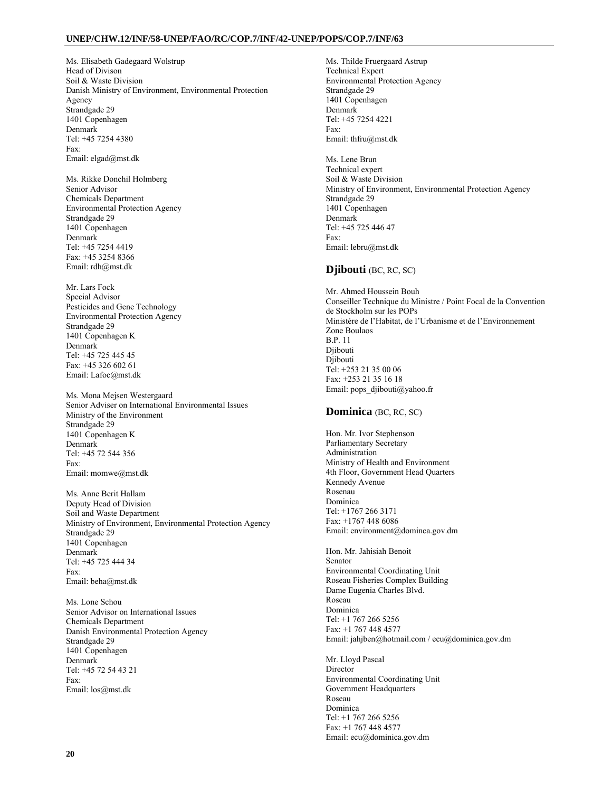Ms. Elisabeth Gadegaard Wolstrup Head of Divison Soil & Waste Division Danish Ministry of Environment, Environmental Protection Agency Strandgade 29 1401 Copenhagen Denmark Tel: +45 7254 4380 Fax: Email: elgad@mst.dk

Ms. Rikke Donchil Holmberg Senior Advisor Chemicals Department Environmental Protection Agency Strandgade 29 1401 Copenhagen Denmark Tel: +45 7254 4419 Fax: +45 3254 8366 Email: rdh@mst.dk

Mr. Lars Fock Special Advisor Pesticides and Gene Technology Environmental Protection Agency Strandgade 29 1401 Copenhagen K Denmark Tel: +45 725 445 45 Fax: +45 326 602 61 Email: Lafoc@mst.dk

Ms. Mona Mejsen Westergaard Senior Adviser on International Environmental Issues Ministry of the Environment Strandgade 29 1401 Copenhagen K Denmark Tel: +45 72 544 356 Fax: Email: momwe@mst.dk

Ms. Anne Berit Hallam Deputy Head of Division Soil and Waste Department Ministry of Environment, Environmental Protection Agency Strandgade 29 1401 Copenhagen Denmark Tel: +45 725 444 34 Fax: Email: beha@mst.dk

Ms. Lone Schou Senior Advisor on International Issues Chemicals Department Danish Environmental Protection Agency Strandgade 29 1401 Copenhagen Denmark Tel: +45 72 54 43 21 Fax: Email: los@mst.dk

Ms. Thilde Fruergaard Astrup Technical Expert Environmental Protection Agency Strandgade 29 1401 Copenhagen Denmark Tel: +45 7254 4221 Fax: Email: thfru@mst.dk

Ms. Lene Brun Technical expert Soil & Waste Division Ministry of Environment, Environmental Protection Agency Strandgade 29 1401 Copenhagen Denmark Tel: +45 725 446 47 Fax: Email: lebru@mst.dk

## **Djibouti** (BC, RC, SC)

Mr. Ahmed Houssein Bouh Conseiller Technique du Ministre / Point Focal de la Convention de Stockholm sur les POPs Ministère de l'Habitat, de l'Urbanisme et de l'Environnement Zone Boulaos B.P. 11 Djibouti Djibouti Tel: +253 21 35 00 06 Fax: +253 21 35 16 18 Email: pops\_djibouti@yahoo.fr

## **Dominica** (BC, RC, SC)

Hon. Mr. Ivor Stephenson Parliamentary Secretary Administration Ministry of Health and Environment 4th Floor, Government Head Quarters Kennedy Avenue Rosenau Dominica Tel: +1767 266 3171 Fax: +1767 448 6086 Email: environment@dominca.gov.dm

Hon. Mr. Jahisiah Benoit Senator Environmental Coordinating Unit Roseau Fisheries Complex Building Dame Eugenia Charles Blvd. Roseau Dominica Tel: +1 767 266 5256 Fax: +1 767 448 4577 Email: jahjben@hotmail.com / ecu@dominica.gov.dm

Mr. Lloyd Pascal **Director** Environmental Coordinating Unit Government Headquarters Roseau Dominica Tel: +1 767 266 5256 Fax: +1 767 448 4577 Email: ecu@dominica.gov.dm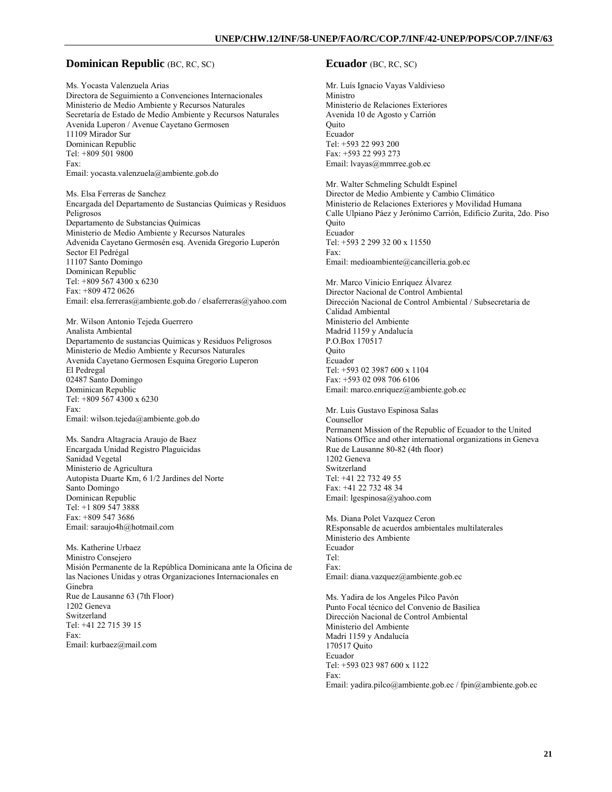#### **Dominican Republic (BC, RC, SC)**

Ms. Yocasta Valenzuela Arias Directora de Seguimiento a Convenciones Internacionales Ministerio de Medio Ambiente y Recursos Naturales Secretaría de Estado de Medio Ambiente y Recursos Naturales Avenida Luperon / Avenue Cayetano Germosen 11109 Mirador Sur Dominican Republic Tel: +809 501 9800 Fax: Email: yocasta.valenzuela@ambiente.gob.do

Ms. Elsa Ferreras de Sanchez Encargada del Departamento de Sustancias Químicas y Residuos Peligrosos Departamento de Substancias Químicas Ministerio de Medio Ambiente y Recursos Naturales Advenida Cayetano Germosén esq. Avenida Gregorio Luperón Sector El Pedrégal 11107 Santo Domingo Dominican Republic Tel: +809 567 4300 x 6230 Fax: +809 472 0626 Email: elsa.ferreras@ambiente.gob.do / elsaferreras@yahoo.com

Mr. Wilson Antonio Tejeda Guerrero Analista Ambiental Departamento de sustancias Quimicas y Residuos Peligrosos Ministerio de Medio Ambiente y Recursos Naturales Avenida Cayetano Germosen Esquina Gregorio Luperon El Pedregal 02487 Santo Domingo Dominican Republic Tel: +809 567 4300 x 6230 Fax: Email: wilson.tejeda@ambiente.gob.do

Ms. Sandra Altagracia Araujo de Baez Encargada Unidad Registro Plaguicidas Sanidad Vegetal Ministerio de Agricultura Autopista Duarte Km, 6 1/2 Jardines del Norte Santo Domingo Dominican Republic Tel: +1 809 547 3888 Fax: +809 547 3686 Email: saraujo4h@hotmail.com

Ms. Katherine Urbaez Ministro Consejero Misión Permanente de la República Dominicana ante la Oficina de las Naciones Unidas y otras Organizaciones Internacionales en Ginebra Rue de Lausanne 63 (7th Floor) 1202 Geneva Switzerland Tel: +41 22 715 39 15 Fax: Email: kurbaez@mail.com

#### **Ecuador** (BC, RC, SC)

Mr. Luís Ignacio Vayas Valdivieso Ministro Ministerio de Relaciones Exteriores Avenida 10 de Agosto y Carrión **Ouito** Ecuador Tel: +593 22 993 200 Fax: +593 22 993 273 Email: lvayas@mmrree.gob.ec

Mr. Walter Schmeling Schuldt Espinel Director de Medio Ambiente y Cambio Climático Ministerio de Relaciones Exteriores y Movilidad Humana Calle Ulpiano Páez y Jerónimo Carrión, Edificio Zurita, 2do. Piso Quito Ecuador Tel: +593 2 299 32 00 x 11550 Fax: Email: medioambiente@cancilleria.gob.ec

Mr. Marco Vinicio Enríquez Álvarez Director Nacional de Control Ambiental Dirección Nacional de Control Ambiental / Subsecretaria de Calidad Ambiental Ministerio del Ambiente Madrid 1159 y Andalucía P.O.Box 170517 **Ouito** Ecuador Tel: +593 02 3987 600 x 1104 Fax: +593 02 098 706 6106 Email: marco.enriquez@ambiente.gob.ec

Mr. Luis Gustavo Espinosa Salas Counsellor Permanent Mission of the Republic of Ecuador to the United Nations Office and other international organizations in Geneva Rue de Lausanne 80-82 (4th floor) 1202 Geneva Switzerland Tel: +41 22 732 49 55 Fax: +41 22 732 48 34 Email: lgespinosa@yahoo.com

Ms. Diana Polet Vazquez Ceron REsponsable de acuerdos ambientales multilaterales Ministerio des Ambiente Ecuador Tel: Fax: Email: diana.vazquez@ambiente.gob.ec

Ms. Yadira de los Angeles Pilco Pavón Punto Focal técnico del Convenio de Basiliea Dirección Nacional de Control Ambiental Ministerio del Ambiente Madri 1159 y Andalucía 170517 Quito Ecuador Tel: +593 023 987 600 x 1122 Fax: Email: yadira.pilco@ambiente.gob.ec / fpin@ambiente.gob.ec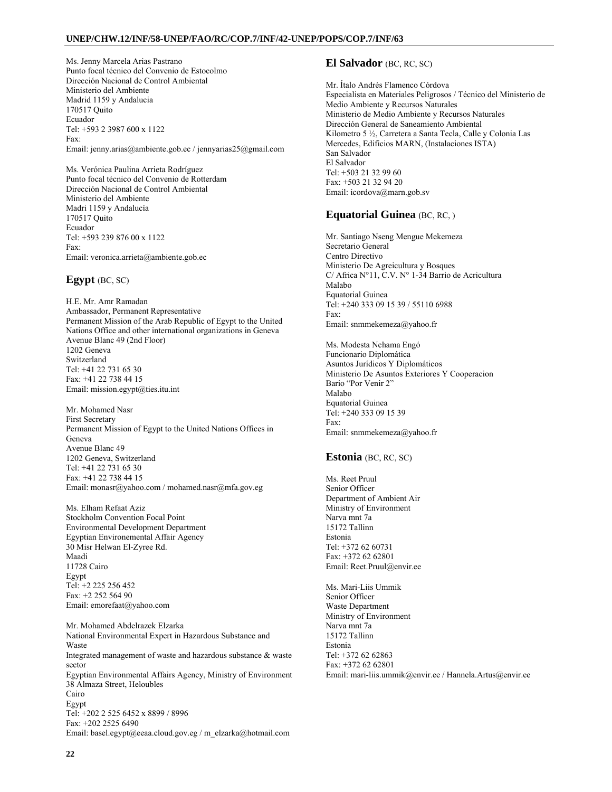Ms. Jenny Marcela Arias Pastrano Punto focal técnico del Convenio de Estocolmo Dirección Nacional de Control Ambiental Ministerio del Ambiente Madrid 1159 y Andalucia 170517 Quito Ecuador Tel: +593 2 3987 600 x 1122 Fax: Email: jenny.arias@ambiente.gob.ec / jennyarias25@gmail.com

Ms. Verónica Paulina Arrieta Rodríguez Punto focal técnico del Convenio de Rotterdam Dirección Nacional de Control Ambiental Ministerio del Ambiente Madri 1159 y Andalucía 170517 Quito Ecuador Tel: +593 239 876 00 x 1122 Fax: Email: veronica.arrieta@ambiente.gob.ec

## **Egypt** (BC, SC)

H.E. Mr. Amr Ramadan Ambassador, Permanent Representative Permanent Mission of the Arab Republic of Egypt to the United Nations Office and other international organizations in Geneva Avenue Blanc 49 (2nd Floor) 1202 Geneva Switzerland Tel: +41 22 731 65 30 Fax: +41 22 738 44 15 Email: mission.egypt@ties.itu.int

Mr. Mohamed Nasr First Secretary Permanent Mission of Egypt to the United Nations Offices in Geneva Avenue Blanc 49 1202 Geneva, Switzerland Tel: +41 22 731 65 30 Fax: +41 22 738 44 15 Email: monasr@yahoo.com / mohamed.nasr@mfa.gov.eg

Ms. Elham Refaat Aziz Stockholm Convention Focal Point Environmental Development Department Egyptian Environemental Affair Agency 30 Misr Helwan El-Zyree Rd. Maadi 11728 Cairo Egypt Tel: +2 225 256 452 Fax: +2 252 564 90 Email: emorefaat@yahoo.com

Mr. Mohamed Abdelrazek Elzarka National Environmental Expert in Hazardous Substance and Waste Integrated management of waste and hazardous substance & waste sector Egyptian Environmental Affairs Agency, Ministry of Environment 38 Almaza Street, Heloubles Cairo Egypt Tel: +202 2 525 6452 x 8899 / 8996 Fax: +202 2525 6490 Email: basel.egypt@eeaa.cloud.gov.eg / m\_elzarka@hotmail.com

## **El Salvador** (BC, RC, SC)

Mr. Ítalo Andrés Flamenco Córdova Especialista en Materiales Peligrosos / Técnico del Ministerio de Medio Ambiente y Recursos Naturales Ministerio de Medio Ambiente y Recursos Naturales Dirección General de Saneamiento Ambiental Kilometro 5 ½, Carretera a Santa Tecla, Calle y Colonia Las Mercedes, Edificios MARN, (Instalaciones ISTA) San Salvador El Salvador Tel: +503 21 32 99 60 Fax: +503 21 32 94 20 Email: icordova@marn.gob.sv

## **Equatorial Guinea** (BC, RC, )

Mr. Santiago Nseng Mengue Mekemeza Secretario General Centro Directivo Ministerio De Agreicultura y Bosques C/ Africa N°11, C.V. N° 1-34 Barrio de Acricultura Malabo Equatorial Guinea Tel: +240 333 09 15 39 / 55110 6988 Fax: Email: snmmekemeza@yahoo.fr

Ms. Modesta Nchama Engó Funcionario Diplomática Asuntos Jurídicos Y Diplomáticos Ministerio De Asuntos Exteriores Y Cooperacion Bario "Por Venir 2" Malabo Equatorial Guinea Tel: +240 333 09 15 39 Fax: Email: snmmekemeza@yahoo.fr

## **Estonia** (BC, RC, SC)

Ms. Reet Pruul Senior Officer Department of Ambient Air Ministry of Environment Narva mnt 7a 15172 Tallinn Estonia Tel: +372 62 60731 Fax: +372 62 62801 Email: Reet.Pruul@envir.ee

Ms. Mari-Liis Ummik Senior Officer Waste Department Ministry of Environment Narva mnt 7a 15172 Tallinn Estonia Tel: +372 62 62863 Fax: +372 62 62801 Email: mari-liis.ummik@envir.ee / Hannela.Artus@envir.ee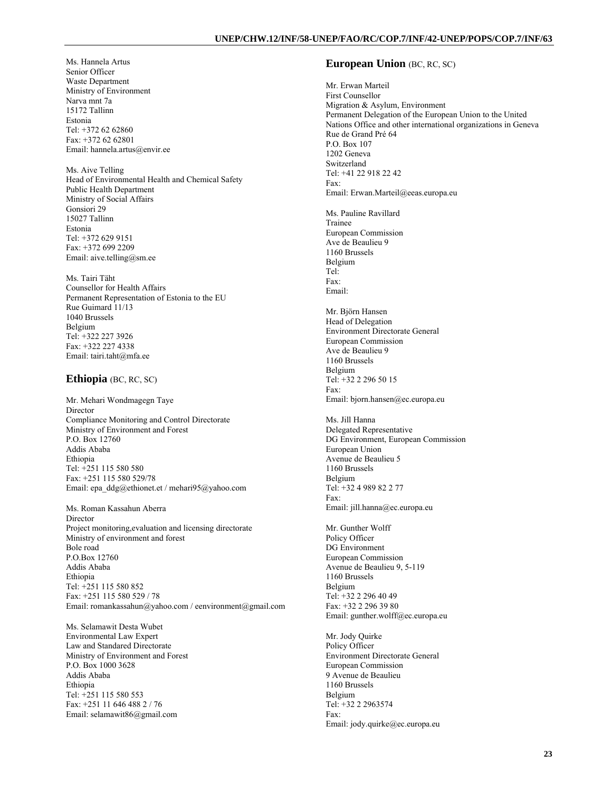Ms. Hannela Artus Senior Officer Waste Department Ministry of Environment Narva mnt 7a 15172 Tallinn Estonia Tel: +372 62 62860 Fax: +372 62 62801 Email: hannela.artus@envir.ee

Ms. Aive Telling Head of Environmental Health and Chemical Safety Public Health Department Ministry of Social Affairs Gonsiori 29 15027 Tallinn Estonia Tel: +372 629 9151 Fax: +372 699 2209 Email: aive.telling@sm.ee

Ms. Tairi Täht Counsellor for Health Affairs Permanent Representation of Estonia to the EU Rue Guimard 11/13 1040 Brussels Belgium Tel: +322 227 3926 Fax: +322 227 4338 Email: tairi.taht@mfa.ee

## **Ethiopia** (BC, RC, SC)

Mr. Mehari Wondmagegn Taye **Director** Compliance Monitoring and Control Directorate Ministry of Environment and Forest P.O. Box 12760 Addis Ababa Ethiopia Tel: +251 115 580 580 Fax: +251 115 580 529/78 Email: epa\_ddg@ethionet.et / mehari95@yahoo.com

Ms. Roman Kassahun Aberra Director Project monitoring,evaluation and licensing directorate Ministry of environment and forest Bole road P.O.Box 12760 Addis Ababa Ethiopia Tel: +251 115 580 852 Fax: +251 115 580 529 / 78 Email: romankassahun@yahoo.com / eenvironment@gmail.com

Ms. Selamawit Desta Wubet Environmental Law Expert Law and Standared Directorate Ministry of Environment and Forest P.O. Box 1000 3628 Addis Ababa Ethiopia Tel: +251 115 580 553 Fax: +251 11 646 488 2 / 76 Email: selamawit86@gmail.com

### **European Union** (BC, RC, SC)

Mr. Erwan Marteil First Counsellor Migration & Asylum, Environment Permanent Delegation of the European Union to the United Nations Office and other international organizations in Geneva Rue de Grand Pré 64 P.O. Box 107 1202 Geneva Switzerland Tel: +41 22 918 22 42 Fax: Email: Erwan.Marteil@eeas.europa.eu Ms. Pauline Ravillard Trainee European Commission Ave de Beaulieu 9 1160 Brussels Belgium Tel: Fax: Email: Mr. Björn Hansen Head of Delegation Environment Directorate General European Commission Ave de Beaulieu 9 1160 Brussels Belgium Tel: +32 2 296 50 15 Fax: Email: bjorn.hansen@ec.europa.eu Ms. Jill Hanna Delegated Representative DG Environment, European Commission European Union Avenue de Beaulieu 5 1160 Brussels Belgium Tel: +32 4 989 82 2 77 Fax: Email: jill.hanna@ec.europa.eu Mr. Gunther Wolff Policy Officer DG Environment European Commission Avenue de Beaulieu 9, 5-119 1160 Brussels Belgium Tel: +32 2 296 40 49 Fax: +32 2 296 39 80 Email: gunther.wolff@ec.europa.eu Mr. Jody Quirke Policy Officer Environment Directorate General

European Commission 9 Avenue de Beaulieu 1160 Brussels Belgium Tel: +32 2 2963574 Fax: Email: jody.quirke@ec.europa.eu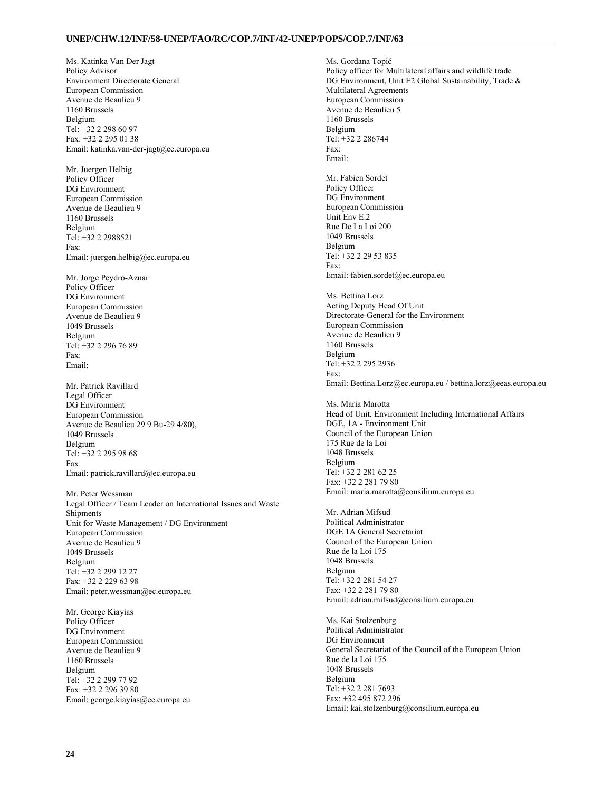Ms. Katinka Van Der Jagt Policy Advisor Environment Directorate General European Commission Avenue de Beaulieu 9 1160 Brussels Belgium Tel: +32 2 298 60 97 Fax: +32 2 295 01 38 Email: katinka.van-der-jagt@ec.europa.eu

Mr. Juergen Helbig Policy Officer DG Environment European Commission Avenue de Beaulieu 9 1160 Brussels Belgium Tel: +32 2 2988521 Fax: Email: juergen.helbig@ec.europa.eu

Mr. Jorge Peydro-Aznar Policy Officer DG Environment European Commission Avenue de Beaulieu 9 1049 Brussels Belgium Tel: +32 2 296 76 89 Fax: Email:

Mr. Patrick Ravillard Legal Officer DG Environment European Commission Avenue de Beaulieu 29 9 Bu-29 4/80), 1049 Brussels Belgium Tel: +32 2 295 98 68 Fax: Email: patrick.ravillard@ec.europa.eu

Mr. Peter Wessman Legal Officer / Team Leader on International Issues and Waste Shipments Unit for Waste Management / DG Environment European Commission Avenue de Beaulieu 9 1049 Brussels Belgium Tel: +32 2 299 12 27 Fax: +32 2 229 63 98 Email: peter.wessman@ec.europa.eu

Mr. George Kiayias Policy Officer DG Environment European Commission Avenue de Beaulieu 9 1160 Brussels Belgium Tel: +32 2 299 77 92 Fax: +32 2 296 39 80 Email: george.kiayias@ec.europa.eu

Ms. Gordana Topić Policy officer for Multilateral affairs and wildlife trade DG Environment, Unit E2 Global Sustainability, Trade & Multilateral Agreements European Commission Avenue de Beaulieu 5 1160 Brussels Belgium Tel: +32 2 286744 Fax: Email: Mr. Fabien Sordet Policy Officer DG Environment European Commission Unit Env E.2 Rue De La Loi 200 1049 Brussels Belgium Tel: +32 2 29 53 835 Fax: Email: fabien.sordet@ec.europa.eu Ms. Bettina Lorz Acting Deputy Head Of Unit Directorate-General for the Environment European Commission Avenue de Beaulieu 9

1160 Brussels Belgium Tel: +32 2 295 2936 Fax: Email: Bettina.Lorz@ec.europa.eu / bettina.lorz@eeas.europa.eu

Ms. Maria Marotta Head of Unit, Environment Including International Affairs DGE, 1A - Environment Unit Council of the European Union 175 Rue de la Loi 1048 Brussels Belgium Tel: +32 2 281 62 25 Fax: +32 2 281 79 80 Email: maria.marotta@consilium.europa.eu

Mr. Adrian Mifsud Political Administrator DGE 1A General Secretariat Council of the European Union Rue de la Loi 175 1048 Brussels Belgium Tel: +32 2 281 54 27 Fax: +32 2 281 79 80 Email: adrian.mifsud@consilium.europa.eu

Ms. Kai Stolzenburg Political Administrator DG Environment General Secretariat of the Council of the European Union Rue de la Loi 175 1048 Brussels Belgium Tel: +32 2 281 7693 Fax: +32 495 872 296 Email: kai.stolzenburg@consilium.europa.eu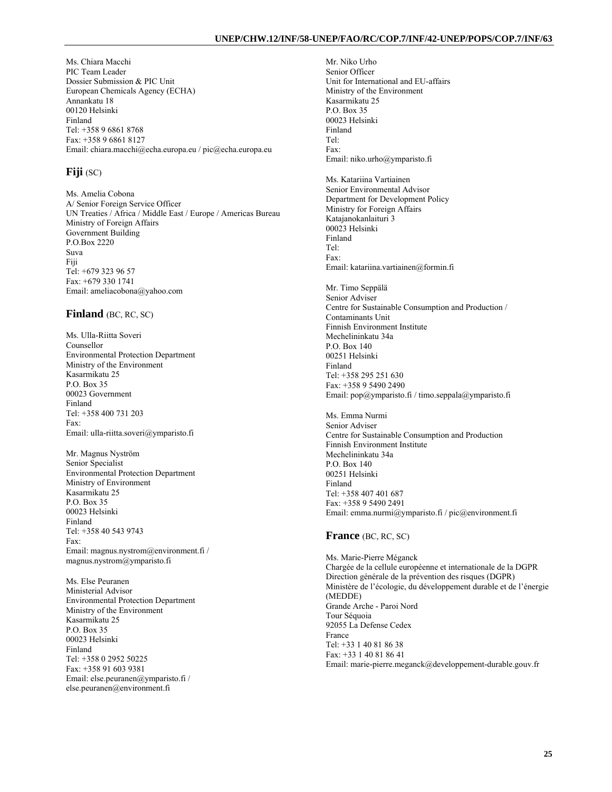Ms. Chiara Macchi PIC Team Leader Dossier Submission & PIC Unit European Chemicals Agency (ECHA) Annankatu 18 00120 Helsinki Finland Tel: +358 9 6861 8768 Fax: +358 9 6861 8127 Email: chiara.macchi@echa.europa.eu / pic@echa.europa.eu

## **Fiji** (SC)

Ms. Amelia Cobona A/ Senior Foreign Service Officer UN Treaties / Africa / Middle East / Europe / Americas Bureau Ministry of Foreign Affairs Government Building P.O.Box 2220 Suva Fiji Tel: +679 323 96 57 Fax: +679 330 1741 Email: ameliacobona@yahoo.com

## **Finland** (BC, RC, SC)

Ms. Ulla-Riitta Soveri Counsellor Environmental Protection Department Ministry of the Environment Kasarmikatu 25  $P \cap \text{Box } 35$ 00023 Government Finland Tel: +358 400 731 203 Fax: Email: ulla-riitta.soveri@ymparisto.fi

Mr. Magnus Nyström Senior Specialist Environmental Protection Department Ministry of Environment Kasarmikatu 25 P.O. Box 35 00023 Helsinki Finland Tel: +358 40 543 9743 Fax: Email: magnus.nystrom@environment.fi / magnus.nystrom@ymparisto.fi

Ms. Else Peuranen Ministerial Advisor Environmental Protection Department Ministry of the Environment Kasarmikatu 25 P.O. Box 35 00023 Helsinki Finland Tel: +358 0 2952 50225 Fax: +358 91 603 9381 Email: else.peuranen@ymparisto.fi / else.peuranen@environment.fi

Mr. Niko Urho Senior Officer Unit for International and EU-affairs Ministry of the Environment Kasarmikatu 25 P.O. Box 35 00023 Helsinki Finland Tel: Fax: Email: niko.urho@ymparisto.fi Ms. Katariina Vartiainen Senior Environmental Advisor Department for Development Policy Ministry for Foreign Affairs Katajanokanlaituri 3 00023 Helsinki Finland Tel: Fax: Email: katariina.vartiainen@formin.fi Mr. Timo Seppälä Senior Adviser Centre for Sustainable Consumption and Production /

Contaminants Unit Finnish Environment Institute Mechelininkatu 34a P.O. Box 140 00251 Helsinki Finland Tel: +358 295 251 630 Fax: +358 9 5490 2490 Email: pop@ymparisto.fi / timo.seppala@ymparisto.fi

Ms. Emma Nurmi Senior Adviser Centre for Sustainable Consumption and Production Finnish Environment Institute Mechelininkatu 34a P.O. Box 140 00251 Helsinki Finland Tel: +358 407 401 687 Fax: +358 9 5490 2491 Email: emma.nurmi@ymparisto.fi / pic@environment.fi

#### **France** (BC, RC, SC)

Ms. Marie-Pierre Méganck Chargée de la cellule européenne et internationale de la DGPR Direction générale de la prévention des risques (DGPR) Ministère de l'écologie, du développement durable et de l'énergie (MEDDE) Grande Arche - Paroi Nord Tour Séquoia 92055 La Defense Cedex France Tel: +33 1 40 81 86 38 Fax: +33 1 40 81 86 41 Email: marie-pierre.meganck@developpement-durable.gouv.fr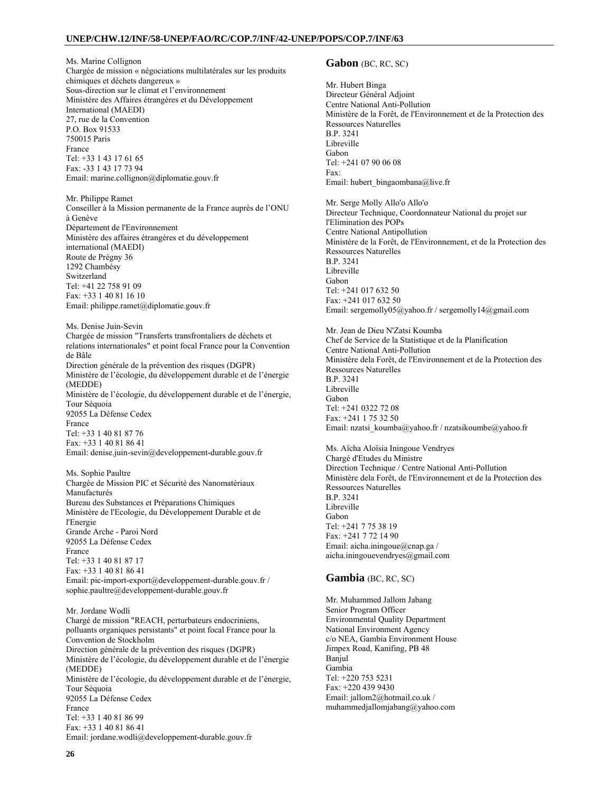Ms. Marine Collignon Chargée de mission « négociations multilatérales sur les produits chimiques et déchets dangereux » Sous-direction sur le climat et l'environnement Ministère des Affaires étrangères et du Développement International (MAEDI) 27, rue de la Convention P.O. Box 91533 750015 Paris France Tel: +33 1 43 17 61 65 Fax: -33 1 43 17 73 94 Email: marine.collignon@diplomatie.gouv.fr

Mr. Philippe Ramet Conseiller à la Mission permanente de la France auprès de l'ONU à Genève Département de l'Environnement Ministère des affaires étrangères et du développement international (MAEDI) Route de Prégny 36 1292 Chambésy Switzerland Tel: +41 22 758 91 09 Fax: +33 1 40 81 16 10 Email: philippe.ramet@diplomatie.gouv.fr

Ms. Denise Juin-Sevin Chargée de mission "Transferts transfrontaliers de déchets et relations internationales" et point focal France pour la Convention de Bâle Direction générale de la prévention des risques (DGPR)

Ministère de l'écologie, du développement durable et de l'énergie (MEDDE) Ministère de l'écologie, du développement durable et de l'énergie, Tour Séquoia 92055 La Défense Cedex France Tel: +33 1 40 81 87 76

Fax: +33 1 40 81 86 41 Email: denise.juin-sevin@developpement-durable.gouv.fr

Ms. Sophie Paultre Chargée de Mission PIC et Sécurité des Nanomatériaux Manufacturés Bureau des Substances et Préparations Chimiques Ministère de l'Ecologie, du Développement Durable et de l'Energie Grande Arche - Paroi Nord 92055 La Défense Cedex France Tel: +33 1 40 81 87 17 Fax: +33 1 40 81 86 41 Email: pic-import-export@developpement-durable.gouv.fr / sophie.paultre@developpement-durable.gouv.fr

#### Mr. Jordane Wodli

Chargé de mission "REACH, perturbateurs endocriniens, polluants organiques persistants" et point focal France pour la Convention de Stockholm Direction générale de la prévention des risques (DGPR) Ministère de l'écologie, du développement durable et de l'énergie (MEDDE) Ministère de l'écologie, du développement durable et de l'énergie, Tour Séquoia 92055 La Défense Cedex France Tel: +33 1 40 81 86 99 Fax: +33 1 40 81 86 41 Email: jordane.wodli@developpement-durable.gouv.fr

### **Gabon** (BC, RC, SC)

Mr. Hubert Binga Directeur Général Adjoint Centre National Anti-Pollution Ministère de la Forêt, de l'Environnement et de la Protection des Ressources Naturelles B.P. 3241 Libreville Gabon Tel: +241 07 90 06 08 Fax: Email: hubert\_bingaombana@live.fr

Mr. Serge Molly Allo'o Allo'o Directeur Technique, Coordonnateur National du projet sur l'Elimination des POPs Centre National Antipollution Ministère de la Forêt, de l'Environnement, et de la Protection des Ressources Naturelles B.P. 3241 Libreville Gabon Tel: +241 017 632 50 Fax: +241 017 632 50 Email: sergemolly05@yahoo.fr / sergemolly14@gmail.com

Mr. Jean de Dieu N'Zatsi Koumba Chef de Service de la Statistique et de la Planification Centre National Anti-Pollution Ministère dela Forêt, de l'Environnement et de la Protection des Ressources Naturelles B.P. 3241 Libreville Gabon Tel: +241 0322 72 08 Fax: +241 1 75 32 50 Email: nzatsi\_koumba@yahoo.fr / nzatsikoumbe@yahoo.fr

Ms. Aïcha Aloïsia Iningoue Vendryes Chargé d'Etudes du Ministre Direction Technique / Centre National Anti-Pollution Ministère dela Forêt, de l'Environnement et de la Protection des Ressources Naturelles B.P. 3241 Libreville Gabon Tel: +241 7 75 38 19 Fax: +241 7 72 14 90 Email: aicha.iningoue@cnap.ga / aicha.iningouevendryes@gmail.com

#### **Gambia** (BC, RC, SC)

Mr. Muhammed Jallom Jabang Senior Program Officer Environmental Quality Department National Environment Agency c/o NEA, Gambia Environment House Jimpex Road, Kanifing, PB 48 Banjul Gambia Tel: +220 753 5231 Fax: +220 439 9430 Email: jallom2@hotmail.co.uk / muhammedjallomjabang@yahoo.com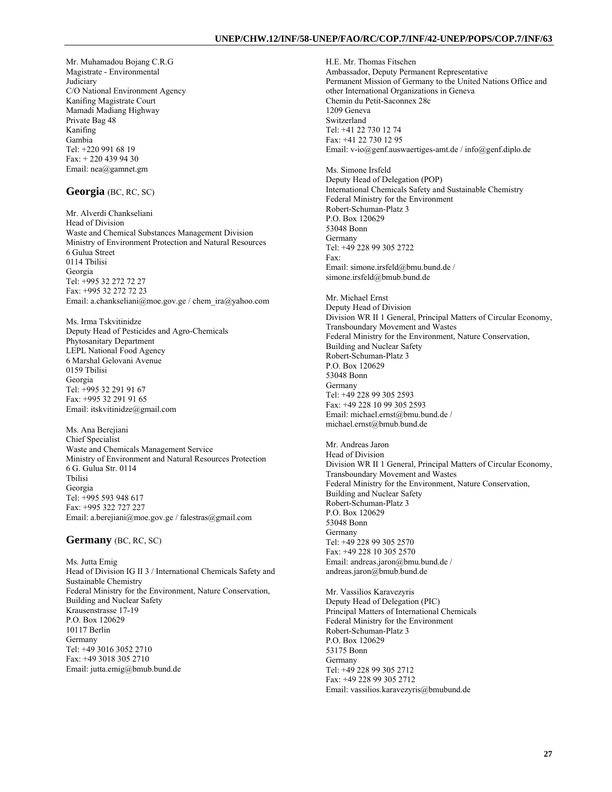Mr. Muhamadou Bojang C.R.G Magistrate - Environmental **Judiciary** C/O National Environment Agency Kanifing Magistrate Court Mamadi Madiang Highway Private Bag 48 Kanifing Gambia Tel: +220 991 68 19 Fax: + 220 439 94 30 Email: nea@gamnet.gm

## **Georgia** (BC, RC, SC)

Mr. Alverdi Chankseliani Head of Division Waste and Chemical Substances Management Division Ministry of Environment Protection and Natural Resources 6 Gulua Street 0114 Tbilisi Georgia Tel: +995 32 272 72 27 Fax: +995 32 272 72 23 Email: a.chankseliani@moe.gov.ge / chem\_ira@yahoo.com

Ms. Irma Tskvitinidze Deputy Head of Pesticides and Agro-Chemicals Phytosanitary Department LEPL National Food Agency 6 Marshal Gelovani Avenue 0159 Tbilisi Georgia Tel: +995 32 291 91 67 Fax: +995 32 291 91 65 Email: itskvitinidze@gmail.com

Ms. Ana Berejiani Chief Specialist Waste and Chemicals Management Service Ministry of Environment and Natural Resources Protection 6 G. Gulua Str. 0114 Tbilisi Georgia Tel: +995 593 948 617 Fax: +995 322 727 227 Email: a.berejiani@moe.gov.ge / falestras@gmail.com

#### **Germany** (BC, RC, SC)

Ms. Jutta Emig Head of Division IG II 3 / International Chemicals Safety and Sustainable Chemistry Federal Ministry for the Environment, Nature Conservation, Building and Nuclear Safety Krausenstrasse 17-19 P.O. Box 120629 10117 Berlin Germany Tel: +49 3016 3052 2710 Fax: +49 3018 305 2710 Email: jutta.emig@bmub.bund.de

H.E. Mr. Thomas Fitschen Ambassador, Deputy Permanent Representative Permanent Mission of Germany to the United Nations Office and other International Organizations in Geneva Chemin du Petit-Saconnex 28c 1209 Geneva Switzerland Tel: +41 22 730 12 74 Fax: +41 22 730 12 95 Email: v-io@genf.auswaertiges-amt.de / info@genf.diplo.de Ms. Simone Irsfeld Deputy Head of Delegation (POP) International Chemicals Safety and Sustainable Chemistry Federal Ministry for the Environment Robert-Schuman-Platz 3

P.O. Box 120629 53048 Bonn Germany Tel: +49 228 99 305 2722 Fax: Email: simone.irsfeld@bmu.bund.de / simone.irsfeld@bmub.bund.de

Mr. Michael Ernst Deputy Head of Division Division WR II 1 General, Principal Matters of Circular Economy, Transboundary Movement and Wastes Federal Ministry for the Environment, Nature Conservation, Building and Nuclear Safety Robert-Schuman-Platz 3 P.O. Box 120629 53048 Bonn Germany Tel: +49 228 99 305 2593 Fax: +49 228 10 99 305 2593 Email: michael.ernst@bmu.bund.de / michael.ernst@bmub.bund.de

Mr. Andreas Jaron Head of Division Division WR II 1 General, Principal Matters of Circular Economy, Transboundary Movement and Wastes Federal Ministry for the Environment, Nature Conservation, Building and Nuclear Safety Robert-Schuman-Platz 3 P.O. Box 120629 53048 Bonn Germany Tel: +49 228 99 305 2570 Fax: +49 228 10 305 2570 Email: andreas.jaron@bmu.bund.de / andreas.jaron@bmub.bund.de

Mr. Vassilios Karavezyris Deputy Head of Delegation (PIC) Principal Matters of International Chemicals Federal Ministry for the Environment Robert-Schuman-Platz 3 P.O. Box 120629 53175 Bonn Germany Tel: +49 228 99 305 2712 Fax: +49 228 99 305 2712 Email: vassilios.karavezyris@bmubund.de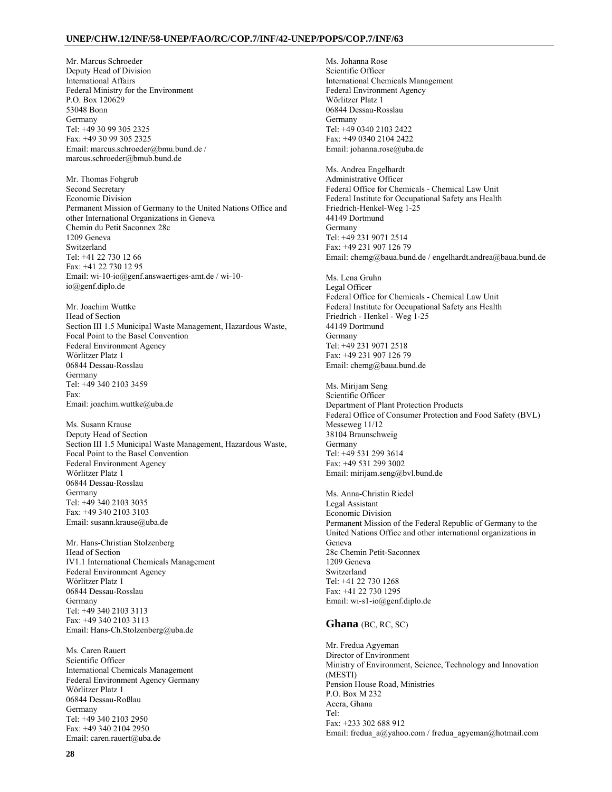Mr. Marcus Schroeder Deputy Head of Division International Affairs Federal Ministry for the Environment P.O. Box 120629 53048 Bonn Germany Tel: +49 30 99 305 2325 Fax: +49 30 99 305 2325 Email: marcus.schroeder@bmu.bund.de / marcus.schroeder@bmub.bund.de

Mr. Thomas Fohgrub Second Secretary Economic Division Permanent Mission of Germany to the United Nations Office and other International Organizations in Geneva Chemin du Petit Saconnex 28c 1209 Geneva Switzerland Tel: +41 22 730 12 66 Fax: +41 22 730 12 95 Email: wi-10-io@genf.answaertiges-amt.de / wi-10 io@genf.diplo.de

Mr. Joachim Wuttke Head of Section Section III 1.5 Municipal Waste Management, Hazardous Waste, Focal Point to the Basel Convention Federal Environment Agency Wörlitzer Platz 1 06844 Dessau-Rosslau Germany Tel: +49 340 2103 3459 Fax: Email: joachim.wuttke@uba.de

Ms. Susann Krause Deputy Head of Section Section III 1.5 Municipal Waste Management, Hazardous Waste, Focal Point to the Basel Convention Federal Environment Agency Wörlitzer Platz 1 06844 Dessau-Rosslau Germany Tel: +49 340 2103 3035 Fax: +49 340 2103 3103 Email: susann.krause@uba.de

Mr. Hans-Christian Stolzenberg Head of Section IV1.1 International Chemicals Management Federal Environment Agency Wörlitzer Platz 1 06844 Dessau-Rosslau Germany Tel: +49 340 2103 3113 Fax: +49 340 2103 3113 Email: Hans-Ch.Stolzenberg@uba.de

Ms. Caren Rauert Scientific Officer International Chemicals Management Federal Environment Agency Germany Wörlitzer Platz 1 06844 Dessau-Roßlau Germany Tel: +49 340 2103 2950 Fax: +49 340 2104 2950 Email: caren.rauert@uba.de

Ms. Johanna Rose Scientific Officer International Chemicals Management Federal Environment Agency Wörlitzer Platz 1 06844 Dessau-Rosslau Germany Tel: +49 0340 2103 2422 Fax: +49 0340 2104 2422 Email: johanna.rose@uba.de Ms. Andrea Engelhardt Administrative Officer Federal Office for Chemicals - Chemical Law Unit Federal Institute for Occupational Safety ans Health Friedrich-Henkel-Weg 1-25 44149 Dortmund Germany Tel: +49 231 9071 2514 Fax: +49 231 907 126 79 Email: chemg@baua.bund.de / engelhardt.andrea@baua.bund.de Ms. Lena Gruhn Legal Officer Federal Office for Chemicals - Chemical Law Unit Federal Institute for Occupational Safety ans Health Friedrich - Henkel - Weg 1-25 44149 Dortmund Germany Tel: +49 231 9071 2518 Fax: +49 231 907 126 79 Email: chemg@baua.bund.de Ms. Mirijam Seng Scientific Officer Department of Plant Protection Products Federal Office of Consumer Protection and Food Safety (BVL) Messeweg 11/12 38104 Braunschweig Germany Tel: +49 531 299 3614 Fax: +49 531 299 3002 Email: mirijam.seng@bvl.bund.de Ms. Anna-Christin Riedel Legal Assistant Economic Division Permanent Mission of the Federal Republic of Germany to the United Nations Office and other international organizations in Geneva 28c Chemin Petit-Saconnex 1209 Geneva Switzerland Tel: +41 22 730 1268 Fax: +41 22 730 1295 Email: wi-s1-io@genf.diplo.de

## **Ghana** (BC, RC, SC)

Mr. Fredua Agyeman Director of Environment Ministry of Environment, Science, Technology and Innovation (MESTI) Pension House Road, Ministries P.O. Box M 232 Accra, Ghana Tel: Fax: +233 302 688 912 Email: fredua\_a@yahoo.com / fredua\_agyeman@hotmail.com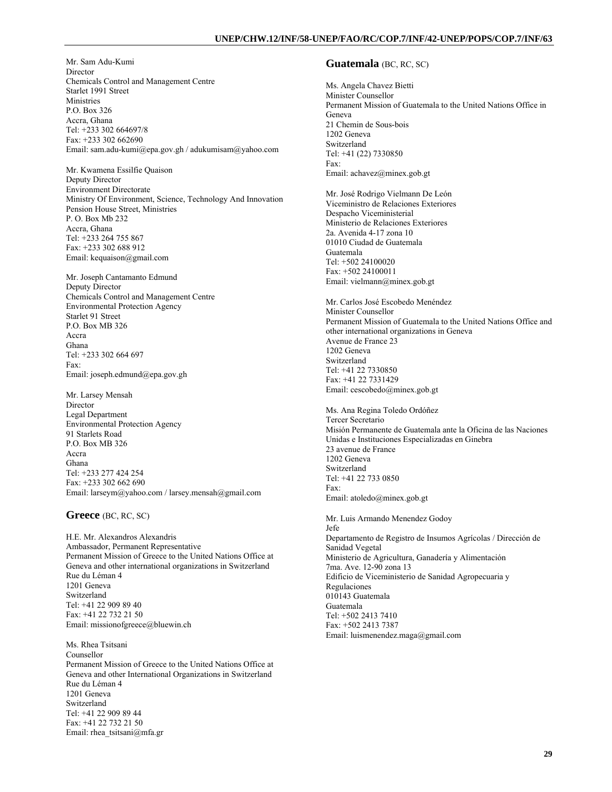Mr. Sam Adu-Kumi **Director** Chemicals Control and Management Centre Starlet 1991 Street Ministries P.O. Box 326 Accra, Ghana Tel: +233 302 664697/8 Fax: +233 302 662690 Email: sam.adu-kumi@epa.gov.gh / adukumisam@yahoo.com

Mr. Kwamena Essilfie Quaison Deputy Director Environment Directorate Ministry Of Environment, Science, Technology And Innovation Pension House Street, Ministries P. O. Box Mb 232 Accra, Ghana Tel: +233 264 755 867 Fax: +233 302 688 912 Email: kequaison@gmail.com

Mr. Joseph Cantamanto Edmund Deputy Director Chemicals Control and Management Centre Environmental Protection Agency Starlet 91 Street P.O. Box MB 326 Accra Ghana Tel: +233 302 664 697 Fax: Email: joseph.edmund@epa.gov.gh

Mr. Larsey Mensah **Director** Legal Department Environmental Protection Agency 91 Starlets Road P.O. Box MB 326 Accra Ghana Tel: +233 277 424 254 Fax: +233 302 662 690 Email: larseym@yahoo.com / larsey.mensah@gmail.com

#### **Greece** (BC, RC, SC)

H.E. Mr. Alexandros Alexandris Ambassador, Permanent Representative Permanent Mission of Greece to the United Nations Office at Geneva and other international organizations in Switzerland Rue du Léman 4 1201 Geneva Switzerland Tel: +41 22 909 89 40 Fax: +41 22 732 21 50 Email: missionofgreece@bluewin.ch

Ms. Rhea Tsitsani Counsellor Permanent Mission of Greece to the United Nations Office at Geneva and other International Organizations in Switzerland Rue du Léman 4 1201 Geneva Switzerland Tel: +41 22 909 89 44 Fax: +41 22 732 21 50 Email: rhea\_tsitsani@mfa.gr

## **Guatemala** (BC, RC, SC)

Ms. Angela Chavez Bietti Minister Counsellor Permanent Mission of Guatemala to the United Nations Office in Geneva 21 Chemin de Sous-bois 1202 Geneva Switzerland Tel: +41 (22) 7330850 Fax: Email: achavez@minex.gob.gt

Mr. José Rodrigo Vielmann De León Viceministro de Relaciones Exteriores Despacho Viceministerial Ministerio de Relaciones Exteriores 2a. Avenida 4-17 zona 10 01010 Ciudad de Guatemala Guatemala Tel: +502 24100020 Fax: +502 24100011 Email: vielmann@minex.gob.gt

Mr. Carlos José Escobedo Menéndez Minister Counsellor Permanent Mission of Guatemala to the United Nations Office and other international organizations in Geneva Avenue de France 23 1202 Geneva Switzerland Tel: +41 22 7330850 Fax: +41 22 7331429 Email: cescobedo@minex.gob.gt

Ms. Ana Regina Toledo Ordóñez Tercer Secretario Misión Permanente de Guatemala ante la Oficina de las Naciones Unidas e Instituciones Especializadas en Ginebra 23 avenue de France 1202 Geneva Switzerland Tel: +41 22 733 0850 Fax: Email: atoledo@minex.gob.gt

Mr. Luis Armando Menendez Godoy Jefe Departamento de Registro de Insumos Agrícolas / Dirección de Sanidad Vegetal Ministerio de Agricultura, Ganadería y Alimentación 7ma. Ave. 12-90 zona 13 Edificio de Viceministerio de Sanidad Agropecuaria y Regulaciones 010143 Guatemala Guatemala Tel: +502 2413 7410 Fax: +502 2413 7387 Email: luismenendez.maga@gmail.com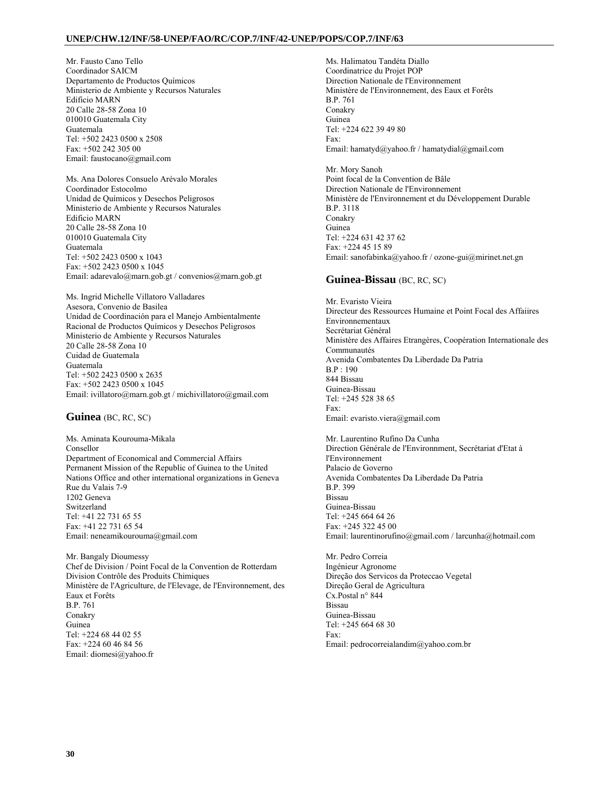Mr. Fausto Cano Tello Coordinador SAICM Departamento de Productos Químicos Ministerio de Ambiente y Recursos Naturales Edificio MARN 20 Calle 28-58 Zona 10 010010 Guatemala City Guatemala Tel: +502 2423 0500 x 2508 Fax: +502 242 305 00 Email: faustocano@gmail.com

Ms. Ana Dolores Consuelo Arévalo Morales Coordinador Estocolmo Unidad de Químicos y Desechos Peligrosos Ministerio de Ambiente y Recursos Naturales Edificio MARN 20 Calle 28-58 Zona 10 010010 Guatemala City Guatemala Tel: +502 2423 0500 x 1043 Fax: +502 2423 0500 x 1045 Email: adarevalo@marn.gob.gt / convenios@marn.gob.gt

Ms. Ingrid Michelle Villatoro Valladares Asesora, Convenio de Basilea Unidad de Coordinación para el Manejo Ambientalmente Racional de Productos Químicos y Desechos Peligrosos Ministerio de Ambiente y Recursos Naturales 20 Calle 28-58 Zona 10 Cuidad de Guatemala Guatemala Tel: +502 2423 0500 x 2635 Fax: +502 2423 0500 x 1045 Email: ivillatoro@marn.gob.gt / michivillatoro@gmail.com

**Guinea** (BC, RC, SC)

Ms. Aminata Kourouma-Mikala Consellor Department of Economical and Commercial Affairs Permanent Mission of the Republic of Guinea to the United Nations Office and other international organizations in Geneva Rue du Valais 7-9 1202 Geneva Switzerland Tel: +41 22 731 65 55 Fax: +41 22 731 65 54 Email: neneamikourouma@gmail.com

Mr. Bangaly Dioumessy Chef de Division / Point Focal de la Convention de Rotterdam Division Contrôle des Produits Chimiques Ministère de l'Agriculture, de l'Elevage, de l'Environnement, des Eaux et Forêts B.P. 761 Conakry Guinea Tel: +224 68 44 02 55 Fax: +224 60 46 84 56 Email: diomesi@yahoo.fr

Ms. Halimatou Tandéta Diallo Coordinatrice du Projet POP Direction Nationale de l'Environnement Ministère de l'Environnement, des Eaux et Forêts B.P. 761 Conakry Guinea Tel: +224 622 39 49 80 Fax: Email: hamatyd@yahoo.fr / hamatydial@gmail.com

Mr. Mory Sanoh Point focal de la Convention de Bâle Direction Nationale de l'Environnement Ministère de l'Environnement et du Développement Durable B.P. 3118 Conakry Guinea Tel: +224 631 42 37 62 Fax: +224 45 15 89 Email: sanofabinka@yahoo.fr / ozone-gui@mirinet.net.gn

## **Guinea-Bissau** (BC, RC, SC)

Mr. Evaristo Vieira Directeur des Ressources Humaine et Point Focal des Affaiires Environnementaux Secrétariat Général Ministère des Affaires Etrangères, Coopération Internationale des Communautés Avenida Combatentes Da Liberdade Da Patria B.P : 190 844 Bissau Guinea-Bissau Tel: +245 528 38 65 Fax: Email: evaristo.viera@gmail.com

Mr. Laurentino Rufino Da Cunha Direction Générale de l'Environnment, Secrétariat d'Etat à l'Environnement Palacio de Governo Avenida Combatentes Da Liberdade Da Patria B.P. 399 Bissau Guinea-Bissau Tel: +245 664 64 26 Fax: +245 322 45 00 Email: laurentinorufino@gmail.com / larcunha@hotmail.com

Mr. Pedro Correia Ingénieur Agronome Direção dos Servicos da Proteccao Vegetal Direção Geral de Agricultura Cx.Postal n° 844 Bissau Guinea-Bissau Tel: +245 664 68 30 Fax: Email: pedrocorreialandim@yahoo.com.br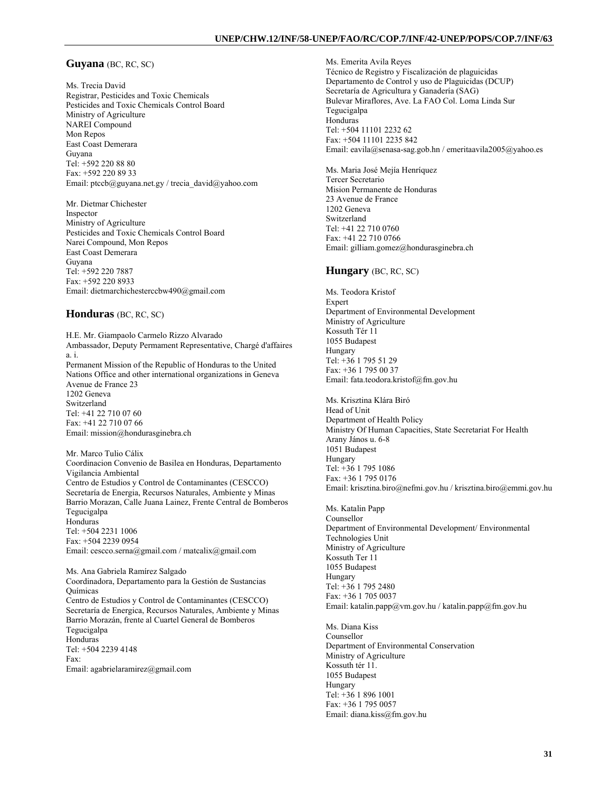## **Guyana** (BC, RC, SC)

Ms. Trecia David Registrar, Pesticides and Toxic Chemicals Pesticides and Toxic Chemicals Control Board Ministry of Agriculture NAREI Compound Mon Repos East Coast Demerara Guyana Tel: +592 220 88 80 Fax: +592 220 89 33 Email: ptccb@guyana.net.gy / trecia\_david@yahoo.com

Mr. Dietmar Chichester Inspector Ministry of Agriculture Pesticides and Toxic Chemicals Control Board Narei Compound, Mon Repos East Coast Demerara Guyana Tel: +592 220 7887 Fax: +592 220 8933 Email: dietmarchichesterccbw490@gmail.com

### **Honduras** (BC, RC, SC)

H.E. Mr. Giampaolo Carmelo Rizzo Alvarado Ambassador, Deputy Permament Representative, Chargé d'affaires a. i. Permanent Mission of the Republic of Honduras to the United Nations Office and other international organizations in Geneva Avenue de France 23 1202 Geneva Switzerland Tel: +41 22 710 07 60 Fax: +41 22 710 07 66 Email: mission@hondurasginebra.ch

Mr. Marco Tulio Cálix Coordinacion Convenio de Basilea en Honduras, Departamento Vigilancia Ambiental Centro de Estudios y Control de Contaminantes (CESCCO) Secretaría de Energia, Recursos Naturales, Ambiente y Minas Barrio Morazan, Calle Juana Lainez, Frente Central de Bomberos Tegucigalpa Honduras Tel: +504 2231 1006 Fax: +504 2239 0954 Email: cescco.serna@gmail.com / matcalix@gmail.com

Ms. Ana Gabriela Ramírez Salgado Coordinadora, Departamento para la Gestión de Sustancias Químicas Centro de Estudios y Control de Contaminantes (CESCCO) Secretaría de Energica, Recursos Naturales, Ambiente y Minas Barrio Morazán, frente al Cuartel General de Bomberos Tegucigalpa Honduras Tel: +504 2239 4148 Fax: Email: agabrielaramirez@gmail.com

Ms. Emerita Avila Reyes Técnico de Registro y Fiscalización de plaguicidas Departamento de Control y uso de Plaguicidas (DCUP) Secretaría de Agricultura y Ganadería (SAG) Bulevar Miraflores, Ave. La FAO Col. Loma Linda Sur Tegucigalpa Honduras Tel: +504 11101 2232 62 Fax: +504 11101 2235 842 Email: eavila@senasa-sag.gob.hn / emeritaavila2005@yahoo.es

Ms. Maria José Mejía Henríquez Tercer Secretario Mision Permanente de Honduras 23 Avenue de France 1202 Geneva Switzerland Tel: +41 22 710 0760 Fax: +41 22 710 0766 Email: gilliam.gomez@hondurasginebra.ch

## **Hungary** (BC, RC, SC)

Ms. Teodora Kristof **Expert** Department of Environmental Development Ministry of Agriculture Kossuth Tér 11 1055 Budapest Hungary Tel: +36 1 795 51 29 Fax: +36 1 795 00 37 Email: fata.teodora.kristof@fm.gov.hu

Ms. Krisztina Klára Biró Head of Unit Department of Health Policy Ministry Of Human Capacities, State Secretariat For Health Arany János u. 6-8 1051 Budapest Hungary Tel: +36 1 795 1086 Fax: +36 1 795 0176 Email: krisztina.biro@nefmi.gov.hu / krisztina.biro@emmi.gov.hu

Ms. Katalin Papp Counsellor Department of Environmental Development/ Environmental Technologies Unit Ministry of Agriculture Kossuth Ter 11 1055 Budapest Hungary Tel: +36 1 795 2480 Fax: +36 1 705 0037 Email: katalin.papp@vm.gov.hu / katalin.papp@fm.gov.hu

Ms. Diana Kiss Counsellor Department of Environmental Conservation Ministry of Agriculture Kossuth tér 11. 1055 Budapest Hungary Tel: +36 1 896 1001 Fax: +36 1 795 0057 Email: diana.kiss@fm.gov.hu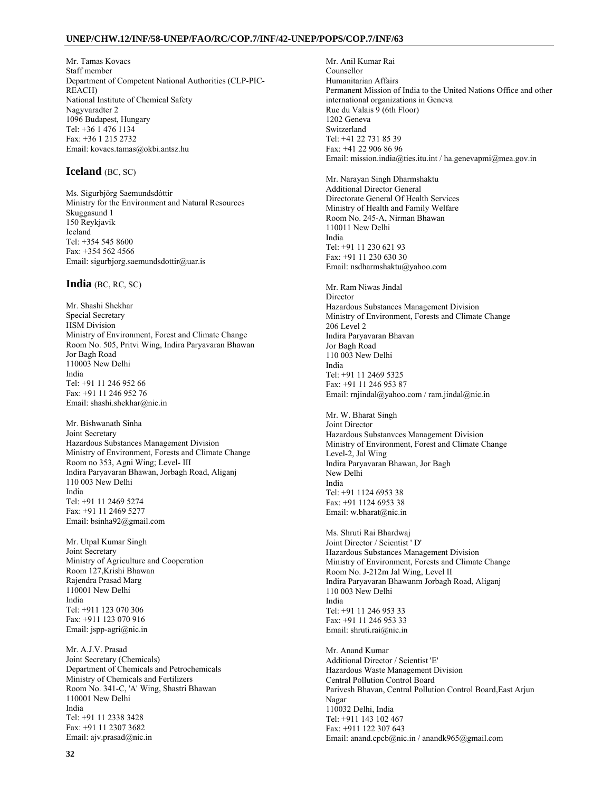Mr. Tamas Kovacs Staff member Department of Competent National Authorities (CLP-PIC-REACH) National Institute of Chemical Safety Nagyvaradter 2 1096 Budapest, Hungary Tel: +36 1 476 1134 Fax: +36 1 215 2732 Email: kovacs.tamas@okbi.antsz.hu

### **Iceland** (BC, SC)

Ms. Sigurbjörg Saemundsdóttir Ministry for the Environment and Natural Resources Skuggasund 1 150 Reykjavik Iceland Tel: +354 545 8600 Fax: +354 562 4566 Email: sigurbjorg.saemundsdottir@uar.is

### **India** (BC, RC, SC)

Mr. Shashi Shekhar Special Secretary HSM Division Ministry of Environment, Forest and Climate Change Room No. 505, Pritvi Wing, Indira Paryavaran Bhawan Jor Bagh Road 110003 New Delhi India Tel: +91 11 246 952 66 Fax: +91 11 246 952 76 Email: shashi.shekhar@nic.in

Mr. Bishwanath Sinha Joint Secretary Hazardous Substances Management Division Ministry of Environment, Forests and Climate Change Room no 353, Agni Wing; Level- III Indira Paryavaran Bhawan, Jorbagh Road, Aliganj 110 003 New Delhi India Tel: +91 11 2469 5274 Fax: +91 11 2469 5277 Email: bsinha92@gmail.com

Mr. Utpal Kumar Singh Joint Secretary Ministry of Agriculture and Cooperation Room 127,Krishi Bhawan Rajendra Prasad Marg 110001 New Delhi India Tel: +911 123 070 306 Fax: +911 123 070 916 Email: jspp-agri@nic.in

Mr. A.J.V. Prasad Joint Secretary (Chemicals) Department of Chemicals and Petrochemicals Ministry of Chemicals and Fertilizers Room No. 341-C, 'A' Wing, Shastri Bhawan 110001 New Delhi India Tel: +91 11 2338 3428 Fax: +91 11 2307 3682 Email: ajv.prasad@nic.in

Mr. Anil Kumar Rai Counsellor Humanitarian Affairs Permanent Mission of India to the United Nations Office and other international organizations in Geneva Rue du Valais 9 (6th Floor) 1202 Geneva Switzerland Tel: +41 22 731 85 39 Fax: +41 22 906 86 96 Email: mission.india@ties.itu.int / ha.genevapmi@mea.gov.in

Mr. Narayan Singh Dharmshaktu Additional Director General Directorate General Of Health Services Ministry of Health and Family Welfare Room No. 245-A, Nirman Bhawan 110011 New Delhi India Tel: +91 11 230 621 93 Fax: +91 11 230 630 30 Email: nsdharmshaktu@yahoo.com

Mr. Ram Niwas Jindal **Director** Hazardous Substances Management Division Ministry of Environment, Forests and Climate Change 206 Level 2 Indira Paryavaran Bhavan Jor Bagh Road 110 003 New Delhi India Tel: +91 11 2469 5325 Fax: +91 11 246 953 87 Email: rnjindal@yahoo.com / ram.jindal@nic.in

Mr. W. Bharat Singh Joint Director Hazardous Substanvces Management Division Ministry of Environment, Forest and Climate Change Level-2, Jal Wing Indira Paryavaran Bhawan, Jor Bagh New Delhi India Tel: +91 1124 6953 38 Fax: +91 1124 6953 38 Email: w.bharat@nic.in

Ms. Shruti Rai Bhardwaj Joint Director / Scientist ' D' Hazardous Substances Management Division Ministry of Environment, Forests and Climate Change Room No. J-212m Jal Wing, Level II Indira Paryavaran Bhawanm Jorbagh Road, Aliganj 110 003 New Delhi India Tel: +91 11 246 953 33 Fax: +91 11 246 953 33 Email: shruti.rai@nic.in

Mr. Anand Kumar Additional Director / Scientist 'E' Hazardous Waste Management Division Central Pollution Control Board Parivesh Bhavan, Central Pollution Control Board,East Arjun Nagar 110032 Delhi, India Tel: +911 143 102 467 Fax: +911 122 307 643 Email: anand.cpcb@nic.in / anandk965@gmail.com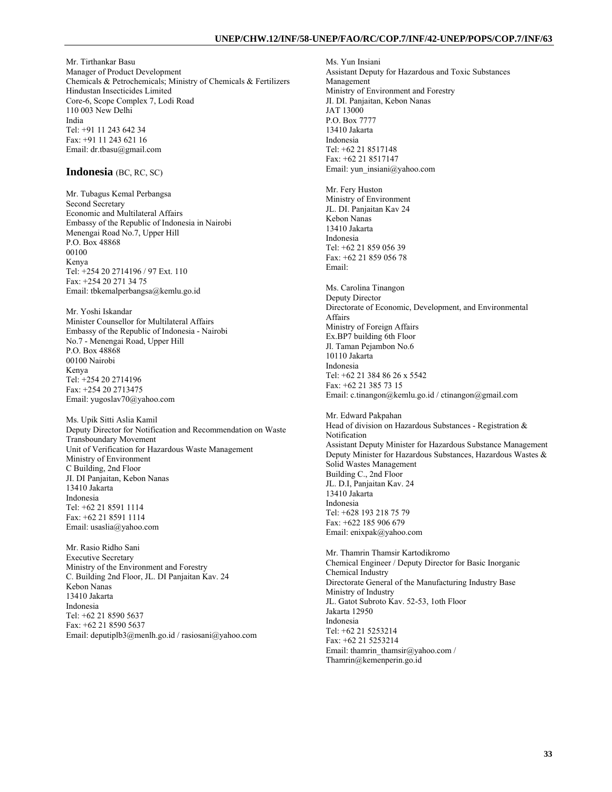Mr. Tirthankar Basu Manager of Product Development Chemicals & Petrochemicals; Ministry of Chemicals & Fertilizers Hindustan Insecticides Limited Core-6, Scope Complex 7, Lodi Road 110 003 New Delhi India Tel: +91 11 243 642 34 Fax: +91 11 243 621 16 Email: dr.tbasu@gmail.com

### **Indonesia** (BC, RC, SC)

Mr. Tubagus Kemal Perbangsa Second Secretary Economic and Multilateral Affairs Embassy of the Republic of Indonesia in Nairobi Menengai Road No.7, Upper Hill P.O. Box 48868 00100 Kenya Tel: +254 20 2714196 / 97 Ext. 110 Fax: +254 20 271 34 75 Email: tbkemalperbangsa@kemlu.go.id

Mr. Yoshi Iskandar Minister Counsellor for Multilateral Affairs Embassy of the Republic of Indonesia - Nairobi No.7 - Menengai Road, Upper Hill P.O. Box 48868 00100 Nairobi Kenya Tel: +254 20 2714196 Fax: +254 20 2713475 Email: yugoslav70@yahoo.com

Ms. Upik Sitti Aslia Kamil Deputy Director for Notification and Recommendation on Waste Transboundary Movement Unit of Verification for Hazardous Waste Management Ministry of Environment C Building, 2nd Floor JI. DI Panjaitan, Kebon Nanas 13410 Jakarta Indonesia Tel: +62 21 8591 1114 Fax: +62 21 8591 1114 Email: usaslia@yahoo.com

Mr. Rasio Ridho Sani Executive Secretary Ministry of the Environment and Forestry C. Building 2nd Floor, JL. DI Panjaitan Kav. 24 Kebon Nanas 13410 Jakarta Indonesia Tel: +62 21 8590 5637 Fax: +62 21 8590 5637 Email: deputiplb3@menlh.go.id / rasiosani@yahoo.com Ms. Yun Insiani Assistant Deputy for Hazardous and Toxic Substances Management Ministry of Environment and Forestry JI. DI. Panjaitan, Kebon Nanas JAT 13000 P.O. Box 7777 13410 Jakarta Indonesia Tel: +62 21 8517148 Fax: +62 21 8517147 Email: yun\_insiani@yahoo.com Mr. Fery Huston Ministry of Environment JL. DI. Panjaitan Kav 24 Kebon Nanas 13410 Jakarta Indonesia Tel: +62 21 859 056 39 Fax: +62 21 859 056 78 Email: Ms. Carolina Tinangon Deputy Director Directorate of Economic, Development, and Environmental Affairs Ministry of Foreign Affairs Ex.BP7 building 6th Floor Jl. Taman Pejambon No.6 10110 Jakarta Indonesia Tel: +62 21 384 86 26 x 5542 Fax: +62 21 385 73 15 Email: c.tinangon@kemlu.go.id / ctinangon@gmail.com Mr. Edward Pakpahan Head of division on Hazardous Substances - Registration & Notification Assistant Deputy Minister for Hazardous Substance Management Deputy Minister for Hazardous Substances, Hazardous Wastes & Solid Wastes Management Building C., 2nd Floor JL. D.I, Panjaitan Kav. 24 13410 Jakarta Indonesia Tel: +628 193 218 75 79 Fax: +622 185 906 679 Email: enixpak@yahoo.com Mr. Thamrin Thamsir Kartodikromo Chemical Engineer / Deputy Director for Basic Inorganic Chemical Industry Directorate General of the Manufacturing Industry Base Ministry of Industry

JL. Gatot Subroto Kav. 52-53, 1oth Floor Jakarta 12950 Indonesia Tel: +62 21 5253214 Fax: +62 21 5253214 Email: thamrin\_thamsir@yahoo.com / Thamrin@kemenperin.go.id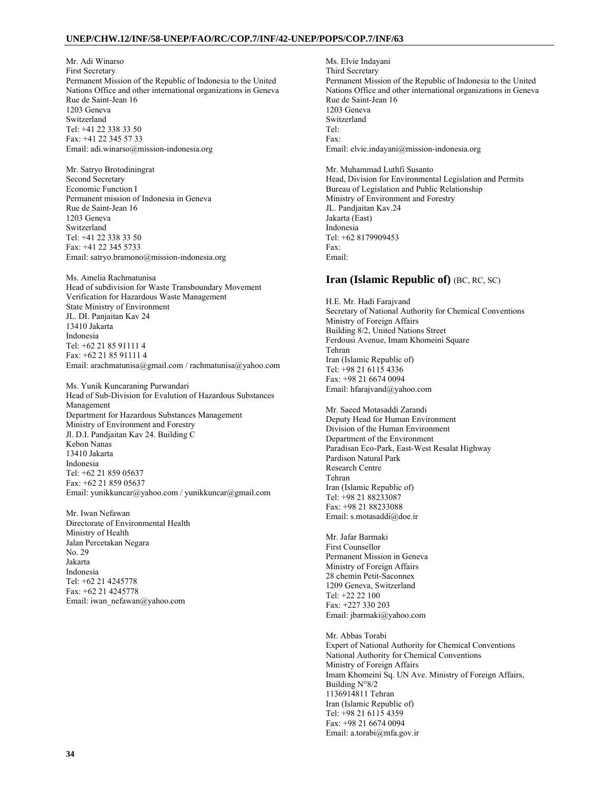Mr. Adi Winarso First Secretary Permanent Mission of the Republic of Indonesia to the United Nations Office and other international organizations in Geneva Rue de Saint-Jean 16 1203 Geneva Switzerland Tel: +41 22 338 33 50 Fax: +41 22 345 57 33 Email: adi.winarso@mission-indonesia.org

Mr. Satryo Brotodiningrat Second Secretary Economic Function I Permanent mission of Indonesia in Geneva Rue de Saint-Jean 16 1203 Geneva Switzerland Tel: +41 22 338 33 50 Fax: +41 22 345 5733 Email: satryo.bramono@mission-indonesia.org

Ms. Amelia Rachmatunisa Head of subdivision for Waste Transboundary Movement Verification for Hazardous Waste Management State Ministry of Environment JL. DI. Panjaitan Kav 24 13410 Jakarta Indonesia Tel: +62 21 85 91111 4 Fax: +62 21 85 91111 4 Email: arachmatunisa@gmail.com / rachmatunisa@yahoo.com

Ms. Yunik Kuncaraning Purwandari Head of Sub-Division for Evalution of Hazardous Substances Management Department for Hazardous Substances Management Ministry of Environment and Forestry Jl. D.I. Pandjaitan Kav 24. Building C Kebon Nanas 13410 Jakarta Indonesia Tel: +62 21 859 05637 Fax: +62 21 859 05637 Email: yunikkuncar@yahoo.com / yunikkuncar@gmail.com

Mr. Iwan Nefawan Directorate of Environmental Health Ministry of Health Jalan Percetakan Negara No. 29 Jakarta Indonesia Tel: +62 21 4245778 Fax: +62 21 4245778 Email: iwan\_nefawan@yahoo.com

Ms. Elvie Indayani Third Secretary Permanent Mission of the Republic of Indonesia to the United Nations Office and other international organizations in Geneva Rue de Saint-Jean 16 1203 Geneva Switzerland Tel: Fax: Email: elvie.indayani@mission-indonesia.org

Mr. Muhammad Luthfi Susanto Head, Division for Environmental Legislation and Permits Bureau of Legislation and Public Relationship Ministry of Environment and Forestry JL. Pandjaitan Kav.24 Jakarta (East) Indonesia Tel: +62 8179909453 Fax: Email:

## **Iran (Islamic Republic of)** (BC, RC, SC)

H.E. Mr. Hadi Farajvand Secretary of National Authority for Chemical Conventions Ministry of Foreign Affairs Building 8/2, United Nations Street Ferdousi Avenue, Imam Khomeini Square Tehran Iran (Islamic Republic of) Tel: +98 21 6115 4336 Fax: +98 21 6674 0094 Email: hfarajvand@yahoo.com

Mr. Saeed Motasaddi Zarandi Deputy Head for Human Environment Division of the Human Environment Department of the Environment Paradisan Eco-Park, East-West Resalat Highway Pardison Natural Park Research Centre Tehran Iran (Islamic Republic of) Tel: +98 21 88233087 Fax: +98 21 88233088 Email: s.motasaddi@doe.ir

Mr. Jafar Barmaki First Counsellor Permanent Mission in Geneva Ministry of Foreign Affairs 28 chemin Petit-Saconnex 1209 Geneva, Switzerland Tel: +22 22 100 Fax: +227 330 203 Email: jbarmaki@yahoo.com

Mr. Abbas Torabi Expert of National Authority for Chemical Conventions National Authority for Chemical Conventions Ministry of Foreign Affairs Imam Khomeini Sq. UN Ave. Ministry of Foreign Affairs, Building N°8/2 1136914811 Tehran Iran (Islamic Republic of) Tel: +98 21 6115 4359 Fax: +98 21 6674 0094 Email: a.torabi@mfa.gov.ir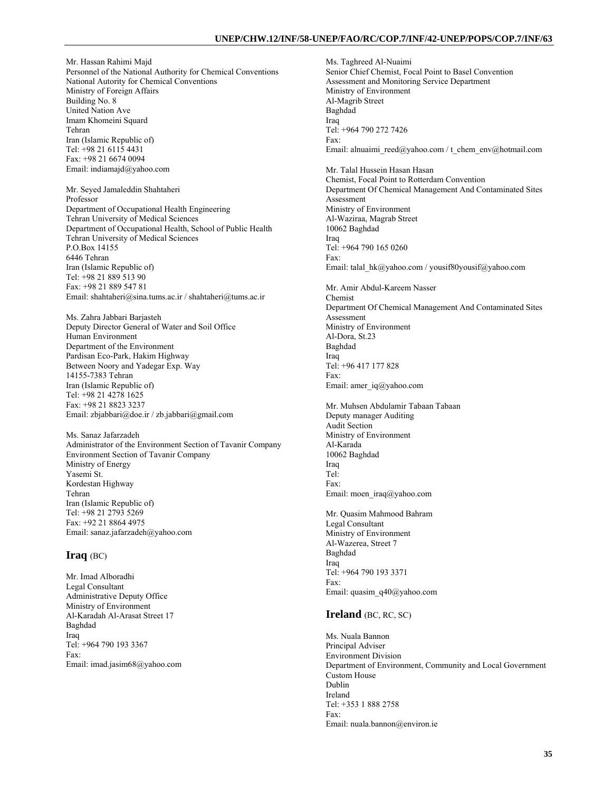Mr. Hassan Rahimi Majd Personnel of the National Authority for Chemical Conventions National Autority for Chemical Conventions Ministry of Foreign Affairs Building No. 8 United Nation Ave Imam Khomeini Squard Tehran Iran (Islamic Republic of) Tel: +98 21 6115 4431 Fax: +98 21 6674 0094 Email: indiamajd@yahoo.com

Mr. Seyed Jamaleddin Shahtaheri Professor Department of Occupational Health Engineering Tehran University of Medical Sciences Department of Occupational Health, School of Public Health Tehran University of Medical Sciences P.O.Box 14155 6446 Tehran Iran (Islamic Republic of) Tel: +98 21 889 513 90 Fax: +98 21 889 547 81 Email: shahtaheri@sina.tums.ac.ir / shahtaheri@tums.ac.ir

Ms. Zahra Jabbari Barjasteh Deputy Director General of Water and Soil Office Human Environment Department of the Environment Pardisan Eco-Park, Hakim Highway Between Noory and Yadegar Exp. Way 14155-7383 Tehran Iran (Islamic Republic of) Tel: +98 21 4278 1625 Fax: +98 21 8823 3237 Email: zbjabbari@doe.ir / zb.jabbari@gmail.com

Ms. Sanaz Jafarzadeh Administrator of the Environment Section of Tavanir Company Environment Section of Tavanir Company Ministry of Energy Yasemi St. Kordestan Highway Tehran Iran (Islamic Republic of) Tel: +98 21 2793 5269 Fax: +92 21 8864 4975 Email: sanaz.jafarzadeh@yahoo.com

## **Iraq** (BC)

Mr. Imad Alboradhi Legal Consultant Administrative Deputy Office Ministry of Environment Al-Karadah Al-Arasat Street 17 Baghdad Iraq Tel: +964 790 193 3367 Fax: Email: imad.jasim68@yahoo.com Ms. Taghreed Al-Nuaimi Senior Chief Chemist, Focal Point to Basel Convention Assessment and Monitoring Service Department Ministry of Environment Al-Magrib Street Baghdad Iraq Tel: +964 790 272 7426 Fax: Email: alnuaimi\_reed@yahoo.com / t\_chem\_env@hotmail.com Mr. Talal Hussein Hasan Hasan Chemist, Focal Point to Rotterdam Convention Department Of Chemical Management And Contaminated Sites Assessment Ministry of Environment Al-Waziraa, Magrab Street 10062 Baghdad Iraq Tel: +964 790 165 0260 Fax: Email: talal\_hk@yahoo.com / yousif80yousif@yahoo.com Mr. Amir Abdul-Kareem Nasser Chemist Department Of Chemical Management And Contaminated Sites Assessment Ministry of Environment Al-Dora, St.23 Baghdad Iraq Tel: +96 417 177 828 Fax: Email: amer\_iq@yahoo.com Mr. Muhsen Abdulamir Tabaan Tabaan Deputy manager Auditing Audit Section Ministry of Environment Al-Karada 10062 Baghdad Iraq Tel: Fax: Email: moen\_iraq@yahoo.com Mr. Quasim Mahmood Bahram Legal Consultant Ministry of Environment Al-Wazerea, Street 7 Baghdad Iraq Tel: +964 790 193 3371 Fax: Email: quasim\_q40@yahoo.com **Ireland** (BC, RC, SC) Ms. Nuala Bannon Principal Adviser Environment Division Department of Environment, Community and Local Government Custom House Dublin

Ireland Tel: +353 1 888 2758 Fax: Email: nuala.bannon@environ.ie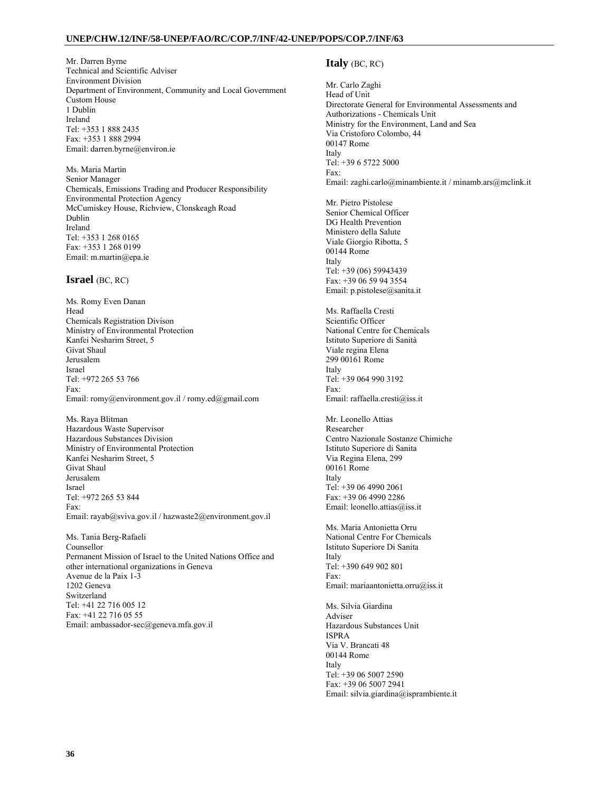Mr. Darren Byrne Technical and Scientific Adviser Environment Division Department of Environment, Community and Local Government Custom House 1 Dublin Ireland Tel: +353 1 888 2435 Fax: +353 1 888 2994 Email: darren.byrne@environ.ie

Ms. Maria Martin Senior Manager Chemicals, Emissions Trading and Producer Responsibility Environmental Protection Agency McCumiskey House, Richview, Clonskeagh Road Dublin Ireland Tel: +353 1 268 0165 Fax: +353 1 268 0199 Email: m.martin@epa.ie

## **Israel** (BC, RC)

Ms. Romy Even Danan Head Chemicals Registration Divison Ministry of Environmental Protection Kanfei Nesharim Street, 5 Givat Shaul Jerusalem Israel Tel: +972 265 53 766 Fax: Email: romy@environment.gov.il / romy.ed@gmail.com

Ms. Raya Blitman Hazardous Waste Supervisor Hazardous Substances Division Ministry of Environmental Protection Kanfei Nesharim Street, 5 Givat Shaul Jerusalem Israel Tel: +972 265 53 844 Fax: Email: rayab@sviva.gov.il / hazwaste2@environment.gov.il

Ms. Tania Berg-Rafaeli Counsellor Permanent Mission of Israel to the United Nations Office and other international organizations in Geneva Avenue de la Paix 1-3 1202 Geneva Switzerland Tel: +41 22 716 005 12 Fax: +41 22 716 05 55 Email: ambassador-sec@geneva.mfa.gov.il

## **Italy** (BC, RC)

Mr. Carlo Zaghi Head of Unit Directorate General for Environmental Assessments and Authorizations - Chemicals Unit Ministry for the Environment, Land and Sea Via Cristoforo Colombo, 44 00147 Rome Italy Tel: +39 6 5722 5000 Fax: Email: zaghi.carlo@minambiente.it / minamb.ars@mclink.it

Mr. Pietro Pistolese Senior Chemical Officer DG Health Prevention Ministero della Salute Viale Giorgio Ribotta, 5 00144 Rome Italy Tel: +39 (06) 59943439 Fax: +39 06 59 94 3554 Email: p.pistolese@sanita.it

Ms. Raffaella Cresti Scientific Officer National Centre for Chemicals Istituto Superiore di Sanità Viale regina Elena 299 00161 Rome Italy Tel: +39 064 990 3192 Fax: Email: raffaella.cresti@iss.it

Mr. Leonello Attias Researcher Centro Nazionale Sostanze Chimiche Istituto Superiore di Sanita Via Regina Elena, 299 00161 Rome Italy Tel: +39 06 4990 2061 Fax: +39 06 4990 2286 Email: leonello.attias@iss.it

Ms. Maria Antonietta Orru National Centre For Chemicals Istituto Superiore Di Sanita Italy Tel: +390 649 902 801 Fax: Email: mariaantonietta.orru@iss.it

Ms. Silvia Giardina Adviser Hazardous Substances Unit ISPRA Via V. Brancati 48 00144 Rome Italy Tel: +39 06 5007 2590 Fax: +39 06 5007 2941 Email: silvia.giardina@isprambiente.it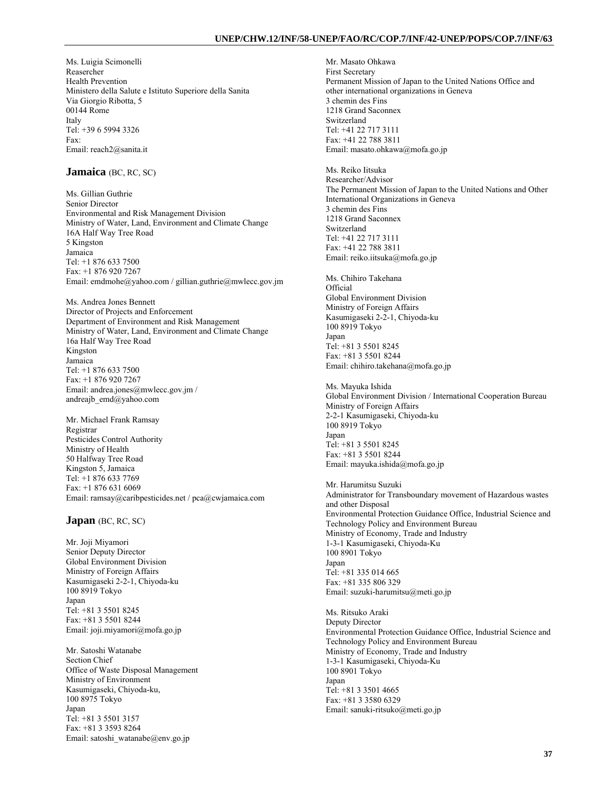Ms. Luigia Scimonelli Reasercher Health Prevention Ministero della Salute e Istituto Superiore della Sanita Via Giorgio Ribotta, 5 00144 Rome Italy Tel: +39 6 5994 3326 Fax: Email: reach2@sanita.it

### **Jamaica** (BC, RC, SC)

Ms. Gillian Guthrie Senior Director Environmental and Risk Management Division Ministry of Water, Land, Environment and Climate Change 16A Half Way Tree Road 5 Kingston Jamaica Tel: +1 876 633 7500 Fax: +1 876 920 7267 Email: emdmohe@yahoo.com / gillian.guthrie@mwlecc.gov.jm

Ms. Andrea Jones Bennett Director of Projects and Enforcement Department of Environment and Risk Management Ministry of Water, Land, Environment and Climate Change 16a Half Way Tree Road Kingston Jamaica Tel: +1 876 633 7500 Fax: +1 876 920 7267 Email: andrea.jones@mwlecc.gov.jm / andreajb\_emd@yahoo.com

Mr. Michael Frank Ramsay Registrar Pesticides Control Authority Ministry of Health 50 Halfway Tree Road Kingston 5, Jamaica Tel: +1 876 633 7769 Fax: +1 876 631 6069 Email: ramsay@caribpesticides.net / pca@cwjamaica.com

**Japan** (BC, RC, SC)

Mr. Joji Miyamori Senior Deputy Director Global Environment Division Ministry of Foreign Affairs Kasumigaseki 2-2-1, Chiyoda-ku 100 8919 Tokyo Japan Tel: +81 3 5501 8245 Fax: +81 3 5501 8244 Email: joji.miyamori@mofa.go.jp

Mr. Satoshi Watanabe Section Chief Office of Waste Disposal Management Ministry of Environment Kasumigaseki, Chiyoda-ku, 100 8975 Tokyo Japan Tel: +81 3 5501 3157 Fax: +81 3 3593 8264 Email: satoshi\_watanabe@env.go.jp

Mr. Masato Ohkawa First Secretary Permanent Mission of Japan to the United Nations Office and other international organizations in Geneva 3 chemin des Fins 1218 Grand Saconnex Switzerland Tel: +41 22 717 3111 Fax: +41 22 788 3811 Email: masato.ohkawa@mofa.go.jp

Ms. Reiko Iitsuka Researcher/Advisor The Permanent Mission of Japan to the United Nations and Other International Organizations in Geneva 3 chemin des Fins 1218 Grand Saconnex Switzerland Tel: +41 22 717 3111 Fax: +41 22 788 3811 Email: reiko.iitsuka@mofa.go.jp

Ms. Chihiro Takehana Official Global Environment Division Ministry of Foreign Affairs Kasumigaseki 2-2-1, Chiyoda-ku 100 8919 Tokyo Japan Tel: +81 3 5501 8245 Fax: +81 3 5501 8244 Email: chihiro.takehana@mofa.go.jp

Ms. Mayuka Ishida Global Environment Division / International Cooperation Bureau Ministry of Foreign Affairs 2-2-1 Kasumigaseki, Chiyoda-ku 100 8919 Tokyo Japan Tel: +81 3 5501 8245 Fax: +81 3 5501 8244 Email: mayuka.ishida@mofa.go.jp

Mr. Harumitsu Suzuki Administrator for Transboundary movement of Hazardous wastes and other Disposal Environmental Protection Guidance Office, Industrial Science and Technology Policy and Environment Bureau Ministry of Economy, Trade and Industry 1-3-1 Kasumigaseki, Chiyoda-Ku 100 8901 Tokyo Japan Tel: +81 335 014 665 Fax: +81 335 806 329 Email: suzuki-harumitsu@meti.go.jp

Ms. Ritsuko Araki Deputy Director Environmental Protection Guidance Office, Industrial Science and Technology Policy and Environment Bureau Ministry of Economy, Trade and Industry 1-3-1 Kasumigaseki, Chiyoda-Ku 100 8901 Tokyo Japan Tel: +81 3 3501 4665 Fax: +81 3 3580 6329 Email: sanuki-ritsuko@meti.go.jp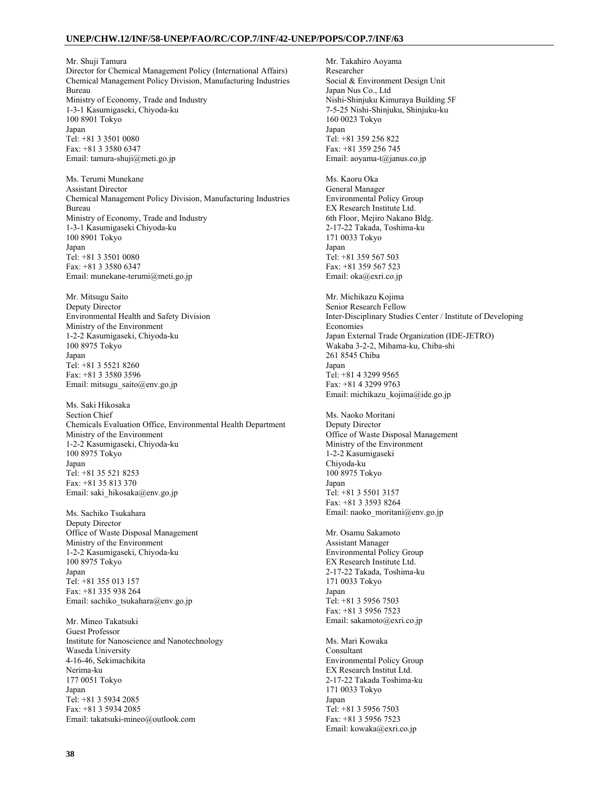Mr. Shuji Tamura Director for Chemical Management Policy (International Affairs) Chemical Management Policy Division, Manufacturing Industries Bureau Ministry of Economy, Trade and Industry 1-3-1 Kasumigaseki, Chiyoda-ku 100 8901 Tokyo Japan Tel: +81 3 3501 0080 Fax: +81 3 3580 6347 Email: tamura-shuji@meti.go.jp

Ms. Terumi Munekane Assistant Director Chemical Management Policy Division, Manufacturing Industries Bureau Ministry of Economy, Trade and Industry 1-3-1 Kasumigaseki Chiyoda-ku 100 8901 Tokyo Japan Tel: +81 3 3501 0080 Fax: +81 3 3580 6347 Email: munekane-terumi@meti.go.jp

Mr. Mitsugu Saito Deputy Director Environmental Health and Safety Division Ministry of the Environment 1-2-2 Kasumigaseki, Chiyoda-ku 100 8975 Tokyo Japan Tel: +81 3 5521 8260 Fax: +81 3 3580 3596 Email: mitsugu\_saito@env.go.jp

Ms. Saki Hikosaka Section Chief Chemicals Evaluation Office, Environmental Health Department Ministry of the Environment 1-2-2 Kasumigaseki, Chiyoda-ku 100 8975 Tokyo Japan Tel: +81 35 521 8253 Fax: +81 35 813 370 Email: saki\_hikosaka@env.go.jp

Ms. Sachiko Tsukahara Deputy Director Office of Waste Disposal Management Ministry of the Environment 1-2-2 Kasumigaseki, Chiyoda-ku 100 8975 Tokyo Japan Tel: +81 355 013 157 Fax: +81 335 938 264 Email: sachiko\_tsukahara@env.go.jp

Mr. Mineo Takatsuki Guest Professor Institute for Nanoscience and Nanotechnology Waseda University 4-16-46, Sekimachikita Nerima-ku 177 0051 Tokyo Japan Tel: +81 3 5934 2085 Fax: +81 3 5934 2085 Email: takatsuki-mineo@outlook.com

Mr. Takahiro Aoyama Researcher Social & Environment Design Unit Japan Nus Co., Ltd Nishi-Shinjuku Kimuraya Building 5F 7-5-25 Nishi-Shinjuku, Shinjuku-ku 160 0023 Tokyo Japan Tel: +81 359 256 822 Fax: +81 359 256 745 Email: aoyama-t@janus.co.jp Ms. Kaoru Oka General Manager Environmental Policy Group EX Research Institute Ltd. 6th Floor, Mejiro Nakano Bldg. 2-17-22 Takada, Toshima-ku 171 0033 Tokyo Japan Tel: +81 359 567 503 Fax: +81 359 567 523 Email: oka@exri.co.jp Mr. Michikazu Kojima Senior Research Fellow Inter-Disciplinary Studies Center / Institute of Developing Economies Japan External Trade Organization (IDE-JETRO) Wakaba 3-2-2, Mihama-ku, Chiba-shi 261 8545 Chiba Japan Tel: +81 4 3299 9565 Fax: +81 4 3299 9763 Email: michikazu\_kojima@ide.go.jp Ms. Naoko Moritani Deputy Director Office of Waste Disposal Management Ministry of the Environment 1-2-2 Kasumigaseki Chiyoda-ku 100 8975 Tokyo Japan Tel: +81 3 5501 3157 Fax: +81 3 3593 8264 Email: naoko\_moritani@env.go.jp Mr. Osamu Sakamoto Assistant Manager Environmental Policy Group EX Research Institute Ltd. 2-17-22 Takada, Toshima-ku 171 0033 Tokyo Japan Tel: +81 3 5956 7503 Fax: +81 3 5956 7523 Email: sakamoto@exri.co.jp Ms. Mari Kowaka Consultant Environmental Policy Group EX Research Institut Ltd. 2-17-22 Takada Toshima-ku 171 0033 Tokyo Japan Tel: +81 3 5956 7503 Fax: +81 3 5956 7523 Email: kowaka@exri.co.jp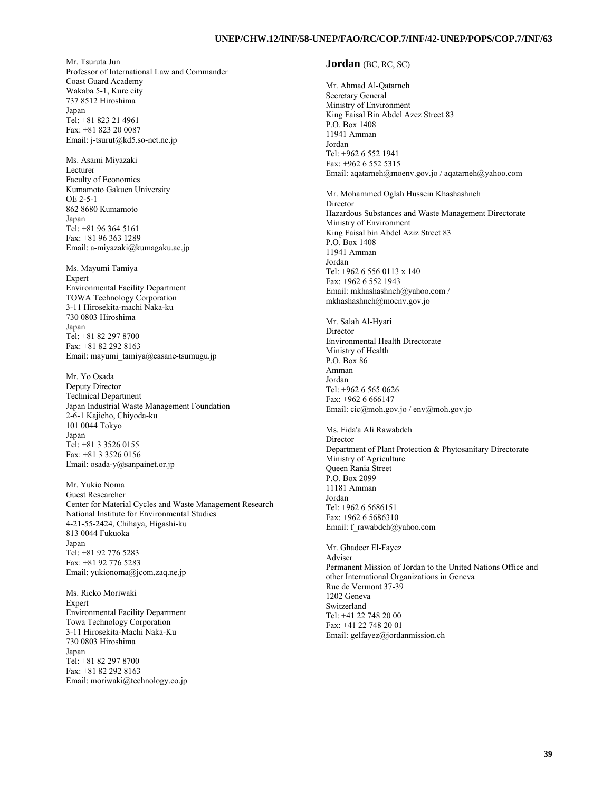Mr. Tsuruta Jun Professor of International Law and Commander Coast Guard Academy Wakaba 5-1, Kure city 737 8512 Hiroshima Japan Tel: +81 823 21 4961 Fax: +81 823 20 0087 Email: j-tsurut@kd5.so-net.ne.jp

Ms. Asami Miyazaki Lecturer Faculty of Economics Kumamoto Gakuen University OE 2-5-1 862 8680 Kumamoto Japan Tel: +81 96 364 5161 Fax: +81 96 363 1289 Email: a-miyazaki@kumagaku.ac.jp

Ms. Mayumi Tamiya Expert Environmental Facility Department TOWA Technology Corporation 3-11 Hirosekita-machi Naka-ku 730 0803 Hiroshima Japan Tel: +81 82 297 8700 Fax: +81 82 292 8163 Email: mayumi\_tamiya@casane-tsumugu.jp

Mr. Yo Osada Deputy Director Technical Department Japan Industrial Waste Management Foundation 2-6-1 Kajicho, Chiyoda-ku 101 0044 Tokyo Japan Tel: +81 3 3526 0155 Fax: +81 3 3526 0156 Email: osada-y@sanpainet.or.jp

Mr. Yukio Noma Guest Researcher Center for Material Cycles and Waste Management Research National Institute for Environmental Studies 4-21-55-2424, Chihaya, Higashi-ku 813 0044 Fukuoka Japan Tel: +81 92 776 5283 Fax: +81 92 776 5283 Email: yukionoma@jcom.zaq.ne.jp

Ms. Rieko Moriwaki **Expert** Environmental Facility Department Towa Technology Corporation 3-11 Hirosekita-Machi Naka-Ku 730 0803 Hiroshima Japan Tel: +81 82 297 8700 Fax: +81 82 292 8163 Email: moriwaki@technology.co.jp

### **Jordan** (BC, RC, SC)

Mr. Ahmad Al-Qatarneh Secretary General Ministry of Environment King Faisal Bin Abdel Azez Street 83 P.O. Box 1408 11941 Amman Jordan Tel: +962 6 552 1941 Fax: +962 6 552 5315 Email: aqatarneh@moenv.gov.jo / aqatarneh@yahoo.com

Mr. Mohammed Oglah Hussein Khashashneh Director Hazardous Substances and Waste Management Directorate Ministry of Environment King Faisal bin Abdel Aziz Street 83 P.O. Box 1408 11941 Amman Jordan Tel: +962 6 556 0113 x 140 Fax: +962 6 552 1943 Email: mkhashashneh@yahoo.com / mkhashashneh@moenv.gov.jo

Mr. Salah Al-Hyari Director Environmental Health Directorate Ministry of Health P.O. Box 86 Amman Jordan Tel: +962 6 565 0626 Fax: +962 6 666147 Email: cic@moh.gov.jo / env@moh.gov.jo

Ms. Fida'a Ali Rawabdeh Director Department of Plant Protection & Phytosanitary Directorate Ministry of Agriculture Queen Rania Street P.O. Box 2099 11181 Amman Jordan Tel: +962 6 5686151 Fax: +962 6 5686310 Email: f\_rawabdeh@yahoo.com

Mr. Ghadeer El-Fayez Adviser Permanent Mission of Jordan to the United Nations Office and other International Organizations in Geneva Rue de Vermont 37-39 1202 Geneva Switzerland Tel: +41 22 748 20 00 Fax: +41 22 748 20 01 Email: gelfayez@jordanmission.ch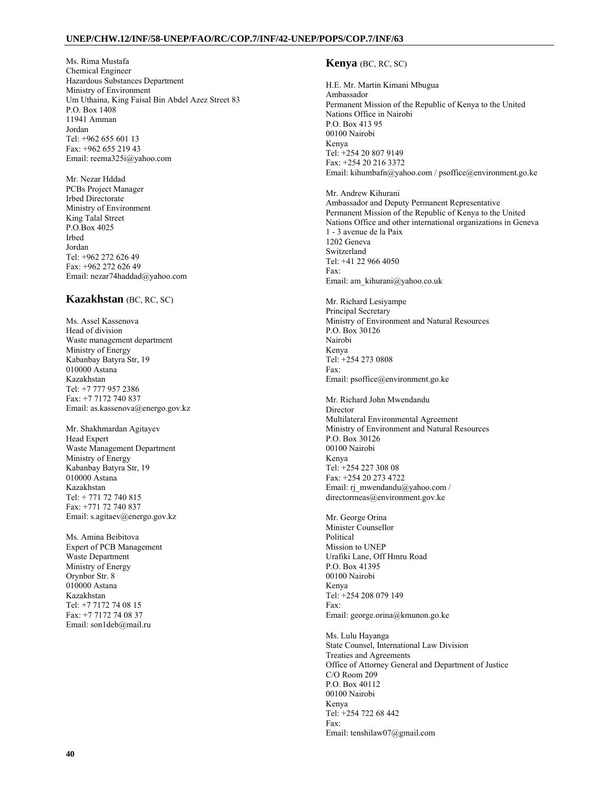Ms. Rima Mustafa Chemical Engineer Hazardous Substances Department Ministry of Environment Um Uthaina, King Faisal Bin Abdel Azez Street 83 P.O. Box 1408 11941 Amman Jordan Tel: +962 655 601 13 Fax: +962 655 219 43 Email: reema325i@yahoo.com

Mr. Nezar Hddad PCBs Project Manager Irbed Directorate Ministry of Environment King Talal Street P.O.Box 4025 Irbed Jordan Tel: +962 272 626 49 Fax: +962 272 626 49 Email: nezar74haddad@yahoo.com

# **Kazakhstan** (BC, RC, SC)

Ms. Assel Kassenova Head of division Waste management department Ministry of Energy Kabanbay Batyra Str, 19 010000 Astana Kazakhstan Tel: +7 777 957 2386 Fax: +7 7172 740 837 Email: as.kassenova@energo.gov.kz

Mr. Shakhmardan Agitayev Head Expert Waste Management Department Ministry of Energy Kabanbay Batyra Str, 19 010000 Astana Kazakhstan Tel: + 771 72 740 815 Fax: +771 72 740 837 Email: s.agitaev@energo.gov.kz

Ms. Amina Beibitova Expert of PCB Management Waste Department Ministry of Energy Orynbor Str. 8 010000 Astana Kazakhstan Tel: +7 7172 74 08 15 Fax: +7 7172 74 08 37 Email: son1deb@mail.ru

## **Kenya** (BC, RC, SC)

H.E. Mr. Martin Kimani Mbugua Ambassador Permanent Mission of the Republic of Kenya to the United Nations Office in Nairobi P.O. Box 413 95 00100 Nairobi Kenya Tel: +254 20 807 9149 Fax: +254 20 216 3372 Email: kihumbafn@yahoo.com / psoffice@environment.go.ke

Mr. Andrew Kihurani Ambassador and Deputy Permanent Representative Permanent Mission of the Republic of Kenya to the United Nations Office and other international organizations in Geneva 1 - 3 avenue de la Paix 1202 Geneva Switzerland Tel: +41 22 966 4050 Fax: Email: am\_kihurani@yahoo.co.uk

Mr. Richard Lesiyampe Principal Secretary Ministry of Environment and Natural Resources P.O. Box 30126 Nairobi Kenya Tel: +254 273 0808 Fax: Email: psoffice@environment.go.ke

Mr. Richard John Mwendandu Director Multilateral Environmental Agreement Ministry of Environment and Natural Resources P.O. Box 30126 00100 Nairobi Kenya Tel: +254 227 308 08 Fax: +254 20 273 4722 Email: rj\_mwendandu@yahoo.com / directormeas@environment.gov.ke

Mr. George Orina Minister Counsellor Political Mission to UNEP Urafiki Lane, Off Hmru Road P.O. Box 41395 00100 Nairobi Kenya Tel: +254 208 079 149 Fax: Email: george.orina@kmunon.go.ke

Ms. Lulu Hayanga State Counsel, International Law Division Treaties and Agreements Office of Attorney General and Department of Justice C/O Room 209 P.O. Box 40112 00100 Nairobi Kenya Tel: +254 722 68 442 Fax: Email: tenshilaw07@gmail.com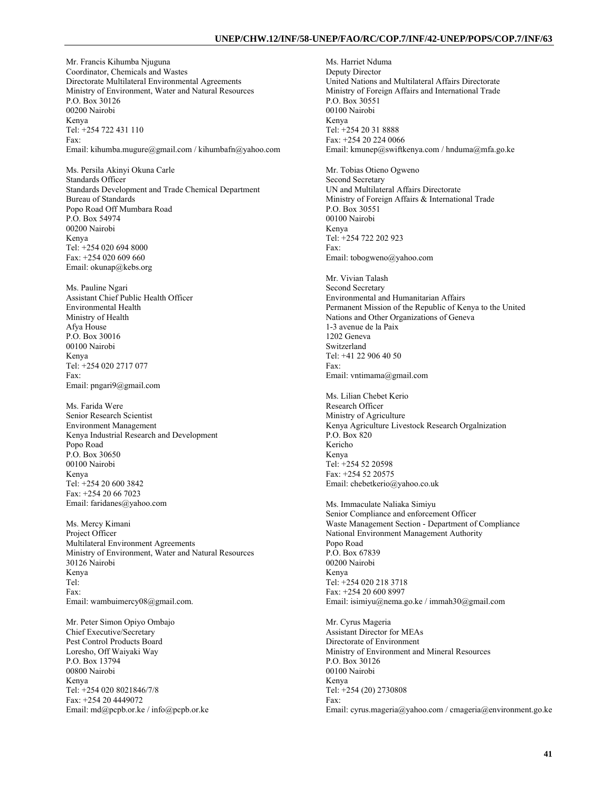Mr. Francis Kihumba Njuguna Coordinator, Chemicals and Wastes Directorate Multilateral Environmental Agreements Ministry of Environment, Water and Natural Resources P.O. Box 30126 00200 Nairobi Kenya Tel: +254 722 431 110 Fax: Email: kihumba.mugure@gmail.com / kihumbafn@yahoo.com Ms. Persila Akinyi Okuna Carle Standards Officer Standards Development and Trade Chemical Department Bureau of Standards Popo Road Off Mumbara Road P.O. Box 54974 00200 Nairobi Kenya Tel: +254 020 694 8000 Fax: +254 020 609 660 Email: okunap@kebs.org Ms. Pauline Ngari Assistant Chief Public Health Officer Environmental Health Ministry of Health Afya House P.O. Box 30016 00100 Nairobi Kenya Tel: +254 020 2717 077 Fax: Email: pngari9@gmail.com Ms. Farida Were Senior Research Scientist Environment Management Kenya Industrial Research and Development Popo Road P.O. Box 30650 00100 Nairobi Kenya Tel: +254 20 600 3842 Fax: +254 20 66 7023 Email: faridanes@yahoo.com Ms. Mercy Kimani Project Officer Multilateral Environment Agreements Ministry of Environment, Water and Natural Resources 30126 Nairobi Kenya Tel: Fax: Email: wambuimercy08@gmail.com. Mr. Peter Simon Opiyo Ombajo Chief Executive/Secretary Pest Control Products Board Loresho, Off Waiyaki Way P.O. Box 13794 00800 Nairobi Kenya

Tel: +254 020 8021846/7/8 Fax: +254 20 4449072

Email: md@pcpb.or.ke / info@pcpb.or.ke

Ms. Harriet Nduma Deputy Director United Nations and Multilateral Affairs Directorate Ministry of Foreign Affairs and International Trade P.O. Box 30551 00100 Nairobi Kenya Tel: +254 20 31 8888 Fax: +254 20 224 0066 Email: kmunep@swiftkenya.com / hnduma@mfa.go.ke Mr. Tobias Otieno Ogweno Second Secretary UN and Multilateral Affairs Directorate Ministry of Foreign Affairs & International Trade P.O. Box 30551 00100 Nairobi Kenya Tel: +254 722 202 923 Fax: Email: tobogweno@yahoo.com Mr. Vivian Talash Second Secretary Environmental and Humanitarian Affairs Permanent Mission of the Republic of Kenya to the United Nations and Other Organizations of Geneva 1-3 avenue de la Paix 1202 Geneva Switzerland Tel: +41 22 906 40 50 Fax: Email: vntimama@gmail.com Ms. Lilian Chebet Kerio Research Officer Ministry of Agriculture Kenya Agriculture Livestock Research Orgalnization P.O. Box 820 Kericho Kenya Tel: +254 52 20598 Fax: +254 52 20575 Email: chebetkerio@yahoo.co.uk Ms. Immaculate Naliaka Simiyu Senior Compliance and enforcement Officer Waste Management Section - Department of Compliance National Environment Management Authority Popo Road P.O. Box 67839 00200 Nairobi Kenya Tel: +254 020 218 3718 Fax: +254 20 600 8997 Email: isimiyu@nema.go.ke / immah30@gmail.com Mr. Cyrus Mageria Assistant Director for MEAs Directorate of Environment Ministry of Environment and Mineral Resources P.O. Box 30126 00100 Nairobi Kenya Tel: +254 (20) 2730808 Fax: Email: cyrus.mageria@yahoo.com / cmageria@environment.go.ke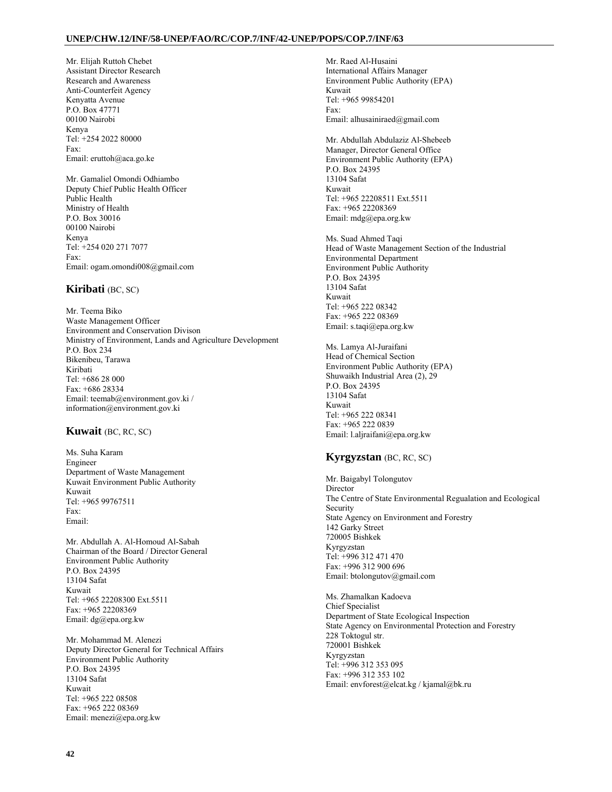Mr. Elijah Ruttoh Chebet Assistant Director Research Research and Awareness Anti-Counterfeit Agency Kenyatta Avenue P.O. Box 47771 00100 Nairobi Kenya Tel: +254 2022 80000 Fax: Email: eruttoh@aca.go.ke

Mr. Gamaliel Omondi Odhiambo Deputy Chief Public Health Officer Public Health Ministry of Health P.O. Box 30016 00100 Nairobi Kenya Tel: +254 020 271 7077 Fax: Email: ogam.omondi008@gmail.com

# **Kiribati** (BC, SC)

Mr. Teema Biko Waste Management Officer Environment and Conservation Divison Ministry of Environment, Lands and Agriculture Development P.O. Box 234 Bikenibeu, Tarawa Kiribati Tel: +686 28 000 Fax: +686 28334 Email: teemab@environment.gov.ki / information@environment.gov.ki

# **Kuwait** (BC, RC, SC)

Ms. Suha Karam Engineer Department of Waste Management Kuwait Environment Public Authority Kuwait Tel: +965 99767511 Fax: Email:

Mr. Abdullah A. Al-Homoud Al-Sabah Chairman of the Board / Director General Environment Public Authority P.O. Box 24395 13104 Safat Kuwait Tel: +965 22208300 Ext.5511 Fax: +965 22208369 Email: dg@epa.org.kw

Mr. Mohammad M. Alenezi Deputy Director General for Technical Affairs Environment Public Authority P.O. Box 24395 13104 Safat Kuwait Tel: +965 222 08508 Fax: +965 222 08369 Email: menezi@epa.org.kw

Mr. Raed Al-Husaini International Affairs Manager Environment Public Authority (EPA) Kuwait Tel: +965 99854201 Fax: Email: alhusainiraed@gmail.com

Mr. Abdullah Abdulaziz Al-Shebeeb Manager, Director General Office Environment Public Authority (EPA) P.O. Box 24395 13104 Safat Kuwait Tel: +965 22208511 Ext.5511 Fax: +965 22208369 Email: mdg@epa.org.kw

Ms. Suad Ahmed Taqi Head of Waste Management Section of the Industrial Environmental Department Environment Public Authority P.O. Box 24395 13104 Safat Kuwait Tel: +965 222 08342 Fax: +965 222 08369 Email: s.taqi@epa.org.kw

Ms. Lamya Al-Juraifani Head of Chemical Section Environment Public Authority (EPA) Shuwaikh Industrial Area (2), 29 P.O. Box 24395 13104 Safat Kuwait Tel: +965 222 08341 Fax: +965 222 0839 Email: l.aljraifani@epa.org.kw

# **Kyrgyzstan** (BC, RC, SC)

Mr. Baigabyl Tolongutov Director The Centre of State Environmental Regualation and Ecological Security State Agency on Environment and Forestry 142 Garky Street 720005 Bishkek Kyrgyzstan Tel: +996 312 471 470 Fax: +996 312 900 696 Email: btolongutov@gmail.com

Ms. Zhamalkan Kadoeva Chief Specialist Department of State Ecological Inspection State Agency on Environmental Protection and Forestry 228 Toktogul str. 720001 Bishkek Kyrgyzstan Tel: +996 312 353 095 Fax: +996 312 353 102 Email: envforest@elcat.kg / kjamal@bk.ru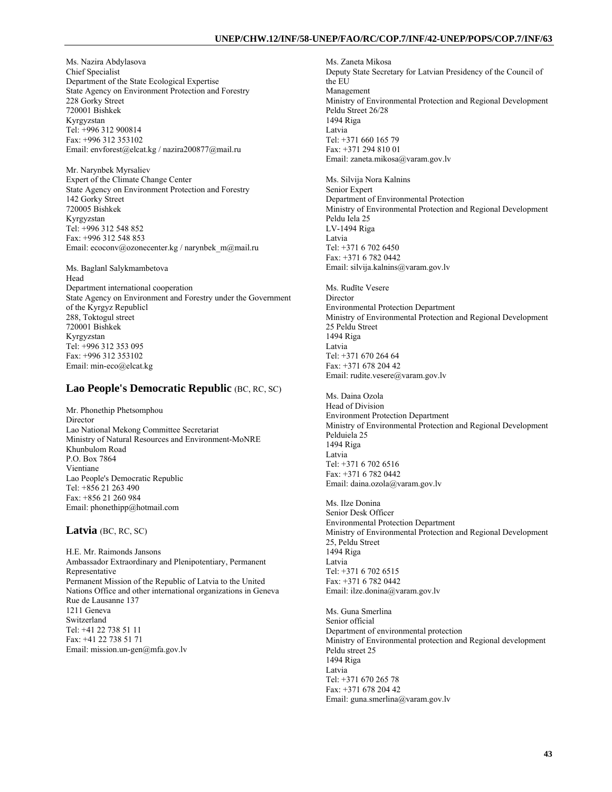Ms. Nazira Abdylasova Chief Specialist Department of the State Ecological Expertise State Agency on Environment Protection and Forestry 228 Gorky Street 720001 Bishkek Kyrgyzstan Tel: +996 312 900814 Fax: +996 312 353102 Email: envforest@elcat.kg / nazira200877@mail.ru

Mr. Narynbek Myrsaliev Expert of the Climate Change Center State Agency on Environment Protection and Forestry 142 Gorky Street 720005 Bishkek Kyrgyzstan Tel: +996 312 548 852 Fax: +996 312 548 853 Email: ecoconv@ozonecenter.kg / narynbek\_m@mail.ru

Ms. Baglanl Salykmambetova Head Department international cooperation State Agency on Environment and Forestry under the Government of the Kyrgyz Republicl 288, Toktogul street 720001 Bishkek Kyrgyzstan Tel: +996 312 353 095 Fax: +996 312 353102 Email: min-eco@elcat.kg

# **Lao People's Democratic Republic** (BC, RC, SC)

Mr. Phonethip Phetsomphou Director Lao National Mekong Committee Secretariat Ministry of Natural Resources and Environment-MoNRE Khunbulom Road P.O. Box 7864 Vientiane Lao People's Democratic Republic Tel: +856 21 263 490 Fax: +856 21 260 984 Email: phonethipp@hotmail.com

# **Latvia** (BC, RC, SC)

H.E. Mr. Raimonds Jansons Ambassador Extraordinary and Plenipotentiary, Permanent Representative Permanent Mission of the Republic of Latvia to the United Nations Office and other international organizations in Geneva Rue de Lausanne 137 1211 Geneva Switzerland Tel: +41 22 738 51 11 Fax: +41 22 738 51 71 Email: mission.un-gen@mfa.gov.lv

Ms. Zaneta Mikosa Deputy State Secretary for Latvian Presidency of the Council of the EU Management Ministry of Environmental Protection and Regional Development Peldu Street 26/28 1494 Riga Latvia Tel: +371 660 165 79 Fax: +371 294 810 01 Email: zaneta.mikosa@varam.gov.lv

Ms. Silvija Nora Kalnins Senior Expert Department of Environmental Protection Ministry of Environmental Protection and Regional Development Peldu Iela 25 LV-1494 Riga Latvia Tel: +371 6 702 6450 Fax: +371 6 782 0442 Email: silvija.kalnins@varam.gov.lv

Ms. Rudīte Vesere **Director** Environmental Protection Department Ministry of Environmental Protection and Regional Development 25 Peldu Street 1494 Riga Latvia Tel: +371 670 264 64 Fax: +371 678 204 42 Email: rudite.vesere@varam.gov.lv

Ms. Daina Ozola Head of Division Environment Protection Department Ministry of Environmental Protection and Regional Development Pelduiela 25 1494 Riga Latvia Tel: +371 6 702 6516 Fax: +371 6 782 0442 Email: daina.ozola@varam.gov.lv

Ms. Ilze Donina Senior Desk Officer Environmental Protection Department Ministry of Environmental Protection and Regional Development 25, Peldu Street 1494 Riga Latvia Tel: +371 6 702 6515 Fax: +371 6 782 0442 Email: ilze.donina@varam.gov.lv

Ms. Guna Smerlina Senior official Department of environmental protection Ministry of Environmental protection and Regional development Peldu street 25 1494 Riga Latvia Tel: +371 670 265 78 Fax: +371 678 204 42 Email: guna.smerlina@varam.gov.lv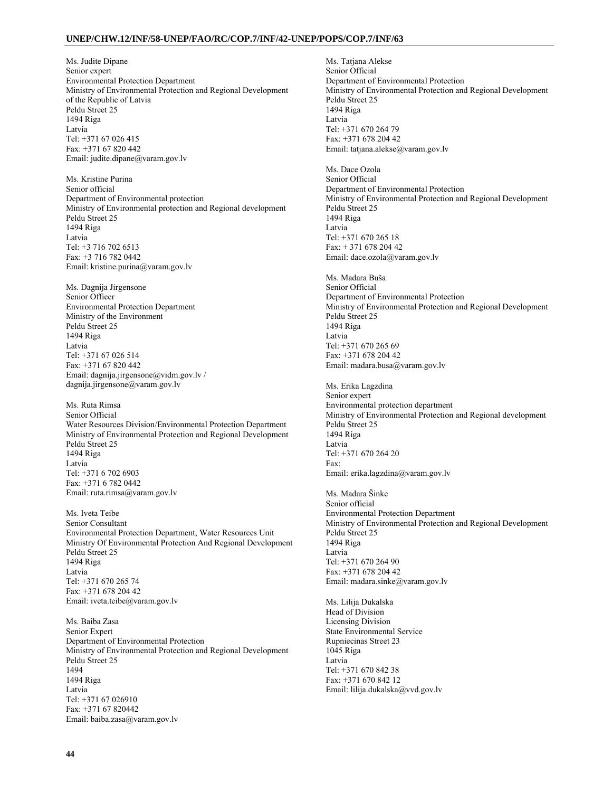Ms. Judite Dipane Senior expert Environmental Protection Department Ministry of Environmental Protection and Regional Development of the Republic of Latvia Peldu Street 25 1494 Riga Latvia Tel: +371 67 026 415 Fax: +371 67 820 442 Email: judite.dipane@varam.gov.lv

Ms. Kristine Purina Senior official Department of Environmental protection Ministry of Environmental protection and Regional development Peldu Street 25 1494 Riga Latvia Tel: +3 716 702 6513 Fax: +3 716 782 0442 Email: kristine.purina@varam.gov.lv

Ms. Dagnija Jirgensone Senior Officer Environmental Protection Department Ministry of the Environment Peldu Street 25 1494 Riga Latvia Tel: +371 67 026 514 Fax: +371 67 820 442 Email: dagnija.jirgensone@vidm.gov.lv / dagnija.jirgensone@varam.gov.lv

Ms. Ruta Rimsa Senior Official Water Resources Division/Environmental Protection Department Ministry of Environmental Protection and Regional Development Peldu Street 25 1494 Riga Latvia Tel: +371 6 702 6903 Fax: +371 6 782 0442 Email: ruta.rimsa@varam.gov.lv

Ms. Iveta Teibe Senior Consultant Environmental Protection Department, Water Resources Unit Ministry Of Environmental Protection And Regional Development Peldu Street 25 1494 Riga Latvia Tel: +371 670 265 74 Fax: +371 678 204 42 Email: iveta.teibe@varam.gov.lv

Ms. Baiba Zasa Senior Expert Department of Environmental Protection Ministry of Environmental Protection and Regional Development Peldu Street 25 1494 1494 Riga Latvia Tel: +371 67 026910 Fax: +371 67 820442 Email: baiba.zasa@varam.gov.lv

Ms. Tatjana Alekse Senior Official Department of Environmental Protection Ministry of Environmental Protection and Regional Development Peldu Street 25 1494 Riga Latvia Tel: +371 670 264 79 Fax: +371 678 204 42 Email: tatjana.alekse@varam.gov.lv

Ms. Dace Ozola Senior Official Department of Environmental Protection Ministry of Environmental Protection and Regional Development Peldu Street 25 1494 Riga Latvia Tel: +371 670 265 18 Fax: + 371 678 204 42 Email: dace.ozola@varam.gov.lv

Ms. Madara Buša Senior Official Department of Environmental Protection Ministry of Environmental Protection and Regional Development Peldu Street 25 1494 Riga Latvia Tel: +371 670 265 69 Fax: +371 678 204 42 Email: madara.busa@varam.gov.lv

Ms. Erika Lagzdina Senior expert Environmental protection department Ministry of Environmental Protection and Regional development Peldu Street 25 1494 Riga Latvia Tel: +371 670 264 20 Fax: Email: erika.lagzdina@varam.gov.lv

Ms. Madara Šinke Senior official Environmental Protection Department Ministry of Environmental Protection and Regional Development Peldu Street 25 1494 Riga Latvia Tel: +371 670 264 90 Fax: +371 678 204 42 Email: madara.sinke@varam.gov.lv

Ms. Lilija Dukalska Head of Division Licensing Division State Environmental Service Rupniecinas Street 23 1045 Riga Latvia Tel: +371 670 842 38 Fax: +371 670 842 12 Email: lilija.dukalska@vvd.gov.lv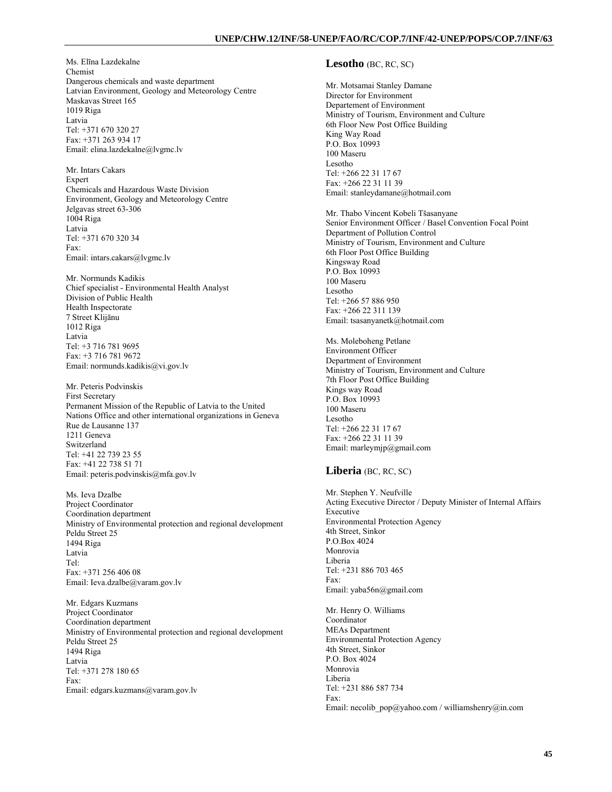Ms. Elīna Lazdekalne Chemist Dangerous chemicals and waste department Latvian Environment, Geology and Meteorology Centre Maskavas Street 165 1019 Riga Latvia Tel: +371 670 320 27 Fax: +371 263 934 17 Email: elina.lazdekalne@lvgmc.lv

Mr. Intars Cakars Expert Chemicals and Hazardous Waste Division Environment, Geology and Meteorology Centre Jelgavas street 63-306 1004 Riga Latvia Tel: +371 670 320 34 Fax: Email: intars.cakars@lvgmc.lv

Mr. Normunds Kadikis Chief specialist - Environmental Health Analyst Division of Public Health Health Inspectorate 7 Street Klijānu 1012 Riga **Latvia** Tel: +3 716 781 9695 Fax: +3 716 781 9672 Email: normunds.kadikis@vi.gov.lv

Mr. Peteris Podvinskis First Secretary Permanent Mission of the Republic of Latvia to the United Nations Office and other international organizations in Geneva Rue de Lausanne 137 1211 Geneva Switzerland Tel: +41 22 739 23 55 Fax: +41 22 738 51 71 Email: peteris.podvinskis@mfa.gov.lv

Ms. Ieva Dzalbe Project Coordinator Coordination department Ministry of Environmental protection and regional development Peldu Street 25 1494 Riga Latvia Tel: Fax: +371 256 406 08 Email: Ieva.dzalbe@varam.gov.lv

Mr. Edgars Kuzmans Project Coordinator Coordination department Ministry of Environmental protection and regional development Peldu Street 25 1494 Riga Latvia Tel: +371 278 180 65 Fax: Email: edgars.kuzmans@varam.gov.lv

# **Lesotho** (BC, RC, SC)

Mr. Motsamai Stanley Damane Director for Environment Departement of Environment Ministry of Tourism, Environment and Culture 6th Floor New Post Office Building King Way Road P.O. Box 10993 100 Maseru Lesotho Tel: +266 22 31 17 67 Fax: +266 22 31 11 39 Email: stanleydamane@hotmail.com

Mr. Thabo Vincent Kobeli Tšasanyane Senior Environment Officer / Basel Convention Focal Point Department of Pollution Control Ministry of Tourism, Environment and Culture 6th Floor Post Office Building Kingsway Road P.O. Box 10993 100 Maseru Lesotho Tel: +266 57 886 950 Fax: +266 22 311 139 Email: tsasanyanetk@hotmail.com

Ms. Moleboheng Petlane Environment Officer Department of Environment Ministry of Tourism, Environment and Culture 7th Floor Post Office Building Kings way Road P.O. Box 10993 100 Maseru Lesotho Tel: +266 22 31 17 67 Fax: +266 22 31 11 39 Email: marleymjp@gmail.com

## **Liberia** (BC, RC, SC)

Mr. Stephen Y. Neufville Acting Executive Director / Deputy Minister of Internal Affairs Executive Environmental Protection Agency 4th Street, Sinkor P.O.Box 4024 Monrovia Liberia Tel: +231 886 703 465 Fax: Email: yaba56n@gmail.com

Mr. Henry O. Williams Coordinator MEAs Department Environmental Protection Agency 4th Street, Sinkor P.O. Box 4024 Monrovia Liberia Tel: +231 886 587 734 Fax: Email: necolib\_pop@yahoo.com / williamshenry@in.com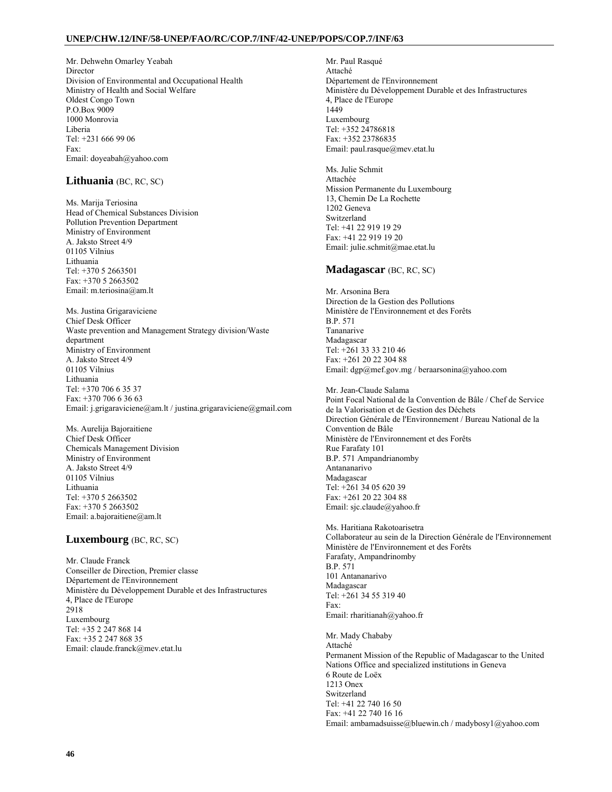Mr. Dehwehn Omarley Yeabah Director Division of Environmental and Occupational Health Ministry of Health and Social Welfare Oldest Congo Town P.O.Box 9009 1000 Monrovia Liberia Tel: +231 666 99 06 Fax: Email: doyeabah@yahoo.com

# **Lithuania** (BC, RC, SC)

Ms. Marija Teriosina Head of Chemical Substances Division Pollution Prevention Department Ministry of Environment A. Jaksto Street 4/9 01105 Vilnius Lithuania Tel: +370 5 2663501 Fax: +370 5 2663502 Email: m.teriosina@am.lt

Ms. Justina Grigaraviciene Chief Desk Officer Waste prevention and Management Strategy division/Waste department Ministry of Environment A. Jaksto Street 4/9 01105 Vilnius Lithuania Tel: +370 706 6 35 37 Fax: +370 706 6 36 63 Email: j.grigaraviciene@am.lt / justina.grigaraviciene@gmail.com

Ms. Aurelija Bajoraitiene Chief Desk Officer Chemicals Management Division Ministry of Environment A. Jaksto Street 4/9 01105 Vilnius Lithuania Tel: +370 5 2663502 Fax: +370 5 2663502 Email: a.bajoraitiene@am.lt

# **Luxembourg** (BC, RC, SC)

Mr. Claude Franck Conseiller de Direction, Premier classe Département de l'Environnement Ministère du Développement Durable et des Infrastructures 4, Place de l'Europe 2918 Luxembourg Tel: +35 2 247 868 14 Fax: +35 2 247 868 35 Email: claude.franck@mev.etat.lu

Mr. Paul Rasqué Attaché Département de l'Environnement Ministère du Développement Durable et des Infrastructures 4, Place de l'Europe 1449 Luxembourg Tel: +352 24786818 Fax: +352 23786835 Email: paul.rasque@mev.etat.lu

Ms. Julie Schmit Attachée Mission Permanente du Luxembourg 13, Chemin De La Rochette 1202 Geneva Switzerland Tel: +41 22 919 19 29 Fax: +41 22 919 19 20 Email: julie.schmit@mae.etat.lu

# **Madagascar** (BC, RC, SC)

Mr. Arsonina Bera Direction de la Gestion des Pollutions Ministère de l'Environnement et des Forêts B.P. 571 Tananarive Madagascar Tel: +261 33 33 210 46 Fax: +261 20 22 304 88 Email: dgp@mef.gov.mg / beraarsonina@yahoo.com

Mr. Jean-Claude Salama Point Focal National de la Convention de Bâle / Chef de Service de la Valorisation et de Gestion des Déchets Direction Générale de l'Environnement / Bureau National de la Convention de Bâle Ministère de l'Environnement et des Forêts Rue Farafaty 101 B.P. 571 Ampandrianomby Antananarivo Madagascar Tel: +261 34 05 620 39 Fax: +261 20 22 304 88 Email: sjc.claude@yahoo.fr

Ms. Haritiana Rakotoarisetra Collaborateur au sein de la Direction Générale de l'Environnement Ministère de l'Environnement et des Forêts Farafaty, Ampandrinomby B.P. 571 101 Antananarivo Madagascar Tel: +261 34 55 319 40 Fax: Email: rharitianah@yahoo.fr

Mr. Mady Chababy Attaché Permanent Mission of the Republic of Madagascar to the United Nations Office and specialized institutions in Geneva 6 Route de Loëx 1213 Onex Switzerland Tel: +41 22 740 16 50 Fax: +41 22 740 16 16 Email: ambamadsuisse@bluewin.ch / madybosy1@yahoo.com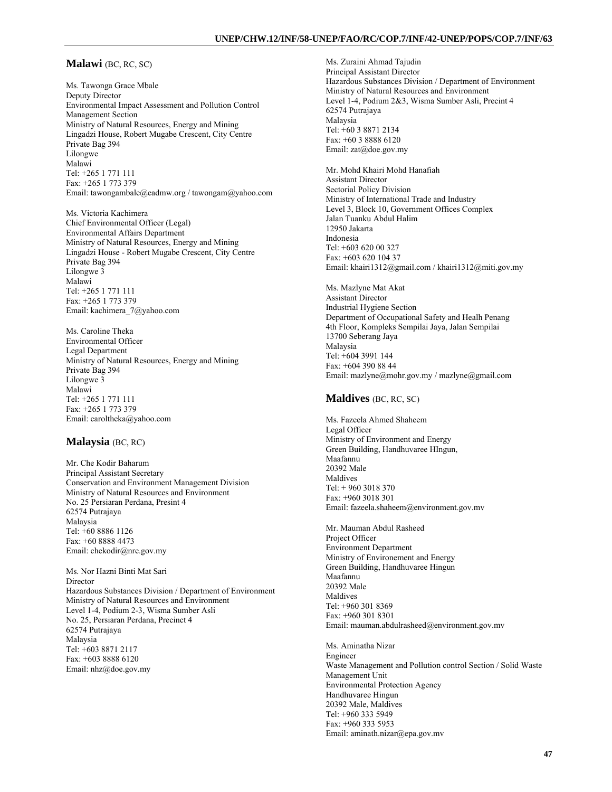### **Malawi** (BC, RC, SC)

Ms. Tawonga Grace Mbale Deputy Director Environmental Impact Assessment and Pollution Control Management Section Ministry of Natural Resources, Energy and Mining Lingadzi House, Robert Mugabe Crescent, City Centre Private Bag 394 Lilongwe Malawi Tel: +265 1 771 111 Fax: +265 1 773 379 Email: tawongambale@eadmw.org / tawongam@yahoo.com

Ms. Victoria Kachimera Chief Environmental Officer (Legal) Environmental Affairs Department Ministry of Natural Resources, Energy and Mining Lingadzi House - Robert Mugabe Crescent, City Centre Private Bag 394 Lilongwe 3 Malawi Tel: +265 1 771 111 Fax: +265 1 773 379 Email: kachimera\_7@yahoo.com

Ms. Caroline Theka Environmental Officer Legal Department Ministry of Natural Resources, Energy and Mining Private Bag 394 Lilongwe 3 Malawi Tel: +265 1 771 111 Fax: +265 1 773 379 Email: caroltheka@yahoo.com

#### **Malaysia** (BC, RC)

Mr. Che Kodir Baharum Principal Assistant Secretary Conservation and Environment Management Division Ministry of Natural Resources and Environment No. 25 Persiaran Perdana, Presint 4 62574 Putrajaya Malaysia Tel: +60 8886 1126 Fax: +60 8888 4473 Email: chekodir@nre.gov.my

Ms. Nor Hazni Binti Mat Sari Director Hazardous Substances Division / Department of Environment Ministry of Natural Resources and Environment Level 1-4, Podium 2-3, Wisma Sumber Asli No. 25, Persiaran Perdana, Precinct 4 62574 Putrajaya Malaysia Tel: +603 8871 2117 Fax: +603 8888 6120 Email: nhz@doe.gov.my

Ms. Zuraini Ahmad Tajudin Principal Assistant Director Hazardous Substances Division / Department of Environment Ministry of Natural Resources and Environment Level 1-4, Podium 2&3, Wisma Sumber Asli, Precint 4 62574 Putrajaya Malaysia Tel: +60 3 8871 2134 Fax: +60 3 8888 6120 Email: zat@doe.gov.my

Mr. Mohd Khairi Mohd Hanafiah Assistant Director Sectorial Policy Division Ministry of International Trade and Industry Level 3, Block 10, Government Offices Complex Jalan Tuanku Abdul Halim 12950 Jakarta Indonesia Tel: +603 620 00 327 Fax: +603 620 104 37 Email: khairi1312@gmail.com / khairi1312@miti.gov.my

Ms. Mazlyne Mat Akat Assistant Director Industrial Hygiene Section Department of Occupational Safety and Healh Penang 4th Floor, Kompleks Sempilai Jaya, Jalan Sempilai 13700 Seberang Jaya Malaysia Tel: +604 3991 144 Fax: +604 390 88 44 Email: mazlyne@mohr.gov.my / mazlyne@gmail.com

### **Maldives** (BC, RC, SC)

Ms. Fazeela Ahmed Shaheem Legal Officer Ministry of Environment and Energy Green Building, Handhuvaree HIngun, Maafannu 20392 Male Maldives Tel: + 960 3018 370 Fax: +960 3018 301 Email: fazeela.shaheem@environment.gov.mv

Mr. Mauman Abdul Rasheed Project Officer Environment Department Ministry of Environement and Energy Green Building, Handhuvaree Hingun Maafannu 20392 Male Maldives Tel: +960 301 8369 Fax: +960 301 8301 Email: mauman.abdulrasheed@environment.gov.mv

Ms. Aminatha Nizar Engineer Waste Management and Pollution control Section / Solid Waste Management Unit Environmental Protection Agency Handhuvaree Hingun 20392 Male, Maldives Tel: +960 333 5949 Fax: +960 333 5953 Email: aminath.nizar@epa.gov.mv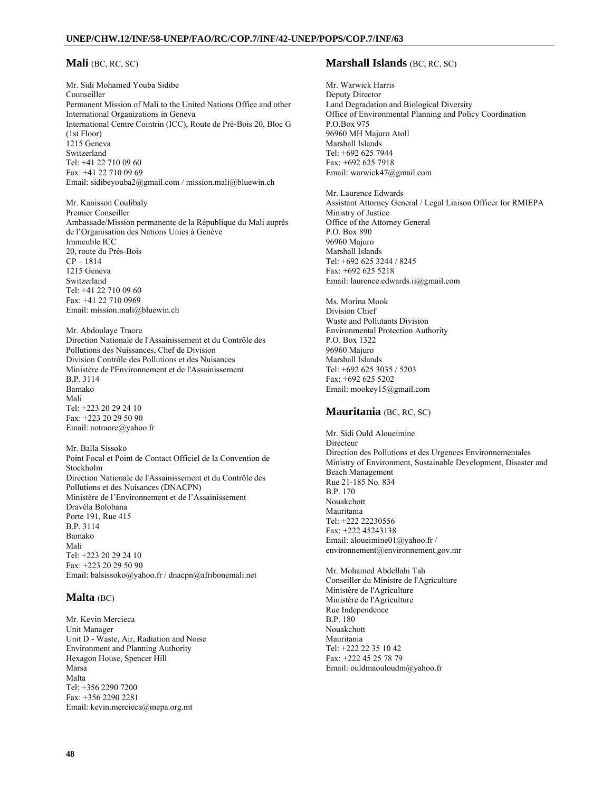# **Mali** (BC, RC, SC)

Mr. Sidi Mohamed Youba Sidibe Counseiller Permanent Mission of Mali to the United Nations Office and other International Organizations in Geneva International Centre Cointrin (ICC), Route de Pré-Bois 20, Bloc G (1st Floor) 1215 Geneva Switzerland Tel: +41 22 710 09 60 Fax: +41 22 710 09 69 Email: sidibeyouba2@gmail.com / mission.mali@bluewin.ch

Mr. Kanisson Coulibaly Premier Conseiller Ambassade/Mission permanente de la République du Mali auprès de l'Organisation des Nations Unies à Genève Immeuble ICC 20, route du Prés-Bois CP – 1814 1215 Geneva Switzerland Tel: +41 22 710 09 60 Fax: +41 22 710 0969 Email: mission.mali@bluewin.ch

Mr. Abdoulaye Traore Direction Nationale de l'Assainissement et du Contrôle des Pollutions des Nuissances, Chef de Division Division Contrôle des Pollutions et des Nuisances Ministère de l'Environnement et de l'Assainissement B.P. 3114 Bamako Mali Tel: +223 20 29 24 10 Fax: +223 20 29 50 90 Email: aotraore@yahoo.fr

Mr. Balla Sissoko Point Focal et Point de Contact Officiel de la Convention de Stockholm Direction Nationale de l'Assainissement et du Contrôle des Pollutions et des Nuisances (DNACPN) Ministère de l'Environnement et de l'Assainissement Dravéla Bolobana Porte 191, Rue 415 B.P. 3114 Bamako Mali Tel: +223 20 29 24 10 Fax: +223 20 29 50 90 Email: balsissoko@yahoo.fr / dnacpn@afribonemali.net

# **Malta** (BC)

Mr. Kevin Mercieca Unit Manager Unit D - Waste, Air, Radiation and Noise Environment and Planning Authority Hexagon House, Spencer Hill Marsa Malta Tel: +356 2290 7200 Fax: +356 2290 2281 Email: kevin.mercieca@mepa.org.mt

# **Marshall Islands** (BC, RC, SC)

Mr. Warwick Harris Deputy Director Land Degradation and Biological Diversity Office of Environmental Planning and Policy Coordination P.O.Box 975 96960 MH Majuro Atoll Marshall Islands Tel: +692 625 7944 Fax: +692 625 7918 Email: warwick47@gmail.com

Mr. Laurence Edwards Assistant Attorney General / Legal Liaison Officer for RMIEPA Ministry of Justice Office of the Attorney General P.O. Box 890 96960 Majuro Marshall Islands Tel: +692 625 3244 / 8245 Fax: +692 625 5218 Email: laurence.edwards.ii@gmail.com

Ms. Morina Mook Division Chief Waste and Pollutants Division Environmental Protection Authority P.O. Box 1322 96960 Majuro Marshall Islands Tel: +692 625 3035 / 5203 Fax: +692 625 5202 Email: mookey15@gmail.com

# **Mauritania** (BC, RC, SC)

Mr. Sidi Ould Aloueimine Directeur Direction des Pollutions et des Urgences Environnementales Ministry of Environment, Sustainable Development, Disaster and Beach Management Rue 21-185 No. 834 B.P. 170 Nouakchott Mauritania Tel: +222 22230556 Fax: +222 45243138 Email: aloueimine01@yahoo.fr / environnement@environnement.gov.mr

Mr. Mohamed Abdellahi Tah Conseiller du Ministre de l'Agriculture Ministère de l'Agriculture Ministère de l'Agriculture Rue Independence B.P. 180 Nouakchott Mauritania Tel: +222 22 35 10 42 Fax: +222 45 25 78 79 Email: ouldmaouloudm@yahoo.fr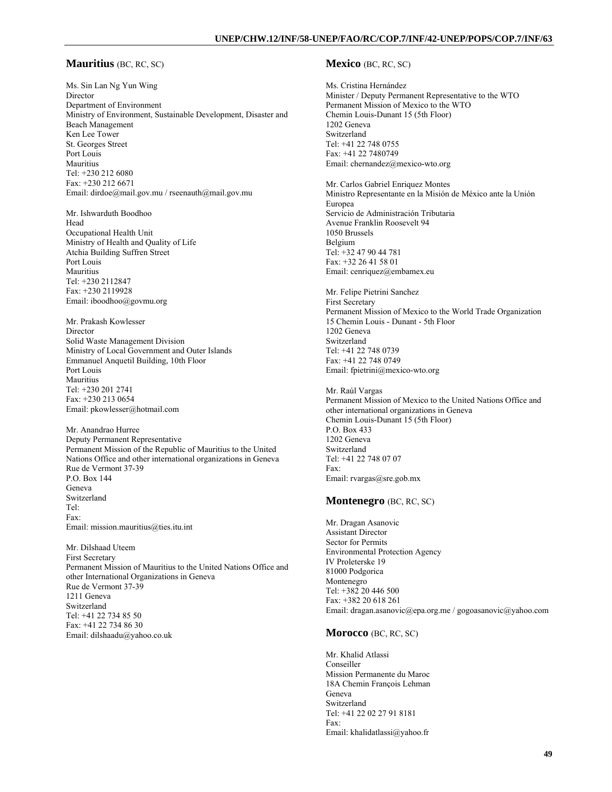### **Mauritius** (BC, RC, SC)

Ms. Sin Lan Ng Yun Wing Director Department of Environment Ministry of Environment, Sustainable Development, Disaster and Beach Management Ken Lee Tower St. Georges Street Port Louis Mauritius Tel: +230 212 6080 Fax: +230 212 6671 Email: dirdoe@mail.gov.mu / rseenauth@mail.gov.mu

Mr. Ishwarduth Boodhoo Head Occupational Health Unit Ministry of Health and Quality of Life Atchia Building Suffren Street Port Louis Mauritius Tel: +230 2112847 Fax: +230 2119928 Email: iboodhoo@govmu.org

Mr. Prakash Kowlesser Director Solid Waste Management Division Ministry of Local Government and Outer Islands Emmanuel Anquetil Building, 10th Floor Port Louis Mauritius Tel: +230 201 2741 Fax: +230 213 0654 Email: pkowlesser@hotmail.com

Mr. Anandrao Hurree Deputy Permanent Representative Permanent Mission of the Republic of Mauritius to the United Nations Office and other international organizations in Geneva Rue de Vermont 37-39 P.O. Box 144 Geneva Switzerland Tel: Fax: Email: mission.mauritius@ties.itu.int

Mr. Dilshaad Uteem First Secretary Permanent Mission of Mauritius to the United Nations Office and other International Organizations in Geneva Rue de Vermont 37-39 1211 Geneva Switzerland Tel: +41 22 734 85 50 Fax: +41 22 734 86 30 Email: dilshaadu@yahoo.co.uk

# **Mexico** (BC, RC, SC)

Ms. Cristina Hernández Minister / Deputy Permanent Representative to the WTO Permanent Mission of Mexico to the WTO Chemin Louis-Dunant 15 (5th Floor) 1202 Geneva Switzerland Tel: +41 22 748 0755 Fax: +41 22 7480749 Email: chernandez@mexico-wto.org

Mr. Carlos Gabriel Enriquez Montes Ministro Representante en la Misión de México ante la Unión Europea Servicio de Administración Tributaria Avenue Franklin Roosevelt 94 1050 Brussels Belgium Tel: +32 47 90 44 781 Fax: +32 26 41 58 01 Email: cenriquez@embamex.eu

Mr. Felipe Pietrini Sanchez First Secretary Permanent Mission of Mexico to the World Trade Organization 15 Chemin Louis - Dunant - 5th Floor 1202 Geneva Switzerland Tel: +41 22 748 0739 Fax: +41 22 748 0749 Email: fpietrini@mexico-wto.org

Mr. Raúl Vargas Permanent Mission of Mexico to the United Nations Office and other international organizations in Geneva Chemin Louis-Dunant 15 (5th Floor) P.O. Box 433 1202 Geneva Switzerland Tel: +41 22 748 07 07 Fax: Email: rvargas@sre.gob.mx

### **Montenegro** (BC, RC, SC)

Mr. Dragan Asanovic Assistant Director Sector for Permits Environmental Protection Agency IV Proleterske 19 81000 Podgorica Montenegro Tel: +382 20 446 500 Fax: +382 20 618 261 Email: dragan.asanovic@epa.org.me / gogoasanovic@yahoo.com

### **Morocco** (BC, RC, SC)

Mr. Khalid Atlassi Conseiller Mission Permanente du Maroc 18A Chemin François Lehman Geneva Switzerland Tel: +41 22 02 27 91 8181 Fax: Email: khalidatlassi@yahoo.fr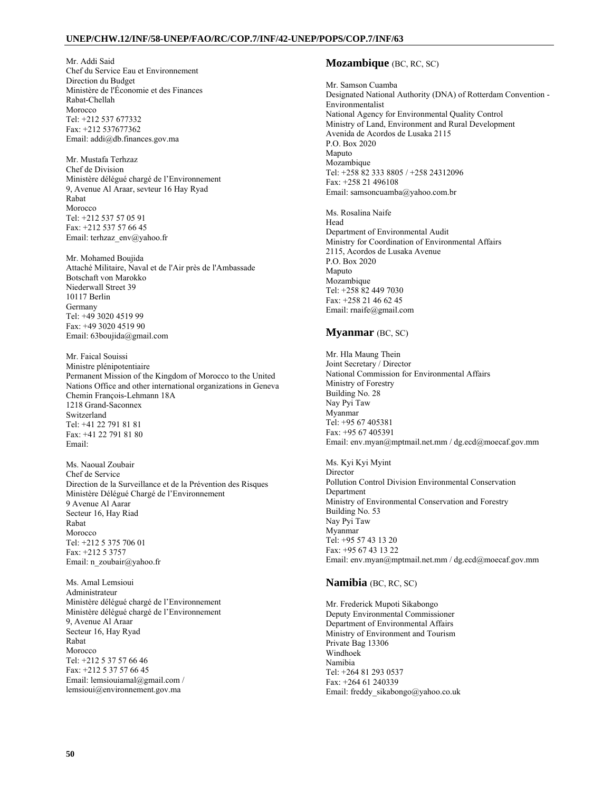Mr. Addi Said Chef du Service Eau et Environnement Direction du Budget Ministère de l'Économie et des Finances Rabat-Chellah Morocco Tel: +212 537 677332 Fax: +212 537677362 Email: addi@db.finances.gov.ma

Mr. Mustafa Terhzaz Chef de Division Ministère délégué chargé de l'Environnement 9, Avenue Al Araar, sevteur 16 Hay Ryad Rabat Morocco Tel: +212 537 57 05 91 Fax: +212 537 57 66 45 Email: terhzaz\_env@yahoo.fr

Mr. Mohamed Boujida Attaché Militaire, Naval et de l'Air près de l'Ambassade Botschaft von Marokko Niederwall Street 39 10117 Berlin Germany Tel: +49 3020 4519 99 Fax: +49 3020 4519 90 Email: 63boujida@gmail.com

Mr. Faical Souissi Ministre plénipotentiaire Permanent Mission of the Kingdom of Morocco to the United Nations Office and other international organizations in Geneva Chemin François-Lehmann 18A 1218 Grand-Saconnex Switzerland Tel: +41 22 791 81 81 Fax: +41 22 791 81 80 Email:

Ms. Naoual Zoubair Chef de Service Direction de la Surveillance et de la Prévention des Risques Ministère Délégué Chargé de l'Environnement 9 Avenue Al Aarar Secteur 16, Hay Riad Rabat Morocco Tel: +212 5 375 706 01 Fax: +212 5 3757 Email: n\_zoubair@yahoo.fr

Ms. Amal Lemsioui Administrateur Ministère délégué chargé de l'Environnement Ministère délégué chargé de l'Environnement 9, Avenue Al Araar Secteur 16, Hay Ryad Rabat Morocco Tel: +212 5 37 57 66 46 Fax: +212 5 37 57 66 45 Email: lemsiouiamal@gmail.com / lemsioui@environnement.gov.ma

## **Mozambique** (BC, RC, SC)

Mr. Samson Cuamba Designated National Authority (DNA) of Rotterdam Convention - Environmentalist National Agency for Environmental Quality Control Ministry of Land, Environment and Rural Development Avenida de Acordos de Lusaka 2115 P.O. Box 2020 Maputo Mozambique Tel: +258 82 333 8805 / +258 24312096 Fax: +258 21 496108 Email: samsoncuamba@yahoo.com.br

Ms. Rosalina Naife Head Department of Environmental Audit Ministry for Coordination of Environmental Affairs 2115, Acordos de Lusaka Avenue P.O. Box 2020 Maputo Mozambique Tel: +258 82 449 7030 Fax: +258 21 46 62 45 Email: rnaife@gmail.com

### **Myanmar** (BC, SC)

Mr. Hla Maung Thein Joint Secretary / Director National Commission for Environmental Affairs Ministry of Forestry Building No. 28 Nay Pyi Taw Myanmar Tel: +95 67 405381 Fax: +95 67 405391 Email: env.myan@mptmail.net.mm / dg.ecd@moecaf.gov.mm

Ms. Kyi Kyi Myint Director Pollution Control Division Environmental Conservation Department Ministry of Environmental Conservation and Forestry Building No. 53 Nay Pyi Taw Myanmar Tel: +95 57 43 13 20 Fax: +95 67 43 13 22 Email: env.myan@mptmail.net.mm / dg.ecd@moecaf.gov.mm

## **Namibia** (BC, RC, SC)

Mr. Frederick Mupoti Sikabongo Deputy Environmental Commissioner Department of Environmental Affairs Ministry of Environment and Tourism Private Bag 13306 Windhoek Namibia Tel: +264 81 293 0537 Fax: +264 61 240339 Email: freddy\_sikabongo@yahoo.co.uk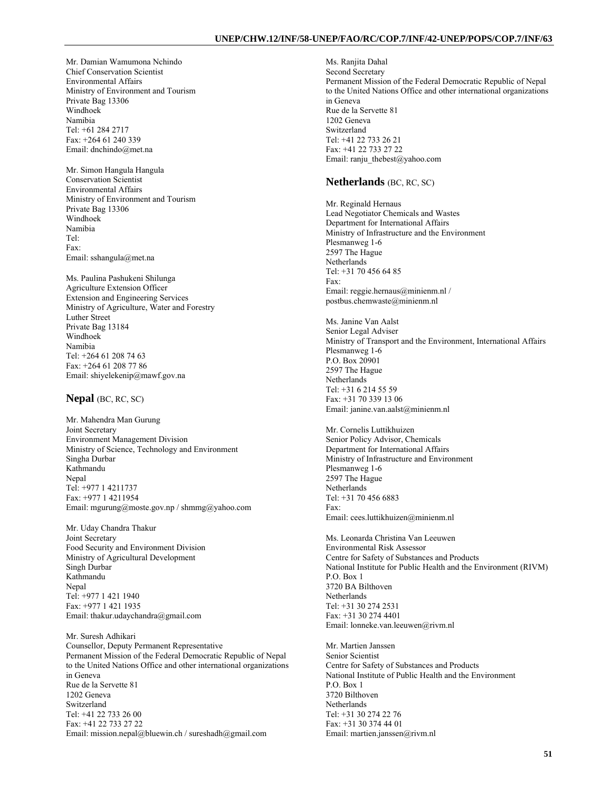Mr. Damian Wamumona Nchindo Chief Conservation Scientist Environmental Affairs Ministry of Environment and Tourism Private Bag 13306 Windhoek Namibia Tel: +61 284 2717 Fax: +264 61 240 339 Email: dnchindo@met.na

Mr. Simon Hangula Hangula Conservation Scientist Environmental Affairs Ministry of Environment and Tourism Private Bag 13306 Windhoek Namibia Tel: Fax: Email: sshangula@met.na

Ms. Paulina Pashukeni Shilunga Agriculture Extension Officer Extension and Engineering Services Ministry of Agriculture, Water and Forestry Luther Street Private Bag 13184 Windhoek Namibia Tel: +264 61 208 74 63 Fax: +264 61 208 77 86 Email: shiyelekenip@mawf.gov.na

## **Nepal** (BC, RC, SC)

Mr. Mahendra Man Gurung Joint Secretary Environment Management Division Ministry of Science, Technology and Environment Singha Durbar Kathmandu Nepal Tel: +977 1 4211737 Fax: +977 1 4211954 Email: mgurung@moste.gov.np / shmmg@yahoo.com

Mr. Uday Chandra Thakur Joint Secretary Food Security and Environment Division Ministry of Agricultural Development Singh Durbar Kathmandu Nepal Tel: +977 1 421 1940 Fax: +977 1 421 1935 Email: thakur.udaychandra@gmail.com

Mr. Suresh Adhikari Counsellor, Deputy Permanent Representative Permanent Mission of the Federal Democratic Republic of Nepal to the United Nations Office and other international organizations in Geneva Rue de la Servette 81 1202 Geneva Switzerland Tel: +41 22 733 26 00 Fax: +41 22 733 27 22 Email: mission.nepal@bluewin.ch / sureshadh@gmail.com

Ms. Ranjita Dahal Second Secretary Permanent Mission of the Federal Democratic Republic of Nepal to the United Nations Office and other international organizations in Geneva Rue de la Servette 81 1202 Geneva Switzerland Tel: +41 22 733 26 21 Fax: +41 22 733 27 22 Email: ranju\_thebest@yahoo.com

#### **Netherlands** (BC, RC, SC)

Mr. Reginald Hernaus Lead Negotiator Chemicals and Wastes Department for International Affairs Ministry of Infrastructure and the Environment Plesmanweg 1-6 2597 The Hague Netherlands Tel: +31 70 456 64 85 Fax: Email: reggie.hernaus@minienm.nl / postbus.chemwaste@minienm.nl

Ms. Janine Van Aalst Senior Legal Adviser Ministry of Transport and the Environment, International Affairs Plesmanweg 1-6 P.O. Box 20901 2597 The Hague Netherlands Tel: +31 6 214 55 59 Fax: +31 70 339 13 06 Email: janine.van.aalst@minienm.nl

Mr. Cornelis Luttikhuizen Senior Policy Advisor, Chemicals Department for International Affairs Ministry of Infrastructure and Environment Plesmanweg 1-6 2597 The Hague Netherlands Tel: +31 70 456 6883 Fax: Email: cees.luttikhuizen@minienm.nl

Ms. Leonarda Christina Van Leeuwen Environmental Risk Assessor Centre for Safety of Substances and Products National Institute for Public Health and the Environment (RIVM) P.O. Box 1 3720 BA Bilthoven Netherlands Tel: +31 30 274 2531 Fax: +31 30 274 4401 Email: lonneke.van.leeuwen@rivm.nl

Mr. Martien Janssen Senior Scientist Centre for Safety of Substances and Products National Institute of Public Health and the Environment P.O. Box 1 3720 Bilthoven Netherlands Tel: +31 30 274 22 76 Fax: +31 30 374 44 01 Email: martien.janssen@rivm.nl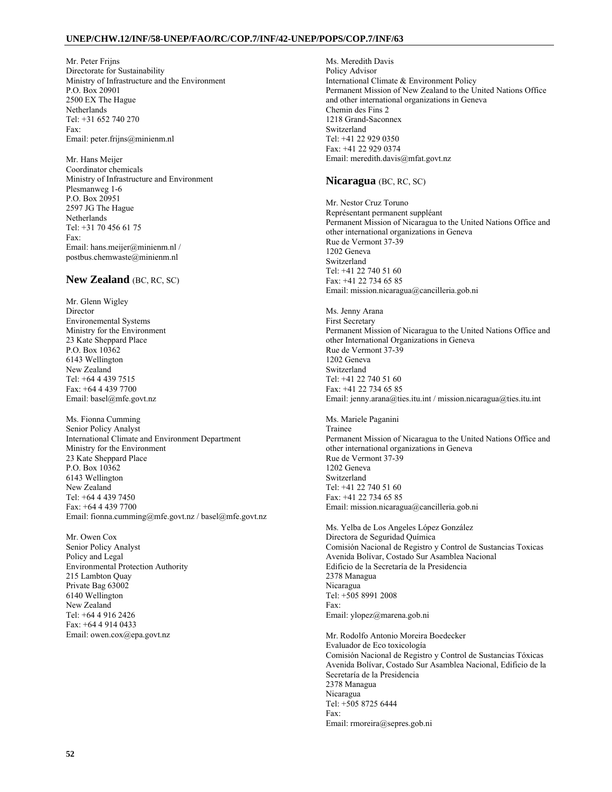Mr. Peter Frijns Directorate for Sustainability Ministry of Infrastructure and the Environment P.O. Box 20901 2500 EX The Hague **Netherlands** Tel: +31 652 740 270 Fax: Email: peter.frijns@minienm.nl

Mr. Hans Meijer Coordinator chemicals Ministry of Infrastructure and Environment Plesmanweg 1-6 P.O. Box 20951 2597 JG The Hague Netherlands Tel: +31 70 456 61 75 Fax: Email: hans.meijer@minienm.nl / postbus.chemwaste@minienm.nl

## **New Zealand** (BC, RC, SC)

Mr. Glenn Wigley Director Environemental Systems Ministry for the Environment 23 Kate Sheppard Place P.O. Box 10362 6143 Wellington New Zealand Tel: +64 4 439 7515 Fax: +64 4 439 7700 Email: basel@mfe.govt.nz

Ms. Fionna Cumming Senior Policy Analyst International Climate and Environment Department Ministry for the Environment 23 Kate Sheppard Place P.O. Box 10362 6143 Wellington New Zealand Tel: +64 4 439 7450 Fax: +64 4 439 7700 Email: fionna.cumming@mfe.govt.nz / basel@mfe.govt.nz

Mr. Owen Cox Senior Policy Analyst Policy and Legal Environmental Protection Authority 215 Lambton Quay Private Bag 63002 6140 Wellington New Zealand Tel: +64 4 916 2426 Fax: +64 4 914 0433 Email: owen.cox@epa.govt.nz

Ms. Meredith Davis Policy Advisor International Climate & Environment Policy Permanent Mission of New Zealand to the United Nations Office and other international organizations in Geneva Chemin des Fins 2 1218 Grand-Saconnex Switzerland Tel: +41 22 929 0350 Fax: +41 22 929 0374 Email: meredith.davis@mfat.govt.nz

### **Nicaragua** (BC, RC, SC)

Mr. Nestor Cruz Toruno Représentant permanent suppléant Permanent Mission of Nicaragua to the United Nations Office and other international organizations in Geneva Rue de Vermont 37-39 1202 Geneva Switzerland Tel: +41 22 740 51 60 Fax: +41 22 734 65 85 Email: mission.nicaragua@cancilleria.gob.ni

Ms. Jenny Arana First Secretary Permanent Mission of Nicaragua to the United Nations Office and other International Organizations in Geneva Rue de Vermont 37-39 1202 Geneva Switzerland Tel: +41 22 740 51 60 Fax: +41 22 734 65 85 Email: jenny.arana@ties.itu.int / mission.nicaragua@ties.itu.int

Ms. Mariele Paganini Trainee Permanent Mission of Nicaragua to the United Nations Office and other international organizations in Geneva Rue de Vermont 37-39 1202 Geneva Switzerland Tel: +41 22 740 51 60 Fax: +41 22 734 65 85 Email: mission.nicaragua@cancilleria.gob.ni

Ms. Yelba de Los Angeles López González Directora de Seguridad Química Comisión Nacional de Registro y Control de Sustancias Toxicas Avenida Bolívar, Costado Sur Asamblea Nacional Edificio de la Secretaría de la Presidencia 2378 Managua Nicaragua Tel: +505 8991 2008 Fax: Email: ylopez@marena.gob.ni

Mr. Rodolfo Antonio Moreira Boedecker Evaluador de Eco toxicología Comisión Nacional de Registro y Control de Sustancias Tóxicas Avenida Bolívar, Costado Sur Asamblea Nacional, Edificio de la Secretaría de la Presidencia 2378 Managua Nicaragua Tel: +505 8725 6444 Fax: Email: rmoreira@sepres.gob.ni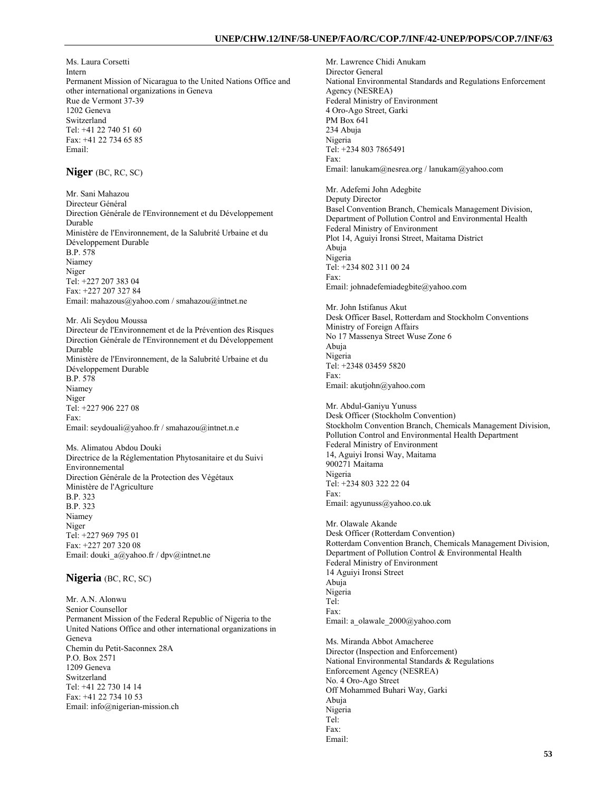Ms. Laura Corsetti Intern Permanent Mission of Nicaragua to the United Nations Office and other international organizations in Geneva Rue de Vermont 37-39 1202 Geneva Switzerland Tel: +41 22 740 51 60 Fax: +41 22 734 65 85 Email:

# **Niger** (BC, RC, SC)

Mr. Sani Mahazou Directeur Général Direction Générale de l'Environnement et du Développement Durable Ministère de l'Environnement, de la Salubrité Urbaine et du Développement Durable B.P. 578 Niamey Niger Tel: +227 207 383 04 Fax: +227 207 327 84 Email: mahazous@yahoo.com / smahazou@intnet.ne

Mr. Ali Seydou Moussa Directeur de l'Environnement et de la Prévention des Risques Direction Générale de l'Environnement et du Développement Durable Ministère de l'Environnement, de la Salubrité Urbaine et du Développement Durable B.P. 578 Niamey Niger Tel: +227 906 227 08 Fax: Email: seydouali@yahoo.fr / smahazou@intnet.n.e

Ms. Alimatou Abdou Douki Directrice de la Réglementation Phytosanitaire et du Suivi Environnemental Direction Générale de la Protection des Végétaux Ministère de l'Agriculture B.P. 323 B.P. 323 Niamey Niger Tel: +227 969 795 01 Fax: +227 207 320 08 Email: douki\_a@yahoo.fr / dpv@intnet.ne

### **Nigeria** (BC, RC, SC)

Mr. A.N. Alonwu Senior Counsellor Permanent Mission of the Federal Republic of Nigeria to the United Nations Office and other international organizations in Geneva Chemin du Petit-Saconnex 28A P.O. Box 2571 1209 Geneva Switzerland Tel: +41 22 730 14 14 Fax: +41 22 734 10 53 Email: info@nigerian-mission.ch

Mr. Lawrence Chidi Anukam Director General National Environmental Standards and Regulations Enforcement Agency (NESREA) Federal Ministry of Environment 4 Oro-Ago Street, Garki PM Box 641 234 Abuja Nigeria Tel: +234 803 7865491 Fax: Email: lanukam@nesrea.org / lanukam@yahoo.com

Mr. Adefemi John Adegbite Deputy Director Basel Convention Branch, Chemicals Management Division, Department of Pollution Control and Environmental Health Federal Ministry of Environment Plot 14, Aguiyi Ironsi Street, Maitama District Abuja Nigeria Tel: +234 802 311 00 24 Fax: Email: johnadefemiadegbite@yahoo.com

Mr. John Istifanus Akut Desk Officer Basel, Rotterdam and Stockholm Conventions Ministry of Foreign Affairs No 17 Massenya Street Wuse Zone 6 Abuja Nigeria Tel: +2348 03459 5820 Fax: Email: akutjohn@yahoo.com

Mr. Abdul-Ganiyu Yunuss Desk Officer (Stockholm Convention) Stockholm Convention Branch, Chemicals Management Division, Pollution Control and Environmental Health Department Federal Ministry of Environment 14, Aguiyi Ironsi Way, Maitama 900271 Maitama Nigeria Tel: +234 803 322 22 04 Fax: Email: agyunuss@yahoo.co.uk

Mr. Olawale Akande Desk Officer (Rotterdam Convention) Rotterdam Convention Branch, Chemicals Management Division, Department of Pollution Control & Environmental Health Federal Ministry of Environment 14 Aguiyi Ironsi Street Abuja Nigeria Tel: Fax: Email: a\_olawale\_2000@yahoo.com

Ms. Miranda Abbot Amacheree Director (Inspection and Enforcement) National Environmental Standards & Regulations Enforcement Agency (NESREA) No. 4 Oro-Ago Street Off Mohammed Buhari Way, Garki Abuja Nigeria Tel: Fax: Email: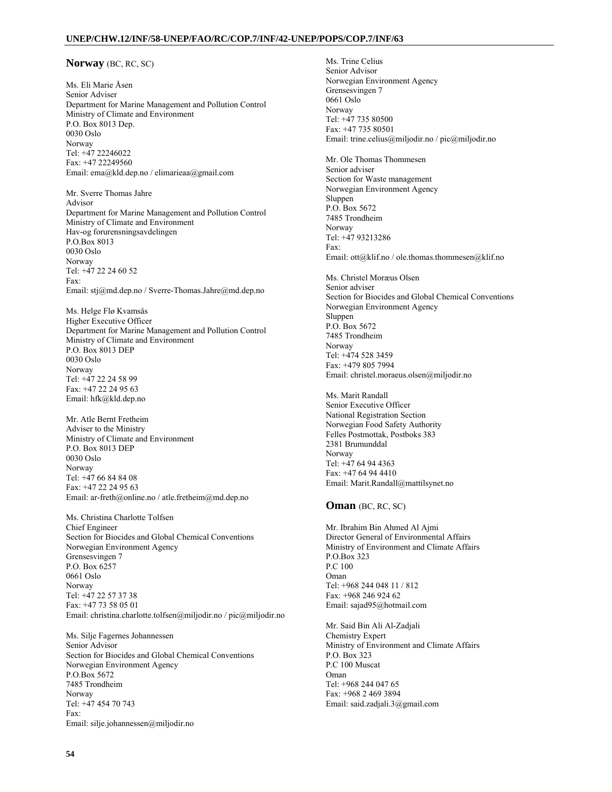### **Norway** (BC, RC, SC)

Ms. Eli Marie Åsen Senior Adviser Department for Marine Management and Pollution Control Ministry of Climate and Environment P.O. Box 8013 Dep. 0030 Oslo Norway Tel: +47 22246022 Fax: +47 22249560 Email: ema@kld.dep.no / elimarieaa@gmail.com

Mr. Sverre Thomas Jahre Advisor Department for Marine Management and Pollution Control Ministry of Climate and Environment Hav-og forurensningsavdelingen P.O.Box 8013 0030 Oslo Norway Tel: +47 22 24 60 52 Fax: Email: stj@md.dep.no / Sverre-Thomas.Jahre@md.dep.no

Ms. Helge Flø Kvamsås Higher Executive Officer Department for Marine Management and Pollution Control Ministry of Climate and Environment P.O. Box 8013 DEP 0030 Oslo Norway Tel: +47 22 24 58 99 Fax: +47 22 24 95 63 Email: hfk@kld.dep.no

Mr. Atle Bernt Fretheim Adviser to the Ministry Ministry of Climate and Environment P.O. Box 8013 DEP 0030 Oslo Norway Tel: +47 66 84 84 08 Fax: +47 22 24 95 63 Email: ar-freth@online.no / atle.fretheim@md.dep.no

Ms. Christina Charlotte Tolfsen Chief Engineer Section for Biocides and Global Chemical Conventions Norwegian Environment Agency Grensesvingen 7 P.O. Box 6257 0661 Oslo Norway Tel: +47 22 57 37 38 Fax: +47 73 58 05 01 Email: christina.charlotte.tolfsen@miljodir.no / pic@miljodir.no

Ms. Silje Fagernes Johannessen Senior Advisor Section for Biocides and Global Chemical Conventions Norwegian Environment Agency P.O.Box 5672 7485 Trondheim Norway Tel: +47 454 70 743 Fax: Email: silje.johannessen@miljodir.no

Ms. Trine Celius Senior Advisor Norwegian Environment Agency Grensesvingen 7 0661 Oslo Norway Tel: +47 735 80500 Fax: +47 735 80501 Email: trine.celius@miljodir.no / pic@miljodir.no

Mr. Ole Thomas Thommesen Senior adviser Section for Waste management Norwegian Environment Agency Sluppen P.O. Box 5672 7485 Trondheim Norway Tel: +47 93213286 Fax: Email: ott@klif.no / ole.thomas.thommesen@klif.no

Ms. Christel Moræus Olsen Senior adviser Section for Biocides and Global Chemical Conventions Norwegian Environment Agency Sluppen P.O. Box 5672 7485 Trondheim Norway Tel: +474 528 3459 Fax: +479 805 7994 Email: christel.moraeus.olsen@miljodir.no

Ms. Marit Randall Senior Executive Officer National Registration Section Norwegian Food Safety Authority Felles Postmottak, Postboks 383 2381 Brumunddal Norway Tel: +47 64 94 4363 Fax: +47 64 94 4410 Email: Marit.Randall@mattilsynet.no

#### **Oman** (BC, RC, SC)

Mr. Ibrahim Bin Ahmed Al Ajmi Director General of Environmental Affairs Ministry of Environment and Climate Affairs P.O.Box 323 P.C 100 Oman Tel: +968 244 048 11 / 812 Fax: +968 246 924 62 Email: sajad95@hotmail.com

Mr. Said Bin Ali Al-Zadjali Chemistry Expert Ministry of Environment and Climate Affairs P.O. Box 323 P.C 100 Muscat Oman Tel: +968 244 047 65 Fax: +968 2 469 3894 Email: said.zadjali.3@gmail.com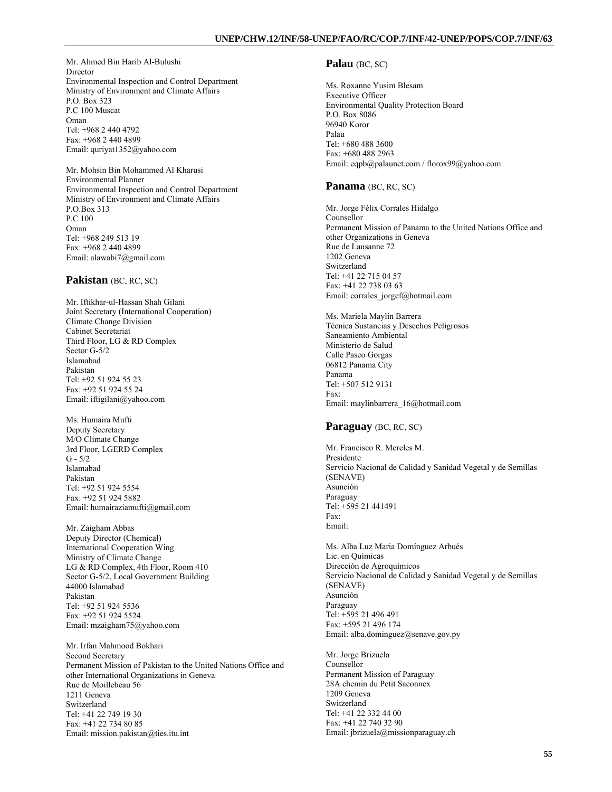Mr. Ahmed Bin Harib Al-Bulushi Director Environmental Inspection and Control Department Ministry of Environment and Climate Affairs P.O. Box 323 P.C 100 Muscat Oman Tel: +968 2 440 4792 Fax: +968 2 440 4899 Email: quriyat1352@yahoo.com

Mr. Mohsin Bin Mohammed Al Kharusi Environmental Planner Environmental Inspection and Control Department Ministry of Environment and Climate Affairs P.O.Box 313 P.C 100 Oman Tel: +968 249 513 19 Fax: +968 2 440 4899 Email: alawabi7@gmail.com

### **Pakistan** (BC, RC, SC)

Mr. Iftikhar-ul-Hassan Shah Gilani Joint Secretary (International Cooperation) Climate Change Division Cabinet Secretariat Third Floor, LG & RD Complex Sector G-5/2 Islamabad Pakistan Tel: +92 51 924 55 23 Fax: +92 51 924 55 24 Email: iftigilani@yahoo.com

Ms. Humaira Mufti Deputy Secretary M/O Climate Change 3rd Floor, LGERD Complex  $G - 5/2$ Islamabad Pakistan Tel: +92 51 924 5554 Fax: +92 51 924 5882 Email: humairaziamufti@gmail.com

Mr. Zaigham Abbas Deputy Director (Chemical) International Cooperation Wing Ministry of Climate Change LG & RD Complex, 4th Floor, Room 410 Sector G-5/2, Local Government Building 44000 Islamabad Pakistan Tel: +92 51 924 5536 Fax: +92 51 924 5524 Email: mzaigham75@yahoo.com

Mr. Irfan Mahmood Bokhari Second Secretary Permanent Mission of Pakistan to the United Nations Office and other International Organizations in Geneva Rue de Moillebeau 56 1211 Geneva Switzerland Tel: +41 22 749 19 30 Fax: +41 22 734 80 85 Email: mission.pakistan@ties.itu.int

### **Palau** (BC, SC)

Ms. Roxanne Yusim Blesam Executive Officer Environmental Quality Protection Board P.O. Box 8086 96940 Koror Palau Tel: +680 488 3600 Fax: +680 488 2963 Email: eqpb@palaunet.com / florox99@yahoo.com

## **Panama** (BC, RC, SC)

Mr. Jorge Félix Corrales Hidalgo Counsellor Permanent Mission of Panama to the United Nations Office and other Organizations in Geneva Rue de Lausanne 72 1202 Geneva Switzerland Tel: +41 22 715 04 57 Fax: +41 22 738 03 63 Email: corrales\_jorgef@hotmail.com

Ms. Mariela Maylin Barrera Técnica Sustancias y Desechos Peligrosos Saneamiento Ambiental Ministerio de Salud Calle Paseo Gorgas 06812 Panama City Panama Tel: +507 512 9131 Fax: Email: maylinbarrera\_16@hotmail.com

### **Paraguay** (BC, RC, SC)

Mr. Francisco R. Mereles M. Presidente Servicio Nacional de Calidad y Sanidad Vegetal y de Semillas (SENAVE) Asunción Paraguay Tel: +595 21 441491 Fax: Email:

Ms. Alba Luz Maria Domínguez Arbués Lic. en Químicas Dirección de Agroquímicos Servicio Nacional de Calidad y Sanidad Vegetal y de Semillas (SENAVE) Asunción Paraguay Tel: +595 21 496 491 Fax: +595 21 496 174 Email: alba.dominguez@senave.gov.py

Mr. Jorge Brizuela Counsellor Permanent Mission of Paraguay 28A chemin du Petit Saconnex 1209 Geneva Switzerland Tel: +41 22 332 44 00 Fax: +41 22 740 32 90 Email: jbrizuela@missionparaguay.ch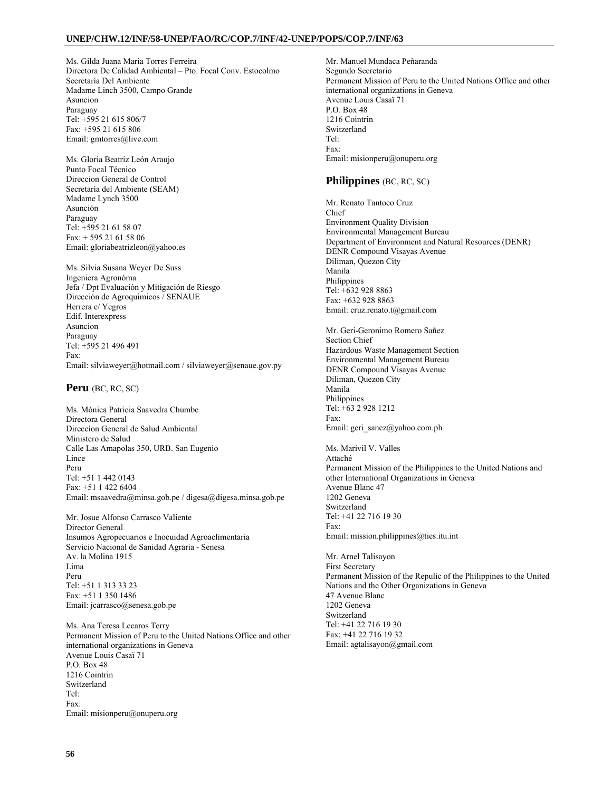Ms. Gilda Juana Maria Torres Ferreira Directora De Calidad Ambiental – Pto. Focal Conv. Estocolmo Secretaría Del Ambiente Madame Linch 3500, Campo Grande Asuncion Paraguay Tel: +595 21 615 806/7 Fax: +595 21 615 806 Email: gmtorres@live.com

Ms. Gloria Beatriz León Araujo Punto Focal Técnico Direccion General de Control Secretaría del Ambiente (SEAM) Madame Lynch 3500 Asunción Paraguay Tel: +595 21 61 58 07 Fax: + 595 21 61 58 06 Email: gloriabeatrizleon@yahoo.es

Ms. Silvia Susana Weyer De Suss Ingeniera Agronóma Jefa / Dpt Evaluación y Mitigación de Riesgo Dirección de Agroquimicos / SENAUE Herrera c/ Yegros Edif. Interexpress Asuncion Paraguay Tel: +595 21 496 491 Fax: Email: silviaweyer@hotmail.com / silviaweyer@senaue.gov.py

**Peru** (BC, RC, SC)

Ms. Mónica Patricia Saavedra Chumbe Directora General Direccíon General de Salud Ambiental Ministero de Salud Calle Las Amapolas 350, URB. San Eugenio **Lince** Peru Tel: +51 1 442 0143 Fax: +51 1 422 6404 Email: msaavedra@minsa.gob.pe / digesa@digesa.minsa.gob.pe

Mr. Josue Alfonso Carrasco Valiente Director General Insumos Agropecuarios e Inocuidad Agroaclimentaria Servicio Nacional de Sanidad Agraria - Senesa Av. la Molina 1915 Lima Peru Tel: +51 1 313 33 23 Fax: +51 1 350 1486 Email: jcarrasco@senesa.gob.pe

Ms. Ana Teresa Lecaros Terry Permanent Mission of Peru to the United Nations Office and other international organizations in Geneva Avenue Louis Casaï 71 P.O. Box 48 1216 Cointrin Switzerland Tel: Fax: Email: misionperu@onuperu.org

Mr. Manuel Mundaca Peñaranda Segundo Secretario Permanent Mission of Peru to the United Nations Office and other international organizations in Geneva Avenue Louis Casaï 71  $P \cap \operatorname{Rov}$  48 1216 Cointrin Switzerland Tel: Fax: Email: misionperu@onuperu.org

# **Philippines** (BC, RC, SC)

Mr. Renato Tantoco Cruz Chief Environment Quality Division Environmental Management Bureau Department of Environment and Natural Resources (DENR) DENR Compound Visayas Avenue Diliman, Quezon City Manila Philippines Tel: +632 928 8863 Fax: +632 928 8863 Email: cruz.renato.t@gmail.com

Mr. Geri-Geronimo Romero Sañez Section Chief Hazardous Waste Management Section Environmental Management Bureau DENR Compound Visayas Avenue Diliman, Quezon City Manila Philippines Tel: +63 2 928 1212 Fax: Email: geri\_sanez@yahoo.com.ph

Ms. Marivil V. Valles Attaché Permanent Mission of the Philippines to the United Nations and other International Organizations in Geneva Avenue Blanc 47 1202 Geneva Switzerland Tel: +41 22 716 19 30 Fax: Email: mission.philippines@ties.itu.int

Mr. Arnel Talisayon First Secretary Permanent Mission of the Repulic of the Philippines to the United Nations and the Other Organizations in Geneva 47 Avenue Blanc 1202 Geneva Switzerland Tel: +41 22 716 19 30 Fax: +41 22 716 19 32 Email: agtalisayon@gmail.com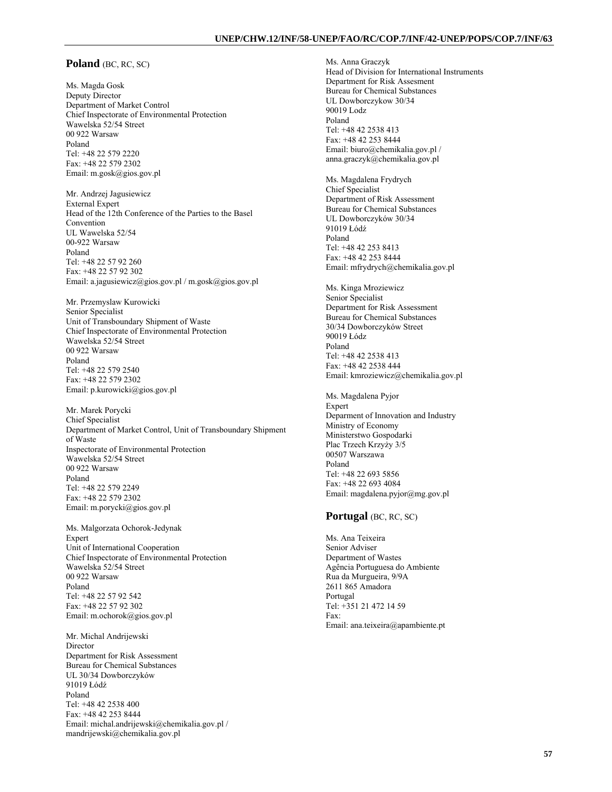### **Poland** (BC, RC, SC)

Ms. Magda Gosk Deputy Director Department of Market Control Chief Inspectorate of Environmental Protection Wawelska 52/54 Street 00 922 Warsaw Poland Tel: +48 22 579 2220 Fax: +48 22 579 2302 Email: m.gosk@gios.gov.pl

Mr. Andrzej Jagusiewicz External Expert Head of the 12th Conference of the Parties to the Basel Convention UL Wawelska 52/54 00-922 Warsaw Poland Tel: +48 22 57 92 260 Fax: +48 22 57 92 302 Email: a.jagusiewicz@gios.gov.pl / m.gosk@gios.gov.pl

Mr. Przemyslaw Kurowicki Senior Specialist Unit of Transboundary Shipment of Waste Chief Inspectorate of Environmental Protection Wawelska 52/54 Street 00 922 Warsaw Poland Tel: +48 22 579 2540 Fax: +48 22 579 2302 Email: p.kurowicki@gios.gov.pl

Mr. Marek Porycki Chief Specialist Department of Market Control, Unit of Transboundary Shipment of Waste Inspectorate of Environmental Protection Wawelska 52/54 Street 00 922 Warsaw Poland Tel: +48 22 579 2249 Fax: +48 22 579 2302 Email: m.porycki@gios.gov.pl

Ms. Malgorzata Ochorok-Jedynak Expert Unit of International Cooperation Chief Inspectorate of Environmental Protection Wawelska 52/54 Street 00 922 Warsaw Poland Tel: +48 22 57 92 542 Fax: +48 22 57 92 302 Email: m.ochorok@gios.gov.pl

Mr. Michal Andrijewski Director Department for Risk Assessment Bureau for Chemical Substances UL 30/34 Dowborczyków 91019 Łódź Poland Tel: +48 42 2538 400 Fax: +48 42 253 8444 Email: michal.andrijewski@chemikalia.gov.pl / mandrijewski@chemikalia.gov.pl

Ms. Anna Graczyk Head of Division for International Instruments Department for Risk Assesment Bureau for Chemical Substances UL Dowborczykow 30/34 90019 Lodz Poland Tel: +48 42 2538 413 Fax: +48 42 253 8444 Email: biuro@chemikalia.gov.pl / anna.graczyk@chemikalia.gov.pl Ms. Magdalena Frydrych Chief Specialist Department of Risk Assessment Bureau for Chemical Substances UL Dowborczyków 30/34 91019 Łódź Poland Tel: +48 42 253 8413 Fax: +48 42 253 8444 Email: mfrydrych@chemikalia.gov.pl Ms. Kinga Mroziewicz Senior Specialist Department for Risk Assessment Bureau for Chemical Substances 30/34 Dowborczyków Street 90019 Łódz Poland Tel: +48 42 2538 413 Fax: +48 42 2538 444 Email: kmroziewicz@chemikalia.gov.pl Ms. Magdalena Pyjor Expert Deparment of Innovation and Industry Ministry of Economy

Ministerstwo Gospodarki Plac Trzech Krzyży 3/5 00507 Warszawa Poland Tel: +48 22 693 5856 Fax: +48 22 693 4084 Email: magdalena.pyjor@mg.gov.pl

# **Portugal** (BC, RC, SC)

Ms. Ana Teixeira Senior Adviser Department of Wastes Agência Portuguesa do Ambiente Rua da Murgueira, 9/9A 2611 865 Amadora Portugal Tel: +351 21 472 14 59 Fax: Email: ana.teixeira@apambiente.pt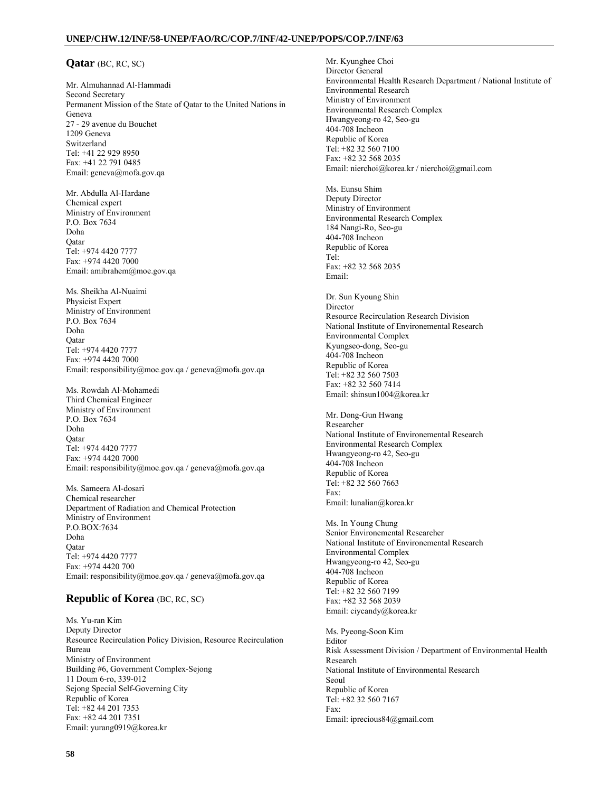## **Qatar** (BC, RC, SC)

Mr. Almuhannad Al-Hammadi Second Secretary Permanent Mission of the State of Qatar to the United Nations in Geneva 27 - 29 avenue du Bouchet 1209 Geneva Switzerland Tel: +41 22 929 8950 Fax: +41 22 791 0485 Email: geneva@mofa.gov.qa

Mr. Abdulla Al-Hardane Chemical expert Ministry of Environment P.O. Box 7634 Doha Qatar Tel: +974 4420 7777 Fax: +974 4420 7000 Email: amibrahem@moe.gov.qa

Ms. Sheikha Al-Nuaimi Physicist Expert Ministry of Environment P.O. Box 7634 Doha Qatar Tel: +974 4420 7777 Fax: +974 4420 7000 Email: responsibility@moe.gov.qa / geneva@mofa.gov.qa

Ms. Rowdah Al-Mohamedi Third Chemical Engineer Ministry of Environment P.O. Box 7634 Doha **O**atar Tel: +974 4420 7777 Fax: +974 4420 7000 Email: responsibility@moe.gov.qa / geneva@mofa.gov.qa

Ms. Sameera Al-dosari Chemical researcher Department of Radiation and Chemical Protection Ministry of Environment P.O.BOX:7634 Doha **O**atar Tel: +974 4420 7777 Fax: +974 4420 700 Email: responsibility@moe.gov.qa / geneva@mofa.gov.qa

# **Republic of Korea** (BC, RC, SC)

Ms. Yu-ran Kim Deputy Director Resource Recirculation Policy Division, Resource Recirculation Bureau Ministry of Environment Building #6, Government Complex-Sejong 11 Doum 6-ro, 339-012 Sejong Special Self-Governing City Republic of Korea Tel: +82 44 201 7353 Fax: +82 44 201 7351 Email: yurang0919@korea.kr

Mr. Kyunghee Choi Director General Environmental Health Research Department / National Institute of Environmental Research Ministry of Environment Environmental Research Complex Hwangyeong-ro 42, Seo-gu 404-708 Incheon Republic of Korea Tel: +82 32 560 7100 Fax: +82 32 568 2035 Email: nierchoi@korea.kr / nierchoi@gmail.com Ms. Eunsu Shim Deputy Director Ministry of Environment Environmental Research Complex 184 Nangi-Ro, Seo-gu 404-708 Incheon Republic of Korea Tel: Fax: +82 32 568 2035 Email: Dr. Sun Kyoung Shin Director Resource Recirculation Research Division National Institute of Environemental Research Environmental Complex Kyungseo-dong, Seo-gu 404-708 Incheon Republic of Korea Tel: +82 32 560 7503 Fax: +82 32 560 7414 Email: shinsun1004@korea.kr Mr. Dong-Gun Hwang Researcher National Institute of Environemental Research Environmental Research Complex Hwangyeong-ro 42, Seo-gu 404-708 Incheon Republic of Korea Tel: +82 32 560 7663 Fax: Email: lunalian@korea.kr Ms. In Young Chung Senior Environemental Researcher National Institute of Environemental Research Environmental Complex Hwangyeong-ro 42, Seo-gu 404-708 Incheon Republic of Korea Tel: +82 32 560 7199 Fax: +82 32 568 2039 Email: ciycandy@korea.kr Ms. Pyeong-Soon Kim Editor Risk Assessment Division / Department of Environmental Health Research National Institute of Environmental Research Seoul Republic of Korea Tel: +82 32 560 7167 Fax: Email: iprecious84@gmail.com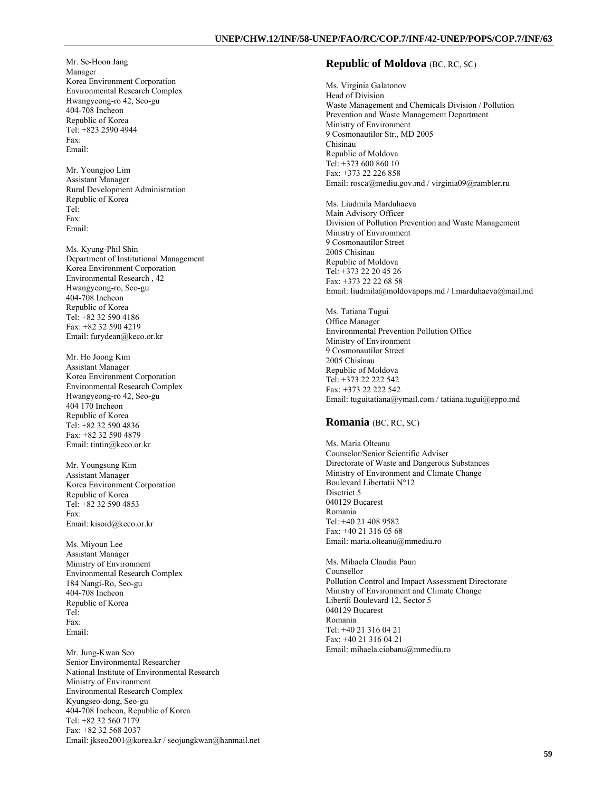Mr. Se-Hoon Jang Manager Korea Environment Corporation Environmental Research Complex Hwangyeong-ro 42, Seo-gu 404-708 Incheon Republic of Korea Tel: +823 2590 4944 Fax: Email:

Mr. Youngjoo Lim Assistant Manager Rural Development Administration Republic of Korea Tel: Fax: Email:

Ms. Kyung-Phil Shin Department of Institutional Management Korea Environment Corporation Environmental Research , 42 Hwangyeong-ro, Seo-gu 404-708 Incheon Republic of Korea Tel: +82 32 590 4186 Fax: +82 32 590 4219 Email: furydean@keco.or.kr

Mr. Ho Joong Kim Assistant Manager Korea Environment Corporation Environmental Research Complex Hwangyeong-ro 42, Seo-gu 404 170 Incheon Republic of Korea Tel: +82 32 590 4836 Fax: +82 32 590 4879 Email: tintin@keco.or.kr

Mr. Youngsung Kim Assistant Manager Korea Environment Corporation Republic of Korea Tel: +82 32 590 4853 Fax: Email: kisoid@keco.or.kr

Ms. Miyoun Lee Assistant Manager Ministry of Environment Environmental Research Complex 184 Nangi-Ro, Seo-gu 404-708 Incheon Republic of Korea Tel: Fax: Email:

Mr. Jung-Kwan Seo Senior Environmental Researcher National Institute of Environmental Research Ministry of Environment Environmental Research Complex Kyungseo-dong, Seo-gu 404-708 Incheon, Republic of Korea Tel: +82 32 560 7179 Fax: +82 32 568 2037 Email: jkseo2001@korea.kr / seojungkwan@hanmail.net

### **Republic of Moldova** (BC, RC, SC)

Ms. Virginia Galatonov Head of Division Waste Management and Chemicals Division / Pollution Prevention and Waste Management Department Ministry of Environment 9 Cosmonautilor Str., MD 2005 Chisinau Republic of Moldova Tel: +373 600 860 10 Fax: +373 22 226 858 Email: rosca@mediu.gov.md / virginia09@rambler.ru

Ms. Liudmila Marduhaeva Main Advisory Officer Division of Pollution Prevention and Waste Management Ministry of Environment 9 Cosmonautilor Street 2005 Chisinau Republic of Moldova Tel: +373 22 20 45 26 Fax: +373 22 22 68 58 Email: liudmila@moldovapops.md / l.marduhaeva@mail.md

Ms. Tatiana Tugui Office Manager Environmental Prevention Pollution Office Ministry of Environment 9 Cosmonautilor Street 2005 Chisinau Republic of Moldova Tel: +373 22 222 542 Fax: +373 22 222 542 Email: tuguitatiana@ymail.com / tatiana.tugui@eppo.md

# **Romania** (BC, RC, SC)

Ms. Maria Olteanu Counselor/Senior Scientific Adviser Directorate of Waste and Dangerous Substances Ministry of Environment and Climate Change Boulevard Libertatii N°12 Disctrict 5 040129 Bucarest Romania Tel: +40 21 408 9582 Fax: +40 21 316 05 68 Email: maria.olteanu@mmediu.ro

Ms. Mihaela Claudia Paun Counsellor Pollution Control and Impact Assessment Directorate Ministry of Environment and Climate Change Libertii Boulevard 12, Sector 5 040129 Bucarest Romania Tel: +40 21 316 04 21 Fax: +40 21 316 04 21 Email: mihaela.ciobanu@mmediu.ro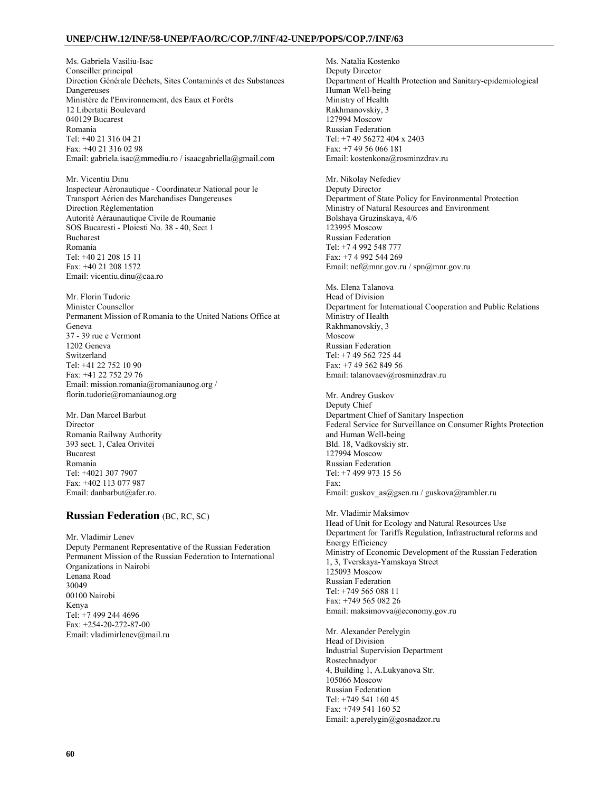Ms. Gabriela Vasiliu-Isac Conseiller principal Direction Générale Déchets, Sites Contaminés et des Substances Dangereuses Ministère de l'Environnement, des Eaux et Forêts 12 Libertatii Boulevard 040129 Bucarest Romania Tel: +40 21 316 04 21 Fax: +40 21 316 02 98 Email: gabriela.isac@mmediu.ro / isaacgabriella@gmail.com

Mr. Vicentiu Dinu Inspecteur Aéronautique - Coordinateur National pour le Transport Aérien des Marchandises Dangereuses Direction Réglementation Autorité Aéraunautique Civile de Roumanie SOS Bucaresti - Ploiesti No. 38 - 40, Sect 1 Bucharest Romania Tel: +40 21 208 15 11 Fax: +40 21 208 1572 Email: vicentiu.dinu@caa.ro

Mr. Florin Tudorie Minister Counsellor Permanent Mission of Romania to the United Nations Office at Geneva 37 - 39 rue e Vermont 1202 Geneva Switzerland Tel: +41 22 752 10 90 Fax: +41 22 752 29 76 Email: mission.romania@romaniaunog.org / florin.tudorie@romaniaunog.org

Mr. Dan Marcel Barbut Director Romania Railway Authority 393 sect. 1, Calea Orivitei Bucarest Romania Tel: +4021 307 7907 Fax: +402 113 077 987 Email: danbarbut@afer.ro.

# **Russian Federation** (BC, RC, SC)

Mr. Vladimir Lenev Deputy Permanent Representative of the Russian Federation Permanent Mission of the Russian Federation to International Organizations in Nairobi Lenana Road 30049 00100 Nairobi Kenya Tel: +7 499 244 4696 Fax: +254-20-272-87-00 Email: vladimirlenev@mail.ru

Ms. Natalia Kostenko Deputy Director Department of Health Protection and Sanitary-epidemiological Human Well-being Ministry of Health Rakhmanovskiy, 3 127994 Moscow Russian Federation Tel: +7 49 56272 404 x 2403 Fax: +7 49 56 066 181 Email: kostenkona@rosminzdrav.ru

Mr. Nikolay Nefediev Deputy Director Department of State Policy for Environmental Protection Ministry of Natural Resources and Environment Bolshaya Gruzinskaya, 4/6 123995 Moscow Russian Federation Tel: +7 4 992 548 777 Fax: +7 4 992 544 269 Email: nef@mnr.gov.ru / spn@mnr.gov.ru

Ms. Elena Talanova Head of Division Department for International Cooperation and Public Relations Ministry of Health Rakhmanovskiy, 3 Moscow Russian Federation Tel: +7 49 562 725 44 Fax: +7 49 562 849 56 Email: talanovaev@rosminzdrav.ru

Mr. Andrey Guskov Deputy Chief Department Chief of Sanitary Inspection Federal Service for Surveillance on Consumer Rights Protection and Human Well-being Bld. 18, Vadkovskiy str. 127994 Moscow Russian Federation Tel: +7 499 973 15 56 Fax: Email: guskov\_as@gsen.ru / guskova@rambler.ru

Mr. Vladimir Maksimov Head of Unit for Ecology and Natural Resources Use Department for Tariffs Regulation, Infrastructural reforms and Energy Efficiency Ministry of Economic Development of the Russian Federation 1, 3, Tverskaya-Yamskaya Street 125093 Moscow Russian Federation Tel: +749 565 088 11 Fax: +749 565 082 26 Email: maksimovva@economy.gov.ru

Mr. Alexander Perelygin Head of Division Industrial Supervision Department Rostechnadyor 4, Building 1, A.Lukyanova Str. 105066 Moscow Russian Federation Tel: +749 541 160 45 Fax: +749 541 160 52 Email: a.perelygin@gosnadzor.ru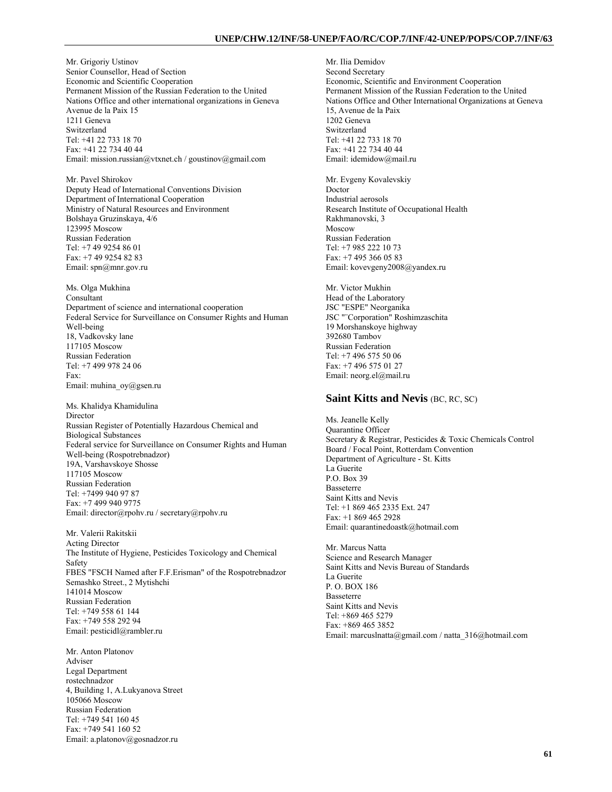Mr. Grigoriy Ustinov Senior Counsellor, Head of Section Economic and Scientific Cooperation Permanent Mission of the Russian Federation to the United Nations Office and other international organizations in Geneva Avenue de la Paix 15 1211 Geneva Switzerland Tel: +41 22 733 18 70 Fax: +41 22 734 40 44 Email: mission.russian@vtxnet.ch / goustinov@gmail.com

Mr. Pavel Shirokov Deputy Head of International Conventions Division Department of International Cooperation Ministry of Natural Resources and Environment Bolshaya Gruzinskaya, 4/6 123995 Moscow Russian Federation Tel: +7 49 9254 86 01 Fax: +7 49 9254 82 83 Email: spn@mnr.gov.ru

Ms. Olga Mukhina Consultant Department of science and international cooperation Federal Service for Surveillance on Consumer Rights and Human Well-being 18, Vadkovsky lane 117105 Moscow Russian Federation Tel: +7 499 978 24 06 Fax: Email: muhina\_oy@gsen.ru

Ms. Khalidya Khamidulina Director Russian Register of Potentially Hazardous Chemical and Biological Substances Federal service for Surveillance on Consumer Rights and Human Well-being (Rospotrebnadzor) 19A, Varshavskoye Shosse 117105 Moscow Russian Federation Tel: +7499 940 97 87 Fax: +7 499 940 9775 Email: director@rpohv.ru / secretary@rpohv.ru

Mr. Valerii Rakitskii Acting Director The Institute of Hygiene, Pesticides Toxicology and Chemical Safety FBES "FSCH Named after F.F.Erisman" of the Rospotrebnadzor Semashko Street., 2 Mytishchi 141014 Moscow Russian Federation Tel: +749 558 61 144 Fax: +749 558 292 94 Email: pesticidl@rambler.ru

Mr. Anton Platonov Adviser Legal Department rostechnadzor 4, Building 1, A.Lukyanova Street 105066 Moscow Russian Federation Tel: +749 541 160 45 Fax: +749 541 160 52 Email: a.platonov@gosnadzor.ru

Mr. Ilia Demidov Second Secretary Economic, Scientific and Environment Cooperation Permanent Mission of the Russian Federation to the United Nations Office and Other International Organizations at Geneva 15, Avenue de la Paix 1202 Geneva Switzerland Tel: +41 22 733 18 70 Fax: +41 22 734 40 44 Email: idemidow@mail.ru

Mr. Evgeny Kovalevskiy Doctor Industrial aerosols Research Institute of Occupational Health Rakhmanovski, 3 Moscow Russian Federation Tel: +7 985 222 10 73 Fax: +7 495 366 05 83 Email: kovevgeny2008@yandex.ru

Mr. Victor Mukhin Head of the Laboratory JSC "ESPE" Neorganika JSC "¨Corporation" Roshimzaschita 19 Morshanskoye highway 392680 Tambov Russian Federation Tel: +7 496 575 50 06 Fax: +7 496 575 01 27 Email: neorg.el@mail.ru

#### **Saint Kitts and Nevis** (BC, RC, SC)

Ms. Jeanelle Kelly Quarantine Officer Secretary & Registrar, Pesticides & Toxic Chemicals Control Board / Focal Point, Rotterdam Convention Department of Agriculture - St. Kitts La Guerite P.O. Box 39 Basseterre Saint Kitts and Nevis Tel: +1 869 465 2335 Ext. 247 Fax: +1 869 465 2928 Email: quarantinedoastk@hotmail.com

Mr. Marcus Natta Science and Research Manager Saint Kitts and Nevis Bureau of Standards La Guerite P. O. BOX 186 Basseterre Saint Kitts and Nevis Tel: +869 465 5279 Fax: +869 465 3852 Email: marcuslnatta@gmail.com / natta\_316@hotmail.com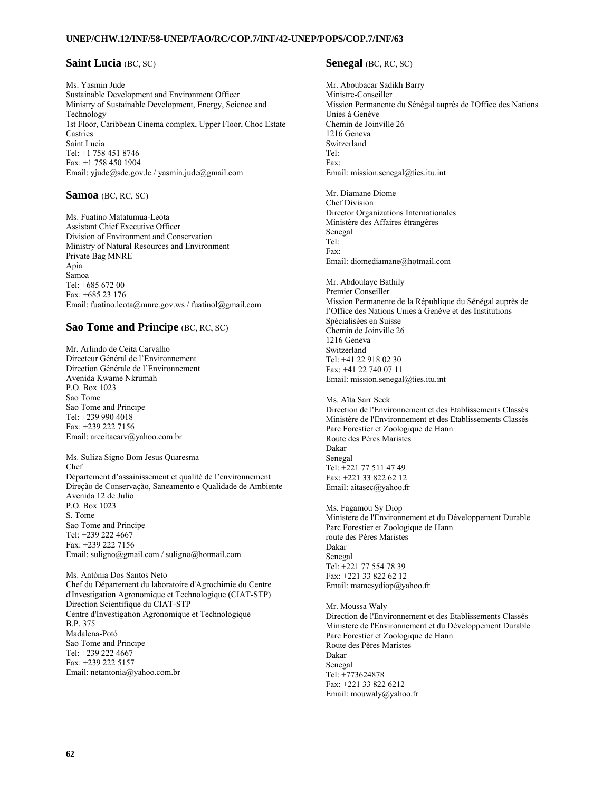## **Saint Lucia** (BC, SC)

Ms. Yasmin Jude Sustainable Development and Environment Officer Ministry of Sustainable Development, Energy, Science and Technology 1st Floor, Caribbean Cinema complex, Upper Floor, Choc Estate Castries Saint Lucia Tel: +1 758 451 8746 Fax: +1 758 450 1904 Email: yjude@sde.gov.lc / yasmin.jude@gmail.com

## **Samoa** (BC, RC, SC)

Ms. Fuatino Matatumua-Leota Assistant Chief Executive Officer Division of Environment and Conservation Ministry of Natural Resources and Environment Private Bag MNRE Apia Samoa Tel: +685 672 00 Fax: +685 23 176 Email: fuatino.leota@mnre.gov.ws / fuatinol@gmail.com

# **Sao Tome and Principe** *(BC, RC, SC)*

Mr. Arlindo de Ceita Carvalho Directeur Général de l'Environnement Direction Générale de l'Environnement Avenida Kwame Nkrumah P.O. Box 1023 Sao Tome Sao Tome and Principe Tel: +239 990 4018 Fax: +239 222 7156 Email: arceitacarv@yahoo.com.br

Ms. Suliza Signo Bom Jesus Quaresma Chef Département d'assainissement et qualité de l'environnement Direção de Conservação, Saneamento e Qualidade de Ambiente Avenida 12 de Julio P.O. Box 1023 S. Tome Sao Tome and Principe Tel: +239 222 4667 Fax: +239 222 7156 Email: suligno@gmail.com / suligno@hotmail.com

Ms. Antónia Dos Santos Neto Chef du Département du laboratoire d'Agrochimie du Centre d'Investigation Agronomique et Technologique (CIAT-STP) Direction Scientifique du CIAT-STP Centre d'Investigation Agronomique et Technologique B.P. 375 Madalena-Potó Sao Tome and Principe Tel: +239 222 4667 Fax: +239 222 5157 Email: netantonia@yahoo.com.br

# **Senegal** (BC, RC, SC)

Mr. Aboubacar Sadikh Barry Ministre-Conseiller Mission Permanente du Sénégal auprès de l'Office des Nations Unies à Genève Chemin de Joinville 26 1216 Geneva Switzerland Tel: Fax: Email: mission.senegal@ties.itu.int

Mr. Diamane Diome Chef Division Director Organizations Internationales Ministère des Affaires étrangères Senegal Tel: Fax: Email: diomediamane@hotmail.com

Mr. Abdoulaye Bathily Premier Conseiller Mission Permanente de la République du Sénégal auprès de l'Office des Nations Unies à Genève et des Institutions Spécialisées en Suisse Chemin de Joinville 26 1216 Geneva Switzerland Tel: +41 22 918 02 30 Fax: +41 22 740 07 11 Email: mission.senegal@ties.itu.int

Ms. Aïta Sarr Seck Direction de l'Environnement et des Etablissements Classés Ministère de l'Environnement et des Etablissements Classés Parc Forestier et Zoologique de Hann Route des Pères Maristes Dakar Senegal Tel: +221 77 511 47 49 Fax: +221 33 822 62 12 Email: aitasec@yahoo.fr

Ms. Fagamou Sy Diop Ministere de l'Environnement et du Développement Durable Parc Forestier et Zoologique de Hann route des Pères Maristes Dakar Senegal Tel: +221 77 554 78 39 Fax: +221 33 822 62 12 Email: mamesydiop@yahoo.fr

Mr. Moussa Waly Direction de l'Environnement et des Etablissements Classés Ministere de l'Environnement et du Développement Durable Parc Forestier et Zoologique de Hann Route des Pères Maristes Dakar Senegal Tel: +773624878 Fax: +221 33 822 6212 Email: mouwaly@yahoo.fr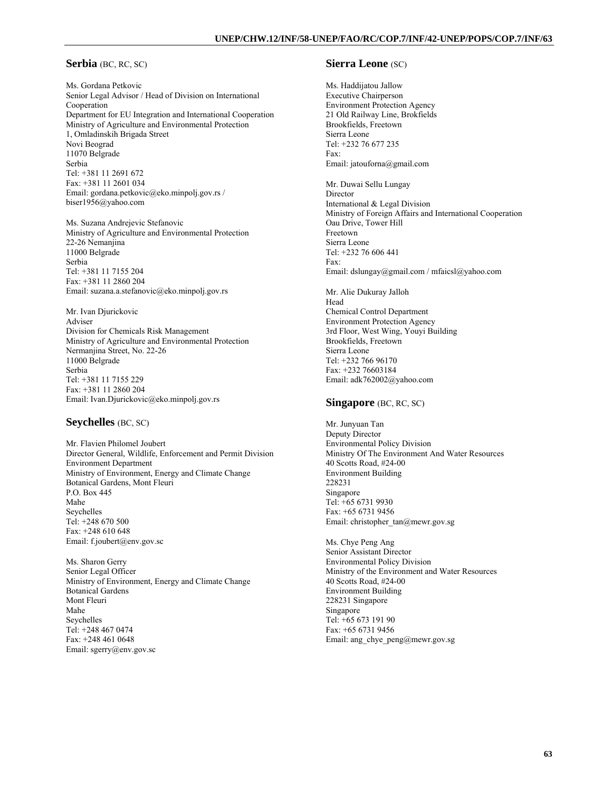# **Serbia** (BC, RC, SC)

Ms. Gordana Petkovic Senior Legal Advisor / Head of Division on International Cooperation Department for EU Integration and International Cooperation Ministry of Agriculture and Environmental Protection 1, Omladinskih Brigada Street Novi Beograd 11070 Belgrade Serbia Tel: +381 11 2691 672 Fax: +381 11 2601 034 Email: gordana.petkovic@eko.minpolj.gov.rs / biser1956@yahoo.com

Ms. Suzana Andrejevic Stefanovic Ministry of Agriculture and Environmental Protection 22-26 Nemanjina 11000 Belgrade Serbia Tel: +381 11 7155 204 Fax: +381 11 2860 204 Email: suzana.a.stefanovic@eko.minpolj.gov.rs

Mr. Ivan Djurickovic Adviser Division for Chemicals Risk Management Ministry of Agriculture and Environmental Protection Nermanjina Street, No. 22-26 11000 Belgrade Serbia Tel: +381 11 7155 229 Fax: +381 11 2860 204 Email: Ivan.Djurickovic@eko.minpolj.gov.rs

# **Seychelles** (BC, SC)

Mr. Flavien Philomel Joubert Director General, Wildlife, Enforcement and Permit Division Environment Department Ministry of Environment, Energy and Climate Change Botanical Gardens, Mont Fleuri P.O. Box 445 Mahe Seychelles Tel: +248 670 500 Fax: +248 610 648 Email: f.joubert@env.gov.sc

Ms. Sharon Gerry Senior Legal Officer Ministry of Environment, Energy and Climate Change Botanical Gardens Mont Fleuri Mahe Seychelles Tel: +248 467 0474 Fax: +248 461 0648 Email: sgerry@env.gov.sc

#### **Sierra Leone** (SC)

Ms. Haddijatou Jallow Executive Chairperson Environment Protection Agency 21 Old Railway Line, Brokfields Brookfields, Freetown Sierra Leone Tel: +232 76 677 235 Fax: Email: jatouforna@gmail.com Mr. Duwai Sellu Lungay **Director** 

International & Legal Division Ministry of Foreign Affairs and International Cooperation Oau Drive, Tower Hill Freetown Sierra Leone Tel: +232 76 606 441 Fax: Email: dslungay@gmail.com / mfaicsl@yahoo.com

Mr. Alie Dukuray Jalloh Head Chemical Control Department Environment Protection Agency 3rd Floor, West Wing, Youyi Building Brookfields, Freetown Sierra Leone Tel: +232 766 96170 Fax: +232 76603184 Email: adk762002@yahoo.com

### **Singapore** (BC, RC, SC)

Mr. Junyuan Tan Deputy Director Environmental Policy Division Ministry Of The Environment And Water Resources 40 Scotts Road, #24-00 Environment Building 228231 Singapore Tel: +65 6731 9930 Fax: +65 6731 9456 Email: christopher\_tan@mewr.gov.sg

Ms. Chye Peng Ang Senior Assistant Director Environmental Policy Division Ministry of the Environment and Water Resources 40 Scotts Road, #24-00 Environment Building 228231 Singapore Singapore Tel: +65 673 191 90 Fax: +65 6731 9456 Email: ang\_chye\_peng@mewr.gov.sg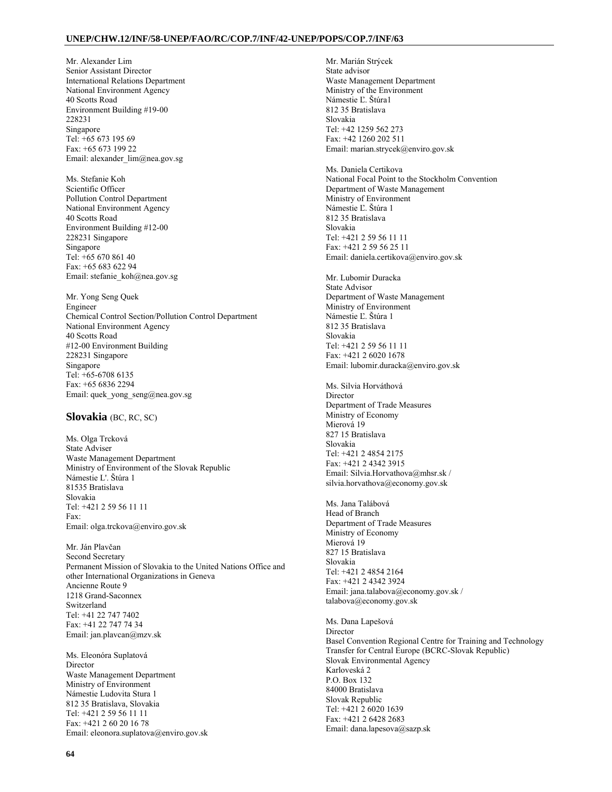Mr. Alexander Lim Senior Assistant Director International Relations Department National Environment Agency 40 Scotts Road Environment Building #19-00 228231 Singapore Tel: +65 673 195 69 Fax: +65 673 199 22 Email: alexander\_lim@nea.gov.sg

Ms. Stefanie Koh Scientific Officer Pollution Control Department National Environment Agency 40 Scotts Road Environment Building #12-00 228231 Singapore Singapore Tel:  $+65,670,861,40$ Fax: +65 683 622 94 Email: stefanie\_koh@nea.gov.sg

Mr. Yong Seng Quek Engineer Chemical Control Section/Pollution Control Department National Environment Agency 40 Scotts Road #12-00 Environment Building 228231 Singapore Singapore Tel: +65-6708 6135 Fax: +65 6836 2294 Email: quek\_yong\_seng@nea.gov.sg

## **Slovakia** (BC, RC, SC)

Ms. Olga Trcková State Adviser Waste Management Department Ministry of Environment of the Slovak Republic Námestie L'. Štúra 1 81535 Bratislava Slovakia Tel: +421 2 59 56 11 11 Fax: Email: olga.trckova@enviro.gov.sk

Mr. Ján Plavčan Second Secretary Permanent Mission of Slovakia to the United Nations Office and other International Organizations in Geneva Ancienne Route 9 1218 Grand-Saconnex Switzerland Tel: +41 22 747 7402 Fax: +41 22 747 74 34 Email: jan.plavcan@mzv.sk

Ms. Eleonóra Suplatová Director Waste Management Department Ministry of Environment Námestie Ludovita Stura 1 812 35 Bratislava, Slovakia Tel: +421 2 59 56 11 11 Fax: +421 2 60 20 16 78 Email: eleonora.suplatova@enviro.gov.sk Mr. Marián Strýcek State advisor Waste Management Department Ministry of the Environment Námestie Ľ. Štúra1 812 35 Bratislava Slovakia Tel: +42 1259 562 273 Fax: +42 1260 202 511 Email: marian.strycek@enviro.gov.sk

Ms. Daniela Certikova National Focal Point to the Stockholm Convention Department of Waste Management Ministry of Environment Námestie Ľ. Štúra 1 812 35 Bratislava Slovakia Tel: +421 2 59 56 11 11 Fax: +421 2 59 56 25 11 Email: daniela.certikova@enviro.gov.sk

Mr. Lubomir Duracka State Advisor Department of Waste Management Ministry of Environment Námestie Ľ. Štúra 1 812 35 Bratislava Slovakia Tel: +421 2 59 56 11 11 Fax: +421 2 6020 1678 Email: lubomir.duracka@enviro.gov.sk

Ms. Silvia Horváthová **Director** Department of Trade Measures Ministry of Economy Mierová 19 827 15 Bratislava Slovakia Tel: +421 2 4854 2175 Fax: +421 2 4342 3915 Email: Silvia.Horvathova@mhsr.sk / silvia.horvathova@economy.gov.sk

Ms. Jana Talábová Head of Branch Department of Trade Measures Ministry of Economy Mierová 19 827 15 Bratislava Slovakia Tel: +421 2 4854 2164 Fax: +421 2 4342 3924 Email: jana.talabova@economy.gov.sk / talabova@economy.gov.sk

Ms. Dana Lapešová Director Basel Convention Regional Centre for Training and Technology Transfer for Central Europe (BCRC-Slovak Republic) Slovak Environmental Agency Karloveská 2 P.O. Box 132 84000 Bratislava Slovak Republic Tel: +421 2 6020 1639 Fax: +421 2 6428 2683 Email: dana.lapesova@sazp.sk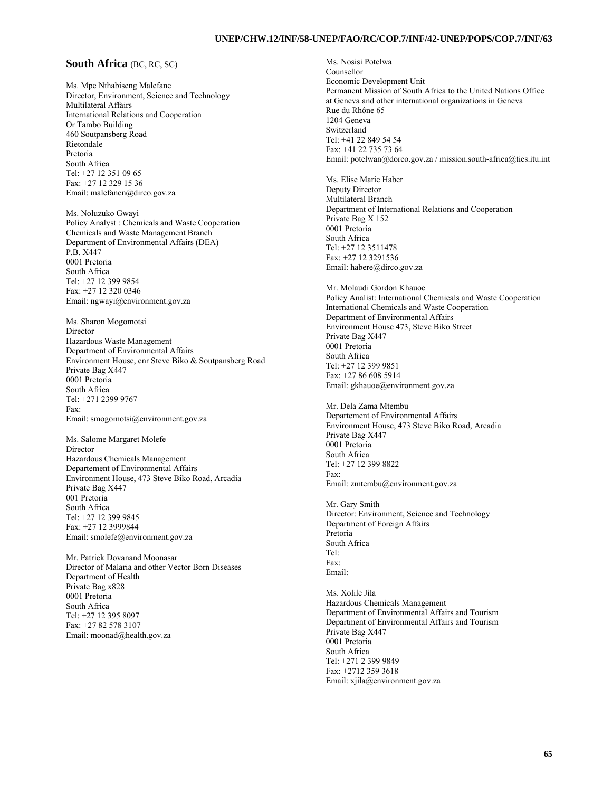#### **South Africa** (BC, RC, SC)

Ms. Mpe Nthabiseng Malefane Director, Environment, Science and Technology Multilateral Affairs International Relations and Cooperation Or Tambo Building 460 Soutpansberg Road Rietondale Pretoria South Africa Tel: +27 12 351 09 65 Fax: +27 12 329 15 36 Email: malefanen@dirco.gov.za

Ms. Noluzuko Gwayi Policy Analyst : Chemicals and Waste Cooperation Chemicals and Waste Management Branch Department of Environmental Affairs (DEA) P.B. X447 0001 Pretoria South Africa Tel: +27 12 399 9854 Fax: +27 12 320 0346 Email: ngwayi@environment.gov.za

Ms. Sharon Mogomotsi Director Hazardous Waste Management Department of Environmental Affairs Environment House, cnr Steve Biko & Soutpansberg Road Private Bag X447 0001 Pretoria South Africa Tel: +271 2399 9767 Fax: Email: smogomotsi@environment.gov.za

Ms. Salome Margaret Molefe Director Hazardous Chemicals Management Departement of Environmental Affairs Environment House, 473 Steve Biko Road, Arcadia Private Bag X447 001 Pretoria South Africa Tel: +27 12 399 9845 Fax: +27 12 3999844 Email: smolefe@environment.gov.za

Mr. Patrick Dovanand Moonasar Director of Malaria and other Vector Born Diseases Department of Health Private Bag x828 0001 Pretoria South Africa Tel: +27 12 395 8097 Fax: +27 82 578 3107 Email: moonad@health.gov.za

Ms. Nosisi Potelwa Counsellor Economic Development Unit Permanent Mission of South Africa to the United Nations Office at Geneva and other international organizations in Geneva Rue du Rhône 65 1204 Geneva Switzerland Tel: +41 22 849 54 54 Fax: +41 22 735 73 64 Email: potelwan@dorco.gov.za / mission.south-africa@ties.itu.int

Ms. Elise Marie Haber Deputy Director Multilateral Branch Department of International Relations and Cooperation Private Bag X 152 0001 Pretoria South Africa Tel: +27 12 3511478 Fax: +27 12 3291536 Email: habere@dirco.gov.za

Mr. Molaudi Gordon Khauoe Policy Analist: International Chemicals and Waste Cooperation International Chemicals and Waste Cooperation Department of Environmental Affairs Environment House 473, Steve Biko Street Private Bag X447 0001 Pretoria South Africa Tel: +27 12 399 9851 Fax: +27 86 608 5914 Email: gkhauoe@environment.gov.za

Mr. Dela Zama Mtembu Departement of Environmental Affairs Environment House, 473 Steve Biko Road, Arcadia Private Bag X447 0001 Pretoria South Africa Tel: +27 12 399 8822 Fax: Email: zmtembu@environment.gov.za

Mr. Gary Smith Director: Environment, Science and Technology Department of Foreign Affairs Pretoria South Africa Tel: Fax: Email:

Ms. Xolile Jila Hazardous Chemicals Management Department of Environmental Affairs and Tourism Department of Environmental Affairs and Tourism Private Bag X447 0001 Pretoria South Africa Tel: +271 2 399 9849 Fax: +2712 359 3618 Email: xjila@environment.gov.za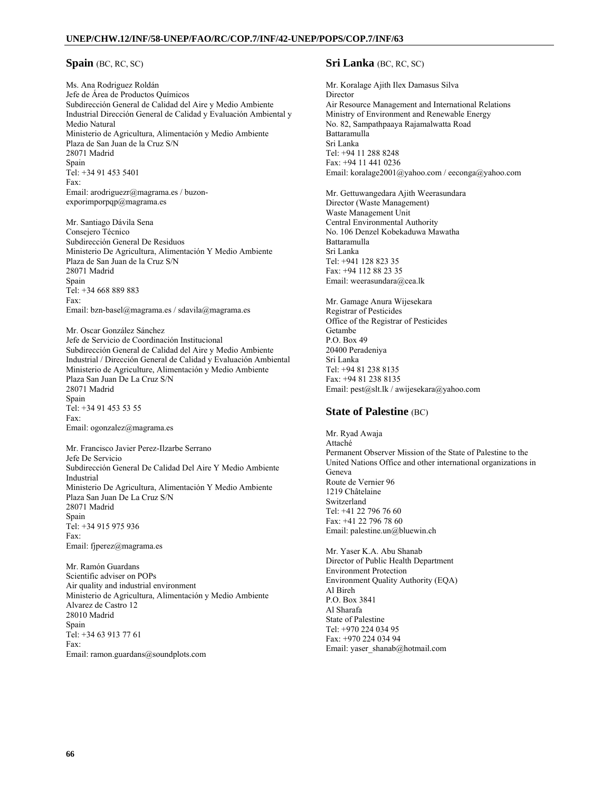## **Spain** (BC, RC, SC)

Ms. Ana Rodriguez Roldán Jefe de Área de Productos Químicos Subdirección General de Calidad del Aire y Medio Ambiente Industrial Dirección General de Calidad y Evaluación Ambiental y Medio Natural Ministerio de Agricultura, Alimentación y Medio Ambiente Plaza de San Juan de la Cruz S/N 28071 Madrid Spain Tel: +34 91 453 5401 Fax: Email: arodriguezr@magrama.es / buzonexporimporpqp@magrama.es

Mr. Santiago Dávila Sena Consejero Técnico Subdirección General De Residuos Ministerio De Agricultura, Alimentación Y Medio Ambiente Plaza de San Juan de la Cruz S/N 28071 Madrid Spain Tel: +34 668 889 883 Fax: Email: bzn-basel@magrama.es / sdavila@magrama.es

Mr. Oscar González Sánchez Jefe de Servicio de Coordinación Institucional Subdirección General de Calidad del Aire y Medio Ambiente Industrial / Dirección General de Calidad y Evaluación Ambiental Ministerio de Agriculture, Alimentación y Medio Ambiente Plaza San Juan De La Cruz S/N 28071 Madrid Spain Tel: +34 91 453 53 55 Fax: Email: ogonzalez@magrama.es

Mr. Francisco Javier Perez-Ilzarbe Serrano Jefe De Servicio Subdirección General De Calidad Del Aire Y Medio Ambiente Industrial Ministerio De Agricultura, Alimentación Y Medio Ambiente Plaza San Juan De La Cruz S/N 28071 Madrid Spain Tel: +34 915 975 936 Fax: Email: fjperez@magrama.es

Mr. Ramón Guardans Scientific adviser on POPs Air quality and industrial environment Ministerio de Agricultura, Alimentación y Medio Ambiente Alvarez de Castro 12 28010 Madrid Spain Tel: +34 63 913 77 61 Fax: Email: ramon.guardans@soundplots.com

## **Sri Lanka** (BC, RC, SC)

Mr. Koralage Ajith Ilex Damasus Silva Director Air Resource Management and International Relations Ministry of Environment and Renewable Energy No. 82, Sampathpaaya Rajamalwatta Road Battaramulla Sri Lanka Tel: +94 11 288 8248 Fax: +94 11 441 0236 Email: koralage2001@yahoo.com / eeconga@yahoo.com

Mr. Gettuwangedara Ajith Weerasundara Director (Waste Management) Waste Management Unit Central Environmental Authority No. 106 Denzel Kobekaduwa Mawatha Battaramulla Sri Lanka Tel: +941 128 823 35 Fax: +94 112 88 23 35 Email: weerasundara@cea.lk

Mr. Gamage Anura Wijesekara Registrar of Pesticides Office of the Registrar of Pesticides Getambe P.O. Box 49 20400 Peradeniya Sri Lanka Tel: +94 81 238 8135 Fax: +94 81 238 8135 Email: pest@slt.lk / awijesekara@yahoo.com

## **State of Palestine (BC)**

Mr. Ryad Awaja Attaché Permanent Observer Mission of the State of Palestine to the United Nations Office and other international organizations in Geneva Route de Vernier 96 1219 Châtelaine Switzerland Tel: +41 22 796 76 60 Fax: +41 22 796 78 60 Email: palestine.un@bluewin.ch

Mr. Yaser K.A. Abu Shanab Director of Public Health Department Environment Protection Environment Quality Authority (EQA) Al Bireh P.O. Box 3841 Al Sharafa State of Palestine Tel: +970 224 034 95 Fax: +970 224 034 94 Email: yaser\_shanab@hotmail.com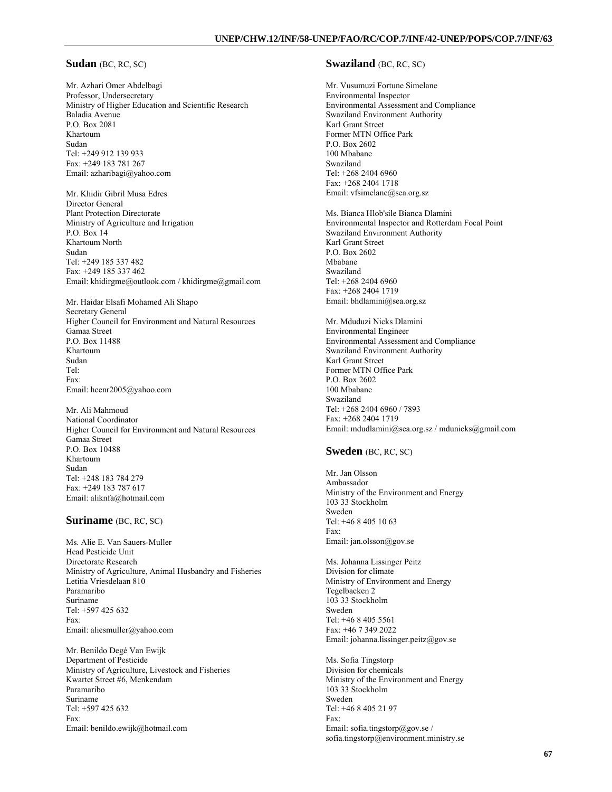## **Sudan** (BC, RC, SC)

Mr. Azhari Omer Abdelbagi Professor, Undersecretary Ministry of Higher Education and Scientific Research Baladia Avenue P.O. Box 2081 Khartoum Sudan Tel: +249 912 139 933 Fax: +249 183 781 267 Email: azharibagi@yahoo.com

Mr. Khidir Gibril Musa Edres Director General Plant Protection Directorate Ministry of Agriculture and Irrigation P.O. Box 14 Khartoum North Sudan Tel: +249 185 337 482 Fax: +249 185 337 462 Email: khidirgme@outlook.com / khidirgme@gmail.com

Mr. Haidar Elsafi Mohamed Ali Shapo Secretary General Higher Council for Environment and Natural Resources Gamaa Street P.O. Box 11488 Khartoum Sudan Tel: Fax: Email: hcenr2005@yahoo.com

Mr. Ali Mahmoud National Coordinator Higher Council for Environment and Natural Resources Gamaa Street P.O. Box 10488 Khartoum Sudan Tel: +248 183 784 279 Fax: +249 183 787 617 Email: aliknfa@hotmail.com

### **Suriname** (BC, RC, SC)

Ms. Alie E. Van Sauers-Muller Head Pesticide Unit Directorate Research Ministry of Agriculture, Animal Husbandry and Fisheries Letitia Vriesdelaan 810 Paramaribo Suriname Tel: +597 425 632 Fax: Email: aliesmuller@yahoo.com

Mr. Benildo Degé Van Ewijk Department of Pesticide Ministry of Agriculture, Livestock and Fisheries Kwartet Street #6, Menkendam Paramaribo Suriname Tel: +597 425 632 Fax: Email: benildo.ewijk@hotmail.com

#### **Swaziland** (BC, RC, SC)

Mr. Vusumuzi Fortune Simelane Environmental Inspector Environmental Assessment and Compliance Swaziland Environment Authority Karl Grant Street Former MTN Office Park P.O. Box 2602 100 Mbabane Swaziland Tel: +268 2404 6960 Fax: +268 2404 1718 Email: vfsimelane@sea.org.sz

Ms. Bianca Hlob'sile Bianca Dlamini Environmental Inspector and Rotterdam Focal Point Swaziland Environment Authority Karl Grant Street P.O. Box 2602 Mbabane Swaziland Tel: +268 2404 6960 Fax: +268 2404 1719 Email: bhdlamini@sea.org.sz

Mr. Mduduzi Nicks Dlamini Environmental Engineer Environmental Assessment and Compliance Swaziland Environment Authority Karl Grant Street Former MTN Office Park P.O. Box 2602 100 Mbabane Swaziland Tel: +268 2404 6960 / 7893 Fax: +268 2404 1719 Email: mdudlamini@sea.org.sz / mdunicks@gmail.com

# **Sweden** (BC, RC, SC)

Mr. Jan Olsson Ambassador Ministry of the Environment and Energy 103 33 Stockholm Sweden Tel: +46 8 405 10 63 Fax: Email: jan.olsson@gov.se

Ms. Johanna Lissinger Peitz Division for climate Ministry of Environment and Energy Tegelbacken 2 103 33 Stockholm Sweden Tel: +46 8 405 5561 Fax: +46 7 349 2022 Email: johanna.lissinger.peitz@gov.se

Ms. Sofia Tingstorp Division for chemicals Ministry of the Environment and Energy 103 33 Stockholm Sweden Tel: +46 8 405 21 97 Fax: Email: sofia.tingstorp@gov.se / sofia.tingstorp@environment.ministry.se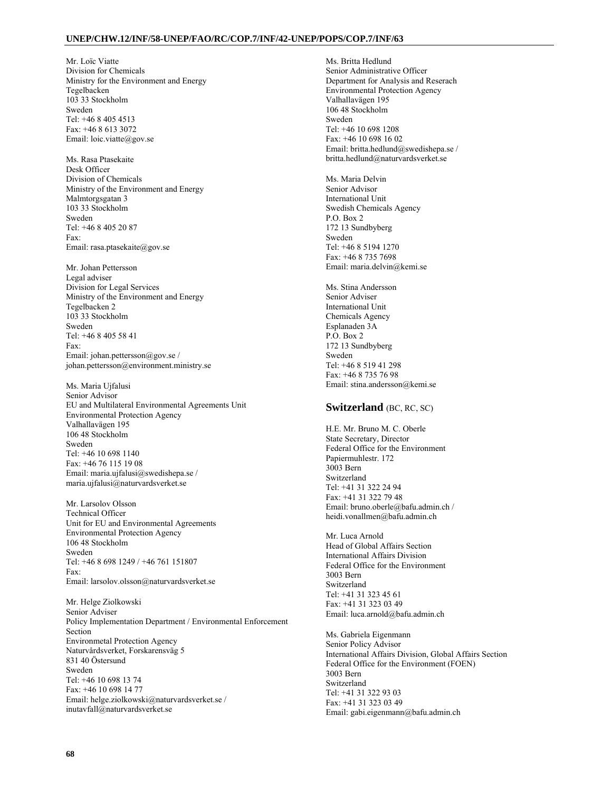Mr. Loïc Viatte Division for Chemicals Ministry for the Environment and Energy Tegelbacken 103 33 Stockholm Sweden Tel: +46 8 405 4513 Fax: +46 8 613 3072 Email: loic.viatte@gov.se

Ms. Rasa Ptasekaite Desk Officer Division of Chemicals Ministry of the Environment and Energy Malmtorgsgatan 3 103 33 Stockholm Sweden Tel: +46 8 405 20 87 Fax: Email: rasa.ptasekaite@gov.se

Mr. Johan Pettersson Legal adviser Division for Legal Services Ministry of the Environment and Energy Tegelbacken 2 103 33 Stockholm Sweden Tel: +46 8 405 58 41 Fax: Email: johan.pettersson@gov.se / johan.pettersson@environment.ministry.se

Ms. Maria Ujfalusi Senior Advisor EU and Multilateral Environmental Agreements Unit Environmental Protection Agency Valhallavägen 195 106 48 Stockholm Sweden Tel: +46 10 698 1140 Fax: +46 76 115 19 08 Email: maria.ujfalusi@swedishepa.se / maria.ujfalusi@naturvardsverket.se

Mr. Larsolov Olsson Technical Officer Unit for EU and Environmental Agreements Environmental Protection Agency 106 48 Stockholm Sweden Tel: +46 8 698 1249 / +46 761 151807 Fax: Email: larsolov.olsson@naturvardsverket.se

Mr. Helge Ziolkowski Senior Adviser Policy Implementation Department / Environmental Enforcement Section Environmetal Protection Agency Naturvårdsverket, Forskarensväg 5 831 40 Östersund Sweden Tel: +46 10 698 13 74 Fax: +46 10 698 14 77 Email: helge.ziolkowski@naturvardsverket.se / inutavfall@naturvardsverket.se

Ms. Britta Hedlund Senior Administrative Officer Department for Analysis and Reserach Environmental Protection Agency Valhallavägen 195 106 48 Stockholm Sweden Tel: +46 10 698 1208 Fax: +46 10 698 16 02 Email: britta.hedlund@swedishepa.se / britta.hedlund@naturvardsverket.se

Ms. Maria Delvin Senior Advisor International Unit Swedish Chemicals Agency P.O. Box 2 172 13 Sundbyberg Sweden Tel: +46 8 5194 1270 Fax: +46 8 735 7698 Email: maria.delvin@kemi.se

Ms. Stina Andersson Senior Adviser International Unit Chemicals Agency Esplanaden 3A P.O. Box 2 172 13 Sundbyberg Sweden Tel: +46 8 519 41 298 Fax: +46 8 735 76 98 Email: stina.andersson@kemi.se

## **Switzerland** (BC, RC, SC)

H.E. Mr. Bruno M. C. Oberle State Secretary, Director Federal Office for the Environment Papiermuhlestr. 172 3003 Bern Switzerland Tel: +41 31 322 24 94 Fax: +41 31 322 79 48 Email: bruno.oberle@bafu.admin.ch / heidi.vonallmen@bafu.admin.ch

Mr. Luca Arnold Head of Global Affairs Section International Affairs Division Federal Office for the Environment 3003 Bern Switzerland Tel: +41 31 323 45 61 Fax: +41 31 323 03 49 Email: luca.arnold@bafu.admin.ch

Ms. Gabriela Eigenmann Senior Policy Advisor International Affairs Division, Global Affairs Section Federal Office for the Environment (FOEN) 3003 Bern Switzerland Tel: +41 31 322 93 03 Fax: +41 31 323 03 49 Email: gabi.eigenmann@bafu.admin.ch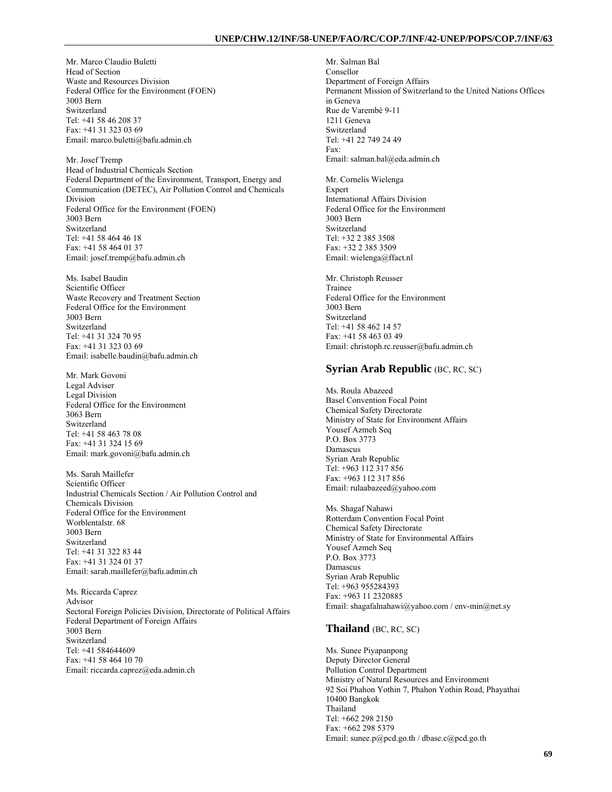Mr. Marco Claudio Buletti Head of Section Waste and Resources Division Federal Office for the Environment (FOEN) 3003 Bern Switzerland Tel: +41 58 46 208 37 Fax: +41 31 323 03 69 Email: marco.buletti@bafu.admin.ch

Mr. Josef Tremp Head of Industrial Chemicals Section Federal Department of the Environment, Transport, Energy and Communication (DETEC), Air Pollution Control and Chemicals Division Federal Office for the Environment (FOEN) 3003 Bern Switzerland Tel: +41 58 464 46 18 Fax: +41 58 464 01 37 Email: josef.tremp@bafu.admin.ch

Ms. Isabel Baudin Scientific Officer Waste Recovery and Treatment Section Federal Office for the Environment 3003 Bern Switzerland Tel: +41 31 324 70 95 Fax: +41 31 323 03 69 Email: isabelle.baudin@bafu.admin.ch

Mr. Mark Govoni Legal Adviser Legal Division Federal Office for the Environment 3063 Bern Switzerland Tel: +41 58 463 78 08 Fax: +41 31 324 15 69 Email: mark.govoni@bafu.admin.ch

Ms. Sarah Maillefer Scientific Officer Industrial Chemicals Section / Air Pollution Control and Chemicals Division Federal Office for the Environment Worblentalstr. 68 3003 Bern Switzerland Tel: +41 31 322 83 44 Fax: +41 31 324 01 37 Email: sarah.maillefer@bafu.admin.ch

Ms. Riccarda Caprez Advisor Sectoral Foreign Policies Division, Directorate of Political Affairs Federal Department of Foreign Affairs 3003 Bern Switzerland Tel: +41 584644609 Fax: +41 58 464 10 70 Email: riccarda.caprez@eda.admin.ch

Mr. Salman Bal Consellor Department of Foreign Affairs Permanent Mission of Switzerland to the United Nations Offices in Geneva Rue de Varembé 9-11 1211 Geneva Switzerland Tel: +41 22 749 24 49 Fax: Email: salman.bal@eda.admin.ch

Mr. Cornelis Wielenga Expert International Affairs Division Federal Office for the Environment 3003 Bern Switzerland Tel: +32 2 385 3508 Fax: +32 2 385 3509 Email: wielenga@ffact.nl

Mr. Christoph Reusser Trainee Federal Office for the Environment 3003 Bern Switzerland Tel: +41 58 462 14 57 Fax: +41 58 463 03 49 Email: christoph.rc.reusser@bafu.admin.ch

## **Syrian Arab Republic** *(BC, RC, SC)*

Ms. Roula Abazeed Basel Convention Focal Point Chemical Safety Directorate Ministry of State for Environment Affairs Yousef Azmeh Seq P.O. Box 3773 Damascus Syrian Arab Republic Tel: +963 112 317 856 Fax: +963 112 317 856 Email: rulaabazeed@yahoo.com

Ms. Shagaf Nahawi Rotterdam Convention Focal Point Chemical Safety Directorate Ministry of State for Environmental Affairs Yousef Azmeh Seq P.O. Box 3773 Damascus Syrian Arab Republic Tel: +963 955284393 Fax: +963 11 2320885 Email: shagafalnahawi@yahoo.com / env-min@net.sy

#### **Thailand** (BC, RC, SC)

Ms. Sunee Piyapanpong Deputy Director General Pollution Control Department Ministry of Natural Resources and Environment 92 Soi Phahon Yothin 7, Phahon Yothin Road, Phayathai 10400 Bangkok Thailand Tel: +662 298 2150 Fax: +662 298 5379 Email: sunee.p@pcd.go.th / dbase.c@pcd.go.th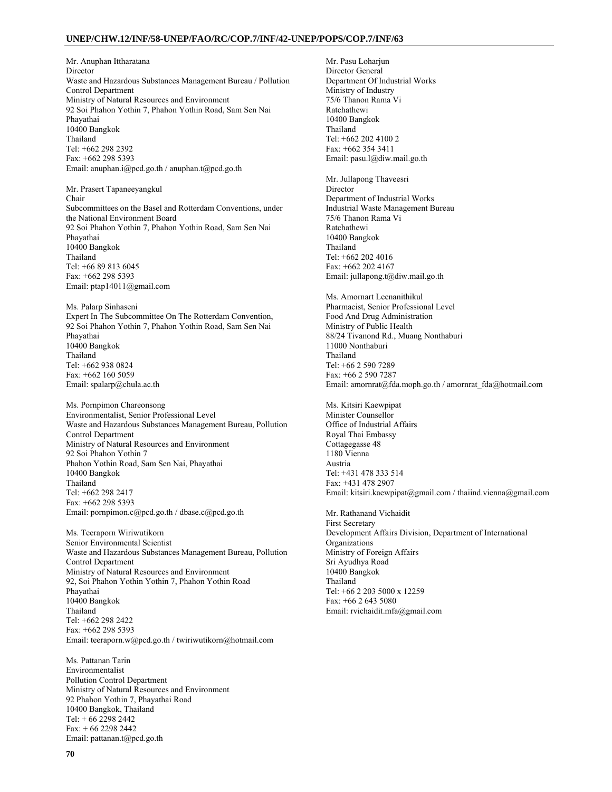Mr. Anuphan Ittharatana Director Waste and Hazardous Substances Management Bureau / Pollution Control Department Ministry of Natural Resources and Environment 92 Soi Phahon Yothin 7, Phahon Yothin Road, Sam Sen Nai Phayathai 10400 Bangkok Thailand Tel: +662 298 2392 Fax: +662 298 5393 Email: anuphan.i@pcd.go.th / anuphan.t@pcd.go.th

Mr. Prasert Tapaneeyangkul Chair Subcommittees on the Basel and Rotterdam Conventions, under the National Environment Board 92 Soi Phahon Yothin 7, Phahon Yothin Road, Sam Sen Nai Phayathai 10400 Bangkok Thailand Tel: +66 89 813 6045 Fax: +662 298 5393 Email: ptap14011@gmail.com

Ms. Palarp Sinhaseni Expert In The Subcommittee On The Rotterdam Convention, 92 Soi Phahon Yothin 7, Phahon Yothin Road, Sam Sen Nai Phayathai 10400 Bangkok Thailand Tel: +662 938 0824 Fax: +662 160 5059 Email: spalarp@chula.ac.th

Ms. Pornpimon Chareonsong Environmentalist, Senior Professional Level Waste and Hazardous Substances Management Bureau, Pollution Control Department Ministry of Natural Resources and Environment 92 Soi Phahon Yothin 7 Phahon Yothin Road, Sam Sen Nai, Phayathai 10400 Bangkok Thailand Tel: +662 298 2417 Fax: +662 298 5393 Email: pornpimon.c@pcd.go.th / dbase.c@pcd.go.th

Ms. Teeraporn Wiriwutikorn Senior Environmental Scientist Waste and Hazardous Substances Management Bureau, Pollution Control Department Ministry of Natural Resources and Environment 92, Soi Phahon Yothin Yothin 7, Phahon Yothin Road Phayathai 10400 Bangkok Thailand Tel: +662 298 2422 Fax: +662 298 5393 Email: teeraporn.w@pcd.go.th / twiriwutikorn@hotmail.com

Ms. Pattanan Tarin Environmentalist Pollution Control Department Ministry of Natural Resources and Environment 92 Phahon Yothin 7, Phayathai Road 10400 Bangkok, Thailand Tel: + 66 2298 2442 Fax: + 66 2298 2442 Email: pattanan.t@pcd.go.th

Mr. Pasu Loharjun Director General Department Of Industrial Works Ministry of Industry 75/6 Thanon Rama Vi Ratchathewi 10400 Bangkok Thailand Tel: +662 202 4100 2 Fax: +662 354 3411 Email: pasu.l@diw.mail.go.th

Mr. Jullapong Thaveesri **Director** Department of Industrial Works Industrial Waste Management Bureau 75/6 Thanon Rama Vi Ratchathewi 10400 Bangkok Thailand Tel: +662 202 4016 Fax: +662 202 4167 Email: jullapong.t@diw.mail.go.th

Ms. Amornart Leenanithikul Pharmacist, Senior Professional Level Food And Drug Administration Ministry of Public Health 88/24 Tivanond Rd., Muang Nonthaburi 11000 Nonthaburi Thailand Tel: +66 2 590 7289 Fax: +66 2 590 7287 Email: amornrat@fda.moph.go.th / amornrat\_fda@hotmail.com

Ms. Kitsiri Kaewpipat Minister Counsellor Office of Industrial Affairs Royal Thai Embassy Cottagegasse 48 1180 Vienna Austria Tel: +431 478 333 514 Fax: +431 478 2907 Email: kitsiri.kaewpipat@gmail.com / thaiind.vienna@gmail.com

Mr. Rathanand Vichaidit First Secretary Development Affairs Division, Department of International Organizations Ministry of Foreign Affairs Sri Ayudhya Road 10400 Bangkok Thailand Tel: +66 2 203 5000 x 12259 Fax: +66 2 643 5080 Email: rvichaidit.mfa@gmail.com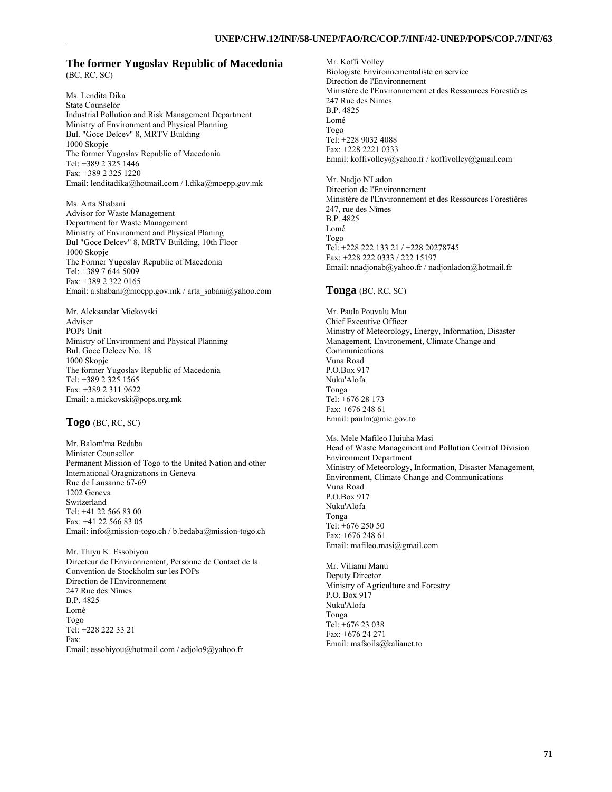### **The former Yugoslav Republic of Macedonia**  (BC, RC, SC)

Ms. Lendita Dika State Counselor Industrial Pollution and Risk Management Department Ministry of Environment and Physical Planning Bul. "Goce Delcev" 8, MRTV Building 1000 Skopje The former Yugoslav Republic of Macedonia Tel: +389 2 325 1446 Fax: +389 2 325 1220 Email: lenditadika@hotmail.com / l.dika@moepp.gov.mk

Ms. Arta Shabani Advisor for Waste Management Department for Waste Management Ministry of Environment and Physical Planing Bul "Goce Delcev" 8, MRTV Building, 10th Floor 1000 Skopje The Former Yugoslav Republic of Macedonia Tel: +389 7 644 5009 Fax: +389 2 322 0165 Email: a.shabani@moepp.gov.mk / arta\_sabani@yahoo.com

Mr. Aleksandar Mickovski Adviser POPs Unit Ministry of Environment and Physical Planning Bul. Goce Delcev No. 18 1000 Skopje The former Yugoslav Republic of Macedonia Tel: +389 2 325 1565 Fax: +389 2 311 9622 Email: a.mickovski@pops.org.mk

**Togo** (BC, RC, SC)

Mr. Balom'ma Bedaba Minister Counsellor Permanent Mission of Togo to the United Nation and other International Oragnizations in Geneva Rue de Lausanne 67-69 1202 Geneva Switzerland Tel: +41 22 566 83 00 Fax: +41 22 566 83 05 Email: info@mission-togo.ch / b.bedaba@mission-togo.ch

Mr. Thiyu K. Essobiyou Directeur de l'Environnement, Personne de Contact de la Convention de Stockholm sur les POPs Direction de l'Environnement 247 Rue des Nîmes B.P. 4825 Lomé Togo Tel: +228 222 33 21 Fax: Email: essobiyou@hotmail.com / adjolo9@yahoo.fr

Mr. Koffi Volley Biologiste Environnementaliste en service Direction de l'Environnement Ministère de l'Environnement et des Ressources Forestières 247 Rue des Nimes B.P. 4825 Lomé Togo Tel: +228 9032 4088 Fax: +228 2221 0333 Email: koffivolley@yahoo.fr / koffivolley@gmail.com

Mr. Nadjo N'Ladon Direction de l'Environnement Ministère de l'Environnement et des Ressources Forestières 247, rue des Nîmes B.P. 4825 Lomé Togo Tel: +228 222 133 21 / +228 20278745 Fax: +228 222 0333 / 222 15197 Email: nnadjonab@yahoo.fr / nadjonladon@hotmail.fr

### **Tonga** (BC, RC, SC)

Mr. Paula Pouvalu Mau Chief Executive Officer Ministry of Meteorology, Energy, Information, Disaster Management, Environement, Climate Change and Communications Vuna Road P.O.Box 917 Nuku'Alofa Tonga Tel: +676 28 173 Fax: +676 248 61 Email: paulm@mic.gov.to

Ms. Mele Mafileo Huiuha Masi Head of Waste Management and Pollution Control Division Environment Department Ministry of Meteorology, Information, Disaster Management, Environment, Climate Change and Communications Vuna Road P.O.Box 917 Nuku'Alofa Tonga Tel: +676 250 50 Fax: +676 248 61 Email: mafileo.masi@gmail.com

Mr. Viliami Manu Deputy Director Ministry of Agriculture and Forestry P.O. Box 917 Nuku'Alofa Tonga Tel: +676 23 038 Fax: +676 24 271 Email: mafsoils@kalianet.to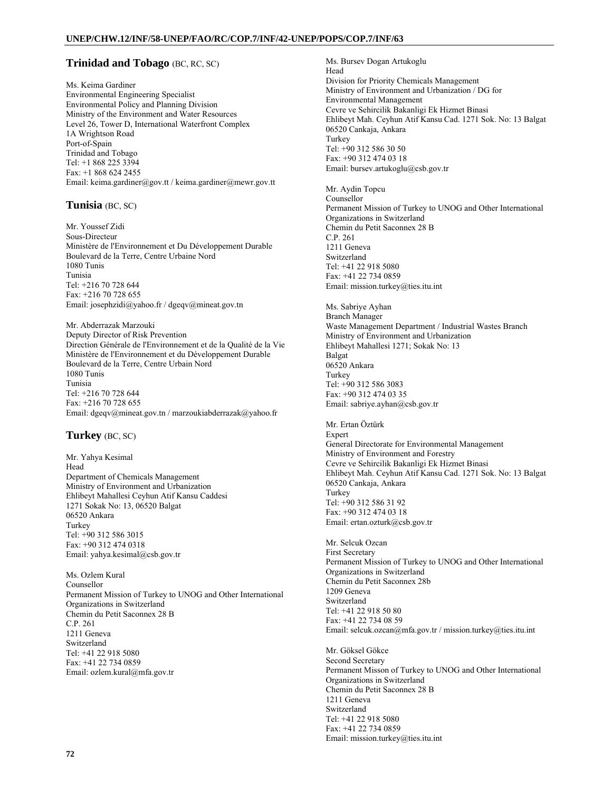## **Trinidad and Tobago** (BC, RC, SC)

Ms. Keima Gardiner Environmental Engineering Specialist Environmental Policy and Planning Division Ministry of the Environment and Water Resources Level 26, Tower D, International Waterfront Complex 1A Wrightson Road Port-of-Spain Trinidad and Tobago Tel: +1 868 225 3394 Fax: +1 868 624 2455 Email: keima.gardiner@gov.tt / keima.gardiner@mewr.gov.tt

### **Tunisia** (BC, SC)

Mr. Youssef Zidi Sous-Directeur Ministère de l'Environnement et Du Développement Durable Boulevard de la Terre, Centre Urbaine Nord 1080 Tunis Tunisia Tel: +216 70 728 644 Fax: +216 70 728 655 Email: josephzidi@yahoo.fr / dgeqv@mineat.gov.tn

Mr. Abderrazak Marzouki Deputy Director of Risk Prevention Direction Générale de l'Environnement et de la Qualité de la Vie Ministère de l'Environnement et du Développement Durable Boulevard de la Terre, Centre Urbain Nord 1080 Tunis Tunisia Tel: +216 70 728 644 Fax: +216 70 728 655 Email: dgeqv@mineat.gov.tn / marzoukiabderrazak@yahoo.fr

## **Turkey** (BC, SC)

Mr. Yahya Kesimal Head Department of Chemicals Management Ministry of Environment and Urbanization Ehlibeyt Mahallesi Ceyhun Atif Kansu Caddesi 1271 Sokak No: 13, 06520 Balgat 06520 Ankara Turkey Tel: +90 312 586 3015 Fax: +90 312 474 0318 Email: yahya.kesimal@csb.gov.tr

Ms. Ozlem Kural Counsellor Permanent Mission of Turkey to UNOG and Other International Organizations in Switzerland Chemin du Petit Saconnex 28 B C.P. 261 1211 Geneva Switzerland Tel: +41 22 918 5080 Fax: +41 22 734 0859 Email: ozlem.kural@mfa.gov.tr

Ms. Bursev Dogan Artukoglu Head Division for Priority Chemicals Management Ministry of Environment and Urbanization / DG for Environmental Management Cevre ve Sehircilik Bakanligi Ek Hizmet Binasi Ehlibeyt Mah. Ceyhun Atif Kansu Cad. 1271 Sok. No: 13 Balgat 06520 Cankaja, Ankara Turkey Tel: +90 312 586 30 50 Fax: +90 312 474 03 18 Email: bursev.artukoglu@csb.gov.tr

Mr. Aydin Topcu Counsellor Permanent Mission of Turkey to UNOG and Other International Organizations in Switzerland Chemin du Petit Saconnex 28 B C.P. 261 1211 Geneva Switzerland Tel: +41 22 918 5080 Fax: +41 22 734 0859 Email: mission.turkey@ties.itu.int

Ms. Sabriye Ayhan Branch Manager Waste Management Department / Industrial Wastes Branch Ministry of Environment and Urbanization Ehlibeyt Mahallesi 1271; Sokak No: 13 Balgat 06520 Ankara Turkey Tel: +90 312 586 3083 Fax: +90 312 474 03 35 Email: sabriye.ayhan@csb.gov.tr

Mr. Ertan Öztürk Expert General Directorate for Environmental Management Ministry of Environment and Forestry Cevre ve Sehircilik Bakanligi Ek Hizmet Binasi Ehlibeyt Mah. Ceyhun Atif Kansu Cad. 1271 Sok. No: 13 Balgat 06520 Cankaja, Ankara Turkey Tel: +90 312 586 31 92 Fax: +90 312 474 03 18 Email: ertan.ozturk@csb.gov.tr

Mr. Selcuk Ozcan First Secretary Permanent Mission of Turkey to UNOG and Other International Organizations in Switzerland Chemin du Petit Saconnex 28b 1209 Geneva Switzerland Tel: +41 22 918 50 80 Fax: +41 22 734 08 59 Email: selcuk.ozcan@mfa.gov.tr / mission.turkey@ties.itu.int

Mr. Göksel Gökce Second Secretary Permanent Misson of Turkey to UNOG and Other International Organizations in Switzerland Chemin du Petit Saconnex 28 B 1211 Geneva Switzerland Tel: +41 22 918 5080 Fax: +41 22 734 0859 Email: mission.turkey@ties.itu.int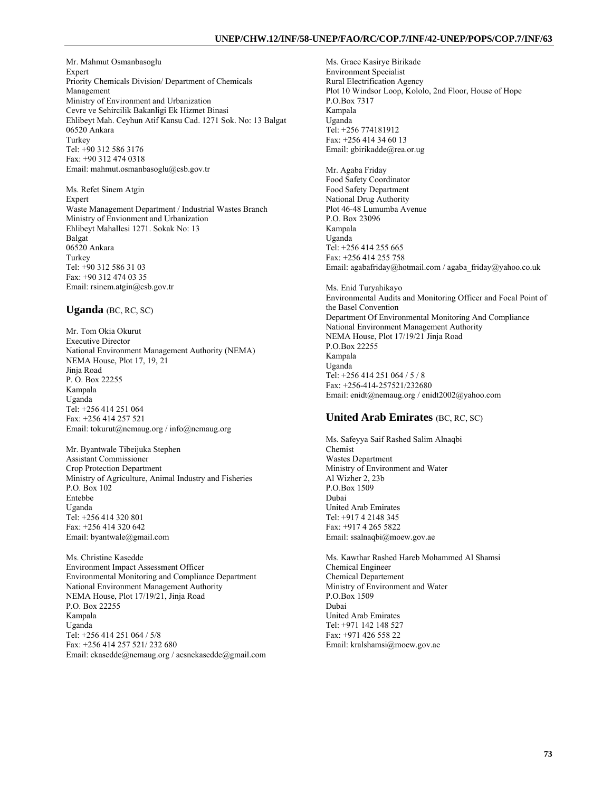#### **UNEP/CHW.12/INF/58-UNEP/FAO/RC/COP.7/INF/42-UNEP/POPS/COP.7/INF/63**

Mr. Mahmut Osmanbasoglu Expert Priority Chemicals Division/ Department of Chemicals Management Ministry of Environment and Urbanization Cevre ve Sehircilik Bakanligi Ek Hizmet Binasi Ehlibeyt Mah. Ceyhun Atif Kansu Cad. 1271 Sok. No: 13 Balgat 06520 Ankara Turkey Tel: +90 312 586 3176 Fax: +90 312 474 0318 Email: mahmut.osmanbasoglu@csb.gov.tr

Ms. Refet Sinem Atgin Expert Waste Management Department / Industrial Wastes Branch Ministry of Envionment and Urbanization Ehlibeyt Mahallesi 1271. Sokak No: 13 Balgat 06520 Ankara Turkey Tel: +90 312 586 31 03 Fax: +90 312 474 03 35 Email: rsinem.atgin@csb.gov.tr

#### **Uganda** (BC, RC, SC)

Mr. Tom Okia Okurut Executive Director National Environment Management Authority (NEMA) NEMA House, Plot 17, 19, 21 Jinja Road P. O. Box 22255 Kampala Uganda Tel: +256 414 251 064 Fax: +256 414 257 521 Email: tokurut@nemaug.org / info@nemaug.org

Mr. Byantwale Tibeijuka Stephen Assistant Commissioner Crop Protection Department Ministry of Agriculture, Animal Industry and Fisheries P.O. Box 102 Entebbe Uganda Tel: +256 414 320 801 Fax: +256 414 320 642 Email: byantwale@gmail.com

Ms. Christine Kasedde Environment Impact Assessment Officer Environmental Monitoring and Compliance Department National Environment Management Authority NEMA House, Plot 17/19/21, Jinja Road P.O. Box 22255 Kampala Uganda Tel: +256 414 251 064 / 5/8 Fax: +256 414 257 521/ 232 680 Email: ckasedde@nemaug.org / acsnekasedde@gmail.com Ms. Grace Kasirye Birikade Environment Specialist Rural Electrification Agency Plot 10 Windsor Loop, Kololo, 2nd Floor, House of Hope P.O.Box 7317 Kampala Uganda Tel: +256 774181912 Fax: +256 414 34 60 13 Email: gbirikadde@rea.or.ug

Mr. Agaba Friday Food Safety Coordinator Food Safety Department National Drug Authority Plot 46-48 Lumumba Avenue P.O. Box 23096 Kampala Uganda Tel: +256 414 255 665 Fax: +256 414 255 758 Email: agabafriday@hotmail.com / agaba\_friday@yahoo.co.uk

Ms. Enid Turyahikayo Environmental Audits and Monitoring Officer and Focal Point of the Basel Convention Department Of Environmental Monitoring And Compliance National Environment Management Authority NEMA House, Plot 17/19/21 Jinja Road P.O.Box 22255 Kampala Uganda Tel: +256 414 251 064 / 5 / 8 Fax: +256-414-257521/232680 Email: enidt@nemaug.org / enidt2002@yahoo.com

### **United Arab Emirates** (BC, RC, SC)

Ms. Safeyya Saif Rashed Salim Alnaqbi Chemist Wastes Department Ministry of Environment and Water Al Wizher 2, 23b P.O.Box 1509 Dubai United Arab Emirates Tel: +917 4 2148 345 Fax: +917 4 265 5822 Email: ssalnaqbi@moew.gov.ae

Ms. Kawthar Rashed Hareb Mohammed Al Shamsi Chemical Engineer Chemical Departement Ministry of Environment and Water P.O.Box 1509 Dubai United Arab Emirates Tel: +971 142 148 527 Fax: +971 426 558 22 Email: kralshamsi@moew.gov.ae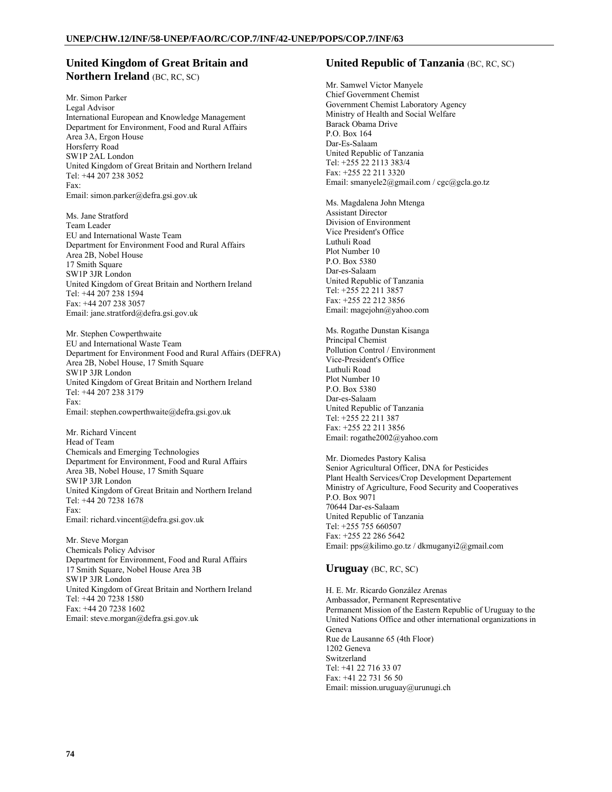### **United Kingdom of Great Britain and Northern Ireland** (BC, RC, SC)

Mr. Simon Parker Legal Advisor International European and Knowledge Management Department for Environment, Food and Rural Affairs Area 3A, Ergon House Horsferry Road SW1P 2AL London United Kingdom of Great Britain and Northern Ireland Tel: +44 207 238 3052 Fax: Email: simon.parker@defra.gsi.gov.uk

Ms. Jane Stratford Team Leader EU and International Waste Team Department for Environment Food and Rural Affairs Area 2B, Nobel House 17 Smith Square SW1P 3JR London United Kingdom of Great Britain and Northern Ireland Tel: +44 207 238 1594 Fax: +44 207 238 3057 Email: jane.stratford@defra.gsi.gov.uk

Mr. Stephen Cowperthwaite EU and International Waste Team Department for Environment Food and Rural Affairs (DEFRA) Area 2B, Nobel House, 17 Smith Square SW1P 3JR London United Kingdom of Great Britain and Northern Ireland Tel: +44 207 238 3179 Fax: Email: stephen.cowperthwaite@defra.gsi.gov.uk

Mr. Richard Vincent Head of Team Chemicals and Emerging Technologies Department for Environment, Food and Rural Affairs Area 3B, Nobel House, 17 Smith Square SW1P 3JR London United Kingdom of Great Britain and Northern Ireland Tel: +44 20 7238 1678 Fax: Email: richard.vincent@defra.gsi.gov.uk

Mr. Steve Morgan Chemicals Policy Advisor Department for Environment, Food and Rural Affairs 17 Smith Square, Nobel House Area 3B SW1P 3JR London United Kingdom of Great Britain and Northern Ireland Tel: +44 20 7238 1580 Fax: +44 20 7238 1602 Email: steve.morgan@defra.gsi.gov.uk

#### **United Republic of Tanzania** (BC, RC, SC)

Mr. Samwel Victor Manyele Chief Government Chemist Government Chemist Laboratory Agency Ministry of Health and Social Welfare Barack Obama Drive P.O. Box 164 Dar-Es-Salaam United Republic of Tanzania Tel: +255 22 2113 383/4 Fax: +255 22 211 3320 Email: smanyele2@gmail.com / cgc@gcla.go.tz

Ms. Magdalena John Mtenga Assistant Director Division of Environment Vice President's Office Luthuli Road Plot Number 10 P.O. Box 5380 Dar-es-Salaam United Republic of Tanzania Tel: +255 22 211 3857 Fax: +255 22 212 3856 Email: magejohn@yahoo.com

Ms. Rogathe Dunstan Kisanga Principal Chemist Pollution Control / Environment Vice-President's Office Luthuli Road Plot Number 10 P.O. Box 5380 Dar-es-Salaam United Republic of Tanzania Tel: +255 22 211 387 Fax: +255 22 211 3856 Email: rogathe2002@yahoo.com

Mr. Diomedes Pastory Kalisa Senior Agricultural Officer, DNA for Pesticides Plant Health Services/Crop Development Departement Ministry of Agriculture, Food Security and Cooperatives P.O. Box 9071 70644 Dar-es-Salaam United Republic of Tanzania Tel: +255 755 660507 Fax: +255 22 286 5642 Email: pps@kilimo.go.tz / dkmuganyi2@gmail.com

### **Uruguay** (BC, RC, SC)

H. E. Mr. Ricardo González Arenas Ambassador, Permanent Representative Permanent Mission of the Eastern Republic of Uruguay to the United Nations Office and other international organizations in Geneva Rue de Lausanne 65 (4th Floor) 1202 Geneva Switzerland Tel: +41 22 716 33 07 Fax: +41 22 731 56 50 Email: mission.uruguay@urunugi.ch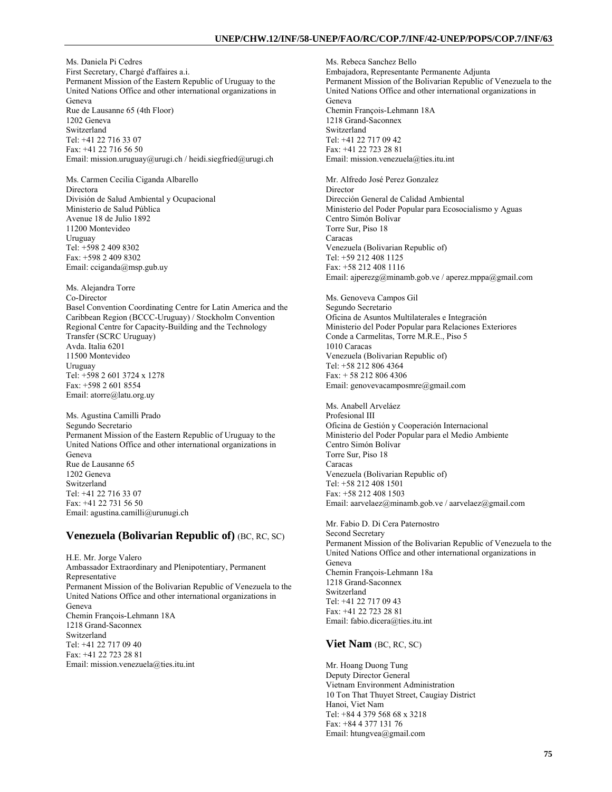Ms. Daniela Pi Cedres First Secretary, Chargé d'affaires a.i. Permanent Mission of the Eastern Republic of Uruguay to the United Nations Office and other international organizations in Geneva Rue de Lausanne 65 (4th Floor) 1202 Geneva Switzerland Tel: +41 22 716 33 07 Fax: +41 22 716 56 50 Email: mission.uruguay@urugi.ch / heidi.siegfried@urugi.ch

Ms. Carmen Cecilia Ciganda Albarello Directora División de Salud Ambiental y Ocupacional Ministerio de Salud Pública Avenue 18 de Julio 1892 11200 Montevideo Uruguay Tel: +598 2 409 8302 Fax: +598 2 409 8302 Email: cciganda@msp.gub.uy

Ms. Alejandra Torre Co-Director Basel Convention Coordinating Centre for Latin America and the Caribbean Region (BCCC-Uruguay) / Stockholm Convention Regional Centre for Capacity-Building and the Technology Transfer (SCRC Uruguay) Avda. Italia 6201 11500 Montevideo Uruguay Tel: +598 2 601 3724 x 1278 Fax: +598 2 601 8554 Email: atorre@latu.org.uy

Ms. Agustina Camilli Prado Segundo Secretario Permanent Mission of the Eastern Republic of Uruguay to the United Nations Office and other international organizations in Geneva Rue de Lausanne 65 1202 Geneva Switzerland Tel: +41 22 716 33 07 Fax: +41 22 731 56 50 Email: agustina.camilli@urunugi.ch

#### **Venezuela (Bolivarian Republic of)** (BC, RC, SC)

H.E. Mr. Jorge Valero Ambassador Extraordinary and Plenipotentiary, Permanent Representative Permanent Mission of the Bolivarian Republic of Venezuela to the United Nations Office and other international organizations in Geneva Chemin François-Lehmann 18A 1218 Grand-Saconnex Switzerland Tel: +41 22 717 09 40 Fax: +41 22 723 28 81 Email: mission.venezuela@ties.itu.int

Ms. Rebeca Sanchez Bello Embajadora, Representante Permanente Adjunta Permanent Mission of the Bolivarian Republic of Venezuela to the United Nations Office and other international organizations in Geneva Chemin François-Lehmann 18A 1218 Grand-Saconnex Switzerland Tel: +41 22 717 09 42 Fax: +41 22 723 28 81 Email: mission.venezuela@ties.itu.int Mr. Alfredo José Perez Gonzalez Director Dirección General de Calidad Ambiental Ministerio del Poder Popular para Ecosocialismo y Aguas Centro Simón Bolívar Torre Sur, Piso 18 Caracas Venezuela (Bolivarian Republic of) Tel: +59 212 408 1125 Fax: +58 212 408 1116 Email: ajperezg@minamb.gob.ve / aperez.mppa@gmail.com

Ms. Genoveva Campos Gil Segundo Secretario Oficina de Asuntos Multilaterales e Integración Ministerio del Poder Popular para Relaciones Exteriores Conde a Carmelitas, Torre M.R.E., Piso 5 1010 Caracas Venezuela (Bolivarian Republic of) Tel: +58 212 806 4364 Fax: + 58 212 806 4306 Email: genovevacamposmre@gmail.com

Ms. Anabell Arveláez Profesional III Oficina de Gestión y Cooperación Internacional Ministerio del Poder Popular para el Medio Ambiente Centro Simón Bolívar Torre Sur, Piso 18 Caracas Venezuela (Bolivarian Republic of) Tel: +58 212 408 1501 Fax: +58 212 408 1503 Email: aarvelaez@minamb.gob.ve / aarvelaez@gmail.com

Mr. Fabio D. Di Cera Paternostro Second Secretary Permanent Mission of the Bolivarian Republic of Venezuela to the United Nations Office and other international organizations in Geneva Chemin François-Lehmann 18a 1218 Grand-Saconnex Switzerland Tel: +41 22 717 09 43 Fax: +41 22 723 28 81 Email: fabio.dicera@ties.itu.int

#### **Viet Nam** (BC, RC, SC)

Mr. Hoang Duong Tung Deputy Director General Vietnam Environment Administration 10 Ton That Thuyet Street, Caugiay District Hanoi, Viet Nam Tel: +84 4 379 568 68 x 3218 Fax: +84 4 377 131 76 Email: htungvea@gmail.com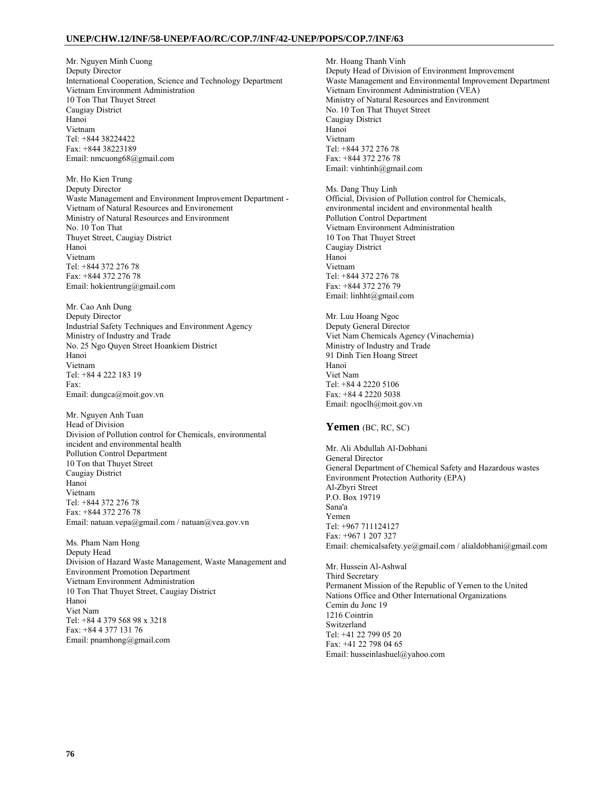#### **UNEP/CHW.12/INF/58-UNEP/FAO/RC/COP.7/INF/42-UNEP/POPS/COP.7/INF/63**

Mr. Nguyen Minh Cuong Deputy Director International Cooperation, Science and Technology Department Vietnam Environment Administration 10 Ton That Thuyet Street Caugiay District Hanoi Vietnam Tel: +844 38224422 Fax: +844 38223189 Email: nmcuong68@gmail.com

Mr. Ho Kien Trung Deputy Director Waste Management and Environment Improvement Department - Vietnam of Natural Resources and Environement Ministry of Natural Resources and Environment No. 10 Ton That Thuyet Street, Caugiay District Hanoi Vietnam Tel: +844 372 276 78 Fax: +844 372 276 78 Email: hokientrung@gmail.com

Mr. Cao Anh Dung Deputy Director Industrial Safety Techniques and Environment Agency Ministry of Industry and Trade No. 25 Ngo Quyen Street Hoankiem District Hanoi Vietnam Tel: +84 4 222 183 19 Fax: Email: dungca@moit.gov.vn

Mr. Nguyen Anh Tuan Head of Division Division of Pollution control for Chemicals, environmental incident and environmental health Pollution Control Department 10 Ton that Thuyet Street Caugiay District Hanoi Vietnam Tel: +844 372 276 78 Fax: +844 372 276 78 Email: natuan.vepa@gmail.com / natuan@vea.gov.vn

Ms. Pham Nam Hong Deputy Head Division of Hazard Waste Management, Waste Management and Environment Promotion Department Vietnam Environment Administration 10 Ton That Thuyet Street, Caugiay District Hanoi Viet Nam Tel: +84 4 379 568 98 x 3218 Fax: +84 4 377 131 76 Email: pnamhong@gmail.com

Mr. Hoang Thanh Vinh Deputy Head of Division of Environment Improvement Waste Management and Environmental Improvement Department Vietnam Environment Administration (VEA) Ministry of Natural Resources and Environment No. 10 Ton That Thuyet Street Caugiay District Hanoi Vietnam Tel: +844 372 276 78 Fax: +844 372 276 78 Email: vinhtinh@gmail.com

Ms. Dang Thuy Linh Official, Division of Pollution control for Chemicals, environmental incident and environmental health Pollution Control Department Vietnam Environment Administration 10 Ton That Thuyet Street Caugiay District Hanoi Vietnam Tel: +844 372 276 78 Fax: +844 372 276 79 Email: linhht@gmail.com

Mr. Luu Hoang Ngoc Deputy General Director Viet Nam Chemicals Agency (Vinachemia) Ministry of Industry and Trade 91 Dinh Tien Hoang Street Hanoi Viet Nam Tel: +84 4 2220 5106 Fax: +84 4 2220 5038 Email: ngoclh@moit.gov.vn

#### **Yemen** (BC, RC, SC)

Mr. Ali Abdullah Al-Dobhani General Director General Department of Chemical Safety and Hazardous wastes Environment Protection Authority (EPA) Al-Zbyri Street P.O. Box 19719 Sana'a Yemen Tel: +967 711124127 Fax: +967 1 207 327 Email: chemicalsafety.ye@gmail.com / alialdobhani@gmail.com Mr. Hussein Al-Ashwal

Third Secretary Permanent Mission of the Republic of Yemen to the United Nations Office and Other International Organizations Cemin du Jonc 19 1216 Cointrin Switzerland Tel: +41 22 799 05 20 Fax: +41 22 798 04 65 Email: husseinlashuel@yahoo.com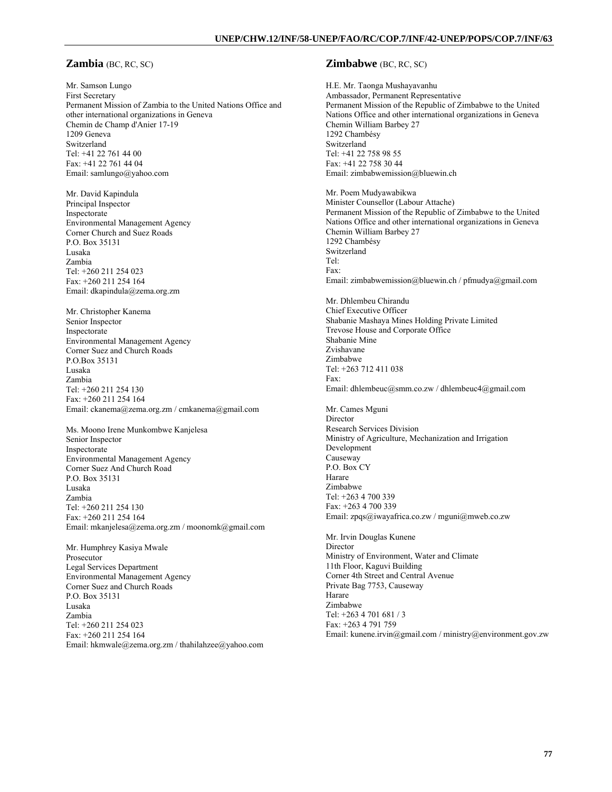#### **Zambia** (BC, RC, SC)

Mr. Samson Lungo First Secretary Permanent Mission of Zambia to the United Nations Office and other international organizations in Geneva Chemin de Champ d'Anier 17-19 1209 Geneva Switzerland Tel: +41 22 761 44 00 Fax: +41 22 761 44 04 Email: samlungo@yahoo.com

Mr. David Kapindula Principal Inspector Inspectorate Environmental Management Agency Corner Church and Suez Roads P.O. Box 35131 Lusaka Zambia Tel: +260 211 254 023 Fax: +260 211 254 164 Email: dkapindula@zema.org.zm

Mr. Christopher Kanema Senior Inspector Inspectorate Environmental Management Agency Corner Suez and Church Roads P.O.Box 35131 Lusaka Zambia Tel: +260 211 254 130 Fax: +260 211 254 164 Email: ckanema@zema.org.zm / cmkanema@gmail.com

Ms. Moono Irene Munkombwe Kanjelesa Senior Inspector Inspectorate Environmental Management Agency Corner Suez And Church Road P.O. Box 35131 Lusaka Zambia Tel: +260 211 254 130 Fax: +260 211 254 164 Email: mkanjelesa@zema.org.zm / moonomk@gmail.com

Mr. Humphrey Kasiya Mwale Prosecutor Legal Services Department Environmental Management Agency Corner Suez and Church Roads P.O. Box 35131 Lusaka Zambia Tel: +260 211 254 023 Fax: +260 211 254 164 Email: hkmwale@zema.org.zm / thahilahzee@yahoo.com

#### **Zimbabwe** (BC, RC, SC)

H.E. Mr. Taonga Mushayavanhu Ambassador, Permanent Representative Permanent Mission of the Republic of Zimbabwe to the United Nations Office and other international organizations in Geneva Chemin William Barbey 27 1292 Chambésy Switzerland Tel: +41 22 758 98 55 Fax: +41 22 758 30 44 Email: zimbabwemission@bluewin.ch Mr. Poem Mudyawabikwa Minister Counsellor (Labour Attache) Permanent Mission of the Republic of Zimbabwe to the United Nations Office and other international organizations in Geneva Chemin William Barbey 27 1292 Chambésy Switzerland Tel: Fax: Email: zimbabwemission@bluewin.ch / pfmudya@gmail.com Mr. Dhlembeu Chirandu Chief Executive Officer Shabanie Mashaya Mines Holding Private Limited Trevose House and Corporate Office Shabanie Mine Zvishavane Zimbabwe Tel: +263 712 411 038 Fax: Email: dhlembeuc@smm.co.zw / dhlembeuc4@gmail.com Mr. Cames Mguni Director Research Services Division Ministry of Agriculture, Mechanization and Irrigation Development Causeway P.O. Box CY Harare Zimbabwe Tel: +263 4 700 339 Fax: +263 4 700 339 Email: zpqs@iwayafrica.co.zw / mguni@mweb.co.zw Mr. Irvin Douglas Kunene **Director** Ministry of Environment, Water and Climate 11th Floor, Kaguvi Building Corner 4th Street and Central Avenue Private Bag 7753, Causeway Harare Zimbabwe Tel: +263 4 701 681 / 3 Fax: +263 4 791 759

Email: kunene.irvin@gmail.com / ministry@environment.gov.zw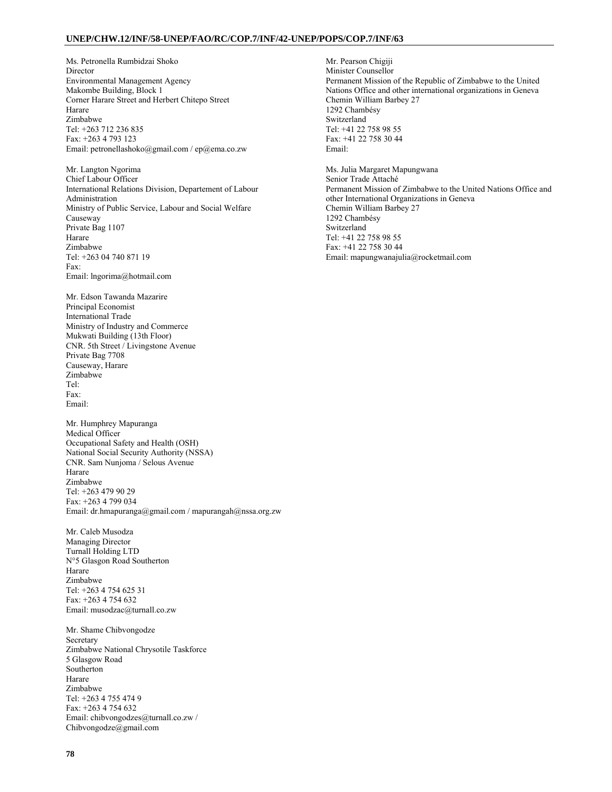#### **UNEP/CHW.12/INF/58-UNEP/FAO/RC/COP.7/INF/42-UNEP/POPS/COP.7/INF/63**

Ms. Petronella Rumbidzai Shoko Director Environmental Management Agency Makombe Building, Block 1 Corner Harare Street and Herbert Chitepo Street Harare Zimbabwe Tel: +263 712 236 835 Fax: +263 4 793 123 Email: petronellashoko@gmail.com / ep@ema.co.zw

Mr. Langton Ngorima Chief Labour Officer International Relations Division, Departement of Labour Administration Ministry of Public Service, Labour and Social Welfare Causeway Private Bag 1107 Harare Zimbabwe Tel: +263 04 740 871 19 Fax: Email: lngorima@hotmail.com

Mr. Edson Tawanda Mazarire Principal Economist International Trade Ministry of Industry and Commerce Mukwati Building (13th Floor) CNR. 5th Street / Livingstone Avenue Private Bag 7708 Causeway, Harare Zimbabwe Tel: Fax: Email:

Mr. Humphrey Mapuranga Medical Officer Occupational Safety and Health (OSH) National Social Security Authority (NSSA) CNR. Sam Nunjoma / Selous Avenue Harare Zimbabwe Tel: +263 479 90 29 Fax: +263 4 799 034 Email: dr.hmapuranga@gmail.com / mapurangah@nssa.org.zw

Mr. Caleb Musodza Managing Director Turnall Holding LTD N°5 Glasgon Road Southerton Harare Zimbabwe Tel: +263 4 754 625 31 Fax: +263 4 754 632 Email: musodzac@turnall.co.zw

Mr. Shame Chibvongodze Secretary Zimbabwe National Chrysotile Taskforce 5 Glasgow Road Southerton Harare Zimbabwe Tel: +263 4 755 474 9 Fax: +263 4 754 632 Email: chibvongodzes@turnall.co.zw / Chibvongodze@gmail.com

Mr. Pearson Chigiji Minister Counsellor Permanent Mission of the Republic of Zimbabwe to the United Nations Office and other international organizations in Geneva Chemin William Barbey 27 1292 Chambésy Switzerland Tel: +41 22 758 98 55 Fax: +41 22 758 30 44 Email: Ms. Julia Margaret Mapungwana Senior Trade Attaché Permanent Mission of Zimbabwe to the United Nations Office and other International Organizations in Geneva Chemin William Barbey 27 1292 Chambésy Switzerland Tel: +41 22 758 98 55 Fax: +41 22 758 30 44

Email: mapungwanajulia@rocketmail.com

**78**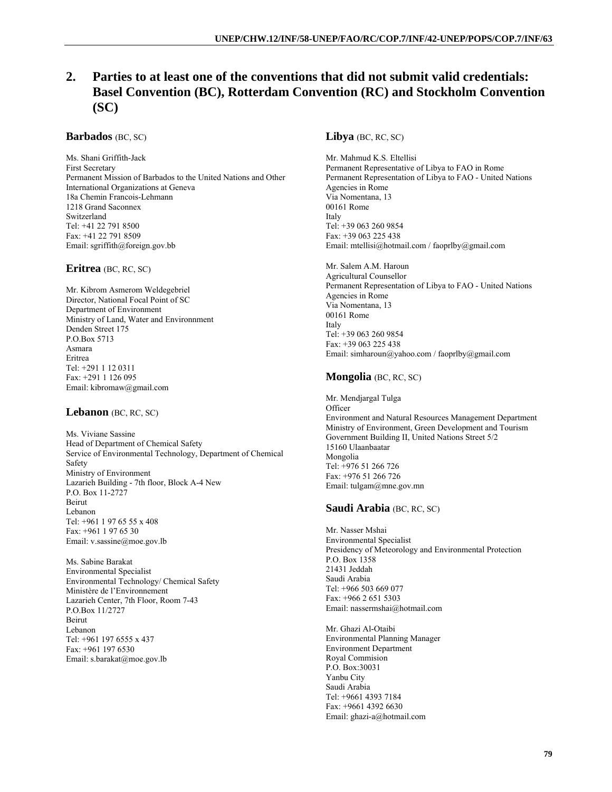# **2. Parties to at least one of the conventions that did not submit valid credentials: Basel Convention (BC), Rotterdam Convention (RC) and Stockholm Convention (SC)**

#### **Barbados** (BC, SC)

Ms. Shani Griffith-Jack First Secretary Permanent Mission of Barbados to the United Nations and Other International Organizations at Geneva 18a Chemin Francois-Lehmann 1218 Grand Saconnex Switzerland Tel: +41 22 791 8500 Fax: +41 22 791 8509 Email: sgriffith@foreign.gov.bb

#### **Eritrea** (BC, RC, SC)

Mr. Kibrom Asmerom Weldegebriel Director, National Focal Point of SC Department of Environment Ministry of Land, Water and Environnment Denden Street 175 P.O.Box 5713 Asmara Eritrea Tel: +291 1 12 0311 Fax: +291 1 126 095 Email: kibromaw@gmail.com

### **Lebanon** (BC, RC, SC)

Ms. Viviane Sassine Head of Department of Chemical Safety Service of Environmental Technology, Department of Chemical Safety Ministry of Environment Lazarieh Building - 7th floor, Block A-4 New P.O. Box 11-2727 Beirut Lebanon Tel: +961 1 97 65 55 x 408 Fax: +961 1 97 65 30 Email: v.sassine@moe.gov.lb

Ms. Sabine Barakat Environmental Specialist Environmental Technology/ Chemical Safety Ministère de l'Environnement Lazarieh Center, 7th Floor, Room 7-43 P.O.Box 11/2727 Beirut Lebanon Tel: +961 197 6555 x 437 Fax: +961 197 6530 Email: s.barakat@moe.gov.lb

### **Libya** (BC, RC, SC)

Mr. Mahmud K.S. Eltellisi Permanent Representative of Libya to FAO in Rome Permanent Representation of Libya to FAO - United Nations Agencies in Rome Via Nomentana, 13 00161 Rome Italy Tel: +39 063 260 9854 Fax: +39 063 225 438 Email: mtellisi@hotmail.com / faoprlby@gmail.com

Mr. Salem A.M. Haroun Agricultural Counsellor Permanent Representation of Libya to FAO - United Nations Agencies in Rome Via Nomentana, 13 00161 Rome Italy Tel: +39 063 260 9854 Fax: +39 063 225 438 Email: simharoun@yahoo.com / faoprlby@gmail.com

### **Mongolia** (BC, RC, SC)

Mr. Mendjargal Tulga **Officer** Environment and Natural Resources Management Department Ministry of Environment, Green Development and Tourism Government Building II, United Nations Street 5/2 15160 Ulaanbaatar Mongolia Tel: +976 51 266 726 Fax: +976 51 266 726 Email: tulgam@mne.gov.mn

### **Saudi Arabia** (BC, RC, SC)

Mr. Nasser Mshai Environmental Specialist Presidency of Meteorology and Environmental Protection P.O. Box 1358 21431 Jeddah Saudi Arabia Tel: +966 503 669 077 Fax: +966 2 651 5303 Email: nassermshai@hotmail.com

Mr. Ghazi Al-Otaibi Environmental Planning Manager Environment Department Royal Commision P.O. Box:30031 Yanbu City Saudi Arabia Tel: +9661 4393 7184 Fax: +9661 4392 6630 Email: ghazi-a@hotmail.com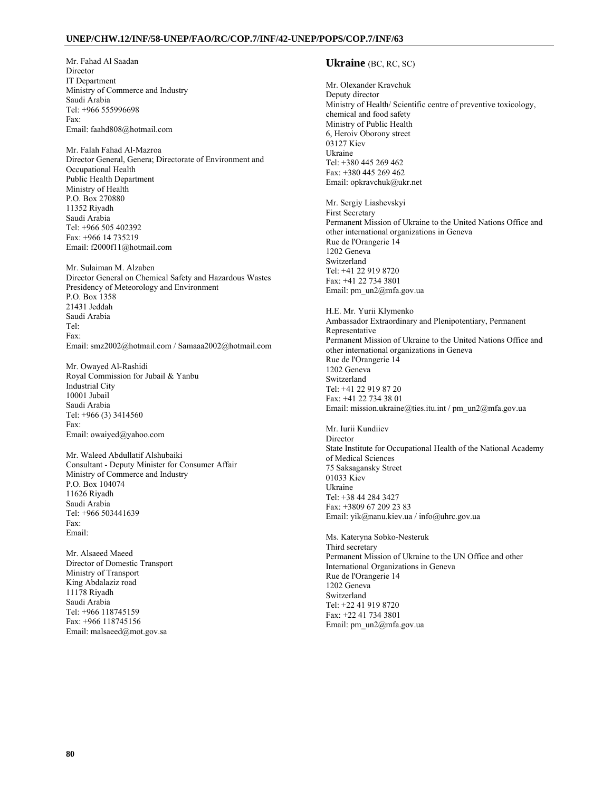#### **UNEP/CHW.12/INF/58-UNEP/FAO/RC/COP.7/INF/42-UNEP/POPS/COP.7/INF/63**

Mr. Fahad Al Saadan Director IT Department Ministry of Commerce and Industry Saudi Arabia Tel: +966 555996698 Fax: Email: faahd808@hotmail.com

Mr. Falah Fahad Al-Mazroa Director General, Genera; Directorate of Environment and Occupational Health Public Health Department Ministry of Health P.O. Box 270880 11352 Riyadh Saudi Arabia Tel: +966 505 402392 Fax: +966 14 735219 Email: f2000f11@hotmail.com

Mr. Sulaiman M. Alzaben Director General on Chemical Safety and Hazardous Wastes Presidency of Meteorology and Environment P.O. Box 1358 21431 Jeddah Saudi Arabia Tel: Fax: Email: smz2002@hotmail.com / Samaaa2002@hotmail.com

Mr. Owayed Al-Rashidi Royal Commission for Jubail & Yanbu Industrial City 10001 Jubail Saudi Arabia Tel: +966 (3) 3414560 Fax: Email: owaiyed@yahoo.com

Mr. Waleed Abdullatif Alshubaiki Consultant - Deputy Minister for Consumer Affair Ministry of Commerce and Industry P.O. Box 104074 11626 Riyadh Saudi Arabia Tel: +966 503441639 Fax: Email:

Mr. Alsaeed Maeed Director of Domestic Transport Ministry of Transport King Abdalaziz road 11178 Riyadh Saudi Arabia Tel: +966 118745159 Fax: +966 118745156 Email: malsaeed@mot.gov.sa

#### **Ukraine** (BC, RC, SC)

Mr. Olexander Kravchuk Deputy director Ministry of Health/ Scientific centre of preventive toxicology, chemical and food safety Ministry of Public Health 6, Heroiv Oborony street 03127 Kiev Ukraine Tel: +380 445 269 462 Fax: +380 445 269 462 Email: opkravchuk@ukr.net

Mr. Sergiy Liashevskyi First Secretary Permanent Mission of Ukraine to the United Nations Office and other international organizations in Geneva Rue de l'Orangerie 14 1202 Geneva Switzerland Tel: +41 22 919 8720 Fax: +41 22 734 3801 Email: pm\_un2@mfa.gov.ua

H.E. Mr. Yurii Klymenko Ambassador Extraordinary and Plenipotentiary, Permanent Representative Permanent Mission of Ukraine to the United Nations Office and other international organizations in Geneva Rue de l'Orangerie 14 1202 Geneva Switzerland Tel: +41 22 919 87 20 Fax: +41 22 734 38 01 Email: mission.ukraine@ties.itu.int / pm\_un2@mfa.gov.ua

Mr. Iurii Kundiiev Director State Institute for Occupational Health of the National Academy of Medical Sciences 75 Saksagansky Street 01033 Kiev Ukraine Tel: +38 44 284 3427 Fax: +3809 67 209 23 83 Email: yik@nanu.kiev.ua / info@uhrc.gov.ua

Ms. Kateryna Sobko-Nesteruk Third secretary Permanent Mission of Ukraine to the UN Office and other International Organizations in Geneva Rue de l'Orangerie 14 1202 Geneva Switzerland Tel: +22 41 919 8720 Fax: +22 41 734 3801 Email: pm\_un2@mfa.gov.ua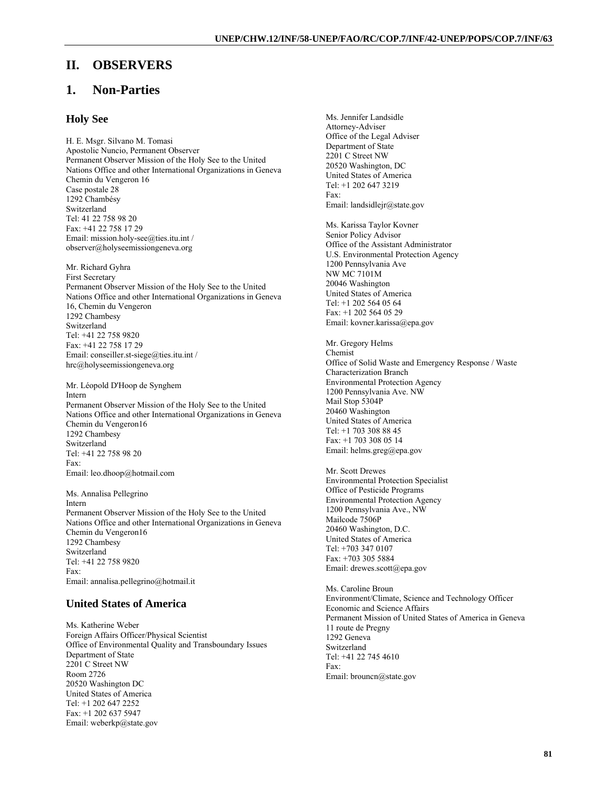## **II. OBSERVERS**

# **1. Non-Parties**

#### **Holy See**

H. E. Msgr. Silvano M. Tomasi Apostolic Nuncio, Permanent Observer Permanent Observer Mission of the Holy See to the United Nations Office and other International Organizations in Geneva Chemin du Vengeron 16 Case postale 28 1292 Chambésy Switzerland Tel: 41 22 758 98 20 Fax: +41 22 758 17 29 Email: mission.holy-see@ties.itu.int / observer@holyseemissiongeneva.org

Mr. Richard Gyhra First Secretary Permanent Observer Mission of the Holy See to the United Nations Office and other International Organizations in Geneva 16, Chemin du Vengeron 1292 Chambesy Switzerland Tel: +41 22 758 9820 Fax: +41 22 758 17 29 Email: conseiller.st-siege@ties.itu.int / hrc@holyseemissiongeneva.org

Mr. Léopold D'Hoop de Synghem Intern Permanent Observer Mission of the Holy See to the United Nations Office and other International Organizations in Geneva Chemin du Vengeron16 1292 Chambesy Switzerland Tel: +41 22 758 98 20 Fax: Email: leo.dhoop@hotmail.com

Ms. Annalisa Pellegrino Intern Permanent Observer Mission of the Holy See to the United Nations Office and other International Organizations in Geneva Chemin du Vengeron16 1292 Chambesy Switzerland Tel: +41 22 758 9820 Fax: Email: annalisa.pellegrino@hotmail.it

### **United States of America**

Ms. Katherine Weber Foreign Affairs Officer/Physical Scientist Office of Environmental Quality and Transboundary Issues Department of State 2201 C Street NW Room 2726 20520 Washington DC United States of America Tel: +1 202 647 2252 Fax: +1 202 637 5947 Email: weberkp@state.gov

Ms. Jennifer Landsidle Attorney-Adviser Office of the Legal Adviser Department of State 2201 C Street NW 20520 Washington, DC United States of America Tel: +1 202 647 3219 Fax: Email: landsidlejr@state.gov

Ms. Karissa Taylor Kovner Senior Policy Advisor Office of the Assistant Administrator U.S. Environmental Protection Agency 1200 Pennsylvania Ave NW MC 7101M 20046 Washington United States of America Tel: +1 202 564 05 64 Fax: +1 202 564 05 29 Email: kovner.karissa@epa.gov

Mr. Gregory Helms Chemist Office of Solid Waste and Emergency Response / Waste Characterization Branch Environmental Protection Agency 1200 Pennsylvania Ave. NW Mail Stop 5304P 20460 Washington United States of America Tel: +1 703 308 88 45 Fax: +1 703 308 05 14 Email: helms.greg@epa.gov

Mr. Scott Drewes Environmental Protection Specialist Office of Pesticide Programs Environmental Protection Agency 1200 Pennsylvania Ave., NW Mailcode 7506P 20460 Washington, D.C. United States of America Tel: +703 347 0107 Fax: +703 305 5884 Email: drewes.scott@epa.gov

Ms. Caroline Broun Environment/Climate, Science and Technology Officer Economic and Science Affairs Permanent Mission of United States of America in Geneva 11 route de Pregny 1292 Geneva Switzerland Tel: +41 22 745 4610 Fax: Email: brouncn@state.gov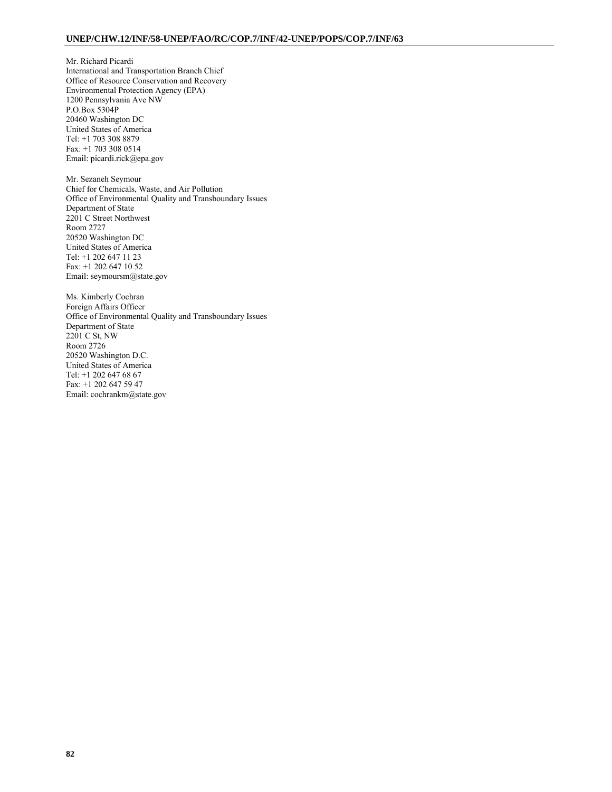Mr. Richard Picardi International and Transportation Branch Chief Office of Resource Conservation and Recovery Environmental Protection Agency (EPA) 1200 Pennsylvania Ave NW P.O.Box 5304P 20460 Washington DC United States of America Tel: +1 703 308 8879 Fax: +1 703 308 0514 Email: picardi.rick@epa.gov

Mr. Sezaneh Seymour Chief for Chemicals, Waste, and Air Pollution Office of Environmental Quality and Transboundary Issues Department of State 2201 C Street Northwest Room 2727 20520 Washington DC United States of America Tel: +1 202 647 11 23 Fax: +1 202 647 10 52 Email: seymoursm@state.gov

Ms. Kimberly Cochran Foreign Affairs Officer Office of Environmental Quality and Transboundary Issues Department of State 2201 C St, NW Room 2726 20520 Washington D.C. United States of America Tel: +1 202 647 68 67 Fax: +1 202 647 59 47 Email: cochrankm@state.gov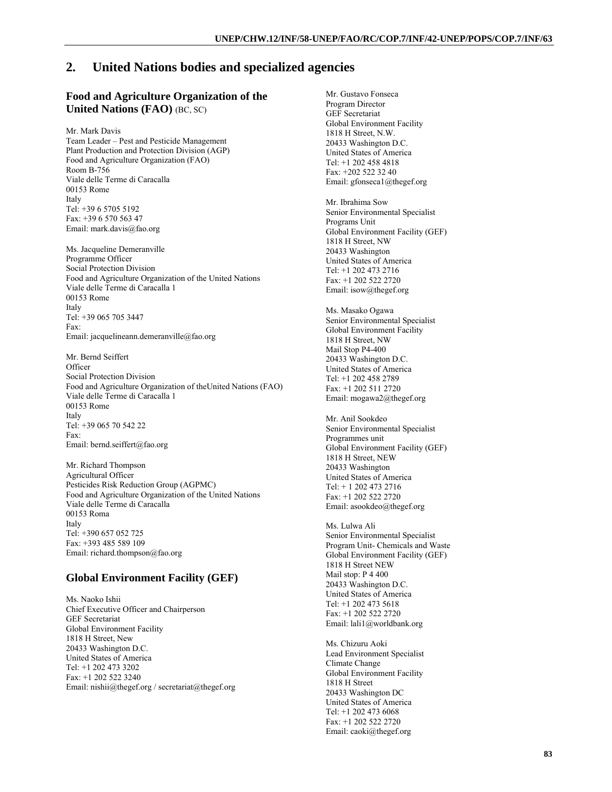## **2. United Nations bodies and specialized agencies**

### **Food and Agriculture Organization of the United Nations (FAO)** (BC, SC)

Mr. Mark Davis

Team Leader – Pest and Pesticide Management Plant Production and Protection Division (AGP) Food and Agriculture Organization (FAO) Room B-756 Viale delle Terme di Caracalla 00153 Rome Italy Tel: +39 6 5705 5192 Fax: +39 6 570 563 47 Email: mark.davis@fao.org

Ms. Jacqueline Demeranville Programme Officer Social Protection Division Food and Agriculture Organization of the United Nations Viale delle Terme di Caracalla 1 00153 Rome Italy Tel: +39 065 705 3447 Fax: Email: jacquelineann.demeranville@fao.org

Mr. Bernd Seiffert **Officer** Social Protection Division Food and Agriculture Organization of theUnited Nations (FAO) Viale delle Terme di Caracalla 1 00153 Rome Italy Tel: +39 065 70 542 22 Fax: Email: bernd.seiffert@fao.org

Mr. Richard Thompson Agricultural Officer Pesticides Risk Reduction Group (AGPMC) Food and Agriculture Organization of the United Nations Viale delle Terme di Caracalla 00153 Roma Italy Tel: +390 657 052 725 Fax: +393 485 589 109 Email: richard.thompson@fao.org

### **Global Environment Facility (GEF)**

Ms. Naoko Ishii Chief Executive Officer and Chairperson GEF Secretariat Global Environment Facility 1818 H Street, New 20433 Washington D.C. United States of America Tel: +1 202 473 3202 Fax: +1 202 522 3240 Email: nishii@thegef.org / secretariat@thegef.org

Mr. Gustavo Fonseca Program Director GEF Secretariat Global Environment Facility 1818 H Street, N.W. 20433 Washington D.C. United States of America Tel: +1 202 458 4818 Fax: +202 522 32 40 Email: gfonseca1@thegef.org

Mr. Ibrahima Sow Senior Environmental Specialist Programs Unit Global Environment Facility (GEF) 1818 H Street, NW 20433 Washington United States of America Tel: +1 202 473 2716 Fax: +1 202 522 2720 Email: isow@thegef.org

Ms. Masako Ogawa Senior Environmental Specialist Global Environment Facility 1818 H Street, NW Mail Stop P4-400 20433 Washington D.C. United States of America Tel: +1 202 458 2789 Fax: +1 202 511 2720 Email: mogawa2@thegef.org

Mr. Anil Sookdeo Senior Environmental Specialist Programmes unit Global Environment Facility (GEF) 1818 H Street, NEW 20433 Washington United States of America Tel: + 1 202 473 2716 Fax: +1 202 522 2720 Email: asookdeo@thegef.org

Ms. Lulwa Ali Senior Environmental Specialist Program Unit- Chemicals and Waste Global Environment Facility (GEF) 1818 H Street NEW Mail stop: P 4 400 20433 Washington D.C. United States of America Tel: +1 202 473 5618 Fax: +1 202 522 2720 Email: lali1@worldbank.org

Ms. Chizuru Aoki Lead Environment Specialist Climate Change Global Environment Facility 1818 H Street 20433 Washington DC United States of America Tel: +1 202 473 6068 Fax: +1 202 522 2720 Email: caoki@thegef.org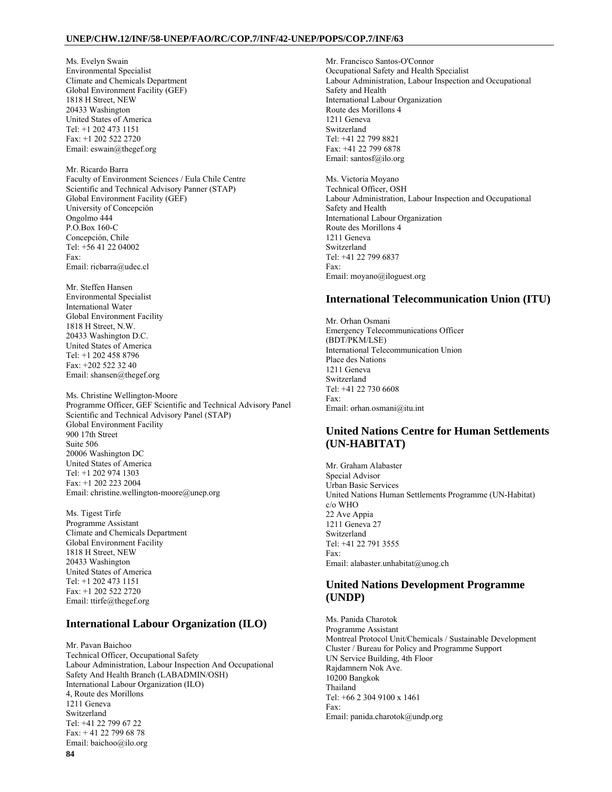#### **UNEP/CHW.12/INF/58-UNEP/FAO/RC/COP.7/INF/42-UNEP/POPS/COP.7/INF/63**

Ms. Evelyn Swain Environmental Specialist Climate and Chemicals Department Global Environment Facility (GEF) 1818 H Street, NEW 20433 Washington United States of America Tel: +1 202 473 1151 Fax: +1 202 522 2720 Email: eswain@thegef.org

Mr. Ricardo Barra Faculty of Environment Sciences / Eula Chile Centre Scientific and Technical Advisory Panner (STAP) Global Environment Facility (GEF) University of Concepción Ongolmo 444 P.O.Box 160-C Concepción, Chile Tel: +56 41 22 04002 Fax: Email: ricbarra@udec.cl

Mr. Steffen Hansen Environmental Specialist International Water Global Environment Facility 1818 H Street, N.W. 20433 Washington D.C. United States of America Tel: +1 202 458 8796 Fax: +202 522 32 40 Email: shansen@thegef.org

Ms. Christine Wellington-Moore Programme Officer, GEF Scientific and Technical Advisory Panel Scientific and Technical Advisory Panel (STAP) Global Environment Facility 900 17th Street Suite 506 20006 Washington DC United States of America Tel: +1 202 974 1303 Fax: +1 202 223 2004 Email: christine.wellington-moore@unep.org

Ms. Tigest Tirfe Programme Assistant Climate and Chemicals Department Global Environment Facility 1818 H Street, NEW 20433 Washington United States of America Tel: +1 202 473 1151 Fax: +1 202 522 2720 Email: ttirfe@thegef.org

### **International Labour Organization (ILO)**

**84** Mr. Pavan Baichoo Technical Officer, Occupational Safety Labour Administration, Labour Inspection And Occupational Safety And Health Branch (LABADMIN/OSH) International Labour Organization (ILO) 4, Route des Morillons 1211 Geneva Switzerland Tel: +41 22 799 67 22 Fax: + 41 22 799 68 78 Email: baichoo@ilo.org

Mr. Francisco Santos-O'Connor Occupational Safety and Health Specialist Labour Administration, Labour Inspection and Occupational Safety and Health International Labour Organization Route des Morillons 4 1211 Geneva Switzerland Tel: +41 22 799 8821 Fax: +41 22 799 6878 Email: santosf@ilo.org

Ms. Victoria Moyano Technical Officer, OSH Labour Administration, Labour Inspection and Occupational Safety and Health International Labour Organization Route des Morillons 4 1211 Geneva Switzerland Tel: +41 22 799 6837 Fax: Email: moyano@iloguest.org

#### **International Telecommunication Union (ITU)**

Mr. Orhan Osmani Emergency Telecommunications Officer (BDT/PKM/LSE) International Telecommunication Union Place des Nations 1211 Geneva Switzerland Tel: +41 22 730 6608 Fax: Email: orhan.osmani@itu.int

## **United Nations Centre for Human Settlements (UN-HABITAT)**

Mr. Graham Alabaster Special Advisor Urban Basic Services United Nations Human Settlements Programme (UN-Habitat) c/o WHO 22 Ave Appia 1211 Geneva 27 Switzerland Tel: +41 22 791 3555 Fax: Email: alabaster.unhabitat@unog.ch

### **United Nations Development Programme (UNDP)**

Ms. Panida Charotok Programme Assistant Montreal Protocol Unit/Chemicals / Sustainable Development Cluster / Bureau for Policy and Programme Support UN Service Building, 4th Floor Rajdamnern Nok Ave. 10200 Bangkok Thailand Tel: +66 2 304 9100 x 1461 Fax: Email: panida.charotok@undp.org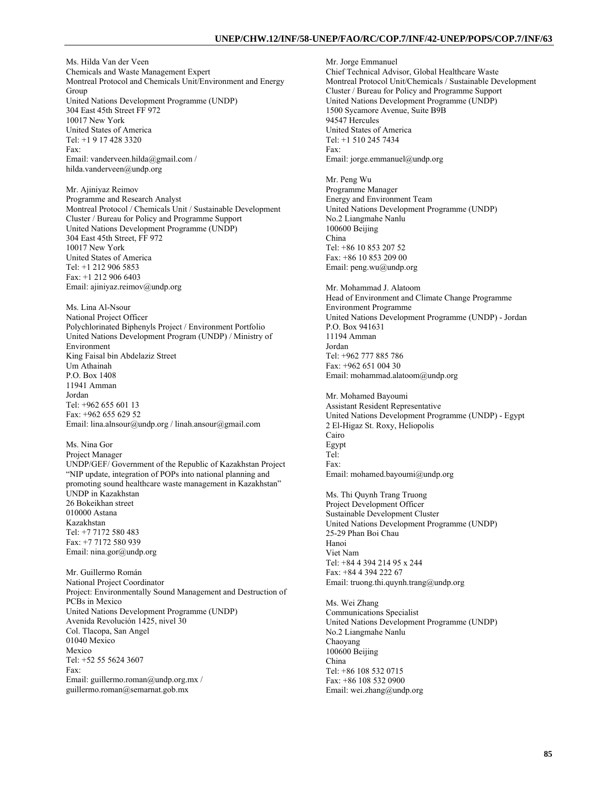Ms. Hilda Van der Veen Chemicals and Waste Management Expert Montreal Protocol and Chemicals Unit/Environment and Energy Group United Nations Development Programme (UNDP) 304 East 45th Street FF 972 10017 New York United States of America Tel: +1 9 17 428 3320 Fax: Email: vanderveen.hilda@gmail.com / hilda.vanderveen@undp.org

Mr. Ajiniyaz Reimov Programme and Research Analyst Montreal Protocol / Chemicals Unit / Sustainable Development Cluster / Bureau for Policy and Programme Support United Nations Development Programme (UNDP) 304 East 45th Street, FF 972 10017 New York United States of America Tel: +1 212 906 5853 Fax: +1 212 906 6403 Email: ajiniyaz.reimov@undp.org

Ms. Lina Al-Nsour National Project Officer Polychlorinated Biphenyls Project / Environment Portfolio United Nations Development Program (UNDP) / Ministry of Environment King Faisal bin Abdelaziz Street Um Athainah P.O. Box 1408 11941 Amman Jordan Tel: +962 655 601 13 Fax: +962 655 629 52 Email: lina.alnsour@undp.org / linah.ansour@gmail.com

Ms. Nina Gor Project Manager UNDP/GEF/ Government of the Republic of Kazakhstan Project "NIP update, integration of POPs into national planning and promoting sound healthcare waste management in Kazakhstan" UNDP in Kazakhstan 26 Bokeikhan street 010000 Astana Kazakhstan Tel: +7 7172 580 483 Fax: +7 7172 580 939 Email: nina.gor@undp.org

Mr. Guillermo Román National Project Coordinator Project: Environmentally Sound Management and Destruction of PCBs in Mexico United Nations Development Programme (UNDP) Avenida Revolución 1425, nivel 30 Col. Tlacopa, San Angel 01040 Mexico Mexico Tel: +52 55 5624 3607 Fax: Email: guillermo.roman@undp.org.mx / guillermo.roman@semarnat.gob.mx

Mr. Jorge Emmanuel Chief Technical Advisor, Global Healthcare Waste Montreal Protocol Unit/Chemicals / Sustainable Development Cluster / Bureau for Policy and Programme Support United Nations Development Programme (UNDP) 1500 Sycamore Avenue, Suite B9B 94547 Hercules United States of America Tel: +1 510 245 7434 Fax: Email: jorge.emmanuel@undp.org

Mr. Peng Wu Programme Manager Energy and Environment Team United Nations Development Programme (UNDP) No.2 Liangmahe Nanlu 100600 Beijing China Tel: +86 10 853 207 52 Fax: +86 10 853 209 00 Email: peng.wu@undp.org

Mr. Mohammad J. Alatoom Head of Environment and Climate Change Programme Environment Programme United Nations Development Programme (UNDP) - Jordan P.O. Box 941631 11194 Amman Jordan Tel: +962 777 885 786 Fax: +962 651 004 30 Email: mohammad.alatoom@undp.org

Mr. Mohamed Bayoumi Assistant Resident Representative United Nations Development Programme (UNDP) - Egypt 2 El-Higaz St. Roxy, Heliopolis Cairo Egypt Tel: Fax: Email: mohamed.bayoumi@undp.org

Ms. Thi Quynh Trang Truong Project Development Officer Sustainable Development Cluster United Nations Development Programme (UNDP) 25-29 Phan Boi Chau Hanoi Viet Nam Tel: +84 4 394 214 95 x 244 Fax: +84 4 394 222 67 Email: truong.thi.quynh.trang@undp.org

Ms. Wei Zhang Communications Specialist United Nations Development Programme (UNDP) No.2 Liangmahe Nanlu Chaoyang 100600 Beijing China Tel: +86 108 532 0715 Fax: +86 108 532 0900 Email: wei.zhang@undp.org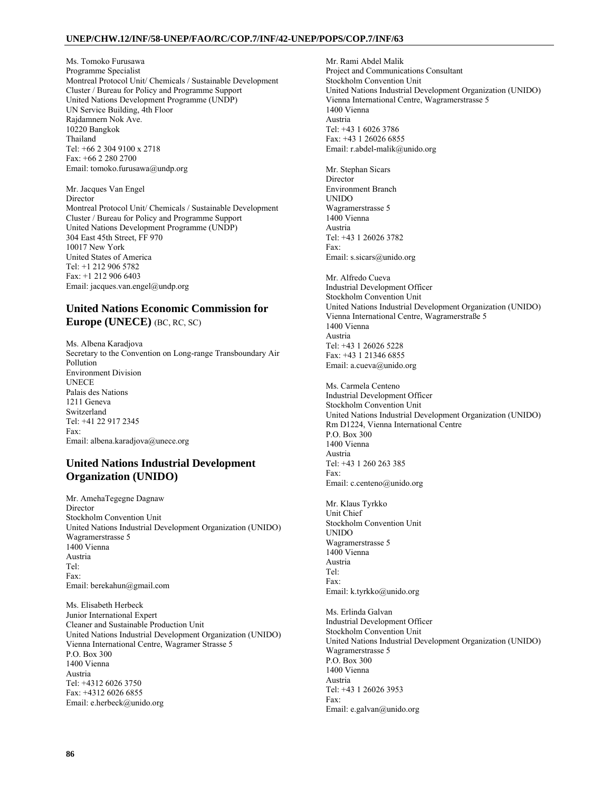#### **UNEP/CHW.12/INF/58-UNEP/FAO/RC/COP.7/INF/42-UNEP/POPS/COP.7/INF/63**

Ms. Tomoko Furusawa Programme Specialist Montreal Protocol Unit/ Chemicals / Sustainable Development Cluster / Bureau for Policy and Programme Support United Nations Development Programme (UNDP) UN Service Building, 4th Floor Rajdamnern Nok Ave. 10220 Bangkok Thailand Tel: +66 2 304 9100 x 2718 Fax: +66 2 280 2700 Email: tomoko.furusawa@undp.org

Mr. Jacques Van Engel Director Montreal Protocol Unit/ Chemicals / Sustainable Development Cluster / Bureau for Policy and Programme Support United Nations Development Programme (UNDP) 304 East 45th Street, FF 970 10017 New York United States of America Tel: +1 212 906 5782 Fax: +1 212 906 6403 Email: jacques.van.engel@undp.org

### **United Nations Economic Commission for Europe (UNECE)** (BC, RC, SC)

Ms. Albena Karadjova Secretary to the Convention on Long-range Transboundary Air Pollution Environment Division UNECE Palais des Nations 1211 Geneva Switzerland Tel: +41 22 917 2345 Fax: Email: albena.karadjova@unece.org

## **United Nations Industrial Development Organization (UNIDO)**

Mr. AmehaTegegne Dagnaw **Director** Stockholm Convention Unit United Nations Industrial Development Organization (UNIDO) Wagramerstrasse 5 1400 Vienna Austria  $Tel:$ Fax: Email: berekahun@gmail.com

Ms. Elisabeth Herbeck Junior International Expert Cleaner and Sustainable Production Unit United Nations Industrial Development Organization (UNIDO) Vienna International Centre, Wagramer Strasse 5 P.O. Box 300 1400 Vienna Austria Tel: +4312 6026 3750 Fax: +4312 6026 6855 Email: e.herbeck@unido.org

Mr. Rami Abdel Malik Project and Communications Consultant Stockholm Convention Unit United Nations Industrial Development Organization (UNIDO) Vienna International Centre, Wagramerstrasse 5 1400 Vienna Austria Tel: +43 1 6026 3786 Fax: +43 1 26026 6855 Email: r.abdel-malik@unido.org

Mr. Stephan Sicars Director Environment Branch UNIDO Wagramerstrasse 5 1400 Vienna Austria Tel: +43 1 26026 3782 Fax: Email: s.sicars@unido.org

Mr. Alfredo Cueva Industrial Development Officer Stockholm Convention Unit United Nations Industrial Development Organization (UNIDO) Vienna International Centre, Wagramerstraße 5 1400 Vienna Austria Tel: +43 1 26026 5228 Fax: +43 1 21346 6855 Email: a.cueva@unido.org

Ms. Carmela Centeno Industrial Development Officer Stockholm Convention Unit United Nations Industrial Development Organization (UNIDO) Rm D1224, Vienna International Centre P.O. Box 300 1400 Vienna Austria Tel: +43 1 260 263 385 Fax: Email: c.centeno@unido.org

Mr. Klaus Tyrkko Unit Chief Stockholm Convention Unit UNIDO Wagramerstrasse 5 1400 Vienna Austria Tel: Fax: Email: k.tyrkko@unido.org

Ms. Erlinda Galvan Industrial Development Officer Stockholm Convention Unit United Nations Industrial Development Organization (UNIDO) Wagramerstrasse 5 P.O. Box 300 1400 Vienna Austria Tel: +43 1 26026 3953 Fax: Email: e.galvan@unido.org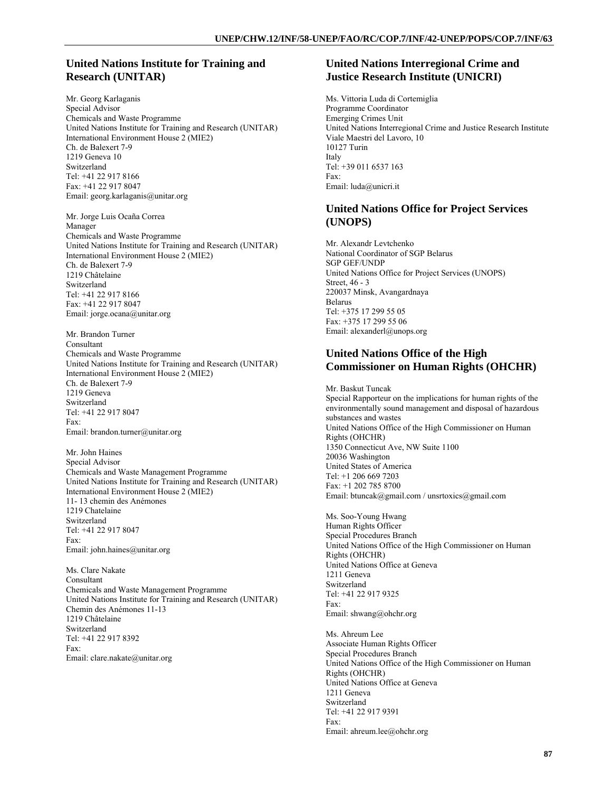### **United Nations Institute for Training and Research (UNITAR)**

Mr. Georg Karlaganis Special Advisor Chemicals and Waste Programme United Nations Institute for Training and Research (UNITAR) International Environment House 2 (MIE2) Ch. de Balexert 7-9 1219 Geneva 10 Switzerland Tel: +41 22 917 8166 Fax: +41 22 917 8047 Email: georg.karlaganis@unitar.org

Mr. Jorge Luis Ocaña Correa Manager Chemicals and Waste Programme United Nations Institute for Training and Research (UNITAR) International Environment House 2 (MIE2) Ch. de Balexert 7-9 1219 Châtelaine Switzerland Tel: +41 22 917 8166 Fax: +41 22 917 8047 Email: jorge.ocana@unitar.org

Mr. Brandon Turner Consultant Chemicals and Waste Programme United Nations Institute for Training and Research (UNITAR) International Environment House 2 (MIE2) Ch. de Balexert 7-9 1219 Geneva Switzerland Tel: +41 22 917 8047 Fax: Email: brandon.turner@unitar.org

Mr. John Haines Special Advisor Chemicals and Waste Management Programme United Nations Institute for Training and Research (UNITAR) International Environment House 2 (MIE2) 11- 13 chemin des Anémones 1219 Chatelaine Switzerland Tel: +41 22 917 8047 Fax: Email: john.haines@unitar.org

Ms. Clare Nakate Consultant Chemicals and Waste Management Programme United Nations Institute for Training and Research (UNITAR) Chemin des Anémones 11-13 1219 Châtelaine Switzerland Tel: +41 22 917 8392 Fax: Email: clare.nakate@unitar.org

### **United Nations Interregional Crime and Justice Research Institute (UNICRI)**

Ms. Vittoria Luda di Cortemiglia Programme Coordinator Emerging Crimes Unit United Nations Interregional Crime and Justice Research Institute Viale Maestri del Lavoro, 10 10127 Turin Italy Tel: +39 011 6537 163 Fax: Email: luda@unicri.it

## **United Nations Office for Project Services (UNOPS)**

Mr. Alexandr Levtchenko National Coordinator of SGP Belarus SGP GEF/UNDP United Nations Office for Project Services (UNOPS) Street, 46 - 3 220037 Minsk, Avangardnaya Belarus Tel: +375 17 299 55 05 Fax: +375 17 299 55 06 Email: alexanderl@unops.org

#### **United Nations Office of the High Commissioner on Human Rights (OHCHR)**

Mr. Baskut Tuncak Special Rapporteur on the implications for human rights of the environmentally sound management and disposal of hazardous substances and wastes United Nations Office of the High Commissioner on Human Rights (OHCHR) 1350 Connecticut Ave, NW Suite 1100 20036 Washington United States of America Tel: +1 206 669 7203 Fax: +1 202 785 8700 Email: btuncak@gmail.com / unsrtoxics@gmail.com

Ms. Soo-Young Hwang Human Rights Officer Special Procedures Branch United Nations Office of the High Commissioner on Human Rights (OHCHR) United Nations Office at Geneva 1211 Geneva Switzerland Tel: +41 22 917 9325 Fax: Email: shwang@ohchr.org

Ms. Ahreum Lee Associate Human Rights Officer Special Procedures Branch United Nations Office of the High Commissioner on Human Rights (OHCHR) United Nations Office at Geneva 1211 Geneva Switzerland Tel: +41 22 917 9391 Fax: Email: ahreum.lee@ohchr.org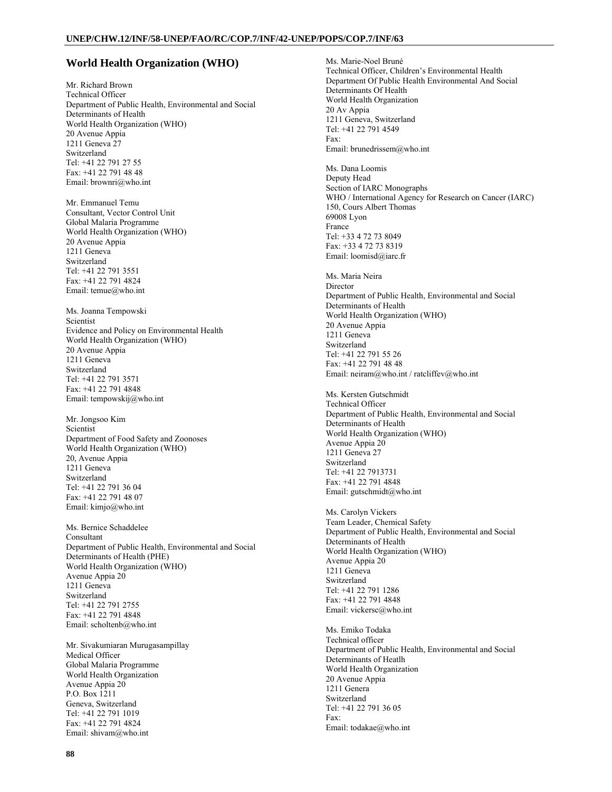#### **World Health Organization (WHO)**

Mr. Richard Brown Technical Officer Department of Public Health, Environmental and Social Determinants of Health World Health Organization (WHO) 20 Avenue Appia 1211 Geneva 27 Switzerland Tel: +41 22 791 27 55 Fax: +41 22 791 48 48 Email: brownri@who.int

Mr. Emmanuel Temu Consultant, Vector Control Unit Global Malaria Programme World Health Organization (WHO) 20 Avenue Appia 1211 Geneva Switzerland Tel: +41 22 791 3551 Fax: +41 22 791 4824 Email: temue@who.int

Ms. Joanna Tempowski Scientist Evidence and Policy on Environmental Health World Health Organization (WHO) 20 Avenue Appia 1211 Geneva Switzerland Tel: +41 22 791 3571 Fax: +41 22 791 4848 Email: tempowskij@who.int

Mr. Jongsoo Kim Scientist Department of Food Safety and Zoonoses World Health Organization (WHO) 20, Avenue Appia 1211 Geneva Switzerland Tel: +41 22 791 36 04 Fax: +41 22 791 48 07 Email: kimjo@who.int

Ms. Bernice Schaddelee Consultant Department of Public Health, Environmental and Social Determinants of Health (PHE) World Health Organization (WHO) Avenue Appia 20 1211 Geneva Switzerland Tel: +41 22 791 2755 Fax: +41 22 791 4848 Email: scholtenb@who.int

Mr. Sivakumiaran Murugasampillay Medical Officer Global Malaria Programme World Health Organization Avenue Appia 20 P.O. Box 1211 Geneva, Switzerland Tel: +41 22 791 1019 Fax: +41 22 791 4824 Email: shivam@who.int

Ms. Marie-Noel Bruné Technical Officer, Children's Environmental Health Department Of Public Health Environmental And Social Determinants Of Health World Health Organization 20 Av Appia 1211 Geneva, Switzerland Tel: +41 22 791 4549 Fax: Email: brunedrissem@who.int Ms. Dana Loomis Deputy Head Section of IARC Monographs WHO / International Agency for Research on Cancer (IARC) 150, Cours Albert Thomas 69008 Lyon France Tel: +33 4 72 73 8049 Fax: +33 4 72 73 8319 Email: loomisd@iarc.fr Ms. Maria Neira Director Department of Public Health, Environmental and Social Determinants of Health World Health Organization (WHO) 20 Avenue Appia 1211 Geneva Switzerland Tel: +41 22 791 55 26 Fax: +41 22 791 48 48 Email: neiram@who.int / ratcliffev@who.int Ms. Kersten Gutschmidt Technical Officer Department of Public Health, Environmental and Social Determinants of Health World Health Organization (WHO) Avenue Appia 20 1211 Geneva 27 Switzerland Tel: +41 22 7913731 Fax: +41 22 791 4848 Email: gutschmidt@who.int Ms. Carolyn Vickers Team Leader, Chemical Safety Department of Public Health, Environmental and Social Determinants of Health World Health Organization (WHO) Avenue Appia 20 1211 Geneva Switzerland Tel: +41 22 791 1286 Fax: +41 22 791 4848 Email: vickersc@who.int Ms. Emiko Todaka Technical officer Department of Public Health, Environmental and Social Determinants of Heatlh World Health Organization 20 Avenue Appia 1211 Genera Switzerland Tel: +41 22 791 36 05 Fax: Email: todakae@who.int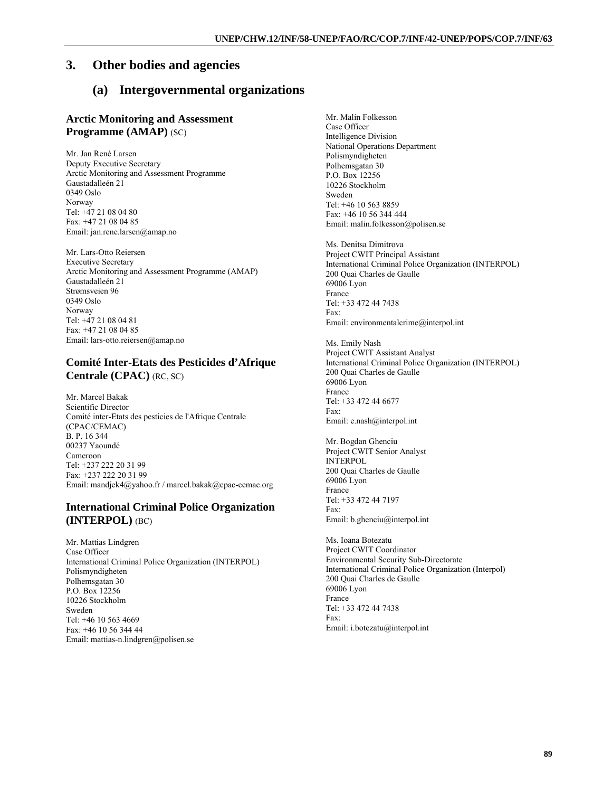## **3. Other bodies and agencies**

# **(a) Intergovernmental organizations**

### **Arctic Monitoring and Assessment Programme (AMAP)** (SC)

Mr. Jan René Larsen Deputy Executive Secretary Arctic Monitoring and Assessment Programme Gaustadalleén 21 0349 Oslo Norway Tel: +47 21 08 04 80 Fax: +47 21 08 04 85 Email: jan.rene.larsen@amap.no

Mr. Lars-Otto Reiersen Executive Secretary Arctic Monitoring and Assessment Programme (AMAP) Gaustadalleén 21 Strømsveien 96 0349 Oslo Norway Tel: +47 21 08 04 81 Fax: +47 21 08 04 85 Email: lars-otto.reiersen@amap.no

## **Comité Inter-Etats des Pesticides d'Afrique Centrale (CPAC)** (RC, SC)

Mr. Marcel Bakak Scientific Director Comité inter-Etats des pesticies de l'Afrique Centrale (CPAC/CEMAC) B. P. 16 344 00237 Yaoundé Cameroon Tel: +237 222 20 31 99 Fax: +237 222 20 31 99 Email: mandjek4@yahoo.fr / marcel.bakak@cpac-cemac.org

## **International Criminal Police Organization (INTERPOL)** (BC)

Mr. Mattias Lindgren Case Officer International Criminal Police Organization (INTERPOL) Polismyndigheten Polhemsgatan 30 P.O. Box 12256 10226 Stockholm Sweden Tel: +46 10 563 4669 Fax: +46 10 56 344 44 Email: mattias-n.lindgren@polisen.se

Mr. Malin Folkesson Case Officer Intelligence Division National Operations Department Polismyndigheten Polhemsgatan 30 P.O. Box 12256 10226 Stockholm Sweden Tel: +46 10 563 8859 Fax: +46 10 56 344 444 Email: malin.folkesson@polisen.se

Ms. Denitsa Dimitrova Project CWIT Principal Assistant International Criminal Police Organization (INTERPOL) 200 Quai Charles de Gaulle 69006 Lyon France Tel: +33 472 44 7438 Fax: Email: environmentalcrime@interpol.int

Ms. Emily Nash Project CWIT Assistant Analyst International Criminal Police Organization (INTERPOL) 200 Quai Charles de Gaulle 69006 Lyon France Tel: +33 472 44 6677 Fax: Email: e.nash@interpol.int

Mr. Bogdan Ghenciu Project CWIT Senior Analyst INTERPOL 200 Quai Charles de Gaulle 69006 Lyon France Tel: +33 472 44 7197 Fax: Email: b.ghenciu@interpol.int

Ms. Ioana Botezatu Project CWIT Coordinator Environmental Security Sub-Directorate International Criminal Police Organization (Interpol) 200 Quai Charles de Gaulle 69006 Lyon France Tel: +33 472 44 7438 Fax: Email: i.botezatu@interpol.int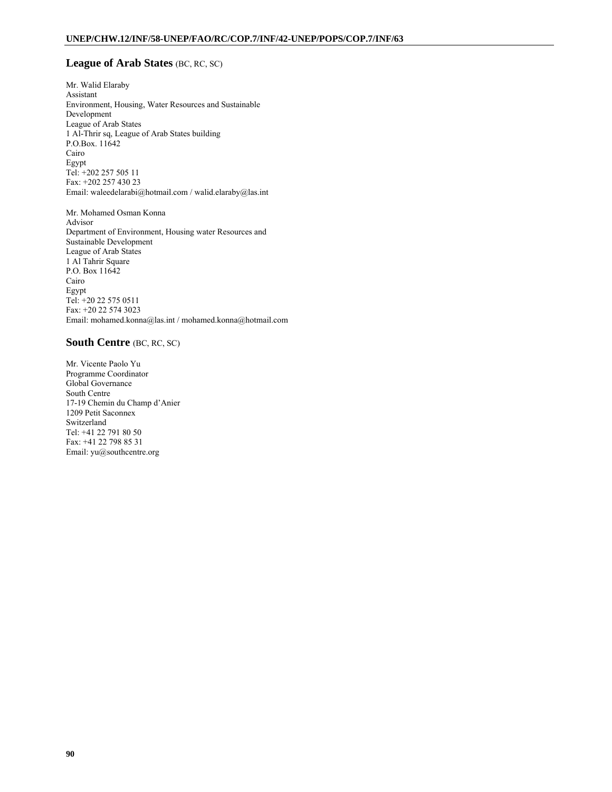### **League of Arab States** (BC, RC, SC)

Mr. Walid Elaraby Assistant Environment, Housing, Water Resources and Sustainable Development League of Arab States 1 Al-Thrir sq, League of Arab States building P.O.Box. 11642 Cairo Egypt Tel: +202 257 505 11 Fax: +202 257 430 23 Email: waleedelarabi@hotmail.com / walid.elaraby@las.int

Mr. Mohamed Osman Konna Advisor Department of Environment, Housing water Resources and Sustainable Development League of Arab States 1 Al Tahrir Square P.O. Box 11642 Cairo Egypt Tel: +20 22 575 0511 Fax: +20 22 574 3023 Email: mohamed.konna@las.int / mohamed.konna@hotmail.com

#### **South Centre** (BC, RC, SC)

Mr. Vicente Paolo Yu Programme Coordinator Global Governance South Centre 17-19 Chemin du Champ d'Anier 1209 Petit Saconnex Switzerland Tel: +41 22 791 80 50 Fax: +41 22 798 85 31 Email: yu@southcentre.org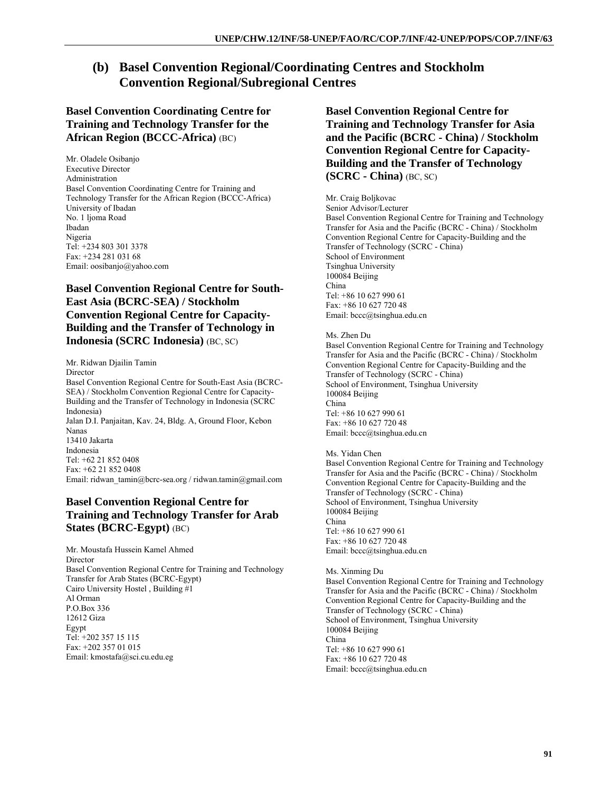# **(b) Basel Convention Regional/Coordinating Centres and Stockholm Convention Regional/Subregional Centres**

## **Basel Convention Coordinating Centre for Training and Technology Transfer for the African Region (BCCC-Africa)** (BC)

Mr. Oladele Osibanjo Executive Director Administration Basel Convention Coordinating Centre for Training and Technology Transfer for the African Region (BCCC-Africa) University of Ibadan No. 1 ljoma Road Ibadan Nigeria Tel: +234 803 301 3378 Fax: +234 281 031 68 Email: oosibanjo@yahoo.com

## **Basel Convention Regional Centre for South-East Asia (BCRC-SEA) / Stockholm Convention Regional Centre for Capacity-Building and the Transfer of Technology in Indonesia (SCRC Indonesia)** (BC, SC)

Mr. Ridwan Djailin Tamin Director Basel Convention Regional Centre for South-East Asia (BCRC-SEA) / Stockholm Convention Regional Centre for Capacity-Building and the Transfer of Technology in Indonesia (SCRC Indonesia) Jalan D.I. Panjaitan, Kav. 24, Bldg. A, Ground Floor, Kebon Nanas 13410 Jakarta Indonesia Tel: +62 21 852 0408 Fax: +62 21 852 0408 Email: ridwan\_tamin@bcrc-sea.org / ridwan.tamin@gmail.com

## **Basel Convention Regional Centre for Training and Technology Transfer for Arab States (BCRC-Egypt)** (BC)

Mr. Moustafa Hussein Kamel Ahmed Director Basel Convention Regional Centre for Training and Technology Transfer for Arab States (BCRC-Egypt) Cairo University Hostel , Building #1 Al Orman P.O.Box 336 12612 Giza Egypt Tel: +202 357 15 115 Fax: +202 357 01 015 Email: kmostafa@sci.cu.edu.eg

**Basel Convention Regional Centre for Training and Technology Transfer for Asia and the Pacific (BCRC - China) / Stockholm Convention Regional Centre for Capacity-Building and the Transfer of Technology (SCRC - China)** (BC, SC)

## Mr. Craig Boljkovac

Senior Advisor/Lecturer Basel Convention Regional Centre for Training and Technology Transfer for Asia and the Pacific (BCRC - China) / Stockholm Convention Regional Centre for Capacity-Building and the Transfer of Technology (SCRC - China) School of Environment Tsinghua University 100084 Beijing China Tel: +86 10 627 990 61 Fax: +86 10 627 720 48 Email: bccc@tsinghua.edu.cn

#### Ms. Zhen Du

Basel Convention Regional Centre for Training and Technology Transfer for Asia and the Pacific (BCRC - China) / Stockholm Convention Regional Centre for Capacity-Building and the Transfer of Technology (SCRC - China) School of Environment, Tsinghua University 100084 Beijing China Tel: +86 10 627 990 61 Fax: +86 10 627 720 48 Email: bccc@tsinghua.edu.cn

#### Ms. Yidan Chen

Basel Convention Regional Centre for Training and Technology Transfer for Asia and the Pacific (BCRC - China) / Stockholm Convention Regional Centre for Capacity-Building and the Transfer of Technology (SCRC - China) School of Environment, Tsinghua University 100084 Beijing China Tel: +86 10 627 990 61 Fax: +86 10 627 720 48 Email: bccc@tsinghua.edu.cn

#### Ms. Xinming Du

Basel Convention Regional Centre for Training and Technology Transfer for Asia and the Pacific (BCRC - China) / Stockholm Convention Regional Centre for Capacity-Building and the Transfer of Technology (SCRC - China) School of Environment, Tsinghua University 100084 Beijing China Tel: +86 10 627 990 61 Fax: +86 10 627 720 48 Email: bccc@tsinghua.edu.cn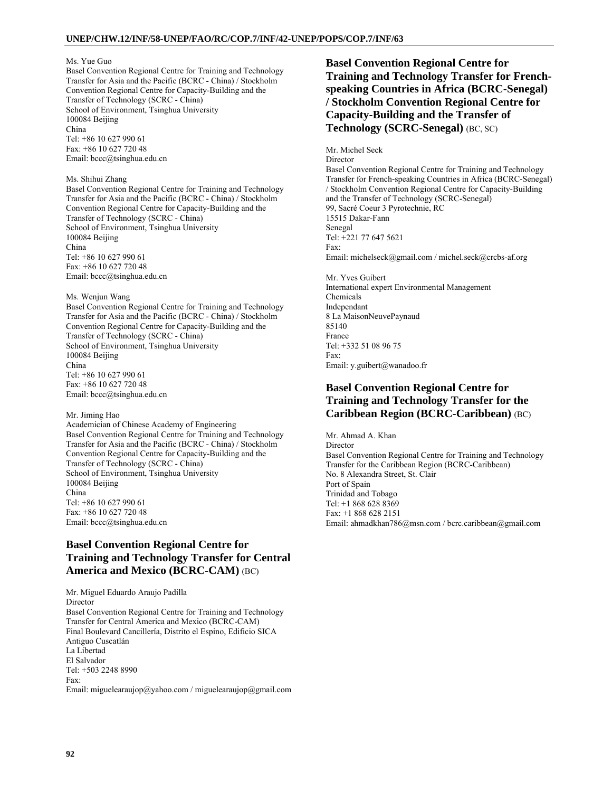#### Ms. Yue Guo

Basel Convention Regional Centre for Training and Technology Transfer for Asia and the Pacific (BCRC - China) / Stockholm Convention Regional Centre for Capacity-Building and the Transfer of Technology (SCRC - China) School of Environment, Tsinghua University 100084 Beijing China Tel: +86 10 627 990 61

Fax: +86 10 627 720 48 Email: bccc@tsinghua.edu.cn

#### Ms. Shihui Zhang

Basel Convention Regional Centre for Training and Technology Transfer for Asia and the Pacific (BCRC - China) / Stockholm Convention Regional Centre for Capacity-Building and the Transfer of Technology (SCRC - China) School of Environment, Tsinghua University 100084 Beijing China Tel: +86 10 627 990 61 Fax: +86 10 627 720 48 Email: bccc@tsinghua.edu.cn

#### Ms. Wenjun Wang

Basel Convention Regional Centre for Training and Technology Transfer for Asia and the Pacific (BCRC - China) / Stockholm Convention Regional Centre for Capacity-Building and the Transfer of Technology (SCRC - China) School of Environment, Tsinghua University 100084 Beijing China Tel: +86 10 627 990 61 Fax: +86 10 627 720 48 Email: bccc@tsinghua.edu.cn

#### Mr. Jiming Hao

Academician of Chinese Academy of Engineering Basel Convention Regional Centre for Training and Technology Transfer for Asia and the Pacific (BCRC - China) / Stockholm Convention Regional Centre for Capacity-Building and the Transfer of Technology (SCRC - China) School of Environment, Tsinghua University 100084 Beijing China Tel: +86 10 627 990 61 Fax: +86 10 627 720 48 Email: bccc@tsinghua.edu.cn

## **Basel Convention Regional Centre for Training and Technology Transfer for Central America and Mexico (BCRC-CAM)** (BC)

Mr. Miguel Eduardo Araujo Padilla Director Basel Convention Regional Centre for Training and Technology Transfer for Central America and Mexico (BCRC-CAM) Final Boulevard Cancillería, Distrito el Espino, Edificio SICA Antiguo Cuscatlán La Libertad El Salvador Tel: +503 2248 8990 Fax: Email: miguelearaujop@yahoo.com / miguelearaujop@gmail.com

## **Basel Convention Regional Centre for Training and Technology Transfer for Frenchspeaking Countries in Africa (BCRC-Senegal) / Stockholm Convention Regional Centre for Capacity-Building and the Transfer of Technology (SCRC-Senegal)** (BC, SC)

Mr. Michel Seck **Director** Basel Convention Regional Centre for Training and Technology Transfer for French-speaking Countries in Africa (BCRC-Senegal) / Stockholm Convention Regional Centre for Capacity-Building and the Transfer of Technology (SCRC-Senegal) 99, Sacré Coeur 3 Pyrotechnie, RC 15515 Dakar-Fann Senegal Tel: +221 77 647 5621 Fax: Email: michelseck@gmail.com / michel.seck@crcbs-af.org

Mr. Yves Guibert International expert Environmental Management Chemicals Independant 8 La MaisonNeuvePaynaud 85140 France Tel: +332 51 08 96 75 Fax: Email: y.guibert@wanadoo.fr

## **Basel Convention Regional Centre for Training and Technology Transfer for the Caribbean Region (BCRC-Caribbean)** (BC)

Mr. Ahmad A. Khan Director Basel Convention Regional Centre for Training and Technology Transfer for the Caribbean Region (BCRC-Caribbean) No. 8 Alexandra Street, St. Clair Port of Spain Trinidad and Tobago Tel: +1 868 628 8369 Fax: +1 868 628 2151 Email: ahmadkhan786@msn.com / bcrc.caribbean@gmail.com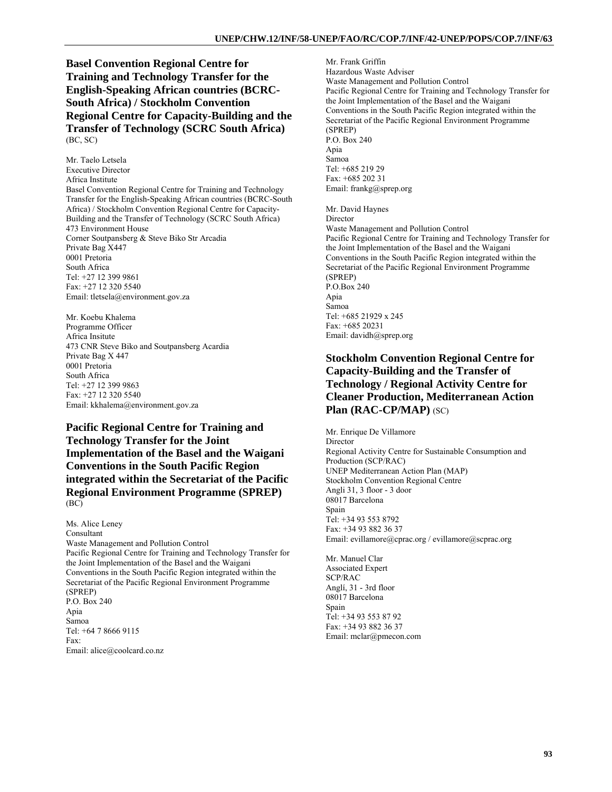**Basel Convention Regional Centre for Training and Technology Transfer for the English-Speaking African countries (BCRC-South Africa) / Stockholm Convention Regional Centre for Capacity-Building and the Transfer of Technology (SCRC South Africa)**  (BC, SC)

Mr. Taelo Letsela Executive Director Africa Institute Basel Convention Regional Centre for Training and Technology Transfer for the English-Speaking African countries (BCRC-South Africa) / Stockholm Convention Regional Centre for Capacity-Building and the Transfer of Technology (SCRC South Africa) 473 Environment House Corner Soutpansberg & Steve Biko Str Arcadia Private Bag X447 0001 Pretoria South Africa Tel: +27 12 399 9861 Fax: +27 12 320 5540 Email: tletsela@environment.gov.za

Mr. Koebu Khalema Programme Officer Africa Insitute 473 CNR Steve Biko and Soutpansberg Acardia Private Bag X 447 0001 Pretoria South Africa Tel: +27 12 399 9863 Fax: +27 12 320 5540 Email: kkhalema@environment.gov.za

**Pacific Regional Centre for Training and Technology Transfer for the Joint Implementation of the Basel and the Waigani Conventions in the South Pacific Region integrated within the Secretariat of the Pacific Regional Environment Programme (SPREP)**  (BC)

Ms. Alice Leney Consultant Waste Management and Pollution Control Pacific Regional Centre for Training and Technology Transfer for the Joint Implementation of the Basel and the Waigani Conventions in the South Pacific Region integrated within the Secretariat of the Pacific Regional Environment Programme (SPREP) P.O. Box 240 Apia Samoa Tel: +64 7 8666 9115 Fax: Email: alice@coolcard.co.nz

Mr. Frank Griffin Hazardous Waste Adviser Waste Management and Pollution Control Pacific Regional Centre for Training and Technology Transfer for the Joint Implementation of the Basel and the Waigani Conventions in the South Pacific Region integrated within the Secretariat of the Pacific Regional Environment Programme (SPREP) P.O. Box 240 Apia Samoa Tel: +685 219 29 Fax: +685 202 31 Email: frankg@sprep.org Mr. David Haynes Director Waste Management and Pollution Control Pacific Regional Centre for Training and Technology Transfer for the Joint Implementation of the Basel and the Waigani Conventions in the South Pacific Region integrated within the Secretariat of the Pacific Regional Environment Programme (SPREP) P.O.Box 240 Apia Samoa Tel: +685 21929 x 245 Fax: +685 20231 Email: davidh@sprep.org

## **Stockholm Convention Regional Centre for Capacity-Building and the Transfer of Technology / Regional Activity Centre for Cleaner Production, Mediterranean Action Plan (RAC-CP/MAP)** (SC)

Mr. Enrique De Villamore **Director** Regional Activity Centre for Sustainable Consumption and Production (SCP/RAC) UNEP Mediterranean Action Plan (MAP) Stockholm Convention Regional Centre Angli 31, 3 floor - 3 door 08017 Barcelona Spain Tel: +34 93 553 8792 Fax: +34 93 882 36 37 Email: evillamore@cprac.org / evillamore@scprac.org

Mr. Manuel Clar Associated Expert SCP/RAC Anglí, 31 - 3rd floor 08017 Barcelona Spain Tel: +34 93 553 87 92 Fax: +34 93 882 36 37 Email: mclar@pmecon.com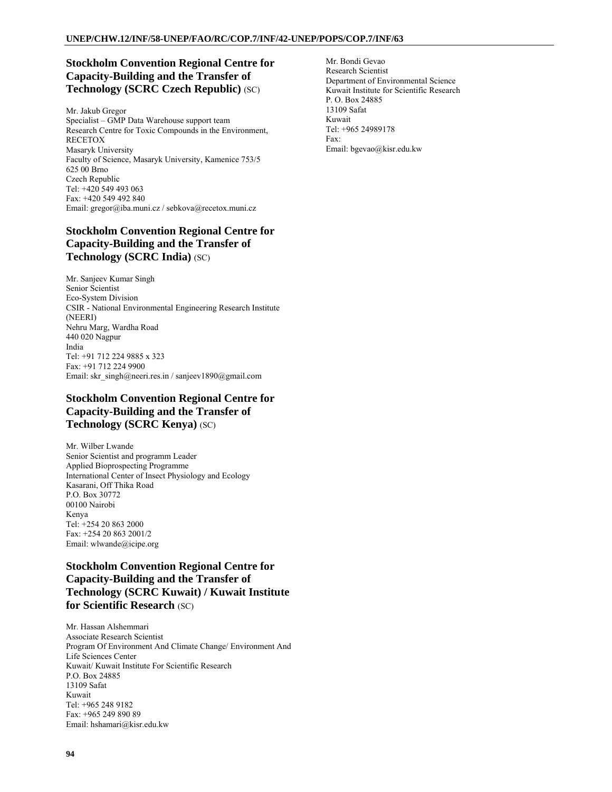## **Stockholm Convention Regional Centre for Capacity-Building and the Transfer of Technology (SCRC Czech Republic)** (SC)

Mr. Jakub Gregor Specialist – GMP Data Warehouse support team Research Centre for Toxic Compounds in the Environment, RECETOX Masaryk University Faculty of Science, Masaryk University, Kamenice 753/5 625 00 Brno Czech Republic Tel: +420 549 493 063 Fax: +420 549 492 840 Email: gregor@iba.muni.cz / sebkova@recetox.muni.cz

## **Stockholm Convention Regional Centre for Capacity-Building and the Transfer of Technology (SCRC India)** (SC)

Mr. Sanjeev Kumar Singh Senior Scientist Eco-System Division CSIR - National Environmental Engineering Research Institute (NEERI) Nehru Marg, Wardha Road 440 020 Nagpur India Tel: +91 712 224 9885 x 323 Fax: +91 712 224 9900 Email: skr\_singh@neeri.res.in / sanjeev1890@gmail.com

## **Stockholm Convention Regional Centre for Capacity-Building and the Transfer of Technology (SCRC Kenya)** (SC)

Mr. Wilber Lwande Senior Scientist and programm Leader Applied Bioprospecting Programme International Center of Insect Physiology and Ecology Kasarani, Off Thika Road P.O. Box 30772 00100 Nairobi Kenya Tel: +254 20 863 2000 Fax: +254 20 863 2001/2 Email: wlwande@icipe.org

## **Stockholm Convention Regional Centre for Capacity-Building and the Transfer of Technology (SCRC Kuwait) / Kuwait Institute for Scientific Research** (SC)

Mr. Hassan Alshemmari Associate Research Scientist Program Of Environment And Climate Change/ Environment And Life Sciences Center Kuwait/ Kuwait Institute For Scientific Research P.O. Box 24885 13109 Safat Kuwait Tel: +965 248 9182 Fax: +965 249 890 89 Email: hshamari@kisr.edu.kw

Mr. Bondi Gevao Research Scientist Department of Environmental Science Kuwait Institute for Scientific Research P. O. Box 24885 13109 Safat Kuwait Tel: +965 24989178 Fax: Email: bgevao@kisr.edu.kw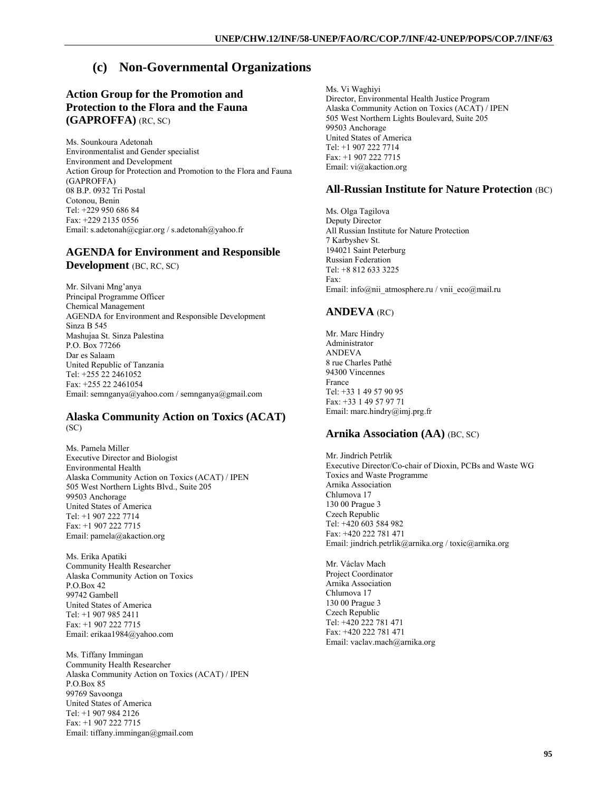# **(c) Non-Governmental Organizations**

## **Action Group for the Promotion and Protection to the Flora and the Fauna (GAPROFFA)** (RC, SC)

Ms. Sounkoura Adetonah Environmentalist and Gender specialist Environment and Development Action Group for Protection and Promotion to the Flora and Fauna (GAPROFFA) 08 B.P. 0932 Tri Postal Cotonou, Benin Tel: +229 950 686 84 Fax: +229 2135 0556 Email: s.adetonah@cgiar.org / s.adetonah@yahoo.fr

### **AGENDA for Environment and Responsible Development** (BC, RC, SC)

Mr. Silvani Mng'anya Principal Programme Officer Chemical Management AGENDA for Environment and Responsible Development Sinza B 545 Mashujaa St. Sinza Palestina P.O. Box 77266 Dar es Salaam United Republic of Tanzania Tel: +255 22 2461052 Fax: +255 22 2461054 Email: semnganya@yahoo.com / semnganya@gmail.com

#### **Alaska Community Action on Toxics (ACAT)**  (SC)

Ms. Pamela Miller Executive Director and Biologist Environmental Health Alaska Community Action on Toxics (ACAT) / IPEN 505 West Northern Lights Blvd., Suite 205 99503 Anchorage United States of America Tel: +1 907 222 7714 Fax: +1 907 222 7715 Email: pamela@akaction.org

Ms. Erika Apatiki Community Health Researcher Alaska Community Action on Toxics P.O.Box 42 99742 Gambell United States of America Tel: +1 907 985 2411 Fax: +1 907 222 7715 Email: erikaa1984@yahoo.com

Ms. Tiffany Immingan Community Health Researcher Alaska Community Action on Toxics (ACAT) / IPEN P.O.Box 85 99769 Savoonga United States of America Tel: +1 907 984 2126 Fax: +1 907 222 7715 Email: tiffany.immingan@gmail.com

Ms. Vi Waghiyi Director, Environmental Health Justice Program Alaska Community Action on Toxics (ACAT) / IPEN 505 West Northern Lights Boulevard, Suite 205 99503 Anchorage United States of America Tel: +1 907 222 7714  $Fax: +19072227715$ Email: vi@akaction.org

### **All-Russian Institute for Nature Protection** (BC)

Ms. Olga Tagilova Deputy Director All Russian Institute for Nature Protection 7 Karbyshev St. 194021 Saint Peterburg Russian Federation Tel: +8 812 633 3225 Fax: Email: info@nii\_atmosphere.ru / vnii\_eco@mail.ru

#### **ANDEVA** (RC)

Mr. Marc Hindry Administrator ANDEVA 8 rue Charles Pathé 94300 Vincennes France Tel: +33 1 49 57 90 95 Fax: +33 1 49 57 97 71 Email: marc.hindry@imj.prg.fr

### **Arnika Association (AA)** (BC, SC)

Mr. Jindrich Petrlik Executive Director/Co-chair of Dioxin, PCBs and Waste WG Toxics and Waste Programme Arnika Association Chlumova 17 130 00 Prague 3 Czech Republic Tel: +420 603 584 982 Fax: +420 222 781 471 Email: jindrich.petrlik@arnika.org / toxic@arnika.org

Mr. Václav Mach Project Coordinator Arnika Association Chlumova 17 130 00 Prague 3 Czech Republic Tel: +420 222 781 471 Fax: +420 222 781 471 Email: vaclav.mach@arnika.org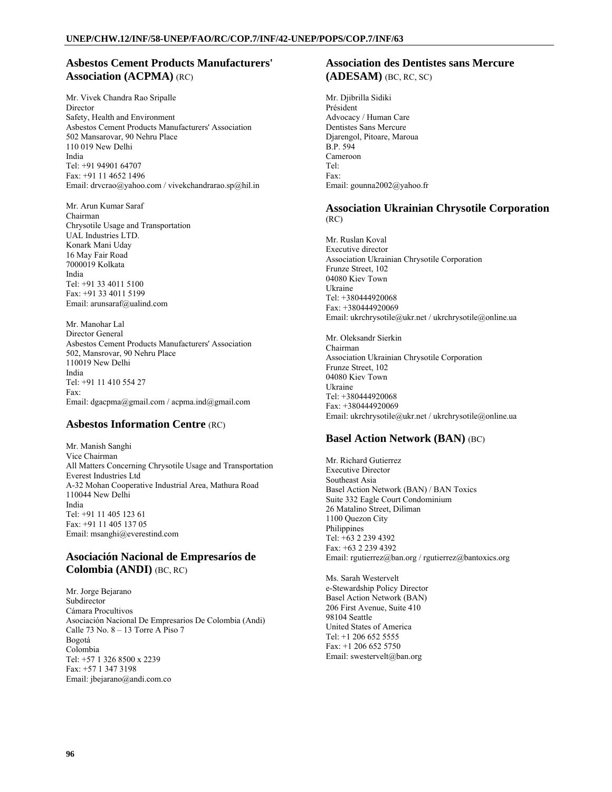## **Asbestos Cement Products Manufacturers' Association (ACPMA)** (RC)

Mr. Vivek Chandra Rao Sripalle Director Safety, Health and Environment Asbestos Cement Products Manufacturers' Association 502 Mansarovar, 90 Nehru Place 110 019 New Delhi India Tel: +91 94901 64707 Fax: +91 11 4652 1496 Email: drvcrao@yahoo.com / vivekchandrarao.sp@hil.in

Mr. Arun Kumar Saraf Chairman Chrysotile Usage and Transportation UAL Industries LTD. Konark Mani Uday 16 May Fair Road 7000019 Kolkata India Tel: +91 33 4011 5100 Fax: +91 33 4011 5199 Email: arunsaraf@ualind.com

Mr. Manohar Lal Director General Asbestos Cement Products Manufacturers' Association 502, Mansrovar, 90 Nehru Place 110019 New Delhi India Tel: +91 11 410 554 27 Fax: Email: dgacpma@gmail.com / acpma.ind@gmail.com

### **Asbestos Information Centre** (RC)

Mr. Manish Sanghi Vice Chairman All Matters Concerning Chrysotile Usage and Transportation Everest Industries Ltd A-32 Mohan Cooperative Industrial Area, Mathura Road 110044 New Delhi India Tel: +91 11 405 123 61 Fax: +91 11 405 137 05 Email: msanghi@everestind.com

### **Asociación Nacional de Empresaríos de Colombia (ANDI)** (BC, RC)

Mr. Jorge Bejarano Subdirector Cámara Procultivos Asociación Nacional De Empresarios De Colombia (Andi) Calle 73 No. 8 – 13 Torre A Piso 7 Bogotá Colombia Tel: +57 1 326 8500 x 2239 Fax: +57 1 347 3198 Email: jbejarano@andi.com.co

### **Association des Dentistes sans Mercure (ADESAM)** (BC, RC, SC)

Mr. Djibrilla Sidiki Président Advocacy / Human Care Dentistes Sans Mercure Djarengol, Pitoare, Maroua B.P. 594 Cameroon Tel: Fax: Email: gounna2002@yahoo.fr

### **Association Ukrainian Chrysotile Corporation**  (RC)

Mr. Ruslan Koval Executive director Association Ukrainian Chrysotile Corporation Frunze Street, 102 04080 Kiev Town Ukraine Tel: +380444920068 Fax: +380444920069 Email: ukrchrysotile@ukr.net / ukrchrysotile@online.ua

Mr. Oleksandr Sierkin Chairman Association Ukrainian Chrysotile Corporation Frunze Street, 102 04080 Kiev Town Ukraine Tel: +380444920068 Fax: +380444920069 Email: ukrchrysotile@ukr.net / ukrchrysotile@online.ua

## **Basel Action Network (BAN)** (BC)

Mr. Richard Gutierrez Executive Director Southeast Asia Basel Action Network (BAN) / BAN Toxics Suite 332 Eagle Court Condominium 26 Matalino Street, Diliman 1100 Quezon City Philippines Tel: +63 2 239 4392 Fax: +63 2 239 4392 Email: rgutierrez@ban.org / rgutierrez@bantoxics.org

Ms. Sarah Westervelt e-Stewardship Policy Director Basel Action Network (BAN) 206 First Avenue, Suite 410 98104 Seattle United States of America Tel: +1 206 652 5555 Fax: +1 206 652 5750 Email: swestervelt@ban.org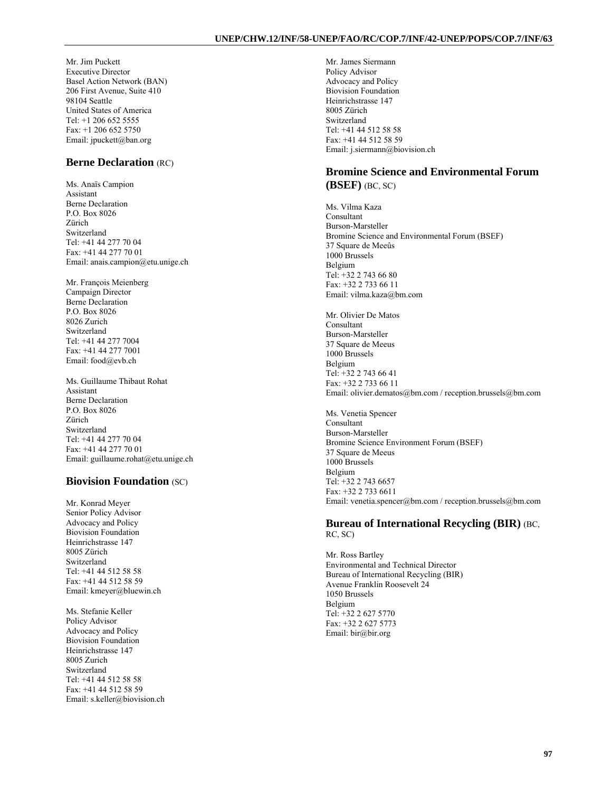Mr. Jim Puckett Executive Director Basel Action Network (BAN) 206 First Avenue, Suite 410 98104 Seattle United States of America Tel: +1 206 652 5555 Fax: +1 206 652 5750 Email: jpuckett@ban.org

### **Berne Declaration** (RC)

Ms. Anaïs Campion Assistant Berne Declaration P.O. Box 8026 Zürich Switzerland Tel: +41 44 277 70 04 Fax: +41 44 277 70 01 Email: anais.campion@etu.unige.ch

Mr. François Meienberg Campaign Director Berne Declaration P.O. Box 8026 8026 Zurich Switzerland Tel: +41 44 277 7004 Fax: +41 44 277 7001 Email: food@evb.ch

Ms. Guillaume Thibaut Rohat Assistant Berne Declaration P.O. Box 8026 Zürich Switzerland Tel: +41 44 277 70 04 Fax: +41 44 277 70 01 Email: guillaume.rohat@etu.unige.ch

## **Biovision Foundation** (SC)

Mr. Konrad Meyer Senior Policy Advisor Advocacy and Policy Biovision Foundation Heinrichstrasse 147 8005 Zürich Switzerland Tel: +41 44 512 58 58 Fax: +41 44 512 58 59 Email: kmeyer@bluewin.ch

Ms. Stefanie Keller Policy Advisor Advocacy and Policy Biovision Foundation Heinrichstrasse 147 8005 Zurich Switzerland Tel: +41 44 512 58 58 Fax: +41 44 512 58 59 Email: s.keller@biovision.ch Mr. James Siermann Policy Advisor Advocacy and Policy Biovision Foundation Heinrichstrasse 147 8005 Zürich Switzerland Tel: +41 44 512 58 58 Fax: +41 44 512 58 59 Email: j.siermann@biovision.ch

## **Bromine Science and Environmental Forum (BSEF)** (BC, SC)

Ms. Vilma Kaza Consultant Burson-Marsteller Bromine Science and Environmental Forum (BSEF) 37 Square de Meeûs 1000 Brussels Belgium Tel: +32 2 743 66 80 Fax: +32 2 733 66 11 Email: vilma.kaza@bm.com

Mr. Olivier De Matos Consultant Burson-Marsteller 37 Square de Meeus 1000 Brussels Belgium Tel: +32 2 743 66 41 Fax: +32 2 733 66 11 Email: olivier.dematos@bm.com / reception.brussels@bm.com

Ms. Venetia Spencer Consultant Burson-Marsteller Bromine Science Environment Forum (BSEF) 37 Square de Meeus 1000 Brussels Belgium Tel: +32 2 743 6657 Fax: +32 2 733 6611 Email: venetia.spencer@bm.com / reception.brussels@bm.com

#### **Bureau of International Recycling (BIR)** (BC, RC, SC)

Mr. Ross Bartley Environmental and Technical Director Bureau of International Recycling (BIR) Avenue Franklin Roosevelt 24 1050 Brussels Belgium Tel: +32 2 627 5770 Fax: +32 2 627 5773 Email: bir@bir.org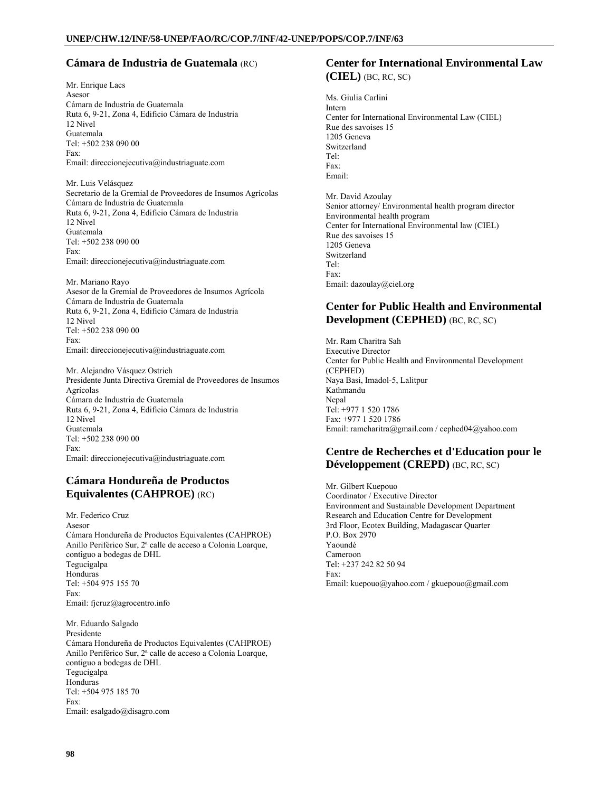### **Cámara de Industria de Guatemala** (RC)

Mr. Enrique Lacs Asesor Cámara de Industria de Guatemala Ruta 6, 9-21, Zona 4, Edificio Cámara de Industria 12 Nivel Guatemala Tel: +502 238 090 00 Fax: Email: direccionejecutiva@industriaguate.com

Mr. Luis Velásquez Secretario de la Gremial de Proveedores de Insumos Agrícolas Cámara de Industria de Guatemala Ruta 6, 9-21, Zona 4, Edificio Cámara de Industria 12 Nivel Guatemala Tel: +502 238 090 00 Fax: Email: direccionejecutiva@industriaguate.com

Mr. Mariano Rayo Asesor de la Gremial de Proveedores de Insumos Agrícola Cámara de Industria de Guatemala Ruta 6, 9-21, Zona 4, Edificio Cámara de Industria 12 Nivel Tel: +502 238 090 00 Fax: Email: direccionejecutiva@industriaguate.com

Mr. Alejandro Vásquez Ostrich Presidente Junta Directiva Gremial de Proveedores de Insumos Agrícolas Cámara de Industria de Guatemala Ruta 6, 9-21, Zona 4, Edificio Cámara de Industria 12 Nivel Guatemala Tel: +502 238 090 00 Fax: Email: direccionejecutiva@industriaguate.com

## **Cámara Hondureña de Productos Equivalentes (CAHPROE)** (RC)

Mr. Federico Cruz Asesor Cámara Hondureña de Productos Equivalentes (CAHPROE) Anillo Periférico Sur, 2ª calle de acceso a Colonia Loarque, contiguo a bodegas de DHL Tegucigalpa Honduras Tel: +504 975 155 70 Fax: Email: fjcruz@agrocentro.info Mr. Eduardo Salgado Presidente

Cámara Hondureña de Productos Equivalentes (CAHPROE) Anillo Periférico Sur, 2ª calle de acceso a Colonia Loarque, contiguo a bodegas de DHL Tegucigalpa Honduras Tel: +504 975 185 70 Fax: Email: esalgado@disagro.com

### **Center for International Environmental Law (CIEL)** (BC, RC, SC)

Ms. Giulia Carlini Intern Center for International Environmental Law (CIEL) Rue des savoises 15 1205 Geneva Switzerland Tel: Fax: Email: Mr. David Azoulay

Senior attorney/ Environmental health program director Environmental health program Center for International Environmental law (CIEL) Rue des savoises 15 1205 Geneva Switzerland Tel: Fax: Email: dazoulay@ciel.org

### **Center for Public Health and Environmental Development (CEPHED)** (BC, RC, SC)

Mr. Ram Charitra Sah Executive Director Center for Public Health and Environmental Development (CEPHED) Naya Basi, Imadol-5, Lalitpur Kathmandu Nepal Tel: +977 1 520 1786 Fax: +977 1 520 1786 Email: ramcharitra@gmail.com / cephed04@yahoo.com

### **Centre de Recherches et d'Education pour le Développement (CREPD)** (BC, RC, SC)

Mr. Gilbert Kuepouo Coordinator / Executive Director Environment and Sustainable Development Department Research and Education Centre for Development 3rd Floor, Ecotex Building, Madagascar Quarter P.O. Box 2970 Yaoundé Cameroon Tel: +237 242 82 50 94 Fax: Email: kuepouo@yahoo.com / gkuepouo@gmail.com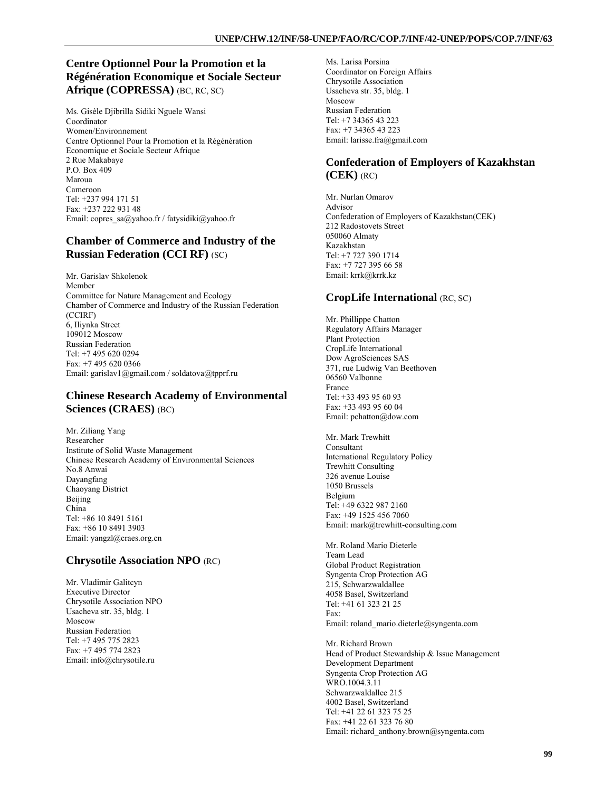## **Centre Optionnel Pour la Promotion et la Régénération Economique et Sociale Secteur Afrique (COPRESSA)** (BC, RC, SC)

Ms. Gisèle Djibrilla Sidiki Nguele Wansi Coordinator Women/Environnement Centre Optionnel Pour la Promotion et la Régénération Economique et Sociale Secteur Afrique 2 Rue Makabaye P.O. Box 409 Maroua Cameroon Tel: +237 994 171 51 Fax: +237 222 931 48 Email: copres\_sa@yahoo.fr / fatysidiki@yahoo.fr

## **Chamber of Commerce and Industry of the Russian Federation (CCI RF)** (SC)

Mr. Garislav Shkolenok Member Committee for Nature Management and Ecology Chamber of Commerce and Industry of the Russian Federation (CCIRF) 6, Iliynka Street 109012 Moscow Russian Federation Tel: +7 495 620 0294 Fax: +7 495 620 0366 Email: garislav1@gmail.com / soldatova@tpprf.ru

### **Chinese Research Academy of Environmental Sciences (CRAES)** (BC)

Mr. Ziliang Yang Researcher Institute of Solid Waste Management Chinese Research Academy of Environmental Sciences No.8 Anwai Dayangfang Chaoyang District Beijing China Tel: +86 10 8491 5161 Fax: +86 10 8491 3903 Email: yangzl@craes.org.cn

## **Chrysotile Association NPO** (RC)

Mr. Vladimir Galitcyn Executive Director Chrysotile Association NPO Usacheva str. 35, bldg. 1 Moscow Russian Federation Tel: +7 495 775 2823 Fax: +7 495 774 2823 Email: info@chrysotile.ru

Ms. Larisa Porsina Coordinator on Foreign Affairs Chrysotile Association Usacheva str. 35, bldg. 1 Moscow Russian Federation Tel: +7 34365 43 223 Fax: +7 34365 43 223 Email: larisse.fra@gmail.com

## **Confederation of Employers of Kazakhstan (CEK)** (RC)

Mr. Nurlan Omarov Advisor Confederation of Employers of Kazakhstan(CEK) 212 Radostovets Street 050060 Almaty Kazakhstan Tel: +7 727 390 1714 Fax: +7 727 395 66 58 Email: krrk@krrk.kz

## **CropLife International** (RC, SC)

Mr. Phillippe Chatton Regulatory Affairs Manager Plant Protection CropLife International Dow AgroSciences SAS 371, rue Ludwig Van Beethoven 06560 Valbonne France Tel: +33 493 95 60 93 Fax: +33 493 95 60 04 Email: pchatton@dow.com

Mr. Mark Trewhitt Consultant International Regulatory Policy Trewhitt Consulting 326 avenue Louise 1050 Brussels Belgium Tel: +49 6322 987 2160 Fax: +49 1525 456 7060 Email: mark@trewhitt-consulting.com

Mr. Roland Mario Dieterle Team Lead Global Product Registration Syngenta Crop Protection AG 215, Schwarzwaldallee 4058 Basel, Switzerland Tel: +41 61 323 21 25 Fax: Email: roland\_mario.dieterle@syngenta.com

Mr. Richard Brown Head of Product Stewardship & Issue Management Development Department Syngenta Crop Protection AG WRO.1004.3.11 Schwarzwaldallee 215 4002 Basel, Switzerland Tel: +41 22 61 323 75 25 Fax: +41 22 61 323 76 80 Email: richard\_anthony.brown@syngenta.com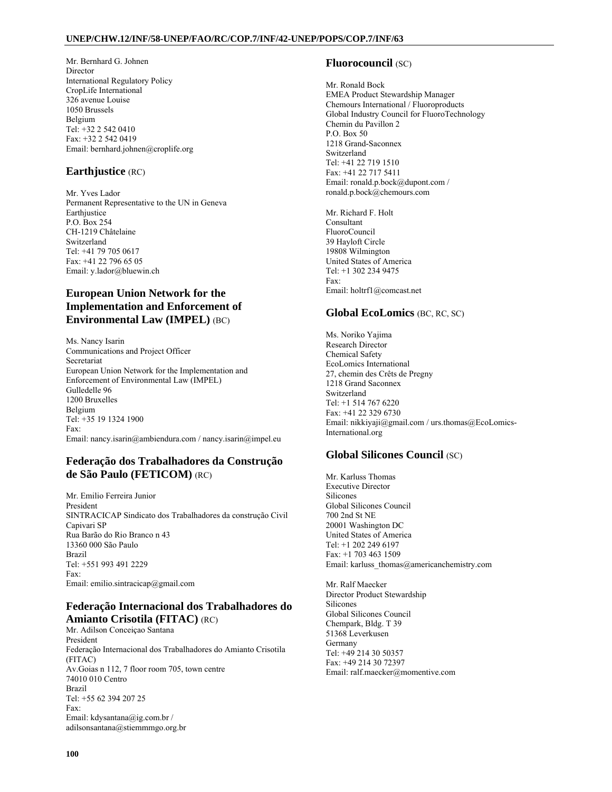Mr. Bernhard G. Johnen Director International Regulatory Policy CropLife International 326 avenue Louise 1050 Brussels Belgium Tel: +32 2 542 0410 Fax: +32 2 542 0419 Email: bernhard.johnen@croplife.org

### **Earthjustice** (RC)

Mr. Yves Lador Permanent Representative to the UN in Geneva Earthiustice P.O. Box 254 CH-1219 Châtelaine Switzerland Tel: +41 79 705 0617 Fax: +41 22 796 65 05 Email: y.lador@bluewin.ch

## **European Union Network for the Implementation and Enforcement of Environmental Law (IMPEL)** (BC)

Ms. Nancy Isarin Communications and Project Officer Secretariat European Union Network for the Implementation and Enforcement of Environmental Law (IMPEL) Gulledelle 96 1200 Bruxelles Belgium Tel: +35 19 1324 1900 Fax: Email: nancy.isarin@ambiendura.com / nancy.isarin@impel.eu

### **Federação dos Trabalhadores da Construção de São Paulo (FETICOM)** (RC)

Mr. Emilio Ferreira Junior President SINTRACICAP Sindicato dos Trabalhadores da construção Civil Capivari SP Rua Barão do Rio Branco n 43 13360 000 São Paulo Brazil Tel: +551 993 491 2229 Fax: Email: emilio.sintracicap@gmail.com

### **Federação Internacional dos Trabalhadores do Amianto Crisotila (FITAC)** (RC)

Mr. Adilson Conceiçao Santana President Federação Internacional dos Trabalhadores do Amianto Crisotila (FITAC) Av.Goias n 112, 7 floor room 705, town centre 74010 010 Centro Brazil Tel: +55 62 394 207 25 Fax: Email: kdysantana@ig.com.br / adilsonsantana@stiemmmgo.org.br

### **Fluorocouncil** (SC)

Mr. Ronald Bock EMEA Product Stewardship Manager Chemours International / Fluoroproducts Global Industry Council for FluoroTechnology Chemin du Pavillon 2 P.O. Box 50 1218 Grand-Saconnex Switzerland Tel: +41 22 719 1510 Fax: +41 22 717 5411 Email: ronald.p.bock@dupont.com / ronald.p.bock@chemours.com

Mr. Richard F. Holt Consultant FluoroCouncil 39 Hayloft Circle 19808 Wilmington United States of America Tel: +1 302 234 9475 Fax: Email: holtrf1@comcast.net

### **Global EcoLomics** (BC, RC, SC)

Ms. Noriko Yajima Research Director Chemical Safety EcoLomics International 27, chemin des Crêts de Pregny 1218 Grand Saconnex Switzerland Tel: +1 514 767 6220 Fax: +41 22 329 6730 Email: nikkiyaji@gmail.com / urs.thomas@EcoLomics-International.org

## **Global Silicones Council** (SC)

Mr. Karluss Thomas Executive Director Silicones Global Silicones Council 700 2nd St NE 20001 Washington DC United States of America Tel: +1 202 249 6197 Fax: +1 703 463 1509 Email: karluss\_thomas@americanchemistry.com

Mr. Ralf Maecker Director Product Stewardship Silicones Global Silicones Council Chempark, Bldg. T 39 51368 Leverkusen Germany Tel: +49 214 30 50357 Fax: +49 214 30 72397 Email: ralf.maecker@momentive.com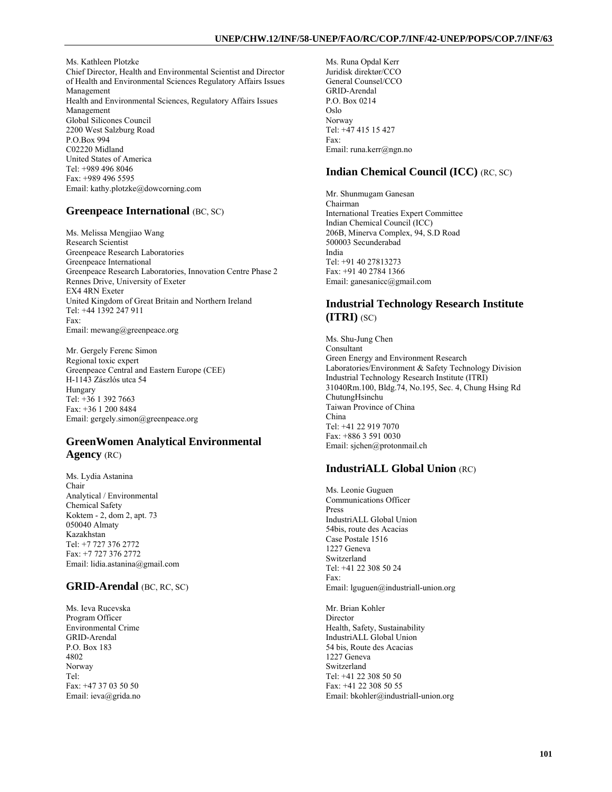Ms. Kathleen Plotzke Chief Director, Health and Environmental Scientist and Director of Health and Environmental Sciences Regulatory Affairs Issues Management Health and Environmental Sciences, Regulatory Affairs Issues Management Global Silicones Council 2200 West Salzburg Road P.O.Box 994 C02220 Midland United States of America Tel: +989 496 8046 Fax: +989 496 5595 Email: kathy.plotzke@dowcorning.com

## **Greenpeace International** (BC, SC)

Ms. Melissa Mengjiao Wang Research Scientist Greenpeace Research Laboratories Greenpeace International Greenpeace Research Laboratories, Innovation Centre Phase 2 Rennes Drive, University of Exeter EX4 4RN Exeter United Kingdom of Great Britain and Northern Ireland Tel: +44 1392 247 911 Fax: Email: mewang@greenpeace.org

Mr. Gergely Ferenc Simon Regional toxic expert Greenpeace Central and Eastern Europe (CEE) H-1143 Zászlós utca 54 Hungary Tel: +36 1 392 7663 Fax: +36 1 200 8484 Email: gergely.simon@greenpeace.org

## **GreenWomen Analytical Environmental Agency** (RC)

Ms. Lydia Astanina Chair Analytical / Environmental Chemical Safety Koktem - 2, dom 2, apt. 73 050040 Almaty Kazakhstan Tel: +7 727 376 2772 Fax: +7 727 376 2772 Email: lidia.astanina@gmail.com

## **GRID-Arendal** (BC, RC, SC)

Ms. Ieva Rucevska Program Officer Environmental Crime GRID-Arendal P.O. Box 183 4802 Norway Tel: Fax: +47 37 03 50 50 Email: ieva@grida.no Ms. Runa Opdal Kerr Juridisk direktør/CCO General Counsel/CCO GRID-Arendal P.O. Box 0214 Oslo Norway Tel: +47 415 15 427 Fax: Email: runa.kerr@ngn.no

## **Indian Chemical Council (ICC)** (RC, SC)

Mr. Shunmugam Ganesan Chairman International Treaties Expert Committee Indian Chemical Council (ICC) 206B, Minerva Complex, 94, S.D Road 500003 Secunderabad India Tel: +91 40 27813273 Fax: +91 40 2784 1366 Email: ganesanicc@gmail.com

## **Industrial Technology Research Institute (ITRI)** (SC)

Ms. Shu-Jung Chen Consultant Green Energy and Environment Research Laboratories/Environment & Safety Technology Division Industrial Technology Research Institute (ITRI) 31040Rm.100, Bldg.74, No.195, Sec. 4, Chung Hsing Rd ChutungHsinchu Taiwan Province of China China Tel: +41 22 919 7070 Fax: +886 3 591 0030 Email: sjchen@protonmail.ch

## **IndustriALL Global Union** (RC)

Ms. Leonie Guguen Communications Officer Press IndustriALL Global Union 54bis, route des Acacias Case Postale 1516 1227 Geneva Switzerland Tel: +41 22 308 50 24 Fax: Email: lguguen@industriall-union.org

Mr. Brian Kohler Director Health, Safety, Sustainability IndustriALL Global Union 54 bis, Route des Acacias 1227 Geneva Switzerland Tel: +41 22 308 50 50 Fax: +41 22 308 50 55 Email: bkohler@industriall-union.org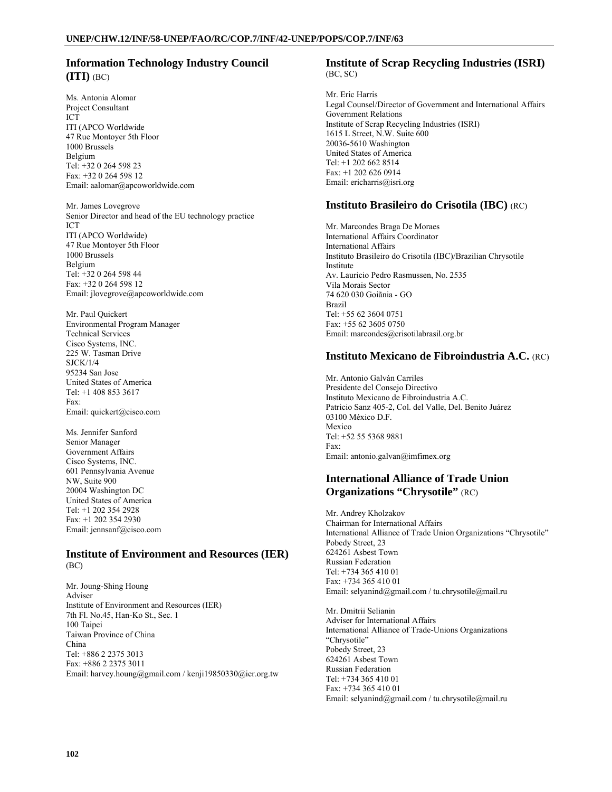## **Information Technology Industry Council (ITI)** (BC)

Ms. Antonia Alomar Project Consultant ICT ITI (APCO Worldwide 47 Rue Montoyer 5th Floor 1000 Brussels Belgium Tel: +32 0 264 598 23 Fax: +32 0 264 598 12 Email: aalomar@apcoworldwide.com

Mr. James Lovegrove Senior Director and head of the EU technology practice ICT ITI (APCO Worldwide) 47 Rue Montoyer 5th Floor 1000 Brussels Belgium Tel: +32 0 264 598 44 Fax: +32 0 264 598 12 Email: jlovegrove@apcoworldwide.com

Mr. Paul Quickert Environmental Program Manager Technical Services Cisco Systems, INC. 225 W. Tasman Drive SJCK/1/4 95234 San Jose United States of America Tel: +1 408 853 3617 Fax: Email: quickert@cisco.com

Ms. Jennifer Sanford Senior Manager Government Affairs Cisco Systems, INC. 601 Pennsylvania Avenue NW, Suite 900 20004 Washington DC United States of America Tel: +1 202 354 2928 Fax: +1 202 354 2930 Email: jennsanf@cisco.com

#### **Institute of Environment and Resources (IER)**  (BC)

Mr. Joung-Shing Houng Adviser Institute of Environment and Resources (IER) 7th Fl. No.45, Han-Ko St., Sec. 1 100 Taipei Taiwan Province of China China Tel: +886 2 2375 3013 Fax: +886 2 2375 3011 Email: harvey.houng@gmail.com / kenji19850330@ier.org.tw

#### **Institute of Scrap Recycling Industries (ISRI)**  (BC, SC)

Mr. Eric Harris Legal Counsel/Director of Government and International Affairs Government Relations Institute of Scrap Recycling Industries (ISRI) 1615 L Street, N.W. Suite 600 20036-5610 Washington United States of America Tel: +1 202 662 8514 Fax: +1 202 626 0914 Email: ericharris@isri.org

### **Instituto Brasileiro do Crisotila (IBC)** (RC)

Mr. Marcondes Braga De Moraes International Affairs Coordinator International Affairs Instituto Brasileiro do Crisotila (IBC)/Brazilian Chrysotile Institute Av. Lauricio Pedro Rasmussen, No. 2535 Vila Morais Sector 74 620 030 Goiãnia - GO Brazil Tel: +55 62 3604 0751 Fax: +55 62 3605 0750 Email: marcondes@crisotilabrasil.org.br

### **Instituto Mexicano de Fibroindustria A.C.** (RC)

Mr. Antonio Galván Carriles Presidente del Consejo Directivo Instituto Mexicano de Fibroindustria A.C. Patricio Sanz 405-2, Col. del Valle, Del. Benito Juárez 03100 México D.F. Mexico Tel: +52 55 5368 9881 Fax: Email: antonio.galvan@imfimex.org

### **International Alliance of Trade Union Organizations "Chrysotile"** (RC)

Mr. Andrey Kholzakov Chairman for International Affairs International Alliance of Trade Union Organizations "Chrysotile" Pobedy Street, 23 624261 Asbest Town Russian Federation Tel: +734 365 410 01 Fax: +734 365 410 01 Email: selyanind@gmail.com / tu.chrysotile@mail.ru

Mr. Dmitrii Selianin Adviser for International Affairs International Alliance of Trade-Unions Organizations "Chrysotile" Pobedy Street, 23 624261 Asbest Town Russian Federation Tel: +734 365 410 01 Fax: +734 365 410 01 Email: selyanind@gmail.com / tu.chrysotile@mail.ru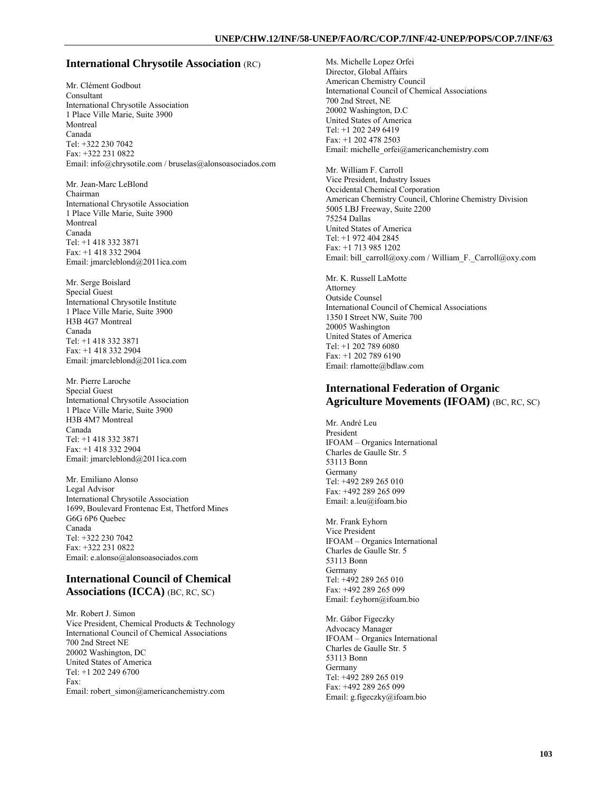#### **International Chrysotile Association** (RC)

Mr. Clément Godbout Consultant International Chrysotile Association 1 Place Ville Marie, Suite 3900 Montreal Canada Tel: +322 230 7042 Fax: +322 231 0822 Email: info@chrysotile.com / bruselas@alonsoasociados.com

Mr. Jean-Marc LeBlond Chairman International Chrysotile Association 1 Place Ville Marie, Suite 3900 Montreal Canada Tel: +1 418 332 3871 Fax: +1 418 332 2904 Email: jmarcleblond@2011ica.com

Mr. Serge Boislard Special Guest International Chrysotile Institute 1 Place Ville Marie, Suite 3900 H3B 4G7 Montreal Canada Tel: +1 418 332 3871 Fax: +1 418 332 2904 Email: jmarcleblond@2011ica.com

Mr. Pierre Laroche Special Guest International Chrysotile Association 1 Place Ville Marie, Suite 3900 H3B 4M7 Montreal Canada Tel: +1 418 332 3871 Fax: +1 418 332 2904 Email: jmarcleblond@2011ica.com

Mr. Emiliano Alonso Legal Advisor International Chrysotile Association 1699, Boulevard Frontenac Est, Thetford Mines G6G 6P6 Quebec Canada Tel: +322 230 7042 Fax: +322 231 0822 Email: e.alonso@alonsoasociados.com

### **International Council of Chemical Associations (ICCA)** (BC, RC, SC)

Mr. Robert J. Simon Vice President, Chemical Products & Technology International Council of Chemical Associations 700 2nd Street NE 20002 Washington, DC United States of America Tel: +1 202 249 6700 Fax: Email: robert\_simon@americanchemistry.com

Ms. Michelle Lopez Orfei Director, Global Affairs American Chemistry Council International Council of Chemical Associations 700 2nd Street, NE 20002 Washington, D.C United States of America Tel: +1 202 249 6419 Fax: +1 202 478 2503 Email: michelle\_orfei@americanchemistry.com

Mr. William F. Carroll Vice President, Industry Issues Occidental Chemical Corporation American Chemistry Council, Chlorine Chemistry Division 5005 LBJ Freeway, Suite 2200 75254 Dallas United States of America Tel: +1 972 404 2845 Fax: +1 713 985 1202 Email: bill\_carroll@oxy.com / William\_F.\_Carroll@oxy.com

Mr. K. Russell LaMotte Attorney Outside Counsel International Council of Chemical Associations 1350 I Street NW, Suite 700 20005 Washington United States of America Tel: +1 202 789 6080 Fax: +1 202 789 6190 Email: rlamotte@bdlaw.com

### **International Federation of Organic Agriculture Movements (IFOAM)** (BC, RC, SC)

Mr. André Leu President IFOAM – Organics International Charles de Gaulle Str. 5 53113 Bonn Germany Tel: +492 289 265 010 Fax: +492 289 265 099 Email: a.leu@ifoam.bio

Mr. Frank Eyhorn Vice President IFOAM – Organics International Charles de Gaulle Str. 5 53113 Bonn Germany Tel: +492 289 265 010 Fax: +492 289 265 099 Email: f.eyhorn@ifoam.bio

Mr. Gábor Figeczky Advocacy Manager IFOAM – Organics International Charles de Gaulle Str. 5 53113 Bonn Germany Tel: +492 289 265 019 Fax: +492 289 265 099 Email: g.figeczky@ifoam.bio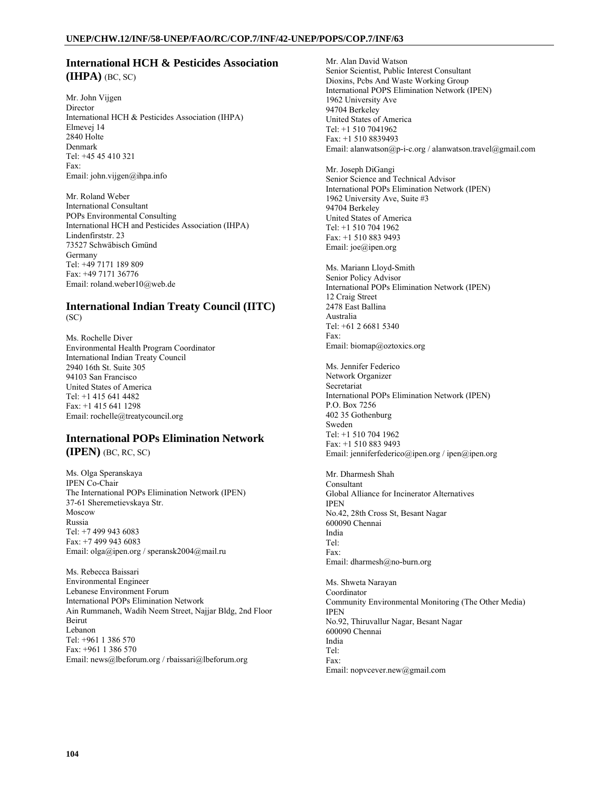### **International HCH & Pesticides Association (IHPA)** (BC, SC)

Mr. John Vijgen Director International HCH & Pesticides Association (IHPA) Elmevej 14 2840 Holte Denmark Tel: +45 45 410 321 Fax: Email: john.vijgen@ihpa.info

Mr. Roland Weber International Consultant POPs Environmental Consulting International HCH and Pesticides Association (IHPA) Lindenfirststr. 23 73527 Schwäbisch Gmünd Germany Tel: +49 7171 189 809 Fax: +49 7171 36776 Email: roland.weber10@web.de

#### **International Indian Treaty Council (IITC)**  (SC)

Ms. Rochelle Diver Environmental Health Program Coordinator International Indian Treaty Council 2940 16th St. Suite 305 94103 San Francisco United States of America Tel: +1 415 641 4482 Fax: +1 415 641 1298 Email: rochelle@treatycouncil.org

### **International POPs Elimination Network (IPEN)** (BC, RC, SC)

Ms. Olga Speranskaya IPEN Co-Chair The International POPs Elimination Network (IPEN) 37-61 Sheremetievskaya Str. Moscow Russia Tel: +7 499 943 6083 Fax: +7 499 943 6083 Email: olga@ipen.org / speransk2004@mail.ru

Ms. Rebecca Baissari Environmental Engineer Lebanese Environment Forum International POPs Elimination Network Ain Rummaneh, Wadih Neem Street, Najjar Bldg, 2nd Floor Beirut Lebanon Tel: +961 1 386 570 Fax: +961 1 386 570 Email: news@lbeforum.org / rbaissari@lbeforum.org

Mr. Alan David Watson Senior Scientist, Public Interest Consultant Dioxins, Pcbs And Waste Working Group International POPS Elimination Network (IPEN) 1962 University Ave 94704 Berkeley United States of America Tel: +1 510 7041962 Fax: +1 510 8839493 Email: alanwatson@p-i-c.org / alanwatson.travel@gmail.com

Mr. Joseph DiGangi Senior Science and Technical Advisor International POPs Elimination Network (IPEN) 1962 University Ave, Suite #3 94704 Berkeley United States of America Tel: +1 510 704 1962 Fax: +1 510 883 9493 Email: joe@ipen.org

Ms. Mariann Lloyd-Smith Senior Policy Advisor International POPs Elimination Network (IPEN) 12 Craig Street 2478 East Ballina Australia Tel: +61 2 6681 5340 Fax: Email: biomap@oztoxics.org

Ms. Jennifer Federico Network Organizer Secretariat International POPs Elimination Network (IPEN) P.O. Box 7256 402 35 Gothenburg Sweden Tel: +1 510 704 1962 Fax: +1 510 883 9493 Email: jenniferfederico@ipen.org / ipen@ipen.org

Mr. Dharmesh Shah Consultant Global Alliance for Incinerator Alternatives IPEN No.42, 28th Cross St, Besant Nagar 600090 Chennai India Tel: Fax: Email: dharmesh@no-burn.org

Ms. Shweta Narayan Coordinator Community Environmental Monitoring (The Other Media) IPEN No.92, Thiruvallur Nagar, Besant Nagar 600090 Chennai India Tel: Fax: Email: nopvcever.new@gmail.com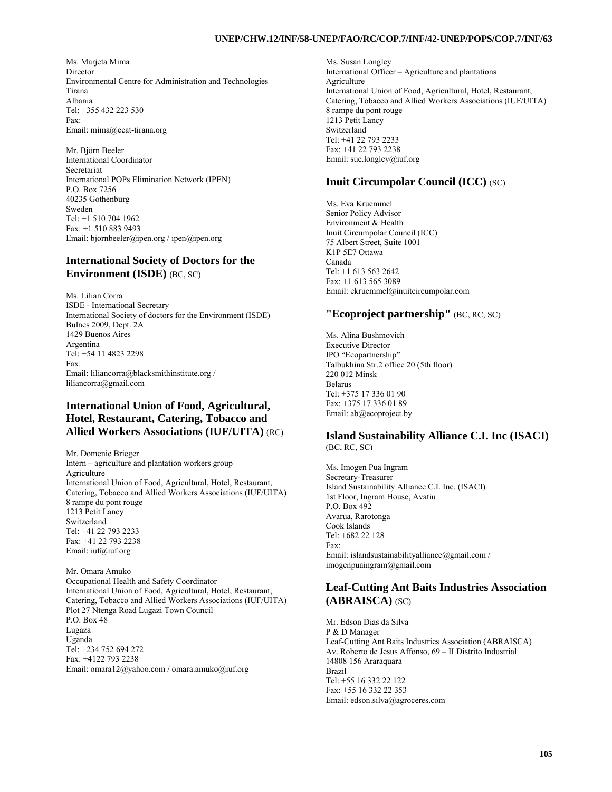Ms. Marjeta Mima Director Environmental Centre for Administration and Technologies Tirana Albania Tel: +355 432 223 530 Fax: Email: mima@ecat-tirana.org

Mr. Björn Beeler International Coordinator Secretariat International POPs Elimination Network (IPEN) P.O. Box 7256 40235 Gothenburg Sweden Tel: +1 510 704 1962 Fax: +1 510 883 9493 Email: bjornbeeler@ipen.org / ipen@ipen.org

### **International Society of Doctors for the Environment (ISDE)** (BC, SC)

Ms. Lilian Corra ISDE - International Secretary International Society of doctors for the Environment (ISDE) Bulnes 2009, Dept. 2A 1429 Buenos Aires Argentina Tel: +54 11 4823 2298 Fax: Email: liliancorra@blacksmithinstitute.org / liliancorra@gmail.com

## **International Union of Food, Agricultural, Hotel, Restaurant, Catering, Tobacco and Allied Workers Associations (IUF/UITA)** (RC)

Mr. Domenic Brieger Intern – agriculture and plantation workers group Agriculture International Union of Food, Agricultural, Hotel, Restaurant, Catering, Tobacco and Allied Workers Associations (IUF/UITA) 8 rampe du pont rouge 1213 Petit Lancy Switzerland Tel: +41 22 793 2233 Fax: +41 22 793 2238 Email: iuf@iuf.org

Mr. Omara Amuko Occupational Health and Safety Coordinator International Union of Food, Agricultural, Hotel, Restaurant, Catering, Tobacco and Allied Workers Associations (IUF/UITA) Plot 27 Ntenga Road Lugazi Town Council P.O. Box 48 Lugaza Uganda Tel: +234 752 694 272 Fax: +4122 793 2238 Email: omara12@yahoo.com / omara.amuko@iuf.org

Ms. Susan Longley International Officer – Agriculture and plantations **Agriculture** International Union of Food, Agricultural, Hotel, Restaurant, Catering, Tobacco and Allied Workers Associations (IUF/UITA) 8 rampe du pont rouge 1213 Petit Lancy Switzerland Tel: +41 22 793 2233 Fax: +41 22 793 2238 Email: sue.longley@iuf.org

## **Inuit Circumpolar Council (ICC)** (SC)

Ms. Eva Kruemmel Senior Policy Advisor Environment & Health Inuit Circumpolar Council (ICC) 75 Albert Street, Suite 1001 K1P 5E7 Ottawa Canada Tel: +1 613 563 2642 Fax: +1 613 565 3089 Email: ekruemmel@inuitcircumpolar.com

## **"Ecoproject partnership"** (BC, RC, SC)

Ms. Alina Bushmovich Executive Director IPO "Ecopartnership" Talbukhina Str.2 office 20 (5th floor) 220 012 Minsk Belarus Tel: +375 17 336 01 90 Fax: +375 17 336 01 89 Email: ab@ecoproject.by

#### **Island Sustainability Alliance C.I. Inc (ISACI)**  (BC, RC, SC)

Ms. Imogen Pua Ingram Secretary-Treasurer Island Sustainability Alliance C.I. Inc. (ISACI) 1st Floor, Ingram House, Avatiu P.O. Box 492 Avarua, Rarotonga Cook Islands Tel: +682 22 128 Fax: Email: islandsustainabilityalliance@gmail.com / imogenpuaingram@gmail.com

### **Leaf-Cutting Ant Baits Industries Association (ABRAISCA)** (SC)

Mr. Edson Dias da Silva P & D Manager Leaf-Cutting Ant Baits Industries Association (ABRAISCA) Av. Roberto de Jesus Affonso, 69 – II Distrito Industrial 14808 156 Araraquara Brazil Tel: +55 16 332 22 122 Fax: +55 16 332 22 353 Email: edson.silva@agroceres.com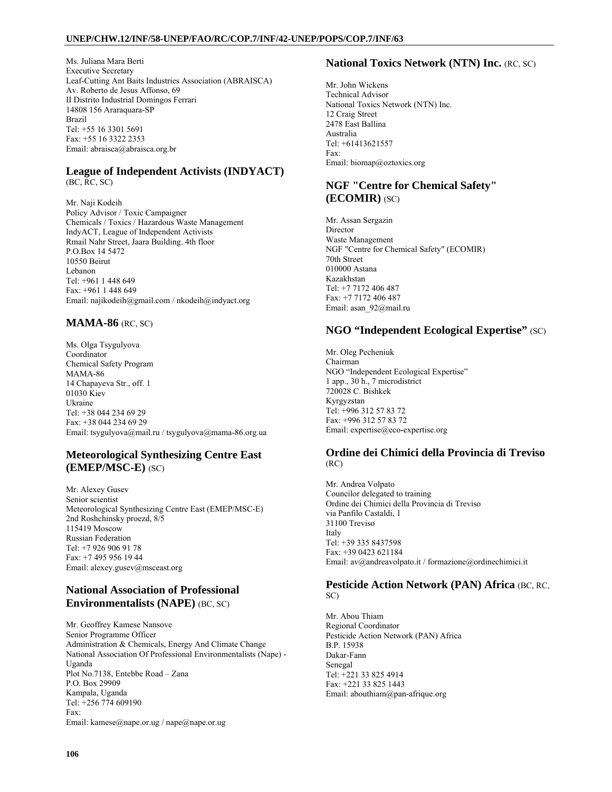Ms. Juliana Mara Berti Executive Secretary Leaf-Cutting Ant Baits Industries Association (ABRAISCA) Av. Roberto de Jesus Affonso, 69 II Distrito Industrial Domingos Ferrari 14808 156 Araraquara-SP Brazil Tel: +55 16 3301 5691 Fax: +55 16 3322 2353 Email: abraisca@abraisca.org.br

# **League of Independent Activists (INDYACT)**

(BC, RC, SC)

Mr. Naji Kodeih Policy Advisor / Toxic Campaigner Chemicals / Toxics / Hazardous Waste Management IndyACT, League of Independent Activists Rmail Nahr Street, Jaara Building. 4th floor P.O.Box 14 5472 10550 Beirut Lebanon Tel: +961 1 448 649 Fax: +961 1 448 649 Email: najikodeih@gmail.com / nkodeih@indyact.org

## **MAMA-86** (RC, SC)

Ms. Olga Tsygulyova Coordinator Chemical Safety Program MAMA-86 14 Chapayeva Str., off. 1 01030 Kiev Ukraine Tel: +38 044 234 69 29 Fax: +38 044 234 69 29 Email: tsygulyova@mail.ru / tsygulyova@mama-86.org.ua

## **Meteorological Synthesizing Centre East (EMEP/MSC-E)** (SC)

Mr. Alexey Gusev Senior scientist Meteorological Synthesizing Centre East (EMEP/MSC-E) 2nd Roshchinsky proezd, 8/5 115419 Moscow Russian Federation Tel: +7 926 906 91 78 Fax: +7 495 956 19 44 Email: alexey.gusev@msceast.org

## **National Association of Professional Environmentalists (NAPE)** (BC, SC)

Mr. Geoffrey Kamese Nansove Senior Programme Officer Administration & Chemicals, Energy And Climate Change National Association Of Professional Environmentalists (Nape) - Uganda Plot No.7138, Entebbe Road – Zana P.O. Box 29909 Kampala, Uganda Tel: +256 774 609190 Fax: Email: kamese@nape.or.ug / nape@nape.or.ug

## **National Toxics Network (NTN) Inc.** (RC, SC)

Mr. John Wickens Technical Advisor National Toxics Network (NTN) Inc. 12 Craig Street 2478 East Ballina Australia Tel: +61413621557 Fax: Email: biomap@oztoxics.org

## **NGF "Centre for Chemical Safety" (ECOMIR)** (SC)

Mr. Assan Sergazin Director Waste Management NGF "Centre for Chemical Safety" (ECOMIR) 70th Street 010000 Astana Kazakhstan Tel: +7 7172 406 487 Fax: +7 7172 406 487 Email: asan\_92@mail.ru

## **NGO "Independent Ecological Expertise"** (SC)

Mr. Oleg Pecheniuk Chairman NGO "Independent Ecological Expertise" 1 app., 30 h., 7 microdistrict 720028 C. Bishkek Kyrgyzstan Tel: +996 312 57 83 72 Fax: +996 312 57 83 72 Email: expertise@eco-expertise.org

#### **Ordine dei Chimici della Provincia di Treviso**  (RC)

Mr. Andrea Volpato Councilor delegated to training Ordine dei Chimici della Provincia di Treviso via Panfilo Castaldi, 1 31100 Treviso Italy Tel: +39 335 8437598 Fax: +39 0423 621184 Email: av@andreavolpato.it / formazione@ordinechimici.it

#### **Pesticide Action Network (PAN) Africa** (BC, RC, SC)

Mr. Abou Thiam Regional Coordinator Pesticide Action Network (PAN) Africa B.P. 15938 Dakar-Fann Senegal Tel: +221 33 825 4914 Fax: +221 33 825 1443 Email: abouthiam@pan-afrique.org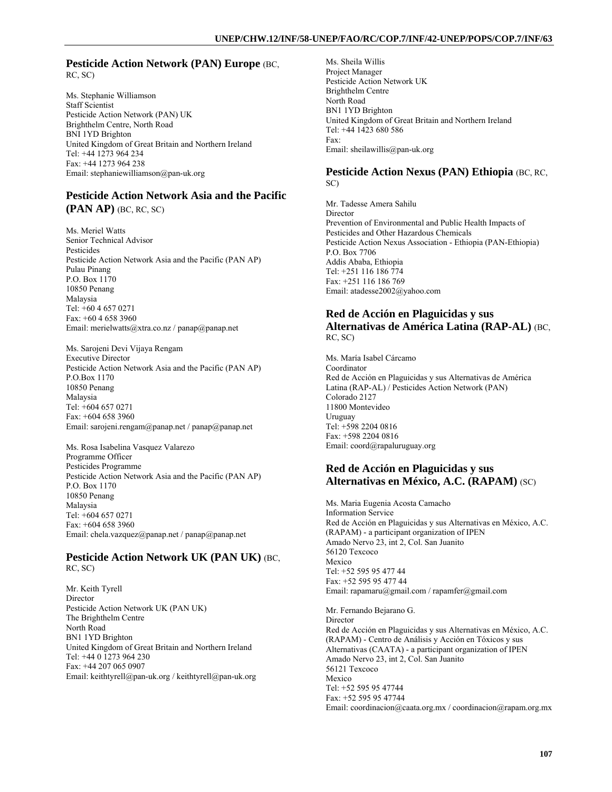#### **Pesticide Action Network (PAN) Europe (BC,** RC, SC)

Ms. Stephanie Williamson Staff Scientist Pesticide Action Network (PAN) UK Brighthelm Centre, North Road BNI 1YD Brighton United Kingdom of Great Britain and Northern Ireland Tel: +44 1273 964 234 Fax: +44 1273 964 238 Email: stephaniewilliamson@pan-uk.org

### **Pesticide Action Network Asia and the Pacific (PAN AP)** (BC, RC, SC)

Ms. Meriel Watts Senior Technical Advisor Pesticides Pesticide Action Network Asia and the Pacific (PAN AP) Pulau Pinang P.O. Box 1170 10850 Penang Malaysia Tel: +60 4 657 0271  $Fax + 6046583960$ Email: merielwatts@xtra.co.nz / panap@panap.net

Ms. Sarojeni Devi Vijaya Rengam Executive Director Pesticide Action Network Asia and the Pacific (PAN AP) P.O.Box 1170 10850 Penang Malaysia Tel: +604 657 0271 Fax: +604 658 3960 Email: sarojeni.rengam@panap.net / panap@panap.net

Ms. Rosa Isabelina Vasquez Valarezo Programme Officer Pesticides Programme Pesticide Action Network Asia and the Pacific (PAN AP) P.O. Box 1170 10850 Penang Malaysia Tel: +604 657 0271 Fax: +604 658 3960 Email: chela.vazquez@panap.net / panap@panap.net

#### **Pesticide Action Network UK (PAN UK)** (BC, RC, SC)

Mr. Keith Tyrell Director Pesticide Action Network UK (PAN UK) The Brighthelm Centre North Road BN1 1YD Brighton United Kingdom of Great Britain and Northern Ireland Tel: +44 0 1273 964 230 Fax: +44 207 065 0907 Email: keithtyrell@pan-uk.org / keithtyrell@pan-uk.org Ms. Sheila Willis Project Manager Pesticide Action Network UK Brighthelm Centre North Road BN1 1YD Brighton United Kingdom of Great Britain and Northern Ireland Tel: +44 1423 680 586 Fax: Email: sheilawillis@pan-uk.org

#### **Pesticide Action Nexus (PAN) Ethiopia** (BC, RC, SC)

Mr. Tadesse Amera Sahilu Director Prevention of Environmental and Public Health Impacts of Pesticides and Other Hazardous Chemicals Pesticide Action Nexus Association - Ethiopia (PAN-Ethiopia) P.O. Box 7706 Addis Ababa, Ethiopia Tel: +251 116 186 774 Fax: +251 116 186 769 Email: atadesse2002@yahoo.com

#### **Red de Acción en Plaguicidas y sus Alternativas de América Latina (RAP-AL)** (BC, RC, SC)

Ms. María Isabel Cárcamo Coordinator Red de Acción en Plaguicidas y sus Alternativas de América Latina (RAP-AL) / Pesticides Action Network (PAN) Colorado 2127 11800 Montevideo Uruguay Tel: +598 2204 0816 Fax: +598 2204 0816 Email: coord@rapaluruguay.org

### **Red de Acción en Plaguicidas y sus Alternativas en México, A.C. (RAPAM)** (SC)

Ms. Maria Eugenia Acosta Camacho Information Service Red de Acción en Plaguicidas y sus Alternativas en México, A.C. (RAPAM) - a participant organization of IPEN Amado Nervo 23, int 2, Col. San Juanito 56120 Texcoco Mexico Tel: +52 595 95 477 44 Fax: +52 595 95 477 44 Email: rapamaru@gmail.com / rapamfer@gmail.com

Mr. Fernando Bejarano G. **Director** Red de Acción en Plaguicidas y sus Alternativas en México, A.C. (RAPAM) - Centro de Análisis y Acción en Tóxicos y sus Alternativas (CAATA) - a participant organization of IPEN Amado Nervo 23, int 2, Col. San Juanito 56121 Texcoco Mexico Tel: +52 595 95 47744 Fax: +52 595 95 47744 Email: coordinacion@caata.org.mx / coordinacion@rapam.org.mx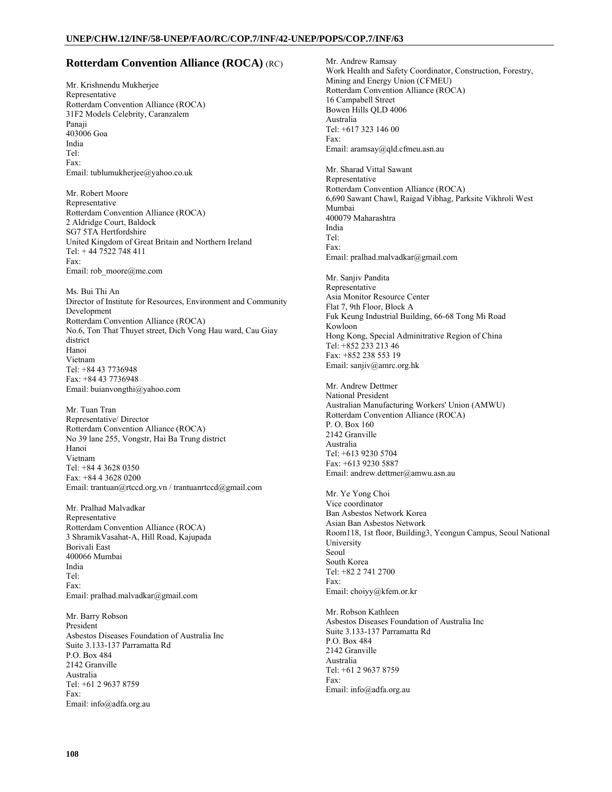### **Rotterdam Convention Alliance (ROCA)** (RC)

Mr. Krishnendu Mukherjee Representative Rotterdam Convention Alliance (ROCA) 31F2 Models Celebrity, Caranzalem Panaji 403006 Goa India Tel: Fax: Email: tublumukherjee@yahoo.co.uk

Mr. Robert Moore Representative Rotterdam Convention Alliance (ROCA) 2 Aldridge Court, Baldock SG7 5TA Hertfordshire United Kingdom of Great Britain and Northern Ireland Tel: + 44 7522 748 411 Fax: Email: rob\_moore@me.com

Ms. Bui Thi An Director of Institute for Resources, Environment and Community Development Rotterdam Convention Alliance (ROCA) No.6, Ton That Thuyet street, Dich Vong Hau ward, Cau Giay district Hanoi Vietnam Tel: +84 43 7736948 Fax: +84 43 7736948 Email: buianvongthi@yahoo.com

Mr. Tuan Tran Representative/ Director Rotterdam Convention Alliance (ROCA) No 39 lane 255, Vongstr, Hai Ba Trung district Hanoi Vietnam Tel: +84 4 3628 0350 Fax: +84 4 3628 0200 Email: trantuan@rtccd.org.vn / trantuanrtccd@gmail.com

Mr. Pralhad Malvadkar Representative Rotterdam Convention Alliance (ROCA) 3 ShramikVasahat-A, Hill Road, Kajupada Borivali East 400066 Mumbai India Tel: Fax: Email: pralhad.malvadkar@gmail.com

Mr. Barry Robson President Asbestos Diseases Foundation of Australia Inc Suite 3.133-137 Parramatta Rd P.O. Box 484 2142 Granville Australia Tel: +61 2 9637 8759 Fax: Email: info@adfa.org.au

Mr. Andrew Ramsay Work Health and Safety Coordinator, Construction, Forestry, Mining and Energy Union (CFMEU) Rotterdam Convention Alliance (ROCA) 16 Campabell Street Bowen Hills QLD 4006 Australia Tel: +617 323 146 00 Fax: Email: aramsay@qld.cfmeu.asn.au Mr. Sharad Vittal Sawant Representative Rotterdam Convention Alliance (ROCA) 6,690 Sawant Chawl, Raigad Vibhag, Parksite Vikhroli West Mumbai 400079 Maharashtra India Tel: Fax: Email: pralhad.malvadkar@gmail.com Mr. Sanjiv Pandita Representative Asia Monitor Resource Center Flat 7, 9th Floor, Block A Fuk Keung Industrial Building, 66-68 Tong Mi Road Kowloon Hong Kong, Special Adminitrative Region of China Tel: +852 233 213 46 Fax: +852 238 553 19 Email: sanjiv@amrc.org.hk Mr. Andrew Dettmer National President Australian Manufacturing Workers' Union (AMWU) Rotterdam Convention Alliance (ROCA) P. O. Box 160 2142 Granville Australia Tel: +613 9230 5704 Fax: +613 9230 5887 Email: andrew.dettmer@amwu.asn.au Mr. Ye Yong Choi Vice coordinator Ban Asbestos Network Korea Asian Ban Asbestos Network Room118, 1st floor, Building3, Yeongun Campus, Seoul National University Seoul South Korea Tel: +82 2 741 2700 Fax: Email: choiyy@kfem.or.kr Mr. Robson Kathleen Asbestos Diseases Foundation of Australia Inc Suite 3.133-137 Parramatta Rd P.O. Box 484 2142 Granville Australia Tel: +61 2 9637 8759 Fax: Email: info@adfa.org.au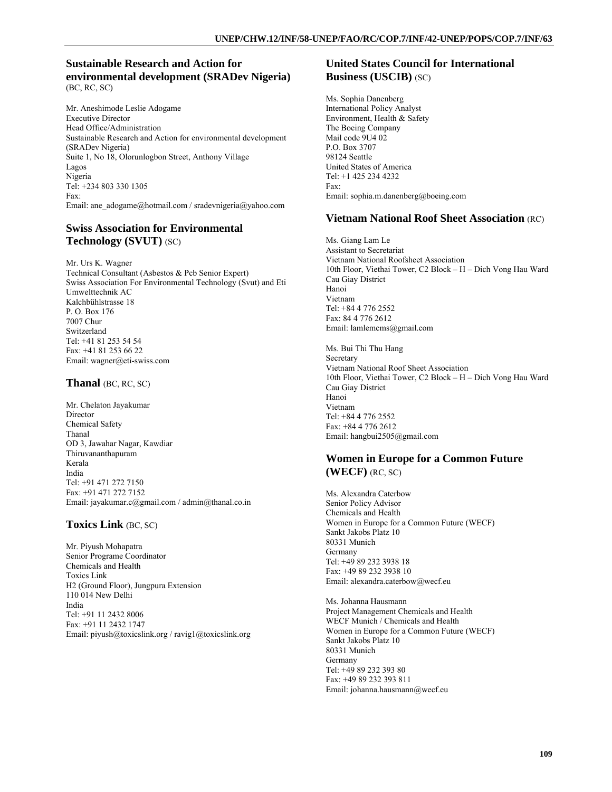### **Sustainable Research and Action for environmental development (SRADev Nigeria)**  (BC, RC, SC)

Mr. Aneshimode Leslie Adogame Executive Director Head Office/Administration Sustainable Research and Action for environmental development (SRADev Nigeria) Suite 1, No 18, Olorunlogbon Street, Anthony Village Lagos Nigeria Tel: +234 803 330 1305 Fax: Email: ane\_adogame@hotmail.com / sradevnigeria@yahoo.com

# **Swiss Association for Environmental Technology (SVUT)** (SC)

Mr. Urs K. Wagner Technical Consultant (Asbestos & Pcb Senior Expert) Swiss Association For Environmental Technology (Svut) and Eti Umwelttechnik AC Kalchbühlstrasse 18 P. O. Box 176 7007 Chur Switzerland Tel: +41 81 253 54 54 Fax: +41 81 253 66 22 Email: wagner@eti-swiss.com

#### **Thanal** (BC, RC, SC)

Mr. Chelaton Jayakumar Director Chemical Safety Thanal OD 3, Jawahar Nagar, Kawdiar Thiruvananthapuram Kerala India Tel: +91 471 272 7150 Fax: +91 471 272 7152 Email: jayakumar.c@gmail.com / admin@thanal.co.in

### **Toxics Link** (BC, SC)

Mr. Piyush Mohapatra Senior Programe Coordinator Chemicals and Health Toxics Link H2 (Ground Floor), Jungpura Extension 110 014 New Delhi India Tel: +91 11 2432 8006 Fax: +91 11 2432 1747 Email: piyush@toxicslink.org / ravig1@toxicslink.org

### **United States Council for International Business (USCIB)** (SC)

Ms. Sophia Danenberg International Policy Analyst Environment, Health & Safety The Boeing Company Mail code 9U4 02 P.O. Box 3707 98124 Seattle United States of America Tel: +1 425 234 4232 Fax: Email: sophia.m.danenberg@boeing.com

### **Vietnam National Roof Sheet Association** (RC)

Ms. Giang Lam Le Assistant to Secretariat Vietnam National Roofsheet Association 10th Floor, Viethai Tower, C2 Block – H – Dich Vong Hau Ward Cau Giay District Hanoi Vietnam Tel: +84 4 776 2552 Fax: 84 4 776 2612 Email: lamlemcms@gmail.com

Ms. Bui Thi Thu Hang Secretary Vietnam National Roof Sheet Association 10th Floor, Viethai Tower, C2 Block – H – Dich Vong Hau Ward Cau Giay District Hanoi Vietnam Tel: +84 4 776 2552 Fax: +84 4 776 2612 Email: hangbui2505@gmail.com

### **Women in Europe for a Common Future (WECF)** (RC, SC)

Ms. Alexandra Caterbow Senior Policy Advisor Chemicals and Health Women in Europe for a Common Future (WECF) Sankt Jakobs Platz 10 80331 Munich Germany Tel: +49 89 232 3938 18 Fax: +49 89 232 3938 10 Email: alexandra.caterbow@wecf.eu

Ms. Johanna Hausmann Project Management Chemicals and Health WECF Munich / Chemicals and Health Women in Europe for a Common Future (WECF) Sankt Jakobs Platz 10 80331 Munich Germany Tel: +49 89 232 393 80 Fax: +49 89 232 393 811 Email: johanna.hausmann@wecf.eu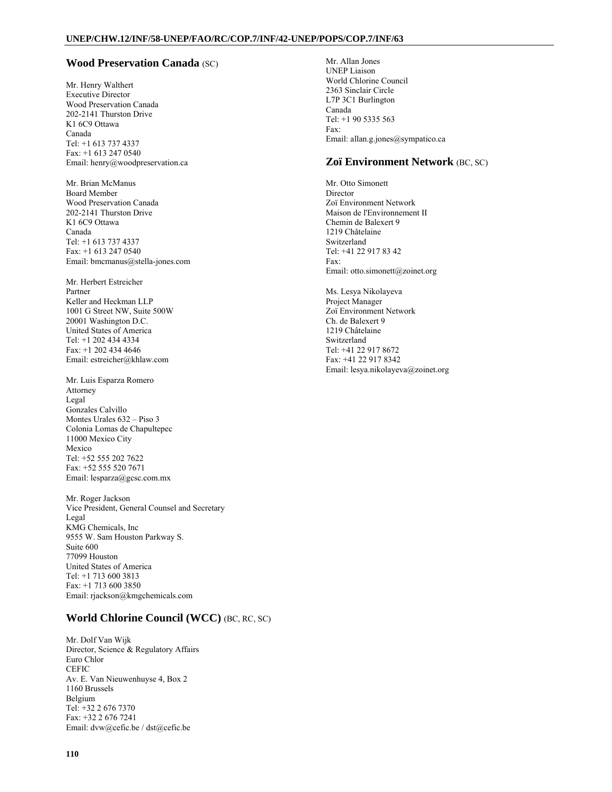#### **Wood Preservation Canada** (SC)

Mr. Henry Walthert Executive Director Wood Preservation Canada 202-2141 Thurston Drive K1 6C9 Ottawa Canada Tel: +1 613 737 4337 Fax: +1 613 247 0540 Email: henry@woodpreservation.ca

Mr. Brian McManus Board Member Wood Preservation Canada 202-2141 Thurston Drive K1 6C9 Ottawa Canada Tel: +1 613 737 4337 Fax: +1 613 247 0540 Email: bmcmanus@stella-jones.com

Mr. Herbert Estreicher Partner Keller and Heckman LLP 1001 G Street NW, Suite 500W 20001 Washington D.C. United States of America Tel: +1 202 434 4334 Fax: +1 202 434 4646 Email: estreicher@khlaw.com

Mr. Luis Esparza Romero Attorney Legal Gonzales Calvillo Montes Urales 632 – Piso 3 Colonia Lomas de Chapultepec 11000 Mexico City Mexico Tel: +52 555 202 7622 Fax: +52 555 520 7671 Email: lesparza@gcsc.com.mx

Mr. Roger Jackson Vice President, General Counsel and Secretary Legal KMG Chemicals, Inc 9555 W. Sam Houston Parkway S. Suite 600 77099 Houston United States of America Tel: +1 713 600 3813 Fax: +1 713 600 3850 Email: rjackson@kmgchemicals.com

### **World Chlorine Council (WCC)** (BC, RC, SC)

Mr. Dolf Van Wijk Director, Science & Regulatory Affairs Euro Chlor **CEFIC** Av. E. Van Nieuwenhuyse 4, Box 2 1160 Brussels Belgium Tel: +32 2 676 7370 Fax: +32 2 676 7241 Email: dvw@cefic.be / dst@cefic.be

Mr. Allan Jones UNEP Liaison World Chlorine Council 2363 Sinclair Circle L7P 3C1 Burlington Canada Tel: +1 90 5335 563 Fax: Email: allan.g.jones@sympatico.ca

#### **Zoï Environment Network** (BC, SC)

Mr. Otto Simonett Director Zoï Environment Network Maison de l'Environnement II Chemin de Balexert 9 1219 Châtelaine Switzerland Tel: +41 22 917 83 42 Fax: Email: otto.simonett@zoinet.org

Ms. Lesya Nikolayeva Project Manager Zoï Environment Network Ch. de Balexert 9 1219 Châtelaine Switzerland Tel: +41 22 917 8672 Fax: +41 22 917 8342 Email: lesya.nikolayeva@zoinet.org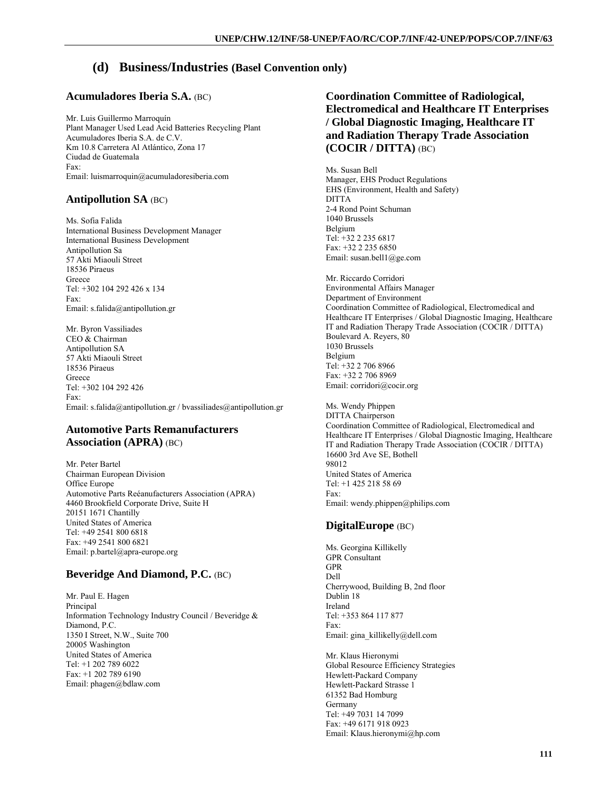# **(d) Business/Industries (Basel Convention only)**

## **Acumuladores Iberia S.A.** (BC)

Mr. Luis Guillermo Marroquín Plant Manager Used Lead Acid Batteries Recycling Plant Acumuladores Iberia S.A. de C.V. Km 10.8 Carretera Al Atlántico, Zona 17 Ciudad de Guatemala Fax: Email: luismarroquin@acumuladoresiberia.com

## **Antipollution SA** (BC)

Ms. Sofia Falida International Business Development Manager International Business Development Antipollution Sa 57 Akti Miaouli Street 18536 Piraeus Greece Tel: +302 104 292 426 x 134 Fax: Email: s.falida@antipollution.gr

Mr. Byron Vassiliades CEO & Chairman Antipollution SA 57 Akti Miaouli Street 18536 Piraeus Greece Tel: +302 104 292 426 Fax: Email: s.falida@antipollution.gr / bvassiliades@antipollution.gr

### **Automotive Parts Remanufacturers Association (APRA)** (BC)

Mr. Peter Bartel Chairman European Division Office Europe Automotive Parts Reéanufacturers Association (APRA) 4460 Brookfield Corporate Drive, Suite H 20151 1671 Chantilly United States of America Tel: +49 2541 800 6818 Fax: +49 2541 800 6821 Email: p.bartel@apra-europe.org

# **Beveridge And Diamond, P.C.** (BC)

Mr. Paul E. Hagen Principal Information Technology Industry Council / Beveridge & Diamond, P.C. 1350 I Street, N.W., Suite 700 20005 Washington United States of America Tel: +1 202 789 6022 Fax: +1 202 789 6190 Email: phagen@bdlaw.com

# **Coordination Committee of Radiological, Electromedical and Healthcare IT Enterprises / Global Diagnostic Imaging, Healthcare IT and Radiation Therapy Trade Association (COCIR / DITTA)** (BC)

Ms. Susan Bell Manager, EHS Product Regulations EHS (Environment, Health and Safety) **DITTA** 2-4 Rond Point Schuman 1040 Brussels Belgium Tel: +32 2 235 6817 Fax: +32 2 235 6850 Email: susan.bell1@ge.com

Mr. Riccardo Corridori Environmental Affairs Manager Department of Environment Coordination Committee of Radiological, Electromedical and Healthcare IT Enterprises / Global Diagnostic Imaging, Healthcare IT and Radiation Therapy Trade Association (COCIR / DITTA) Boulevard A. Reyers, 80 1030 Brussels Belgium Tel: +32 2 706 8966 Fax: +32 2 706 8969 Email: corridori@cocir.org

Ms. Wendy Phippen DITTA Chairperson Coordination Committee of Radiological, Electromedical and Healthcare IT Enterprises / Global Diagnostic Imaging, Healthcare IT and Radiation Therapy Trade Association (COCIR / DITTA) 16600 3rd Ave SE, Bothell 98012 United States of America Tel: +1 425 218 58 69 Fax: Email: wendy.phippen@philips.com

# **DigitalEurope** (BC)

Ms. Georgina Killikelly GPR Consultant GPR Dell Cherrywood, Building B, 2nd floor Dublin 18 Ireland Tel: +353 864 117 877 Fax: Email: gina\_killikelly@dell.com

Mr. Klaus Hieronymi Global Resource Efficiency Strategies Hewlett-Packard Company Hewlett-Packard Strasse 1 61352 Bad Homburg Germany Tel: +49 7031 14 7099 Fax: +49 6171 918 0923 Email: Klaus.hieronymi@hp.com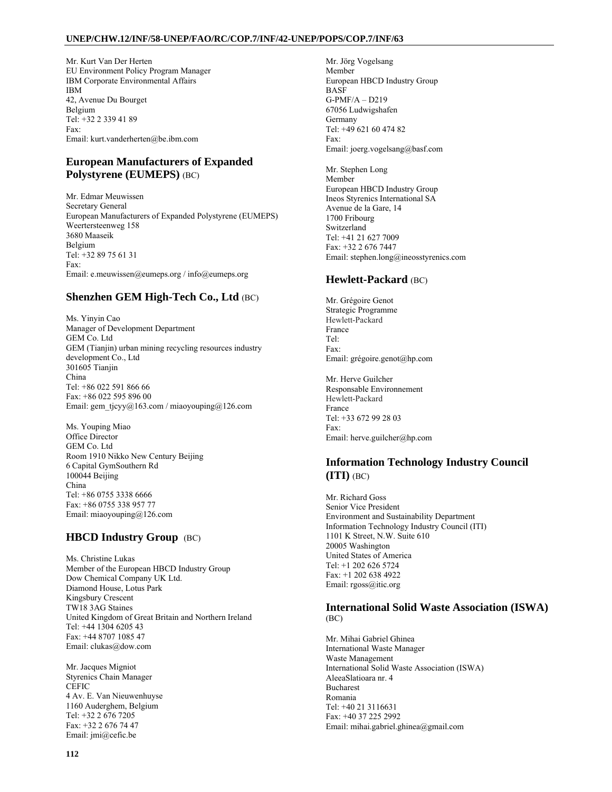#### **UNEP/CHW.12/INF/58-UNEP/FAO/RC/COP.7/INF/42-UNEP/POPS/COP.7/INF/63**

Mr. Kurt Van Der Herten EU Environment Policy Program Manager IBM Corporate Environmental Affairs IBM 42, Avenue Du Bourget Belgium Tel: +32 2 339 41 89 Fax: Email: kurt.vanderherten@be.ibm.com

## **European Manufacturers of Expanded Polystyrene (EUMEPS)** (BC)

Mr. Edmar Meuwissen Secretary General European Manufacturers of Expanded Polystyrene (EUMEPS) Weertersteenweg 158 3680 Maaseik Belgium Tel: +32 89 75 61 31 Fax: Email: e.meuwissen@eumeps.org / info@eumeps.org

# **Shenzhen GEM High-Tech Co., Ltd** (BC)

Ms. Yinyin Cao Manager of Development Department GEM Co. Ltd GEM (Tianjin) urban mining recycling resources industry development Co., Ltd 301605 Tianjin China Tel: +86 022 591 866 66 Fax: +86 022 595 896 00 Email: gem\_tjcyy@163.com / miaoyouping@126.com

Ms. Youping Miao Office Director GEM Co. Ltd Room 1910 Nikko New Century Beijing 6 Capital GymSouthern Rd 100044 Beijing China Tel: +86 0755 3338 6666 Fax: +86 0755 338 957 77 Email: miaoyouping@126.com

# **HBCD Industry Group** (BC)

Ms. Christine Lukas Member of the European HBCD Industry Group Dow Chemical Company UK Ltd. Diamond House, Lotus Park Kingsbury Crescent TW18 3AG Staines United Kingdom of Great Britain and Northern Ireland Tel: +44 1304 6205 43 Fax: +44 8707 1085 47 Email: clukas@dow.com

Mr. Jacques Migniot Styrenics Chain Manager **CEFIC** 4 Av. E. Van Nieuwenhuyse 1160 Auderghem, Belgium Tel: +32 2 676 7205 Fax: +32 2 676 74 47 Email: jmi@cefic.be

Mr. Jörg Vogelsang Member European HBCD Industry Group BASF G-PMF/A – D219 67056 Ludwigshafen Germany Tel: +49 621 60 474 82 Fax: Email: joerg.vogelsang@basf.com

Mr. Stephen Long Member European HBCD Industry Group Ineos Styrenics International SA Avenue de la Gare, 14 1700 Fribourg Switzerland Tel: +41 21 627 7009 Fax: +32 2 676 7447 Email: stephen.long@ineosstyrenics.com

## **Hewlett-Packard** (BC)

Mr. Grégoire Genot Strategic Programme Hewlett-Packard France Tel: Fax: Email: grégoire.genot@hp.com

Mr. Herve Guilcher Responsable Environnement Hewlett-Packard France Tel: +33 672 99 28 03 Fax: Email: herve.guilcher@hp.com

## **Information Technology Industry Council (ITI)** (BC)

Mr. Richard Goss Senior Vice President Environment and Sustainability Department Information Technology Industry Council (ITI) 1101 K Street, N.W. Suite 610 20005 Washington United States of America Tel: +1 202 626 5724 Fax: +1 202 638 4922 Email: rgoss@itic.org

### **International Solid Waste Association (ISWA)**  (BC)

Mr. Mihai Gabriel Ghinea International Waste Manager Waste Management International Solid Waste Association (ISWA) AleeaSlatioara nr. 4 Bucharest Romania Tel: +40 21 3116631 Fax: +40 37 225 2992 Email: mihai.gabriel.ghinea@gmail.com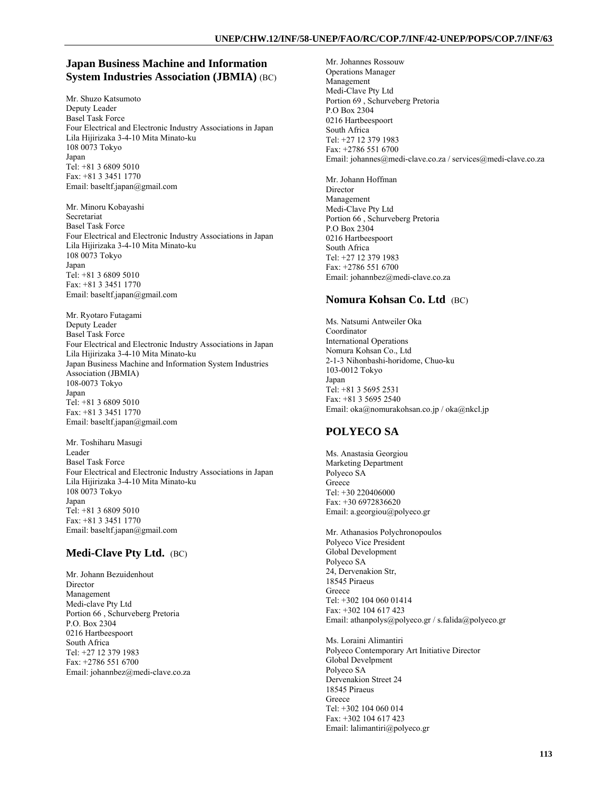### **Japan Business Machine and Information System Industries Association (JBMIA)** (BC)

Mr. Shuzo Katsumoto Deputy Leader Basel Task Force Four Electrical and Electronic Industry Associations in Japan Lila Hijirizaka 3-4-10 Mita Minato-ku 108 0073 Tokyo Japan Tel: +81 3 6809 5010 Fax: +81 3 3451 1770 Email: baseltf.japan@gmail.com

Mr. Minoru Kobayashi Secretariat Basel Task Force Four Electrical and Electronic Industry Associations in Japan Lila Hijirizaka 3-4-10 Mita Minato-ku 108 0073 Tokyo Japan Tel: +81 3 6809 5010 Fax: +81 3 3451 1770 Email: baseltf.japan@gmail.com

Mr. Ryotaro Futagami Deputy Leader Basel Task Force Four Electrical and Electronic Industry Associations in Japan Lila Hijirizaka 3-4-10 Mita Minato-ku Japan Business Machine and Information System Industries Association (JBMIA) 108-0073 Tokyo Japan Tel: +81 3 6809 5010 Fax: +81 3 3451 1770 Email: baseltf.japan@gmail.com

Mr. Toshiharu Masugi Leader Basel Task Force Four Electrical and Electronic Industry Associations in Japan Lila Hijirizaka 3-4-10 Mita Minato-ku 108 0073 Tokyo Japan Tel: +81 3 6809 5010 Fax: +81 3 3451 1770 Email: baseltf.japan@gmail.com

### **Medi-Clave Pty Ltd.** (BC)

Mr. Johann Bezuidenhout Director Management Medi-clave Pty Ltd Portion 66 , Schurveberg Pretoria P.O. Box 2304 0216 Hartbeespoort South Africa Tel: +27 12 379 1983 Fax: +2786 551 6700 Email: johannbez@medi-clave.co.za Mr. Johannes Rossouw Operations Manager Management Medi-Clave Pty Ltd Portion 69 , Schurveberg Pretoria P.O Box 2304 0216 Hartbeespoort South Africa Tel: +27 12 379 1983 Fax: +2786 551 6700 Email: johannes@medi-clave.co.za / services@medi-clave.co.za

Mr. Johann Hoffman Director Management Medi-Clave Pty Ltd Portion 66 , Schurveberg Pretoria P.O Box 2304 0216 Hartbeespoort South Africa Tel: +27 12 379 1983 Fax: +2786 551 6700 Email: johannbez@medi-clave.co.za

#### **Nomura Kohsan Co. Ltd** (BC)

Ms. Natsumi Antweiler Oka Coordinator International Operations Nomura Kohsan Co., Ltd 2-1-3 Nihonbashi-horidome, Chuo-ku 103-0012 Tokyo Japan Tel: +81 3 5695 2531 Fax: +81 3 5695 2540 Email: oka@nomurakohsan.co.jp / oka@nkcl.jp

### **POLYECO SA**

Ms. Anastasia Georgiou Marketing Department Polyeco SA Greece Tel: +30 220406000 Fax: +30 6972836620 Email: a.georgiou@polyeco.gr

Mr. Athanasios Polychronopoulos Polyeco Vice President Global Development Polyeco SA 24, Dervenakion Str, 18545 Piraeus Greece Tel: +302 104 060 01414 Fax: +302 104 617 423 Email: athanpolys@polyeco.gr / s.falida@polyeco.gr

Ms. Loraini Alimantiri Polyeco Contemporary Art Initiative Director Global Develpment Polyeco SA Dervenakion Street 24 18545 Piraeus Greece Tel: +302 104 060 014 Fax: +302 104 617 423 Email: lalimantiri@polyeco.gr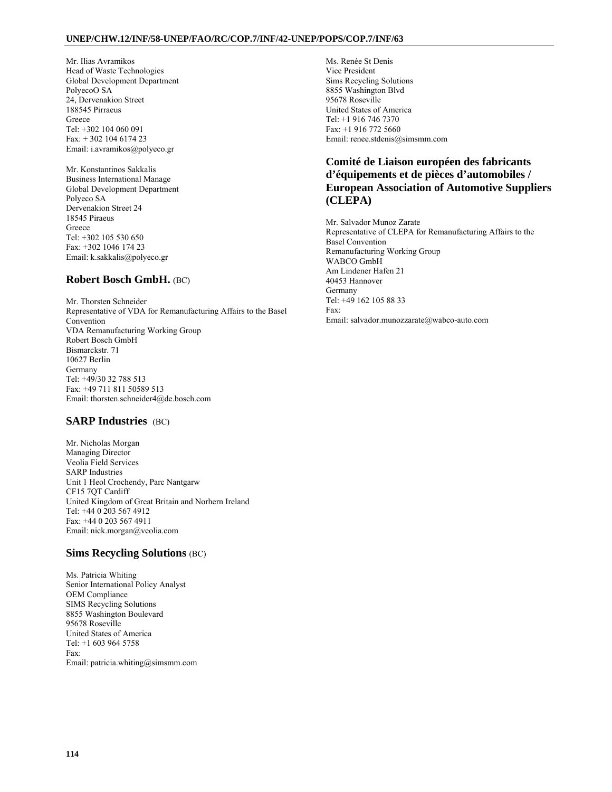#### **UNEP/CHW.12/INF/58-UNEP/FAO/RC/COP.7/INF/42-UNEP/POPS/COP.7/INF/63**

Mr. Ilias Avramikos Head of Waste Technologies Global Development Department PolyecoO SA 24, Dervenakion Street 188545 Pirraeus Greece Tel: +302 104 060 091 Fax: + 302 104 6174 23 Email: i.avramikos@polyeco.gr

Mr. Konstantinos Sakkalis Business International Manage Global Development Department Polyeco SA Dervenakion Street 24 18545 Piraeus Greece Tel: +302 105 530 650 Fax: +302 1046 174 23 Email: k.sakkalis@polyeco.gr

### **Robert Bosch GmbH.** (BC)

Mr. Thorsten Schneider Representative of VDA for Remanufacturing Affairs to the Basel Convention VDA Remanufacturing Working Group Robert Bosch GmbH Bismarckstr. 71 10627 Berlin Germany Tel: +49/30 32 788 513 Fax: +49 711 811 50589 513 Email: thorsten.schneider4@de.bosch.com

## **SARP Industries** (BC)

Mr. Nicholas Morgan Managing Director Veolia Field Services SARP Industries Unit 1 Heol Crochendy, Parc Nantgarw CF15 7QT Cardiff United Kingdom of Great Britain and Norhern Ireland Tel: +44 0 203 567 4912 Fax: +44 0 203 567 4911 Email: nick.morgan@veolia.com

## **Sims Recycling Solutions** (BC)

Ms. Patricia Whiting Senior International Policy Analyst OEM Compliance SIMS Recycling Solutions 8855 Washington Boulevard 95678 Roseville United States of America Tel: +1 603 964 5758 Fax: Email: patricia.whiting@simsmm.com Ms. Renée St Denis Vice President Sims Recycling Solutions 8855 Washington Blvd 95678 Roseville United States of America Tel: +1 916 746 7370 Fax: +1 916 772 5660 Email: renee.stdenis@simsmm.com

## **Comité de Liaison européen des fabricants d'équipements et de pièces d'automobiles / European Association of Automotive Suppliers (CLEPA)**

Mr. Salvador Munoz Zarate Representative of CLEPA for Remanufacturing Affairs to the Basel Convention Remanufacturing Working Group WABCO GmbH Am Lindener Hafen 21 40453 Hannover Germany Tel: +49 162 105 88 33 Fax: Email: salvador.munozzarate@wabco-auto.com